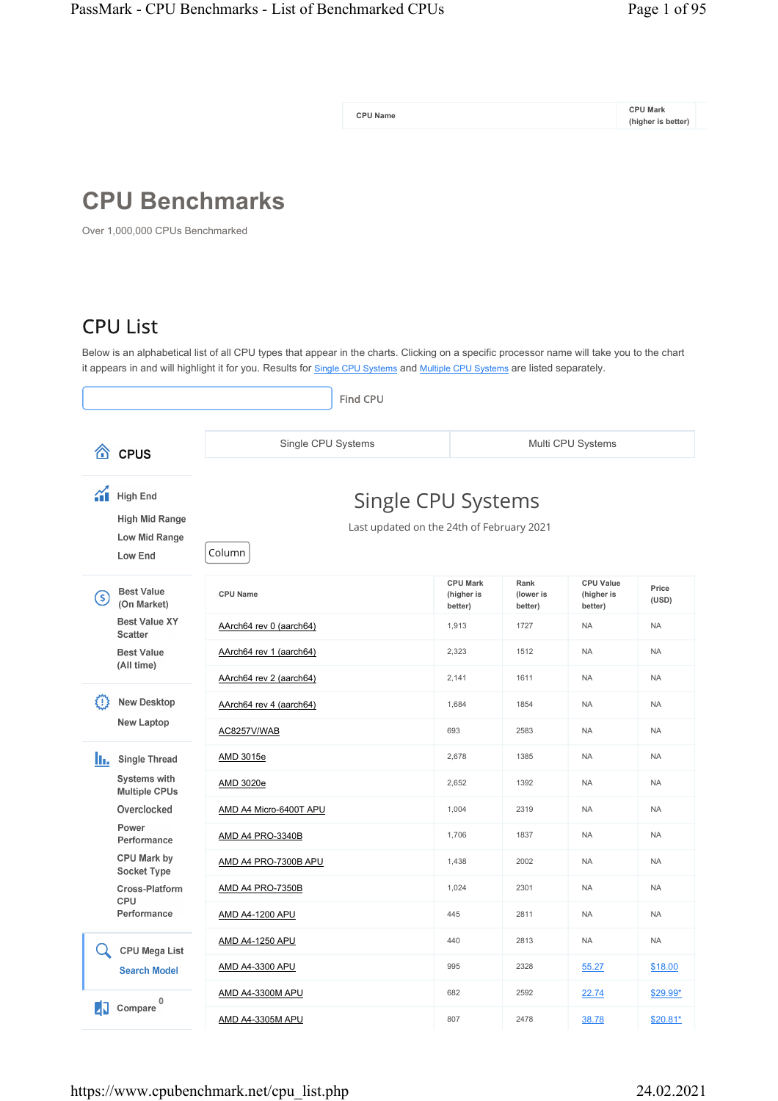**CPU Name**

**CPU Mark (higher is better)**

## **CPU Benchmarks**

Over 1,000,000 CPUs Benchmarked

## CPU List

Below is an alphabetical list of all CPU types that appear in the charts. Clicking on a specific processor name will take you to the chart it appears in and will highlight it for you. Results for <u>Single CPU Systems</u> and <u>Multiple CPU Systems</u> are listed separately.

|                                                                                  | <b>Find CPU</b>                                                           |                                          |                              |                                           |                |
|----------------------------------------------------------------------------------|---------------------------------------------------------------------------|------------------------------------------|------------------------------|-------------------------------------------|----------------|
| 谷<br><b>CPUS</b>                                                                 | Single CPU Systems                                                        |                                          |                              | Multi CPU Systems                         |                |
| $\gamma$<br><b>High End</b><br><b>High Mid Range</b><br>Low Mid Range<br>Low End | Single CPU Systems<br>Last updated on the 24th of February 2021<br>Column |                                          |                              |                                           |                |
| <b>Best Value</b><br>(\$)<br>(On Market)                                         | <b>CPU Name</b>                                                           | <b>CPU Mark</b><br>(higher is<br>better) | Rank<br>(lower is<br>better) | <b>CPU Value</b><br>(higher is<br>better) | Price<br>(USD) |
| <b>Best Value XY</b><br><b>Scatter</b>                                           | AArch64 rev 0 (aarch64)                                                   | 1,913                                    | 1727                         | <b>NA</b>                                 | <b>NA</b>      |
| <b>Best Value</b><br>(All time)                                                  | AArch64 rev 1 (aarch64)                                                   | 2,323                                    | 1512                         | <b>NA</b>                                 | <b>NA</b>      |
|                                                                                  | AArch64 rev 2 (aarch64)                                                   | 2,141                                    | 1611                         | <b>NA</b>                                 | <b>NA</b>      |
| <b>New Desktop</b><br>εn                                                         | AArch64 rev 4 (aarch64)                                                   | 1,684                                    | 1854                         | <b>NA</b>                                 | <b>NA</b>      |
| <b>New Laptop</b>                                                                | AC8257V/WAB                                                               | 693                                      | 2583                         | <b>NA</b>                                 | <b>NA</b>      |
| h.<br><b>Single Thread</b>                                                       | AMD 3015e                                                                 | 2,678                                    | 1385                         | <b>NA</b>                                 | <b>NA</b>      |
| Systems with<br><b>Multiple CPUs</b>                                             | AMD 3020e                                                                 | 2,652                                    | 1392                         | <b>NA</b>                                 | <b>NA</b>      |
| Overclocked                                                                      | AMD A4 Micro-6400T APU                                                    | 1,004                                    | 2319                         | <b>NA</b>                                 | <b>NA</b>      |
| Power<br>Performance                                                             | <b>AMD A4 PRO-3340B</b>                                                   | 1,706                                    | 1837                         | <b>NA</b>                                 | <b>NA</b>      |
| CPU Mark by<br>Socket Type                                                       | AMD A4 PRO-7300B APU                                                      | 1,438                                    | 2002                         | <b>NA</b>                                 | <b>NA</b>      |
| Cross-Platform                                                                   | AMD A4 PRO-7350B                                                          | 1,024                                    | 2301                         | <b>NA</b>                                 | <b>NA</b>      |
| CPU<br>Performance                                                               | <b>AMD A4-1200 APU</b>                                                    | 445                                      | 2811                         | <b>NA</b>                                 | <b>NA</b>      |
| Q<br><b>CPU Mega List</b>                                                        | <b>AMD A4-1250 APU</b>                                                    | 440                                      | 2813                         | <b>NA</b>                                 | <b>NA</b>      |
| <b>Search Model</b>                                                              | AMD A4-3300 APU                                                           | 995                                      | 2328                         | 55.27                                     | \$18.00        |
| 0                                                                                | <b>AMD A4-3300M APU</b>                                                   | 682                                      | 2592                         | 22.74                                     | \$29.99*       |
| 41<br>Compare                                                                    | AMD A4-3305M APU                                                          | 807                                      | 2478                         | 38.78                                     | \$20.81*       |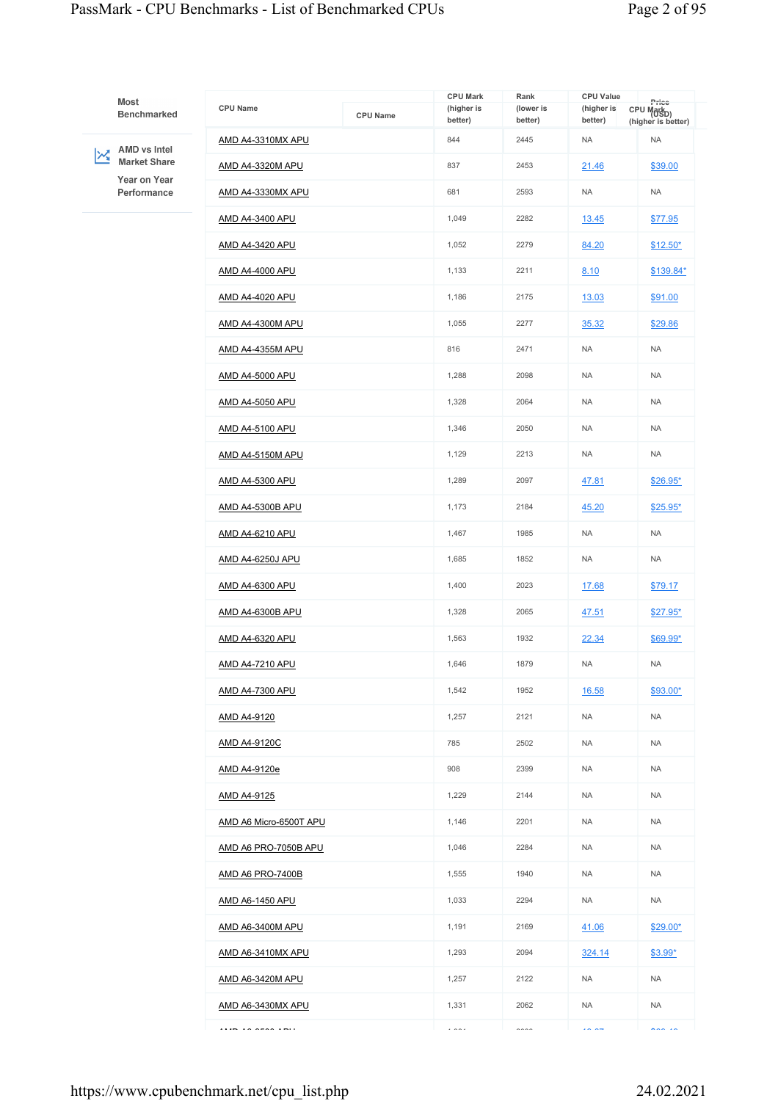## PassMark - CPU Benchmarks - List of Benchmarked CPUs Page 2 of 95

| Most<br>Benchmarked                                                 | <b>CPU Name</b>         | <b>CPU Name</b> | <b>CPU Mark</b><br>(higher is<br>better) | Rank<br>(lower is<br>better) | <b>CPU Value</b><br>(higher is<br>better) | Price<br>CPU Mark <sub>D)</sub><br>(higher is better) |
|---------------------------------------------------------------------|-------------------------|-----------------|------------------------------------------|------------------------------|-------------------------------------------|-------------------------------------------------------|
|                                                                     | AMD A4-3310MX APU       |                 | 844                                      | 2445                         | <b>NA</b>                                 | <b>NA</b>                                             |
| AMD vs Intel<br>$\mathbf{z}$<br><b>Market Share</b><br>Year on Year | AMD A4-3320M APU        |                 | 837                                      | 2453                         | 21.46                                     | \$39.00                                               |
| Performance                                                         | AMD A4-3330MX APU       |                 | 681                                      | 2593                         | <b>NA</b>                                 | <b>NA</b>                                             |
|                                                                     | AMD A4-3400 APU         |                 | 1,049                                    | 2282                         | 13.45                                     | \$77.95                                               |
|                                                                     | AMD A4-3420 APU         |                 | 1,052                                    | 2279                         | 84.20                                     | $$12.50*$                                             |
|                                                                     | <u>AMD A4-4000 APU</u>  |                 | 1,133                                    | 2211                         | 8.10                                      | \$139.84*                                             |
|                                                                     | AMD A4-4020 APU         |                 | 1,186                                    | 2175                         | 13.03                                     | \$91.00                                               |
|                                                                     | AMD A4-4300M APU        |                 | 1,055                                    | 2277                         | 35.32                                     | \$29.86                                               |
|                                                                     | <b>AMD A4-4355M APU</b> |                 | 816                                      | 2471                         | <b>NA</b>                                 | <b>NA</b>                                             |
|                                                                     | AMD A4-5000 APU         |                 | 1,288                                    | 2098                         | <b>NA</b>                                 | <b>NA</b>                                             |
|                                                                     | AMD A4-5050 APU         |                 | 1,328                                    | 2064                         | <b>NA</b>                                 | <b>NA</b>                                             |
|                                                                     | <b>AMD A4-5100 APU</b>  |                 | 1,346                                    | 2050                         | <b>NA</b>                                 | <b>NA</b>                                             |
|                                                                     | AMD A4-5150M APU        |                 | 1,129                                    | 2213                         | <b>NA</b>                                 | <b>NA</b>                                             |
|                                                                     | AMD A4-5300 APU         |                 | 1,289                                    | 2097                         | 47.81                                     | \$26.95*                                              |
|                                                                     | <b>AMD A4-5300B APU</b> |                 | 1,173                                    | 2184                         | 45.20                                     | $$25.95*$                                             |
|                                                                     | AMD A4-6210 APU         |                 | 1,467                                    | 1985                         | <b>NA</b>                                 | <b>NA</b>                                             |
| AMD A4-6250J APU                                                    |                         |                 | 1,685                                    | 1852                         | <b>NA</b>                                 | <b>NA</b>                                             |
|                                                                     | AMD A4-6300 APU         |                 | 1,400                                    | 2023                         | 17.68                                     | \$79.17                                               |
|                                                                     | AMD A4-6300B APU        |                 | 1,328                                    | 2065                         | 47.51                                     | $$27.95*$                                             |
|                                                                     | AMD A4-6320 APU         |                 | 1,563                                    | 1932                         | 22.34                                     | \$69.99*                                              |
|                                                                     | <b>AMD A4-7210 APU</b>  |                 | 1,646                                    | 1879                         | <b>NA</b>                                 | <b>NA</b>                                             |
|                                                                     | AMD A4-7300 APU         |                 | 1,542                                    | 1952                         | 16.58                                     | \$93.00*                                              |
|                                                                     | AMD A4-9120             |                 | 1,257                                    | 2121                         | NA                                        | NA                                                    |
|                                                                     | <u>AMD A4-9120C</u>     |                 | 785                                      | 2502                         | <b>NA</b>                                 | <b>NA</b>                                             |
|                                                                     | AMD A4-9120e            |                 | 908                                      | 2399                         | NA                                        | NA                                                    |
|                                                                     | AMD A4-9125             |                 | 1,229                                    | 2144                         | NA                                        | NA                                                    |
|                                                                     | AMD A6 Micro-6500T APU  |                 | 1,146                                    | 2201                         | NA                                        | <b>NA</b>                                             |
|                                                                     | AMD A6 PRO-7050B APU    |                 | 1,046                                    | 2284                         | NA                                        | NA                                                    |
|                                                                     | AMD A6 PRO-7400B        |                 | 1,555                                    | 1940                         | <b>NA</b>                                 | <b>NA</b>                                             |
|                                                                     | <u>AMD A6-1450 APU</u>  |                 | 1,033                                    | 2294                         | <b>NA</b>                                 | <b>NA</b>                                             |
|                                                                     | <b>AMD A6-3400M APU</b> |                 | 1,191                                    | 2169                         | 41.06                                     | \$29.00*                                              |
|                                                                     | AMD A6-3410MX APU       |                 | 1,293                                    | 2094                         | 324.14                                    | \$3.99*                                               |
|                                                                     | <u>AMD A6-3420M APU</u> |                 | 1,257                                    | 2122                         | NA                                        | NA                                                    |
|                                                                     | AMD A6-3430MX APU       |                 | 1,331                                    | 2062                         | NA                                        | <b>NA</b>                                             |
|                                                                     | $\cdots$                |                 | $\cdots$                                 | $\sim$                       | $\sim$ $\sim$                             | $\sim$                                                |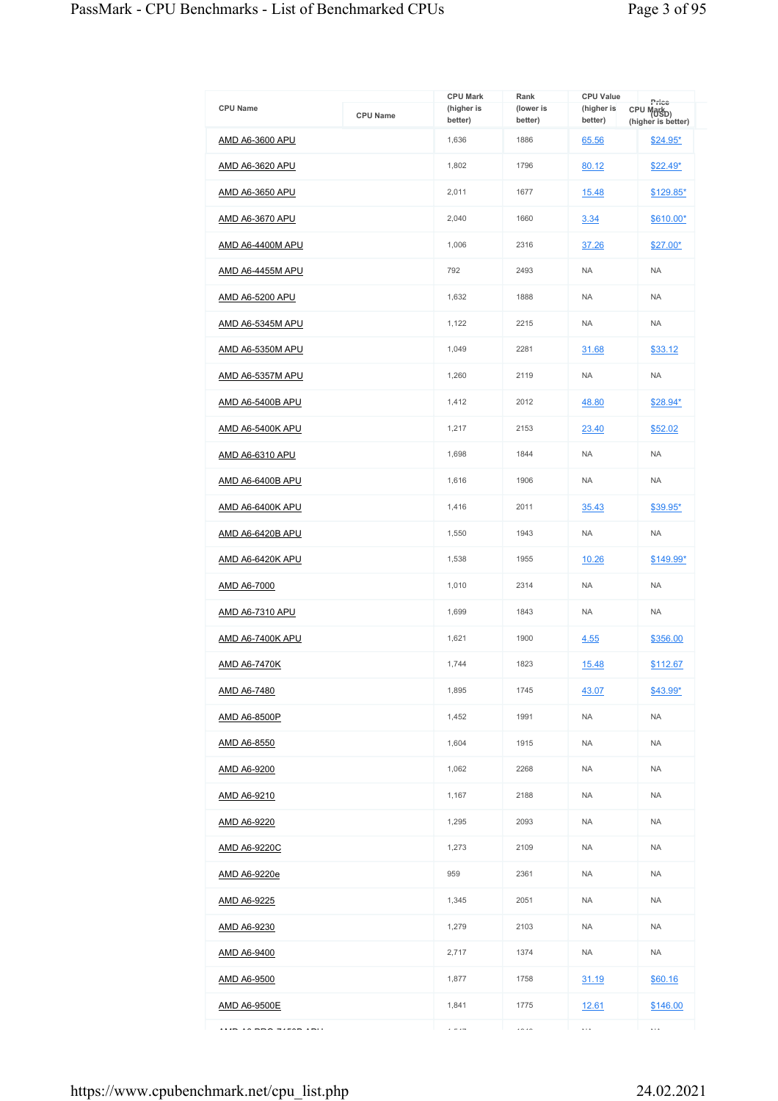| <b>CPU Name</b>         | <b>CPU Name</b> | <b>CPU Mark</b><br>(higher is<br>better) | Rank<br>(lower is<br>better) | <b>CPU Value</b><br>(higher is<br>better) | Price<br>CPU Markp)<br>(higher is better) |
|-------------------------|-----------------|------------------------------------------|------------------------------|-------------------------------------------|-------------------------------------------|
| AMD A6-3600 APU         |                 | 1,636                                    | 1886                         | 65.56                                     | $$24.95*$                                 |
| <u>AMD A6-3620 APU</u>  |                 | 1,802                                    | 1796                         | 80.12                                     | <u>\$22.49*</u>                           |
| AMD A6-3650 APU         |                 | 2,011                                    | 1677                         | 15.48                                     | \$129.85*                                 |
| AMD A6-3670 APU         |                 | 2,040                                    | 1660                         | 3.34                                      | \$610.00*                                 |
| AMD A6-4400M APU        |                 | 1,006                                    | 2316                         | 37.26                                     | \$27.00*                                  |
| <b>AMD A6-4455M APU</b> |                 | 792                                      | 2493                         | <b>NA</b>                                 | <b>NA</b>                                 |
| <b>AMD A6-5200 APU</b>  |                 | 1,632                                    | 1888                         | <b>NA</b>                                 | <b>NA</b>                                 |
| <b>AMD A6-5345M APU</b> |                 | 1,122                                    | 2215                         | <b>NA</b>                                 | <b>NA</b>                                 |
| AMD A6-5350M APU        |                 | 1,049                                    | 2281                         | 31.68                                     | \$33.12                                   |
| <u>AMD A6-5357M APU</u> |                 | 1,260                                    | 2119                         | <b>NA</b>                                 | <b>NA</b>                                 |
| <b>AMD A6-5400B APU</b> |                 | 1,412                                    | 2012                         | 48.80                                     | \$28.94*                                  |
| <b>AMD A6-5400K APU</b> |                 | 1,217                                    | 2153                         | 23.40                                     | \$52.02                                   |
| <b>AMD A6-6310 APU</b>  |                 | 1,698                                    | 1844                         | <b>NA</b>                                 | <b>NA</b>                                 |
| <b>AMD A6-6400B APU</b> |                 | 1,616                                    | 1906                         | <b>NA</b>                                 | <b>NA</b>                                 |
| <b>AMD A6-6400K APU</b> |                 | 1,416                                    | 2011                         | 35.43                                     | \$39.95*                                  |
| <b>AMD A6-6420B APU</b> |                 | 1,550                                    | 1943                         | <b>NA</b>                                 | <b>NA</b>                                 |
| AMD A6-6420K APU        |                 | 1,538                                    | 1955                         | 10.26                                     | \$149.99*                                 |
| AMD A6-7000             |                 | 1,010                                    | 2314                         | <b>NA</b>                                 | <b>NA</b>                                 |
| <b>AMD A6-7310 APU</b>  |                 | 1,699                                    | 1843                         | <b>NA</b>                                 | <b>NA</b>                                 |
| AMD A6-7400K APU        |                 | 1,621                                    | 1900                         | 4.55                                      | \$356.00                                  |
| AMD A6-7470K            |                 | 1.744                                    | 1823                         | 15.48                                     | \$112.67                                  |
| AMD A6-7480             |                 | 1,895                                    | 1745                         | 43.07                                     | $$43.99*$                                 |
| AMD A6-8500P            |                 | 1,452                                    | 1991                         | <b>NA</b>                                 | <b>NA</b>                                 |
| <u>AMD A6-8550</u>      |                 | 1,604                                    | 1915                         | <b>NA</b>                                 | <b>NA</b>                                 |
| AMD A6-9200             |                 | 1,062                                    | 2268                         | <b>NA</b>                                 | <b>NA</b>                                 |
| <u>AMD A6-9210</u>      |                 | 1,167                                    | 2188                         | <b>NA</b>                                 | <b>NA</b>                                 |
| AMD A6-9220             |                 | 1,295                                    | 2093                         | <b>NA</b>                                 | <b>NA</b>                                 |
| <u>AMD A6-9220C</u>     |                 | 1,273                                    | 2109                         | <b>NA</b>                                 | <b>NA</b>                                 |
| AMD A6-9220e            |                 | 959                                      | 2361                         | <b>NA</b>                                 | <b>NA</b>                                 |
| <u>AMD A6-9225</u>      |                 | 1,345                                    | 2051                         | <b>NA</b>                                 | <b>NA</b>                                 |
| AMD A6-9230             |                 | 1,279                                    | 2103                         | <b>NA</b>                                 | <b>NA</b>                                 |
| AMD A6-9400             |                 | 2,717                                    | 1374                         | <b>NA</b>                                 | <b>NA</b>                                 |
| <u>AMD A6-9500</u>      |                 | 1,877                                    | 1758                         | 31.19                                     | \$60.16                                   |
| <b>AMD A6-9500E</b>     |                 | 1,841                                    | 1775                         | <u>12.61</u>                              | \$146.00                                  |
|                         |                 | $\epsilon = 1 -$                         | $\cdots$                     | $\ldots$                                  | $\ldots$                                  |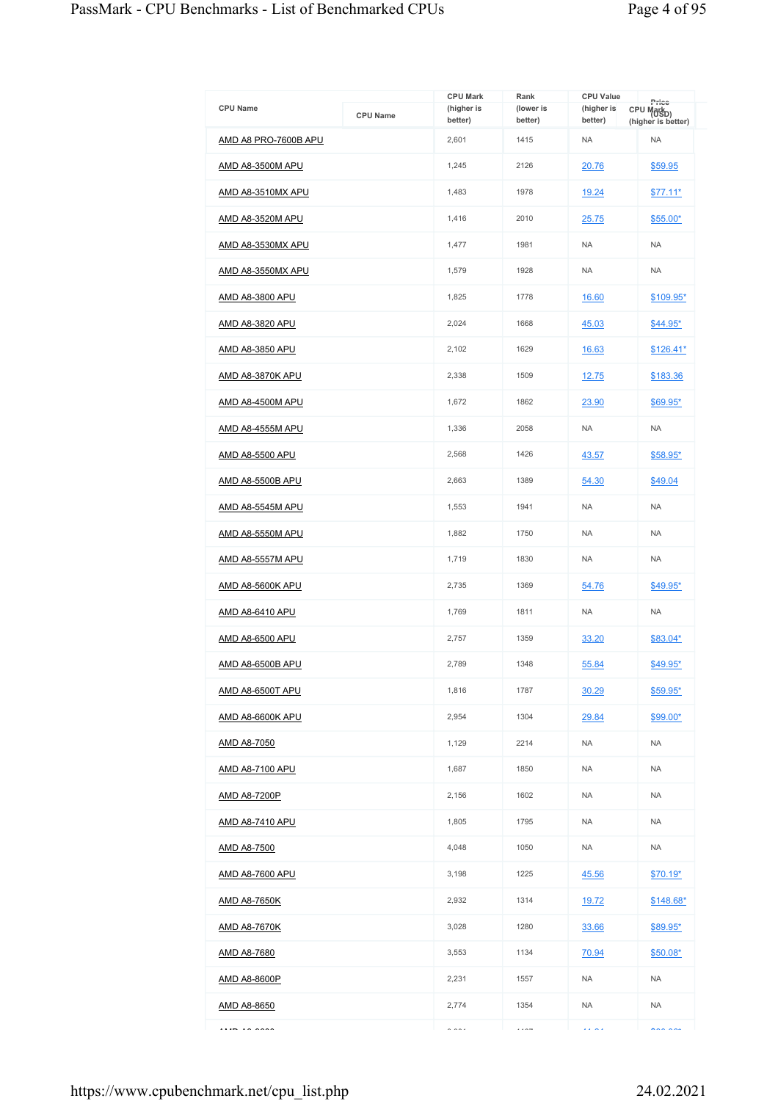|                         |                 | <b>CPU Mark</b>       | Rank                 | <b>CPU Value</b>      | Price                                        |
|-------------------------|-----------------|-----------------------|----------------------|-----------------------|----------------------------------------------|
| <b>CPU Name</b>         | <b>CPU Name</b> | (higher is<br>better) | (lower is<br>better) | (higher is<br>better) | CPU Mark <sub>D)</sub><br>(higher is better) |
| AMD A8 PRO-7600B APU    |                 | 2,601                 | 1415                 | <b>NA</b>             | <b>NA</b>                                    |
| AMD A8-3500M APU        |                 | 1,245                 | 2126                 | 20.76                 | \$59.95                                      |
| AMD A8-3510MX APU       |                 | 1,483                 | 1978                 | 19.24                 | $$77.11*$                                    |
| AMD A8-3520M APU        |                 | 1,416                 | 2010                 | 25.75                 | $$55.00*$                                    |
| AMD A8-3530MX APU       |                 | 1,477                 | 1981                 | <b>NA</b>             | <b>NA</b>                                    |
| AMD A8-3550MX APU       |                 | 1,579                 | 1928                 | <b>NA</b>             | <b>NA</b>                                    |
| AMD A8-3800 APU         |                 | 1,825                 | 1778                 | 16.60                 | \$109.95*                                    |
| <u>AMD A8-3820 APU</u>  |                 | 2,024                 | 1668                 | 45.03                 | <u>\$44.95*</u>                              |
| AMD A8-3850 APU         |                 | 2,102                 | 1629                 | 16.63                 | $$126.41*$                                   |
| <u>AMD A8-3870K APU</u> |                 | 2,338                 | 1509                 | 12.75                 | \$183.36                                     |
| AMD A8-4500M APU        |                 | 1,672                 | 1862                 | 23.90                 | $$69.95^*$                                   |
| <b>AMD A8-4555M APU</b> |                 | 1,336                 | 2058                 | <b>NA</b>             | <b>NA</b>                                    |
| AMD A8-5500 APU         |                 | 2,568                 | 1426                 | 43.57                 | \$58.95*                                     |
| <b>AMD A8-5500B APU</b> |                 | 2,663                 | 1389                 | 54.30                 | \$49.04                                      |
| AMD A8-5545M APU        |                 | 1,553                 | 1941                 | <b>NA</b>             | <b>NA</b>                                    |
| <b>AMD A8-5550M APU</b> |                 | 1,882                 | 1750                 | <b>NA</b>             | <b>NA</b>                                    |
| <b>AMD A8-5557M APU</b> |                 | 1,719                 | 1830                 | <b>NA</b>             | <b>NA</b>                                    |
| <u>AMD A8-5600K APU</u> |                 | 2,735                 | 1369                 | 54.76                 | \$49.95*                                     |
| AMD A8-6410 APU         |                 | 1,769                 | 1811                 | <b>NA</b>             | <b>NA</b>                                    |
| AMD A8-6500 APU         |                 | 2,757                 | 1359                 | 33.20                 | \$83.04*                                     |
| AMD A8-6500B APU        |                 | 2,789                 | 1348                 | 55.84                 | \$49.95*                                     |
| AMD A8-6500T APU        |                 | 1,816                 | 1787                 | 30.29                 | \$59.95*                                     |
| <b>AMD A8-6600K APU</b> |                 | 2,954                 | 1304                 | 29.84                 | \$99.00*                                     |
| <u>AMD A8-7050</u>      |                 | 1,129                 | 2214                 | <b>NA</b>             | <b>NA</b>                                    |
| <u>AMD A8-7100 APU</u>  |                 | 1,687                 | 1850                 | <b>NA</b>             | <b>NA</b>                                    |
| <u>AMD A8-7200P</u>     |                 | 2,156                 | 1602                 | <b>NA</b>             | <b>NA</b>                                    |
| <u>AMD A8-7410 APU</u>  |                 | 1,805                 | 1795                 | <b>NA</b>             | <b>NA</b>                                    |
| <u>AMD A8-7500</u>      |                 | 4,048                 | 1050                 | <b>NA</b>             | <b>NA</b>                                    |
| <u>AMD A8-7600 APU</u>  |                 | 3,198                 | 1225                 | 45.56                 | \$70.19*                                     |
| <u>AMD A8-7650K</u>     |                 | 2,932                 | 1314                 | 19.72                 | $$148.68*$                                   |
| <u>AMD A8-7670K</u>     |                 | 3,028                 | 1280                 | 33.66                 | \$89.95*                                     |
| AMD A8-7680             |                 | 3,553                 | 1134                 | 70.94                 | $$50.08*$                                    |
| AMD A8-8600P            |                 | 2,231                 | 1557                 | <b>NA</b>             | <b>NA</b>                                    |
| <u>AMD A8-8650</u>      |                 | 2,774                 | 1354                 | <b>NA</b>             | <b>NA</b>                                    |
| $ \sim $                |                 | 0.001                 | $\cdots$             | $\cdots$              | $\cdots$                                     |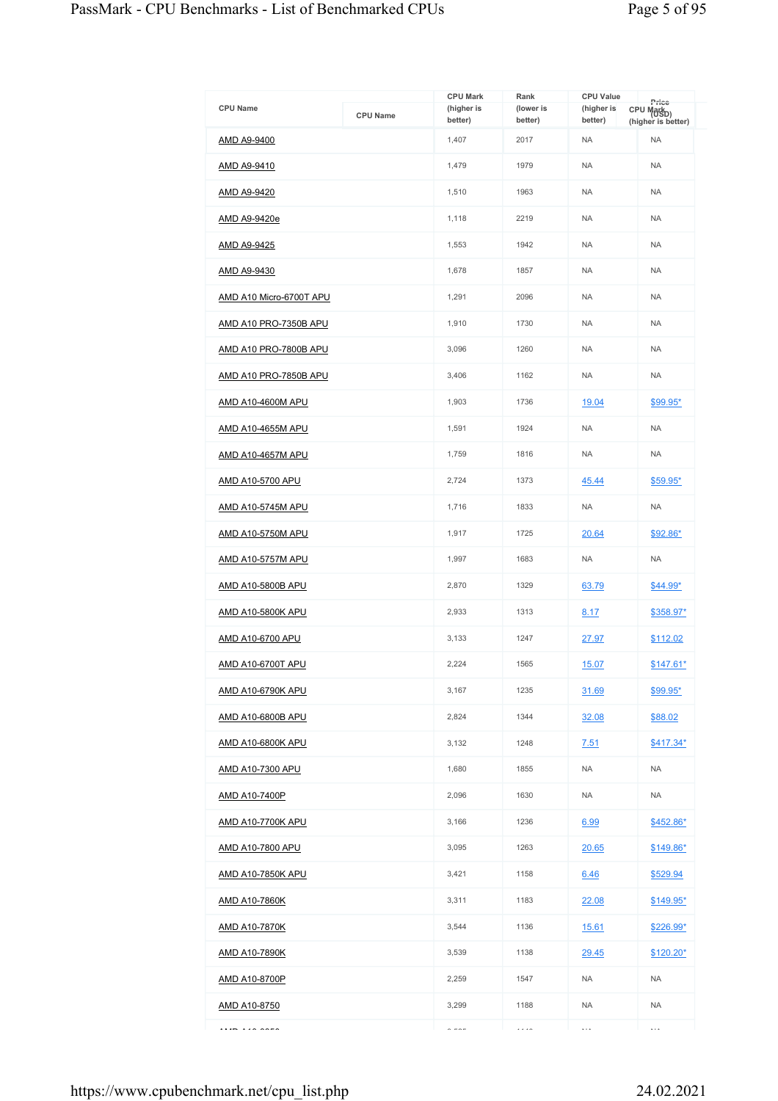|                              |                 | <b>CPU Mark</b>       | Rank                 | <b>CPU Value</b>      | Price                            |
|------------------------------|-----------------|-----------------------|----------------------|-----------------------|----------------------------------|
| <b>CPU Name</b>              | <b>CPU Name</b> | (higher is<br>better) | (lower is<br>better) | (higher is<br>better) | CPU Markp)<br>(higher is better) |
| AMD A9-9400                  |                 | 1,407                 | 2017                 | <b>NA</b>             | <b>NA</b>                        |
| <u>AMD A9-9410</u>           |                 | 1,479                 | 1979                 | <b>NA</b>             | <b>NA</b>                        |
| AMD A9-9420                  |                 | 1,510                 | 1963                 | <b>NA</b>             | <b>NA</b>                        |
| <u>AMD A9-9420e</u>          |                 | 1,118                 | 2219                 | <b>NA</b>             | <b>NA</b>                        |
| AMD A9-9425                  |                 | 1,553                 | 1942                 | <b>NA</b>             | <b>NA</b>                        |
| AMD A9-9430                  |                 | 1,678                 | 1857                 | <b>NA</b>             | <b>NA</b>                        |
| AMD A10 Micro-6700T APU      |                 | 1,291                 | 2096                 | <b>NA</b>             | <b>NA</b>                        |
| AMD A10 PRO-7350B APU        |                 | 1,910                 | 1730                 | <b>NA</b>             | <b>NA</b>                        |
| AMD A10 PRO-7800B APU        |                 | 3,096                 | 1260                 | <b>NA</b>             | <b>NA</b>                        |
| <u>AMD A10 PRO-7850B APU</u> |                 | 3,406                 | 1162                 | <b>NA</b>             | <b>NA</b>                        |
| AMD A10-4600M APU            |                 | 1,903                 | 1736                 | 19.04                 | \$99.95*                         |
| <u>AMD A10-4655M APU</u>     |                 | 1,591                 | 1924                 | <b>NA</b>             | <b>NA</b>                        |
| AMD A10-4657M APU            |                 | 1,759                 | 1816                 | <b>NA</b>             | <b>NA</b>                        |
| <u>AMD A10-5700 APU</u>      |                 | 2,724                 | 1373                 | 45.44                 | $$59.95*$                        |
| AMD A10-5745M APU            |                 | 1,716                 | 1833                 | <b>NA</b>             | <b>NA</b>                        |
| <b>AMD A10-5750M APU</b>     |                 | 1,917                 | 1725                 | 20.64                 | \$92.86*                         |
| AMD A10-5757M APU            |                 | 1,997                 | 1683                 | <b>NA</b>             | <b>NA</b>                        |
| AMD A10-5800B APU            |                 | 2,870                 | 1329                 | 63.79                 | \$44.99*                         |
| AMD A10-5800K APU            |                 | 2,933                 | 1313                 | 8.17                  | <u>\$358.97*</u>                 |
| <u>AMD A10-6700 APU</u>      |                 | 3,133                 | 1247                 | 27.97                 | \$112.02                         |
| <b>AMD A10-6700T APU</b>     |                 | 2.224                 | 1565                 | 15.07                 | $$147.61*$                       |
| <u>AMD A10-6790K APU</u>     |                 | 3,167                 | 1235                 | 31.69                 | \$99.95*                         |
| AMD A10-6800B APU            |                 | 2,824                 | 1344                 | 32.08                 | \$88.02                          |
| AMD A10-6800K APU            |                 | 3,132                 | 1248                 | 7.51                  | $$417.34*$                       |
| <u>AMD A10-7300 APU</u>      |                 | 1,680                 | 1855                 | <b>NA</b>             | <b>NA</b>                        |
| <u>AMD A10-7400P</u>         |                 | 2,096                 | 1630                 | <b>NA</b>             | <b>NA</b>                        |
| AMD A10-7700K APU            |                 | 3,166                 | 1236                 | 6.99                  | \$452.86*                        |
| <u>AMD A10-7800 APU</u>      |                 | 3,095                 | 1263                 | 20.65                 | <u>\$149.86*</u>                 |
| <u>AMD A10-7850K APU</u>     |                 | 3,421                 | 1158                 | 6.46                  | \$529.94                         |
| <u>AMD A10-7860K</u>         |                 | 3,311                 | 1183                 | 22.08                 | <u>\$149.95*</u>                 |
| <u>AMD A10-7870K</u>         |                 | 3,544                 | 1136                 | <u>15.61</u>          | <u>\$226.99*</u>                 |
| <u>AMD A10-7890K</u>         |                 | 3,539                 | 1138                 | 29.45                 | $$120.20*$                       |
| <u>AMD A10-8700P</u>         |                 | 2,259                 | 1547                 | <b>NA</b>             | <b>NA</b>                        |
| <u>AMD A10-8750</u>          |                 | 3,299                 | 1188                 | <b>NA</b>             | <b>NA</b>                        |
|                              |                 | $\sim$ $\sim$ $\sim$  | .                    | $\cdots$              | $\ddotsc$                        |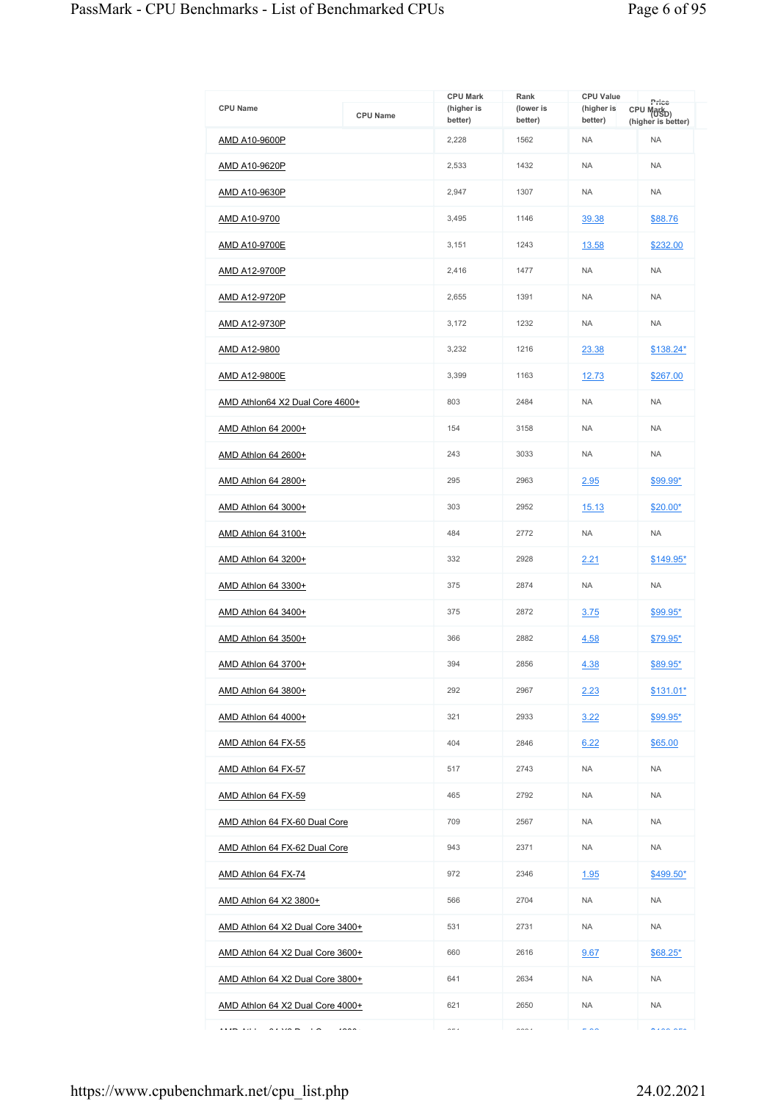| <b>CPU Name</b>                               | <b>CPU Name</b> | <b>CPU Mark</b><br>(higher is<br>better) | Rank<br>(lower is<br>better) | <b>CPU Value</b><br>(higher is<br>better) | Price<br>CPU Markp)<br>(higher is better) |
|-----------------------------------------------|-----------------|------------------------------------------|------------------------------|-------------------------------------------|-------------------------------------------|
| AMD A10-9600P                                 |                 | 2,228                                    | 1562                         | <b>NA</b>                                 | <b>NA</b>                                 |
| AMD A10-9620P                                 |                 | 2,533                                    | 1432                         | <b>NA</b>                                 | <b>NA</b>                                 |
| AMD A10-9630P                                 |                 | 2,947                                    | 1307                         | <b>NA</b>                                 | <b>NA</b>                                 |
| AMD A10-9700                                  |                 | 3,495                                    | 1146                         | 39.38                                     | \$88.76                                   |
| AMD A10-9700E                                 |                 | 3,151                                    | 1243                         | 13.58                                     | \$232.00                                  |
| AMD A12-9700P                                 |                 | 2,416                                    | 1477                         | <b>NA</b>                                 | <b>NA</b>                                 |
| AMD A12-9720P                                 |                 | 2,655                                    | 1391                         | <b>NA</b>                                 | <b>NA</b>                                 |
| <u>AMD A12-9730P</u>                          |                 | 3,172                                    | 1232                         | <b>NA</b>                                 | <b>NA</b>                                 |
| AMD A12-9800                                  |                 | 3,232                                    | 1216                         | 23.38                                     | \$138.24*                                 |
| <b>AMD A12-9800E</b>                          |                 | 3,399                                    | 1163                         | 12.73                                     | \$267.00                                  |
| AMD Athlon64 X2 Dual Core 4600+               |                 | 803                                      | 2484                         | <b>NA</b>                                 | <b>NA</b>                                 |
| AMD Athlon 64 2000+                           |                 | 154                                      | 3158                         | <b>NA</b>                                 | <b>NA</b>                                 |
| AMD Athlon 64 2600+                           |                 | 243                                      | 3033                         | <b>NA</b>                                 | <b>NA</b>                                 |
| AMD Athlon 64 2800+                           |                 | 295                                      | 2963                         | 2.95                                      | \$99.99*                                  |
| AMD Athlon 64 3000+                           |                 | 303                                      | 2952                         | 15.13                                     | $$20.00*$                                 |
| AMD Athlon 64 3100+                           |                 | 484                                      | 2772                         | <b>NA</b>                                 | <b>NA</b>                                 |
| AMD Athlon 64 3200+                           |                 | 332                                      | 2928                         | 2.21                                      | $$149.95*$                                |
| AMD Athlon 64 3300+                           |                 | 375                                      | 2874                         | <b>NA</b>                                 | <b>NA</b>                                 |
| AMD Athlon 64 3400+                           |                 | 375                                      | 2872                         | 3.75                                      | \$99.95*                                  |
| AMD Athlon 64 3500+                           |                 | 366                                      | 2882                         | 4.58                                      | <u>\$79.95*</u>                           |
| AMD Athlon 64 3700+                           |                 | 394                                      | 2856                         | 4.38                                      | \$89.95*                                  |
| AMD Athlon 64 3800+                           |                 | 292                                      | 2967                         | 2.23                                      | $$131.01*$                                |
| AMD Athlon 64 4000+                           |                 | 321                                      | 2933                         | 3.22                                      | $$99.95*$                                 |
| AMD Athlon 64 FX-55                           |                 | 404                                      | 2846                         | 6.22                                      | \$65.00                                   |
| AMD Athlon 64 FX-57                           |                 | 517                                      | 2743                         | <b>NA</b>                                 | <b>NA</b>                                 |
| AMD Athlon 64 FX-59                           |                 | 465                                      | 2792                         | <b>NA</b>                                 | <b>NA</b>                                 |
| AMD Athlon 64 FX-60 Dual Core                 |                 | 709                                      | 2567                         | <b>NA</b>                                 | <b>NA</b>                                 |
| AMD Athlon 64 FX-62 Dual Core                 |                 | 943                                      | 2371                         | <b>NA</b>                                 | <b>NA</b>                                 |
| AMD Athlon 64 FX-74                           |                 | 972                                      | 2346                         | 1.95                                      | $$499.50*$                                |
| AMD Athlon 64 X2 3800+                        |                 | 566                                      | 2704                         | <b>NA</b>                                 | <b>NA</b>                                 |
| AMD Athlon 64 X2 Dual Core 3400+              |                 | 531                                      | 2731                         | <b>NA</b>                                 | <b>NA</b>                                 |
| AMD Athlon 64 X2 Dual Core 3600+              |                 | 660                                      | 2616                         | 9.67                                      | $$68.25*$                                 |
| AMD Athlon 64 X2 Dual Core 3800+              |                 | 641                                      | 2634                         | <b>NA</b>                                 | <b>NA</b>                                 |
| AMD Athlon 64 X2 Dual Core 4000+              |                 | 621                                      | 2650                         | <b>NA</b>                                 | <b>NA</b>                                 |
| <br>$\sim$ $\sim$<br>$\overline{\phantom{a}}$ | $\sim$          | $\sim$ $-$                               | $\sim$                       | $ -$                                      | $\lambda$                                 |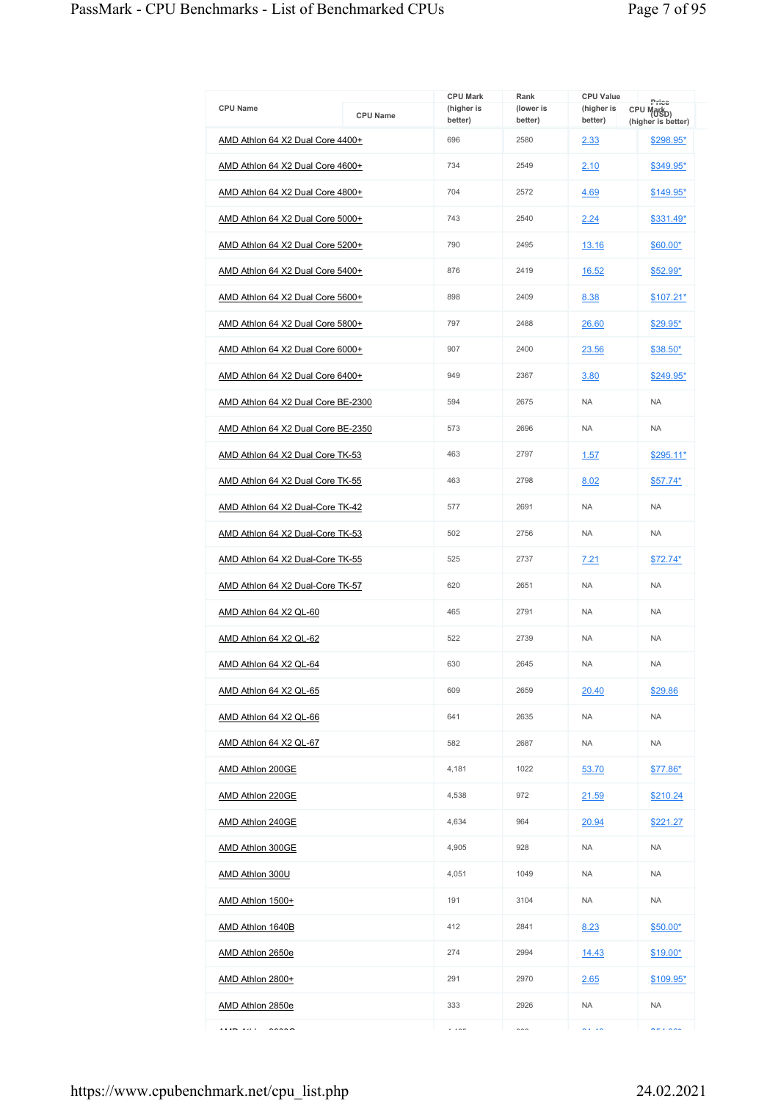| <b>CPU Name</b>                    | <b>CPU Name</b> | <b>CPU Mark</b><br>(higher is<br>better) | Rank<br>(lower is<br>better) | <b>CPU Value</b><br>(higher is<br>better) | Price<br>CPU Markp)<br>(higher is better) |
|------------------------------------|-----------------|------------------------------------------|------------------------------|-------------------------------------------|-------------------------------------------|
| AMD Athlon 64 X2 Dual Core 4400+   |                 | 696                                      | 2580                         | 2.33                                      | \$298.95*                                 |
| AMD Athlon 64 X2 Dual Core 4600+   |                 | 734                                      | 2549                         | 2.10                                      | \$349.95*                                 |
| AMD Athlon 64 X2 Dual Core 4800+   |                 | 704                                      | 2572                         | 4.69                                      | $$149.95*$                                |
| AMD Athlon 64 X2 Dual Core 5000+   |                 | 743                                      | 2540                         | 2.24                                      | \$331.49*                                 |
| AMD Athlon 64 X2 Dual Core 5200+   |                 | 790                                      | 2495                         | 13.16                                     | \$60.00*                                  |
| AMD Athlon 64 X2 Dual Core 5400+   |                 | 876                                      | 2419                         | 16.52                                     | \$52.99*                                  |
| AMD Athlon 64 X2 Dual Core 5600+   |                 | 898                                      | 2409                         | 8.38                                      | $$107.21*$                                |
| AMD Athlon 64 X2 Dual Core 5800+   |                 | 797                                      | 2488                         | 26.60                                     | \$29.95*                                  |
| AMD Athlon 64 X2 Dual Core 6000+   |                 | 907                                      | 2400                         | 23.56                                     | \$38.50*                                  |
| AMD Athlon 64 X2 Dual Core 6400+   |                 | 949                                      | 2367                         | 3.80                                      | \$249.95*                                 |
| AMD Athlon 64 X2 Dual Core BE-2300 |                 | 594                                      | 2675                         | <b>NA</b>                                 | <b>NA</b>                                 |
| AMD Athlon 64 X2 Dual Core BE-2350 |                 | 573                                      | 2696                         | <b>NA</b>                                 | <b>NA</b>                                 |
| AMD Athlon 64 X2 Dual Core TK-53   |                 | 463                                      | 2797                         | 1.57                                      | \$295.11*                                 |
| AMD Athlon 64 X2 Dual Core TK-55   |                 | 463                                      | 2798                         | 8.02                                      | $$57.74*$                                 |
| AMD Athlon 64 X2 Dual-Core TK-42   |                 | 577                                      | 2691                         | <b>NA</b>                                 | <b>NA</b>                                 |
| AMD Athlon 64 X2 Dual-Core TK-53   |                 | 502                                      | 2756                         | <b>NA</b>                                 | <b>NA</b>                                 |
| AMD Athlon 64 X2 Dual-Core TK-55   |                 | 525                                      | 2737                         | 7.21                                      | $$72.74*$                                 |
| AMD Athlon 64 X2 Dual-Core TK-57   |                 | 620                                      | 2651                         | <b>NA</b>                                 | <b>NA</b>                                 |
| AMD Athlon 64 X2 QL-60             |                 | 465                                      | 2791                         | <b>NA</b>                                 | <b>NA</b>                                 |
| AMD Athlon 64 X2 QL-62             |                 | 522                                      | 2739                         | <b>NA</b>                                 | <b>NA</b>                                 |
| AMD Athlon 64 X2 QL-64             |                 | 630                                      | 2645                         | <b>NA</b>                                 | <b>NA</b>                                 |
| AMD Athlon 64 X2 QL-65             |                 | 609                                      | 2659                         | 20.40                                     | \$29.86                                   |
| AMD Athlon 64 X2 QL-66             |                 | 641                                      | 2635                         | NA                                        | <b>NA</b>                                 |
| AMD Athlon 64 X2 QL-67             |                 | 582                                      | 2687                         | NA                                        | <b>NA</b>                                 |
| AMD Athlon 200GE                   |                 | 4,181                                    | 1022                         | 53.70                                     | \$77.86*                                  |
| AMD Athlon 220GE                   |                 | 4,538                                    | 972                          | 21.59                                     | \$210.24                                  |
| <b>AMD Athlon 240GE</b>            |                 | 4,634                                    | 964                          | 20.94                                     | \$221.27                                  |
| AMD Athlon 300GE                   |                 | 4,905                                    | 928                          | <b>NA</b>                                 | <b>NA</b>                                 |
| AMD Athlon 300U                    |                 | 4,051                                    | 1049                         | <b>NA</b>                                 | <b>NA</b>                                 |
| AMD Athlon 1500+                   |                 | 191                                      | 3104                         | <b>NA</b>                                 | <b>NA</b>                                 |
| AMD Athlon 1640B                   |                 | 412                                      | 2841                         | 8.23                                      | $$50.00*$                                 |
| AMD Athlon 2650e                   |                 | 274                                      | 2994                         | 14.43                                     | $$19.00*$                                 |
| <u>AMD Athlon 2800+</u>            |                 | 291                                      | 2970                         | 2.65                                      | $$109.95*$                                |
| AMD Athlon 2850e                   |                 | 333                                      | 2926                         | <b>NA</b>                                 | <b>NA</b>                                 |
| .                                  |                 | $\cdots$                                 | $\sim$                       | $\overline{a}$                            | $A = 1$                                   |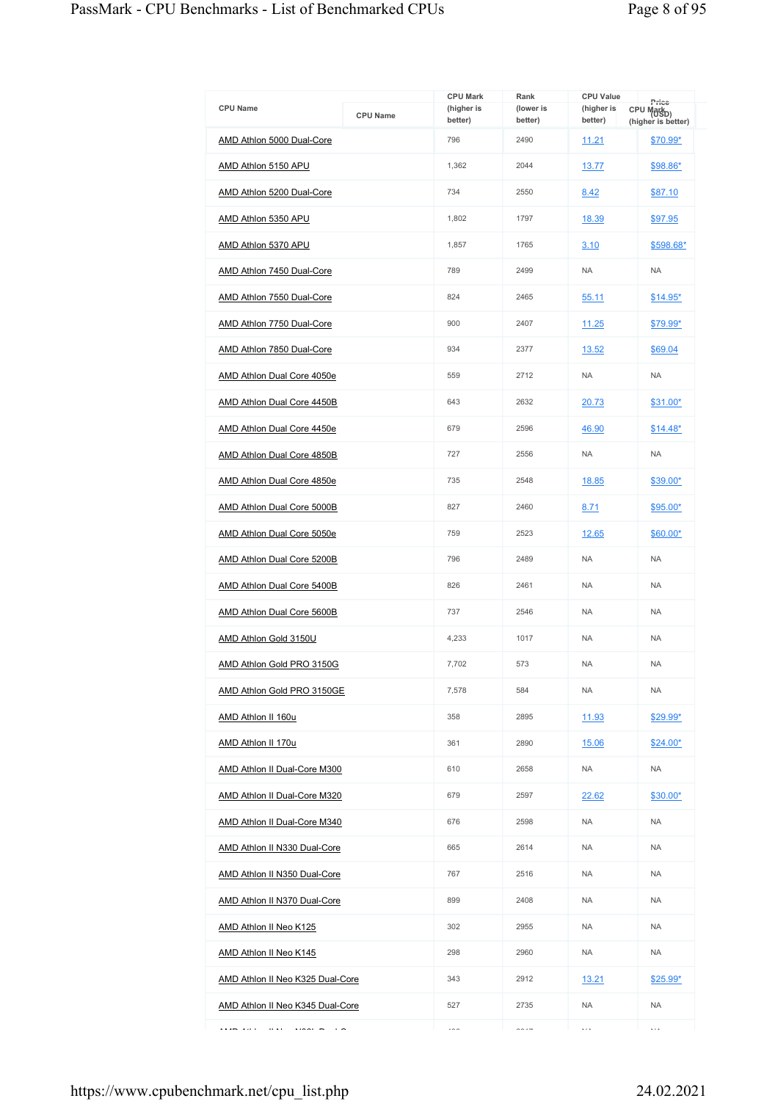| <b>CPU Name</b>                         | <b>CPU Name</b> | <b>CPU Mark</b><br>(higher is<br>better) | Rank<br>(lower is<br>better) | <b>CPU Value</b><br>(higher is<br>better) | Price<br>CPU Markp)            |
|-----------------------------------------|-----------------|------------------------------------------|------------------------------|-------------------------------------------|--------------------------------|
| AMD Athlon 5000 Dual-Core               |                 | 796                                      | 2490                         | 11.21                                     | (higher is better)<br>\$70.99* |
| AMD Athlon 5150 APU                     |                 | 1,362                                    | 2044                         | 13.77                                     | \$98.86*                       |
| AMD Athlon 5200 Dual-Core               |                 | 734                                      | 2550                         | 8.42                                      | \$87.10                        |
| AMD Athlon 5350 APU                     |                 | 1,802                                    | 1797                         | 18.39                                     | \$97.95                        |
| AMD Athlon 5370 APU                     |                 | 1,857                                    | 1765                         | 3.10                                      | \$598.68*                      |
| AMD Athlon 7450 Dual-Core               |                 | 789                                      | 2499                         | <b>NA</b>                                 | <b>NA</b>                      |
| AMD Athlon 7550 Dual-Core               |                 | 824                                      | 2465                         | 55.11                                     | \$14.95*                       |
| AMD Athlon 7750 Dual-Core               |                 | 900                                      | 2407                         | 11.25                                     | \$79.99*                       |
| AMD Athlon 7850 Dual-Core               |                 | 934                                      | 2377                         | 13.52                                     | \$69.04                        |
| AMD Athlon Dual Core 4050e              |                 | 559                                      | 2712                         | <b>NA</b>                                 | <b>NA</b>                      |
| AMD Athlon Dual Core 4450B              |                 | 643                                      | 2632                         | 20.73                                     | $$31.00*$                      |
| <b>AMD Athlon Dual Core 4450e</b>       |                 | 679                                      | 2596                         | 46.90                                     | $$14.48*$                      |
| AMD Athlon Dual Core 4850B              |                 | 727                                      | 2556                         | <b>NA</b>                                 | <b>NA</b>                      |
| <b>AMD Athlon Dual Core 4850e</b>       |                 | 735                                      | 2548                         | 18.85                                     | \$39.00*                       |
| AMD Athlon Dual Core 5000B              |                 | 827                                      | 2460                         | 8.71                                      | \$95.00*                       |
| AMD Athlon Dual Core 5050e              |                 | 759                                      | 2523                         | 12.65                                     | \$60.00*                       |
| AMD Athlon Dual Core 5200B              |                 | 796                                      | 2489                         | <b>NA</b>                                 | <b>NA</b>                      |
| AMD Athlon Dual Core 5400B              |                 | 826                                      | 2461                         | <b>NA</b>                                 | <b>NA</b>                      |
| AMD Athlon Dual Core 5600B              |                 | 737                                      | 2546                         | <b>NA</b>                                 | <b>NA</b>                      |
| AMD Athlon Gold 3150U                   |                 | 4,233                                    | 1017                         | <b>NA</b>                                 | <b>NA</b>                      |
| AMD Athlon Gold PRO 3150G               |                 | 7.702                                    | 573                          | <b>NA</b>                                 | <b>NA</b>                      |
| AMD Athlon Gold PRO 3150GE              |                 | 7,578                                    | 584                          | <b>NA</b>                                 | <b>NA</b>                      |
| AMD Athlon II 160u                      |                 | 358                                      | 2895                         | 11.93                                     | \$29.99*                       |
| AMD Athlon II 170u                      |                 | 361                                      | 2890                         | 15.06                                     | $$24.00*$                      |
| AMD Athlon II Dual-Core M300            |                 | 610                                      | 2658                         | <b>NA</b>                                 | <b>NA</b>                      |
| AMD Athlon II Dual-Core M320            |                 | 679                                      | 2597                         | 22.62                                     | $$30.00*$                      |
| AMD Athlon II Dual-Core M340            |                 | 676                                      | 2598                         | <b>NA</b>                                 | <b>NA</b>                      |
| <b>AMD Athlon II N330 Dual-Core</b>     |                 | 665                                      | 2614                         | <b>NA</b>                                 | <b>NA</b>                      |
| AMD Athlon II N350 Dual-Core            |                 | 767                                      | 2516                         | <b>NA</b>                                 | <b>NA</b>                      |
| <b>AMD Athlon II N370 Dual-Core</b>     |                 | 899                                      | 2408                         | <b>NA</b>                                 | <b>NA</b>                      |
| AMD Athlon II Neo K125                  |                 | 302                                      | 2955                         | <b>NA</b>                                 | <b>NA</b>                      |
| AMD Athlon II Neo K145                  |                 | 298                                      | 2960                         | <b>NA</b>                                 | <b>NA</b>                      |
| AMD Athlon II Neo K325 Dual-Core        |                 | 343                                      | 2912                         | 13.21                                     | $$25.99*$                      |
| <b>AMD Athlon II Neo K345 Dual-Core</b> |                 | 527                                      | 2735                         | <b>NA</b>                                 | <b>NA</b>                      |
| $\cdots$                                |                 | $\cdots$                                 | $\sim$ $\sim$ $-$            | $\cdots$                                  | $\cdots$                       |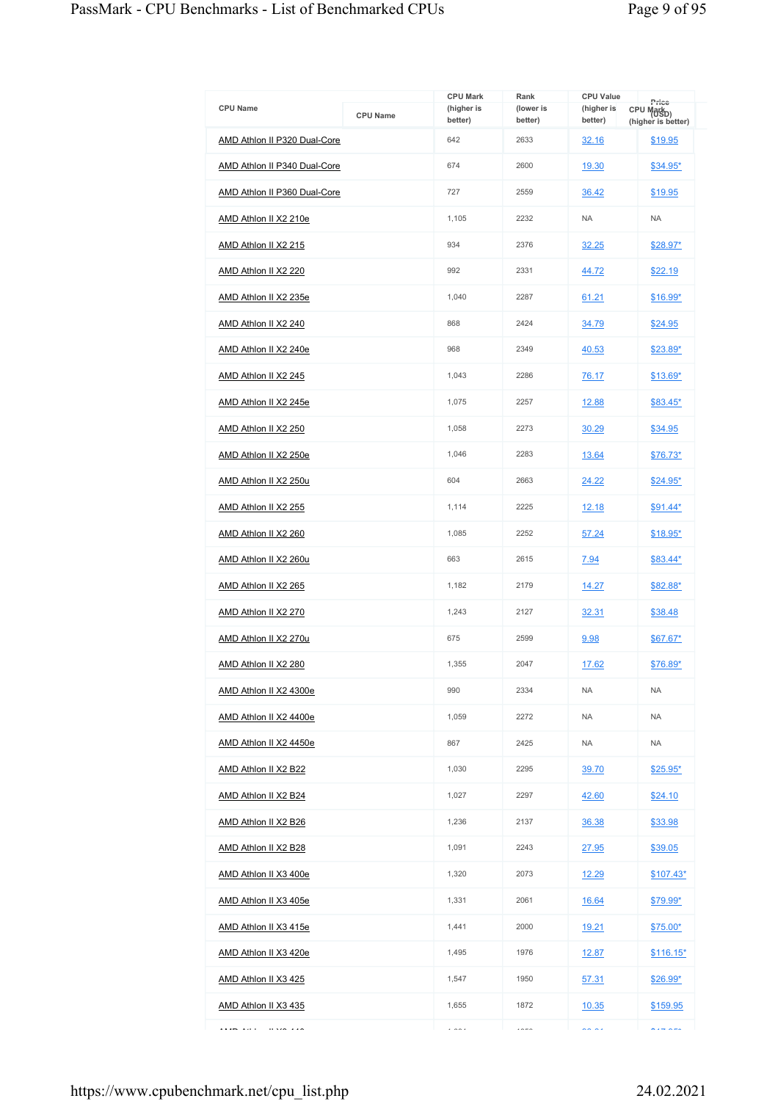| <b>CPU Name</b>                     | <b>CPU Name</b> | <b>CPU Mark</b><br>(higher is | Rank<br>(lower is | <b>CPU Value</b><br>(higher is | Price<br>CPU Markp) |
|-------------------------------------|-----------------|-------------------------------|-------------------|--------------------------------|---------------------|
|                                     |                 | better)                       | better)           | better)                        | (higher is better)  |
| AMD Athlon II P320 Dual-Core        |                 | 642                           | 2633              | 32.16                          | \$19.95             |
| <b>AMD Athlon II P340 Dual-Core</b> |                 | 674                           | 2600              | 19.30                          | $$34.95*$           |
| AMD Athlon II P360 Dual-Core        |                 | 727                           | 2559              | 36.42                          | \$19.95             |
| AMD Athlon II X2 210e               |                 | 1,105                         | 2232              | <b>NA</b>                      | <b>NA</b>           |
| AMD Athlon II X2 215                |                 | 934                           | 2376              | 32.25                          | $$28.97*$           |
| AMD Athlon II X2 220                |                 | 992                           | 2331              | 44.72                          | \$22.19             |
| AMD Athlon II X2 235e               |                 | 1,040                         | 2287              | 61.21                          | \$16.99*            |
| AMD Athlon II X2 240                |                 | 868                           | 2424              | 34.79                          | \$24.95             |
| AMD Athlon II X2 240e               |                 | 968                           | 2349              | 40.53                          | \$23.89*            |
| AMD Athlon II X2 245                |                 | 1,043                         | 2286              | 76.17                          | \$13.69*            |
| AMD Athlon II X2 245e               |                 | 1,075                         | 2257              | 12.88                          | $$83.45^*$          |
| AMD Athlon II X2 250                |                 | 1,058                         | 2273              | 30.29                          | \$34.95             |
| AMD Athlon II X2 250e               |                 | 1,046                         | 2283              | 13.64                          | $$76.73*$           |
| AMD Athlon II X2 250u               |                 | 604                           | 2663              | 24.22                          | $$24.95*$           |
| AMD Athlon II X2 255                |                 | 1,114                         | 2225              | <u>12.18</u>                   | \$91.44*            |
| AMD Athlon II X2 260                |                 | 1,085                         | 2252              | 57.24                          | $$18.95*$           |
| AMD Athlon II X2 260u               |                 | 663                           | 2615              | 7.94                           | \$83.44*            |
| AMD Athlon II X2 265                |                 | 1,182                         | 2179              | 14.27                          | \$82.88*            |
| AMD Athlon II X2 270                |                 | 1,243                         | 2127              | 32.31                          | \$38.48             |
| AMD Athlon II X2 270u               |                 | 675                           | 2599              | 9.98                           | \$67.67*            |
| AMD Athlon II X2 280                |                 | 1.355                         | 2047              | 17.62                          | \$76.89*            |
| AMD Athlon II X2 4300e              |                 | 990                           | 2334              | <b>NA</b>                      | <b>NA</b>           |
| AMD Athlon II X2 4400e              |                 | 1,059                         | 2272              | <b>NA</b>                      | <b>NA</b>           |
| AMD Athlon II X2 4450e              |                 | 867                           | 2425              | <b>NA</b>                      | <b>NA</b>           |
| AMD Athlon II X2 B22                |                 | 1,030                         | 2295              | 39.70                          | $$25.95*$           |
| AMD Athlon II X2 B24                |                 | 1,027                         | 2297              | 42.60                          | \$24.10             |
| AMD Athlon II X2 B26                |                 | 1,236                         | 2137              | 36.38                          | \$33.98             |
| AMD Athlon II X2 B28                |                 | 1,091                         | 2243              | 27.95                          | \$39.05             |
| AMD Athlon II X3 400e               |                 | 1,320                         | 2073              | 12.29                          | $$107.43*$          |
| AMD Athlon II X3 405e               |                 | 1,331                         | 2061              | 16.64                          | \$79.99*            |
| AMD Athlon II X3 415e               |                 | 1,441                         | 2000              | <u>19.21</u>                   | $$75.00*$           |
| AMD Athlon II X3 420e               |                 | 1,495                         | 1976              | <u>12.87</u>                   | $$116.15*$          |
| AMD Athlon II X3 425                |                 | 1,547                         | 1950              | 57.31                          | $$26.99*$           |
| AMD Athlon II X3 435                |                 | 1,655                         | 1872              | 10.35                          | \$159.95            |
| .<br>11.202.440                     |                 | $\cdots$                      | $100 - 100$       | $\sim$ $\sim$                  | $\sim$ $ \sim$ $-$  |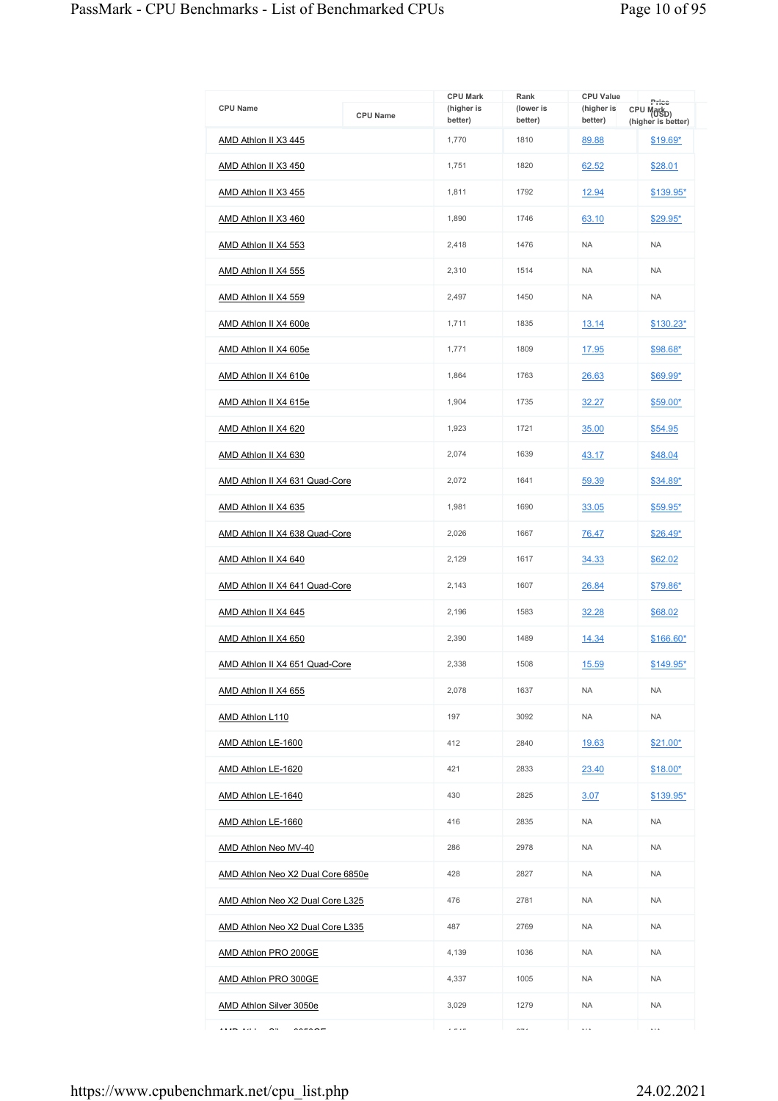| <b>CPU Name</b>                        | <b>CPU Name</b> | <b>CPU Mark</b><br>(higher is<br>better) | Rank<br>(lower is<br>better) | <b>CPU Value</b><br>(higher is<br>better) | Price<br>CPU Mark <sub>D)</sub> |
|----------------------------------------|-----------------|------------------------------------------|------------------------------|-------------------------------------------|---------------------------------|
| AMD Athlon II X3 445                   |                 | 1,770                                    | 1810                         | 89.88                                     | (higher is better)<br>$$19.69*$ |
| AMD Athlon II X3 450                   |                 | 1,751                                    | 1820                         | 62.52                                     | \$28.01                         |
| AMD Athlon II X3 455                   |                 | 1,811                                    | 1792                         | 12.94                                     | \$139.95*                       |
| AMD Athlon II X3 460                   |                 | 1,890                                    | 1746                         | 63.10                                     | \$29.95*                        |
| AMD Athlon II X4 553                   |                 | 2,418                                    | 1476                         | <b>NA</b>                                 | <b>NA</b>                       |
| AMD Athlon II X4 555                   |                 | 2,310                                    | 1514                         | <b>NA</b>                                 | <b>NA</b>                       |
| AMD Athlon II X4 559                   |                 | 2,497                                    | 1450                         | <b>NA</b>                                 | <b>NA</b>                       |
| AMD Athlon II X4 600e                  |                 | 1,711                                    | 1835                         | 13.14                                     | \$130.23*                       |
| AMD Athlon II X4 605e                  |                 | 1.771                                    | 1809                         | 17.95                                     | \$98.68*                        |
| AMD Athlon II X4 610e                  |                 | 1,864                                    | 1763                         | 26.63                                     | $$69.99*$                       |
| AMD Athlon II X4 615e                  |                 | 1,904                                    | 1735                         | 32.27                                     | \$59.00*                        |
| AMD Athlon II X4 620                   |                 | 1,923                                    | 1721                         | 35.00                                     | \$54.95                         |
| AMD Athlon II X4 630                   |                 | 2,074                                    | 1639                         | 43.17                                     | \$48.04                         |
| AMD Athlon II X4 631 Quad-Core         |                 | 2,072                                    | 1641                         | 59.39                                     | $$34.89*$                       |
| AMD Athlon II X4 635                   |                 | 1,981                                    | 1690                         | 33.05                                     | $$59.95^*$                      |
| AMD Athlon II X4 638 Quad-Core         |                 | 2,026                                    | 1667                         | 76.47                                     | $$26.49*$                       |
| AMD Athlon II X4 640                   |                 | 2,129                                    | 1617                         | 34.33                                     | \$62.02                         |
| AMD Athlon II X4 641 Quad-Core         |                 | 2,143                                    | 1607                         | 26.84                                     | \$79.86*                        |
| AMD Athlon II X4 645                   |                 | 2,196                                    | 1583                         | 32.28                                     | \$68.02                         |
| AMD Athlon II X4 650                   |                 | 2,390                                    | 1489                         | 14.34                                     | $$166.60*$                      |
| AMD Athlon II X4 651 Quad-Core         |                 | 2,338                                    | 1508                         | 15.59                                     | \$149.95*                       |
| AMD Athlon II X4 655                   |                 | 2,078                                    | 1637                         | <b>NA</b>                                 | <b>NA</b>                       |
| AMD Athlon L110                        |                 | 197                                      | 3092                         | <b>NA</b>                                 | <b>NA</b>                       |
| AMD Athlon LE-1600                     |                 | 412                                      | 2840                         | 19.63                                     | $$21.00*$                       |
| AMD Athlon LE-1620                     |                 | 421                                      | 2833                         | 23.40                                     | $$18.00*$                       |
| AMD Athlon LE-1640                     |                 | 430                                      | 2825                         | 3.07                                      | \$139.95*                       |
| AMD Athlon LE-1660                     |                 | 416                                      | 2835                         | <b>NA</b>                                 | <b>NA</b>                       |
| AMD Athlon Neo MV-40                   |                 | 286                                      | 2978                         | <b>NA</b>                                 | <b>NA</b>                       |
| AMD Athlon Neo X2 Dual Core 6850e      |                 | 428                                      | 2827                         | <b>NA</b>                                 | <b>NA</b>                       |
| AMD Athlon Neo X2 Dual Core L325       |                 | 476                                      | 2781                         | <b>NA</b>                                 | <b>NA</b>                       |
| AMD Athlon Neo X2 Dual Core L335       |                 | 487                                      | 2769                         | <b>NA</b>                                 | <b>NA</b>                       |
| AMD Athlon PRO 200GE                   |                 | 4,139                                    | 1036                         | <b>NA</b>                                 | <b>NA</b>                       |
| AMD Athlon PRO 300GE                   |                 | 4,337                                    | 1005                         | <b>NA</b>                                 | <b>NA</b>                       |
| <b>AMD Athlon Silver 3050e</b>         |                 | 3,029                                    | 1279                         | <b>NA</b>                                 | <b>NA</b>                       |
| <b>ARAM AH 1</b><br>$\sim$<br>22222222 |                 | $\cdot$ $ \cdot$ $-$                     | $\sim$                       | $\ddotsc$                                 | $\ddotsc$                       |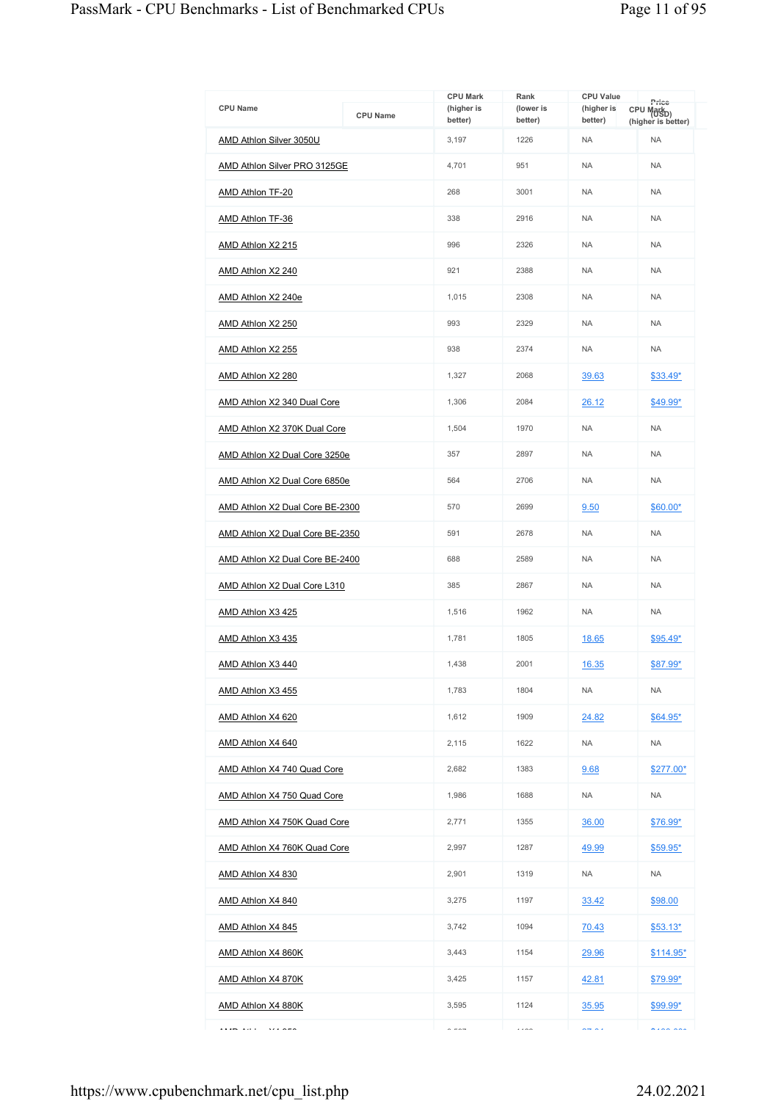|                                          |                 | <b>CPU Mark</b>       | Rank                 | <b>CPU Value</b>      |                                                       |
|------------------------------------------|-----------------|-----------------------|----------------------|-----------------------|-------------------------------------------------------|
| <b>CPU Name</b>                          | <b>CPU Name</b> | (higher is<br>better) | (lower is<br>better) | (higher is<br>better) | Price<br>CPU Mark <sub>D)</sub><br>(higher is better) |
| AMD Athlon Silver 3050U                  |                 | 3,197                 | 1226                 | <b>NA</b>             | <b>NA</b>                                             |
| AMD Athlon Silver PRO 3125GE             |                 | 4,701                 | 951                  | <b>NA</b>             | <b>NA</b>                                             |
| AMD Athlon TF-20                         |                 | 268                   | 3001                 | <b>NA</b>             | <b>NA</b>                                             |
| AMD Athlon TF-36                         |                 | 338                   | 2916                 | <b>NA</b>             | <b>NA</b>                                             |
| AMD Athlon X2 215                        |                 | 996                   | 2326                 | <b>NA</b>             | <b>NA</b>                                             |
| AMD Athlon X2 240                        |                 | 921                   | 2388                 | <b>NA</b>             | <b>NA</b>                                             |
| AMD Athlon X2 240e                       |                 | 1,015                 | 2308                 | <b>NA</b>             | <b>NA</b>                                             |
| AMD Athlon X2 250                        |                 | 993                   | 2329                 | <b>NA</b>             | <b>NA</b>                                             |
| AMD Athlon X2 255                        |                 | 938                   | 2374                 | <b>NA</b>             | <b>NA</b>                                             |
| AMD Athlon X2 280                        |                 | 1,327                 | 2068                 | 39.63                 | $$33.49*$                                             |
| <b>AMD Athlon X2 340 Dual Core</b>       |                 | 1,306                 | 2084                 | 26.12                 | \$49.99*                                              |
| AMD Athlon X2 370K Dual Core             |                 | 1,504                 | 1970                 | <b>NA</b>             | <b>NA</b>                                             |
| AMD Athlon X2 Dual Core 3250e            |                 | 357                   | 2897                 | <b>NA</b>             | <b>NA</b>                                             |
| <b>AMD Athlon X2 Dual Core 6850e</b>     |                 | 564                   | 2706                 | <b>NA</b>             | <b>NA</b>                                             |
| AMD Athlon X2 Dual Core BE-2300          |                 | 570                   | 2699                 | 9.50                  | $$60.00*$                                             |
| AMD Athlon X2 Dual Core BE-2350          |                 | 591                   | 2678                 | <b>NA</b>             | <b>NA</b>                                             |
| AMD Athlon X2 Dual Core BE-2400          |                 | 688                   | 2589                 | <b>NA</b>             | <b>NA</b>                                             |
| AMD Athlon X2 Dual Core L310             |                 | 385                   | 2867                 | <b>NA</b>             | <b>NA</b>                                             |
| AMD Athlon X3 425                        |                 | 1,516                 | 1962                 | <b>NA</b>             | <b>NA</b>                                             |
| AMD Athlon X3 435                        |                 | 1,781                 | 1805                 | 18.65                 | $$95.49*$                                             |
| AMD Athlon X3 440                        |                 | 1,438                 | 2001                 | 16.35                 | \$87.99*                                              |
| AMD Athlon X3 455                        |                 | 1,783                 | 1804                 | <b>NA</b>             | <b>NA</b>                                             |
| AMD Athlon X4 620                        |                 | 1,612                 | 1909                 | 24.82                 | $$64.95*$                                             |
| AMD Athlon X4 640                        |                 | 2,115                 | 1622                 | <b>NA</b>             | <b>NA</b>                                             |
| AMD Athlon X4 740 Quad Core              |                 | 2,682                 | 1383                 | 9.68                  | \$277.00*                                             |
| AMD Athlon X4 750 Quad Core              |                 | 1,986                 | 1688                 | <b>NA</b>             | <b>NA</b>                                             |
| AMD Athlon X4 750K Quad Core             |                 | 2,771                 | 1355                 | 36.00                 | \$76.99*                                              |
| AMD Athlon X4 760K Quad Core             |                 | 2,997                 | 1287                 | 49.99                 | $$59.95*$                                             |
| AMD Athlon X4 830                        |                 | 2,901                 | 1319                 | <b>NA</b>             | <b>NA</b>                                             |
| AMD Athlon X4 840                        |                 | 3,275                 | 1197                 | 33.42                 | \$98.00                                               |
| AMD Athlon X4 845                        |                 | 3,742                 | 1094                 | 70.43                 | $$53.13*$                                             |
| AMD Athlon X4 860K                       |                 | 3,443                 | 1154                 | <u>29.96</u>          | <u>\$114.95*</u>                                      |
| AMD Athlon X4 870K                       |                 | 3,425                 | 1157                 | 42.81                 | \$79.99*                                              |
| AMD Athlon X4 880K                       |                 | 3,595                 | 1124                 | 35.95                 | $$99.99*$                                             |
| A KAPO A GLA<br>$\overline{\phantom{a}}$ |                 | $\sim$ $ \sim$ $-$    | $\cdots$             | $\sim$ $\sim$ $\sim$  | $\lambda$                                             |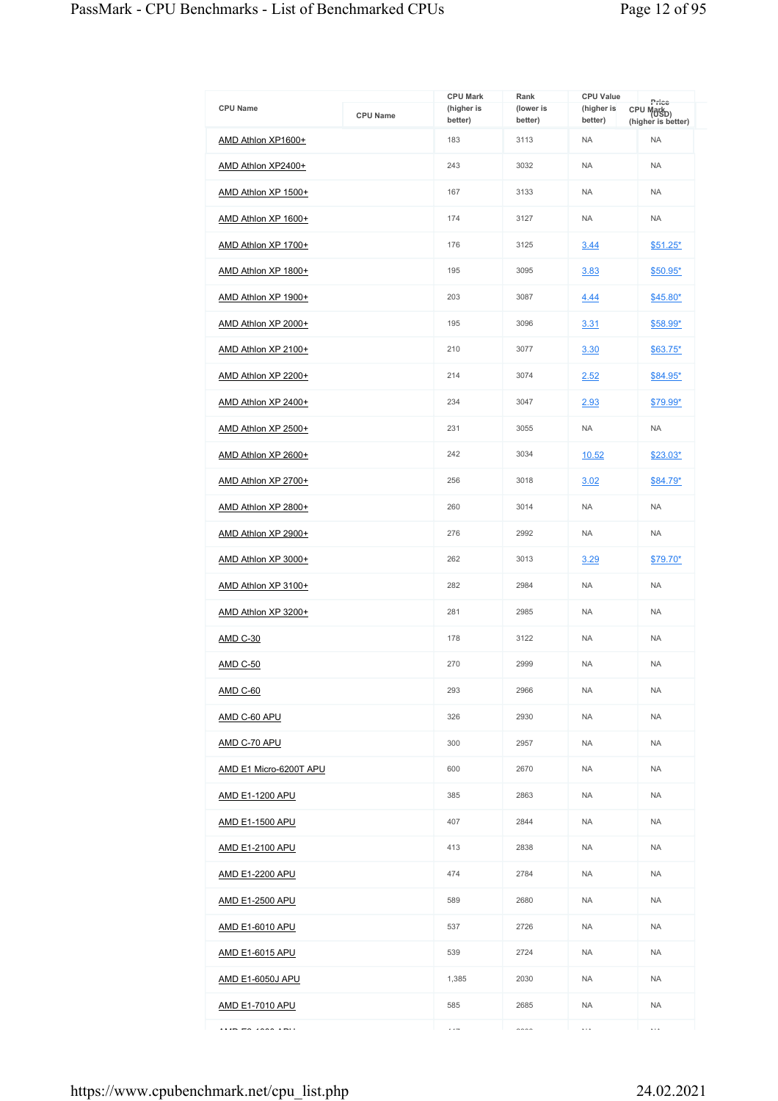| <b>CPU Name</b>         | <b>CPU Name</b> | <b>CPU Mark</b><br>(higher is<br>better) | Rank<br>(lower is<br>better) | <b>CPU Value</b><br>(higher is<br>better) | Price<br>CPU Markp)<br>(higher is better) |
|-------------------------|-----------------|------------------------------------------|------------------------------|-------------------------------------------|-------------------------------------------|
| AMD Athlon XP1600+      |                 | 183                                      | 3113                         | <b>NA</b>                                 | <b>NA</b>                                 |
| AMD Athlon XP2400+      |                 | 243                                      | 3032                         | <b>NA</b>                                 | <b>NA</b>                                 |
| AMD Athlon XP 1500+     |                 | 167                                      | 3133                         | <b>NA</b>                                 | <b>NA</b>                                 |
| AMD Athlon XP 1600+     |                 | 174                                      | 3127                         | <b>NA</b>                                 | <b>NA</b>                                 |
| AMD Athlon XP 1700+     |                 | 176                                      | 3125                         | 3.44                                      | $$51.25*$                                 |
| AMD Athlon XP 1800+     |                 | 195                                      | 3095                         | 3.83                                      | $$50.95*$                                 |
| AMD Athlon XP 1900+     |                 | 203                                      | 3087                         | 4.44                                      | \$45.80*                                  |
| AMD Athlon XP 2000+     |                 | 195                                      | 3096                         | 3.31                                      | \$58.99*                                  |
| AMD Athlon XP 2100+     |                 | 210                                      | 3077                         | 3.30                                      | $$63.75*$                                 |
| AMD Athlon XP 2200+     |                 | 214                                      | 3074                         | 2.52                                      | \$84.95*                                  |
| AMD Athlon XP 2400+     |                 | 234                                      | 3047                         | 2.93                                      | \$79.99*                                  |
| AMD Athlon XP 2500+     |                 | 231                                      | 3055                         | <b>NA</b>                                 | <b>NA</b>                                 |
| AMD Athlon XP 2600+     |                 | 242                                      | 3034                         | 10.52                                     | \$23.03*                                  |
| AMD Athlon XP 2700+     |                 | 256                                      | 3018                         | 3.02                                      | $$84.79*$                                 |
| AMD Athlon XP 2800+     |                 | 260                                      | 3014                         | <b>NA</b>                                 | <b>NA</b>                                 |
| AMD Athlon XP 2900+     |                 | 276                                      | 2992                         | <b>NA</b>                                 | <b>NA</b>                                 |
| AMD Athlon XP 3000+     |                 | 262                                      | 3013                         | 3.29                                      | \$79.70*                                  |
| AMD Athlon XP 3100+     |                 | 282                                      | 2984                         | <b>NA</b>                                 | <b>NA</b>                                 |
| AMD Athlon XP 3200+     |                 | 281                                      | 2985                         | <b>NA</b>                                 | <b>NA</b>                                 |
| <b>AMD C-30</b>         |                 | 178                                      | 3122                         | <b>NA</b>                                 | <b>NA</b>                                 |
| <b>AMD C-50</b>         |                 | 270                                      | 2999                         | <b>NA</b>                                 | <b>NA</b>                                 |
| <b>AMD C-60</b>         |                 | 293                                      | 2966                         | <b>NA</b>                                 | <b>NA</b>                                 |
| AMD C-60 APU            |                 | 326                                      | 2930                         | <b>NA</b>                                 | <b>NA</b>                                 |
| AMD C-70 APU            |                 | 300                                      | 2957                         | <b>NA</b>                                 | <b>NA</b>                                 |
| AMD E1 Micro-6200T APU  |                 | 600                                      | 2670                         | <b>NA</b>                                 | <b>NA</b>                                 |
| AMD E1-1200 APU         |                 | 385                                      | 2863                         | <b>NA</b>                                 | <b>NA</b>                                 |
| <b>AMD E1-1500 APU</b>  |                 | 407                                      | 2844                         | <b>NA</b>                                 | <b>NA</b>                                 |
| <u>AMD E1-2100 APU</u>  |                 | 413                                      | 2838                         | <b>NA</b>                                 | <b>NA</b>                                 |
| AMD E1-2200 APU         |                 | 474                                      | 2784                         | <b>NA</b>                                 | <b>NA</b>                                 |
| <b>AMD E1-2500 APU</b>  |                 | 589                                      | 2680                         | <b>NA</b>                                 | <b>NA</b>                                 |
| <u>AMD E1-6010 APU</u>  |                 | 537                                      | 2726                         | <b>NA</b>                                 | <b>NA</b>                                 |
| <b>AMD E1-6015 APU</b>  |                 | 539                                      | 2724                         | <b>NA</b>                                 | <b>NA</b>                                 |
| <b>AMD E1-6050J APU</b> |                 | 1,385                                    | 2030                         | <b>NA</b>                                 | <b>NA</b>                                 |
| <b>AMD E1-7010 APU</b>  |                 | 585                                      | 2685                         | <b>NA</b>                                 | <b>NA</b>                                 |
| $\cdots$                |                 | $\cdots$                                 | $\sim$                       | $\ddotsc$                                 | $\ldots$                                  |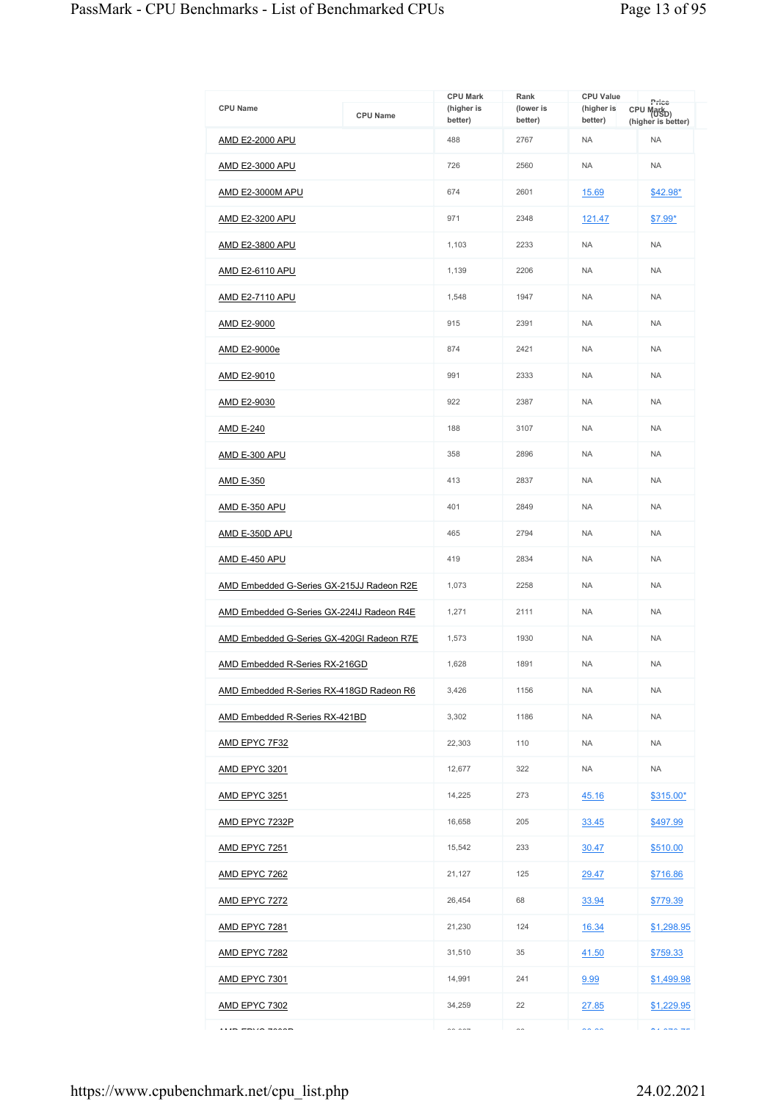| <b>CPU Name</b>                           | <b>CPU Name</b> | <b>CPU Mark</b><br>(higher is | Rank<br>(lower is | <b>CPU Value</b><br>(higher is | Price<br>CPU Markp)                |
|-------------------------------------------|-----------------|-------------------------------|-------------------|--------------------------------|------------------------------------|
| AMD E2-2000 APU                           |                 | better)<br>488                | better)<br>2767   | better)<br><b>NA</b>           | (higher is better)<br><b>NA</b>    |
| <u>AMD E2-3000 APU</u>                    |                 | 726                           | 2560              | <b>NA</b>                      | <b>NA</b>                          |
| AMD E2-3000M APU                          |                 | 674                           | 2601              | 15.69                          |                                    |
|                                           |                 | 971                           | 2348              |                                | \$42.98*                           |
| <b>AMD E2-3200 APU</b>                    |                 |                               |                   | 121.47                         | \$7.99*                            |
| <b>AMD E2-3800 APU</b>                    |                 | 1,103                         | 2233              | <b>NA</b>                      | <b>NA</b>                          |
| AMD E2-6110 APU                           |                 | 1,139                         | 2206              | <b>NA</b>                      | <b>NA</b>                          |
| <b>AMD E2-7110 APU</b>                    |                 | 1,548                         | 1947              | <b>NA</b>                      | <b>NA</b>                          |
| AMD E2-9000                               |                 | 915                           | 2391              | <b>NA</b>                      | <b>NA</b>                          |
| AMD E2-9000e                              |                 | 874                           | 2421              | <b>NA</b>                      | <b>NA</b>                          |
| AMD E2-9010                               |                 | 991                           | 2333              | <b>NA</b>                      | <b>NA</b>                          |
| AMD E2-9030                               |                 | 922                           | 2387              | <b>NA</b>                      | <b>NA</b>                          |
| AMD E-240                                 |                 | 188                           | 3107              | <b>NA</b>                      | <b>NA</b>                          |
| AMD E-300 APU                             |                 | 358                           | 2896              | <b>NA</b>                      | <b>NA</b>                          |
| <u>AMD E-350</u>                          |                 | 413                           | 2837              | <b>NA</b>                      | <b>NA</b>                          |
| <b>AMD E-350 APU</b>                      |                 | 401                           | 2849              | <b>NA</b>                      | <b>NA</b>                          |
| <b>AMD E-350D APU</b>                     |                 | 465                           | 2794              | <b>NA</b>                      | <b>NA</b>                          |
| AMD E-450 APU                             |                 | 419                           | 2834              | <b>NA</b>                      | <b>NA</b>                          |
| AMD Embedded G-Series GX-215JJ Radeon R2E |                 | 1,073                         | 2258              | <b>NA</b>                      | <b>NA</b>                          |
| AMD Embedded G-Series GX-224IJ Radeon R4E |                 | 1,271                         | 2111              | <b>NA</b>                      | <b>NA</b>                          |
| AMD Embedded G-Series GX-420GI Radeon R7E |                 | 1,573                         | 1930              | <b>NA</b>                      | <b>NA</b>                          |
| AMD Embedded R-Series RX-216GD            |                 | 1.628                         | 1891              | <b>NA</b>                      | <b>NA</b>                          |
| AMD Embedded R-Series RX-418GD Radeon R6  |                 | 3,426                         | 1156              | <b>NA</b>                      | <b>NA</b>                          |
| AMD Embedded R-Series RX-421BD            |                 | 3,302                         | 1186              | <b>NA</b>                      | <b>NA</b>                          |
| AMD EPYC 7F32                             |                 | 22,303                        | 110               | <b>NA</b>                      | <b>NA</b>                          |
| <b>AMD EPYC 3201</b>                      |                 | 12,677                        | 322               | <b>NA</b>                      | <b>NA</b>                          |
| <u>AMD EPYC 3251</u>                      |                 | 14,225                        | 273               | 45.16                          | \$315.00*                          |
| <b>AMD EPYC 7232P</b>                     |                 | 16,658                        | 205               | 33.45                          | \$497.99                           |
| <u>AMD EPYC 7251</u>                      |                 | 15,542                        | 233               | 30.47                          | \$510.00                           |
| <b>AMD EPYC 7262</b>                      |                 | 21,127                        | 125               | 29.47                          | \$716.86                           |
| <b>AMD EPYC 7272</b>                      |                 | 26,454                        | 68                | 33.94                          | \$779.39                           |
| <b>AMD EPYC 7281</b>                      |                 | 21,230                        | 124               | 16.34                          | \$1,298.95                         |
| <b>AMD EPYC 7282</b>                      |                 | 31,510                        | 35                | 41.50                          | \$759.33                           |
| <u>AMD EPYC 7301</u>                      |                 | 14,991                        | 241               | 9.99                           | \$1,499.98                         |
| <b>AMD EPYC 7302</b>                      |                 | 34,259                        | 22                | 27.85                          | \$1,229.95                         |
|                                           |                 | $\sim$ $\sim$ $\sim$          | $\sim$            | $\sim$ $\sim$                  | $\sim$ $\sim$ $\sim$ $\sim$ $\sim$ |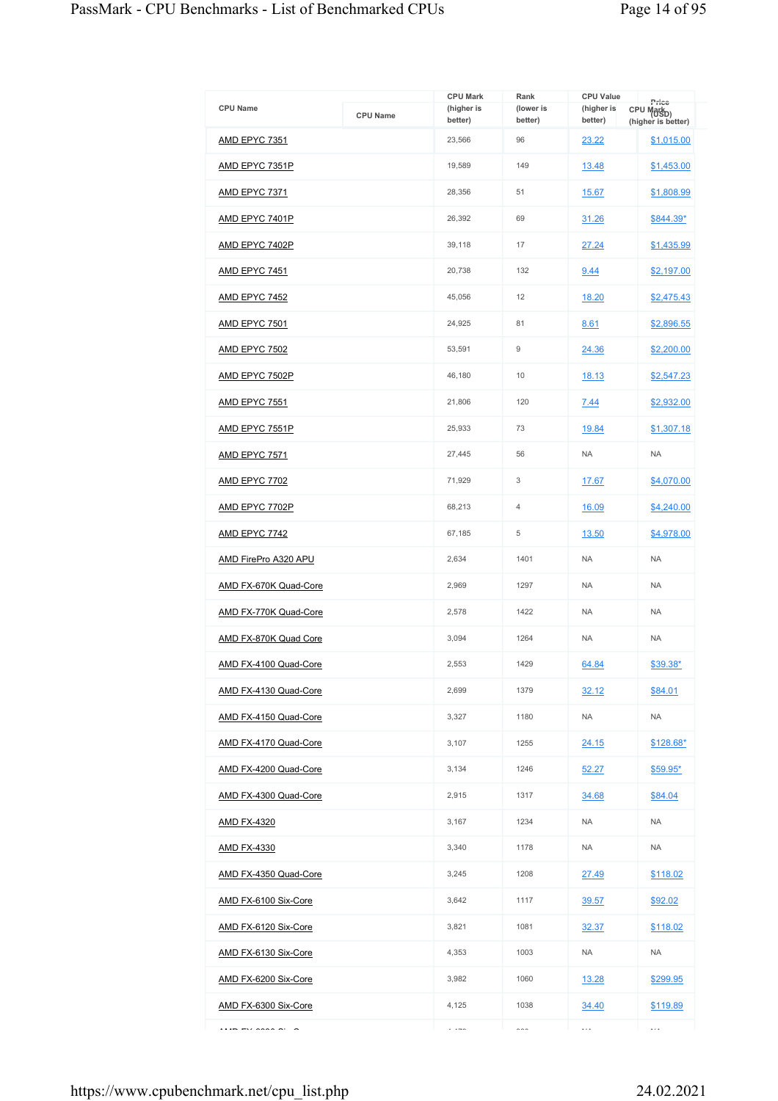| <b>CPU Name</b>              | <b>CPU Name</b> | <b>CPU Mark</b><br>(higher is | Rank<br>(lower is | <b>CPU Value</b><br>(higher is | Price<br>CPU Mark <sub>D)</sub>  |
|------------------------------|-----------------|-------------------------------|-------------------|--------------------------------|----------------------------------|
| AMD EPYC 7351                |                 | better)<br>23,566             | better)<br>96     | better)<br>23.22               | (higher is better)<br>\$1,015.00 |
|                              |                 |                               |                   |                                |                                  |
| <u>AMD EPYC 7351P</u>        |                 | 19,589                        | 149               | 13.48                          | \$1,453.00                       |
| <u>AMD EPYC 7371</u>         |                 | 28,356                        | 51                | 15.67                          | \$1,808.99                       |
| <u>AMD EPYC 7401P</u>        |                 | 26,392                        | 69                | 31.26                          | \$844.39*                        |
| AMD EPYC 7402P               |                 | 39,118                        | 17                | 27.24                          | \$1,435.99                       |
| <u>AMD EPYC 7451</u>         |                 | 20,738                        | 132               | 9.44                           | \$2,197.00                       |
| <u>AMD EPYC 7452</u>         |                 | 45,056                        | 12                | 18.20                          | \$2,475.43                       |
| <b>AMD EPYC 7501</b>         |                 | 24,925                        | 81                | 8.61                           | \$2,896.55                       |
| AMD EPYC 7502                |                 | 53,591                        | 9                 | 24.36                          | \$2,200.00                       |
| <b>AMD EPYC 7502P</b>        |                 | 46,180                        | 10                | 18.13                          | \$2,547.23                       |
| AMD EPYC 7551                |                 | 21,806                        | 120               | 7.44                           | \$2,932.00                       |
| <u>AMD EPYC 7551P</u>        |                 | 25,933                        | 73                | 19.84                          | \$1,307.18                       |
| AMD EPYC 7571                |                 | 27.445                        | 56                | <b>NA</b>                      | <b>NA</b>                        |
| <u>AMD EPYC 7702</u>         |                 | 71,929                        | 3                 | 17.67                          | \$4,070.00                       |
| <u>AMD EPYC 7702P</u>        |                 | 68,213                        | 4                 | 16.09                          | \$4,240.00                       |
| <b>AMD EPYC 7742</b>         |                 | 67,185                        | 5                 | 13.50                          | \$4,978.00                       |
| <u>AMD FirePro A320 APU</u>  |                 | 2,634                         | 1401              | <b>NA</b>                      | <b>NA</b>                        |
| <u>AMD FX-670K Quad-Core</u> |                 | 2,969                         | 1297              | <b>NA</b>                      | <b>NA</b>                        |
| AMD FX-770K Quad-Core        |                 | 2,578                         | 1422              | <b>NA</b>                      | <b>NA</b>                        |
| AMD FX-870K Quad Core        |                 | 3,094                         | 1264              | <b>NA</b>                      | <b>NA</b>                        |
| AMD FX-4100 Quad-Core        |                 | 2,553                         | 1429              | 64.84                          | \$39.38*                         |
| AMD FX-4130 Quad-Core        |                 | 2,699                         | 1379              | 32.12                          | \$84.01                          |
| AMD FX-4150 Quad-Core        |                 | 3,327                         | 1180              | NA.                            | NA                               |
| AMD FX-4170 Quad-Core        |                 | 3,107                         | 1255              | 24.15                          | $$128.68*$                       |
| AMD FX-4200 Quad-Core        |                 | 3,134                         | 1246              | 52.27                          | $$59.95*$                        |
| AMD FX-4300 Quad-Core        |                 | 2,915                         | 1317              | 34.68                          | \$84.04                          |
| <b>AMD FX-4320</b>           |                 | 3,167                         | 1234              | <b>NA</b>                      | <b>NA</b>                        |
| <u>AMD FX-4330</u>           |                 | 3,340                         | 1178              | <b>NA</b>                      | <b>NA</b>                        |
| AMD FX-4350 Quad-Core        |                 | 3,245                         | 1208              | 27.49                          | \$118.02                         |
| AMD FX-6100 Six-Core         |                 | 3,642                         | 1117              | 39.57                          | \$92.02                          |
| AMD FX-6120 Six-Core         |                 | 3,821                         | 1081              | 32.37                          | \$118.02                         |
| AMD FX-6130 Six-Core         |                 | 4,353                         | 1003              | NA                             | <b>NA</b>                        |
| AMD FX-6200 Six-Core         |                 | 3,982                         | 1060              | 13.28                          | \$299.95                         |
| AMD FX-6300 Six-Core         |                 | 4,125                         | 1038              | 34.40                          | \$119.89                         |
| $\cdots$                     |                 | $\cdots$                      | $\sim$ $\sim$     | $\ldots$                       | $\ldots$                         |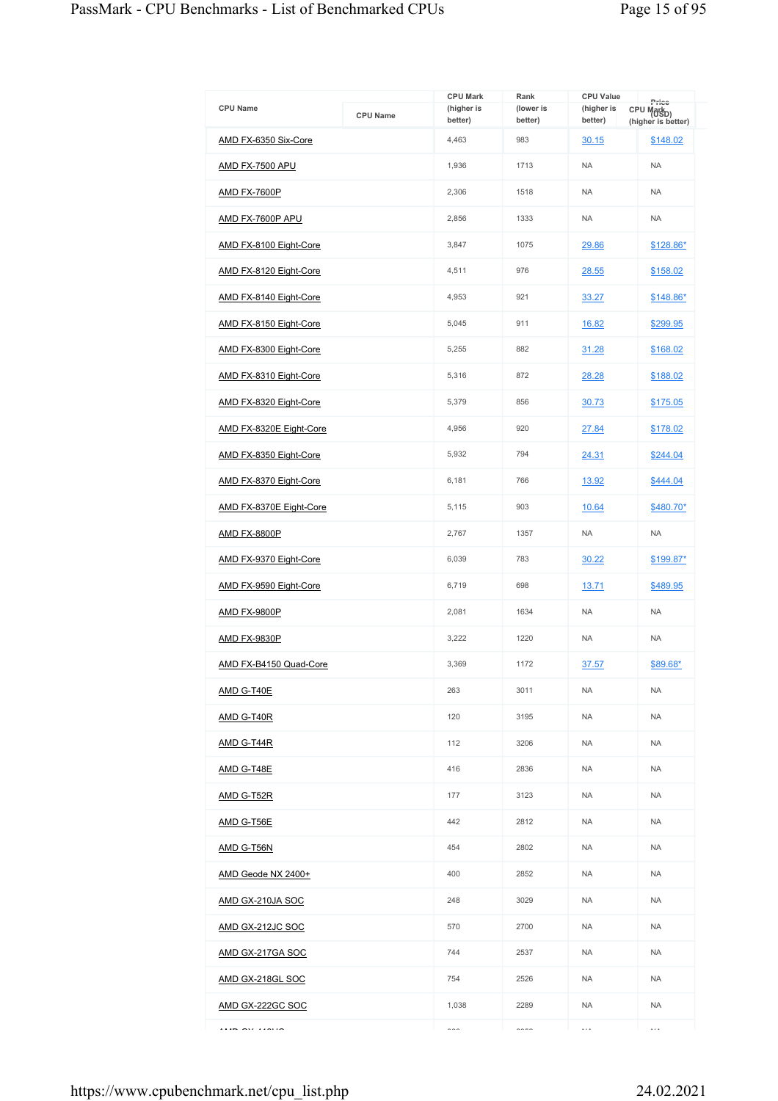| <b>CPU Name</b>         | <b>CPU Name</b> | <b>CPU Mark</b><br>(higher is<br>better) | Rank<br>(lower is<br>better) | <b>CPU Value</b><br>(higher is<br>better) | Price<br>CPU Mark <sub>D)</sub><br>(higher is better) |
|-------------------------|-----------------|------------------------------------------|------------------------------|-------------------------------------------|-------------------------------------------------------|
| AMD FX-6350 Six-Core    |                 | 4,463                                    | 983                          | 30.15                                     | \$148.02                                              |
| <b>AMD FX-7500 APU</b>  |                 | 1,936                                    | 1713                         | <b>NA</b>                                 | <b>NA</b>                                             |
| AMD FX-7600P            |                 | 2,306                                    | 1518                         | <b>NA</b>                                 | <b>NA</b>                                             |
| AMD FX-7600P APU        |                 | 2,856                                    | 1333                         | <b>NA</b>                                 | <b>NA</b>                                             |
| AMD FX-8100 Eight-Core  |                 | 3,847                                    | 1075                         | 29.86                                     | \$128.86*                                             |
| AMD FX-8120 Eight-Core  |                 | 4,511                                    | 976                          | 28.55                                     | \$158.02                                              |
| AMD FX-8140 Eight-Core  |                 | 4,953                                    | 921                          | 33.27                                     | \$148.86*                                             |
| AMD FX-8150 Eight-Core  |                 | 5,045                                    | 911                          | 16.82                                     | \$299.95                                              |
| AMD FX-8300 Eight-Core  |                 | 5,255                                    | 882                          | 31.28                                     | \$168.02                                              |
| AMD FX-8310 Eight-Core  |                 | 5,316                                    | 872                          | 28.28                                     | \$188.02                                              |
| AMD FX-8320 Eight-Core  |                 | 5,379                                    | 856                          | 30.73                                     | \$175.05                                              |
| AMD FX-8320E Eight-Core |                 | 4.956                                    | 920                          | 27.84                                     | \$178.02                                              |
| AMD FX-8350 Eight-Core  |                 | 5,932                                    | 794                          | 24.31                                     | \$244.04                                              |
| AMD FX-8370 Eight-Core  |                 | 6,181                                    | 766                          | 13.92                                     | \$444.04                                              |
| AMD FX-8370E Eight-Core |                 | 5,115                                    | 903                          | 10.64                                     | \$480.70*                                             |
| <b>AMD FX-8800P</b>     |                 | 2,767                                    | 1357                         | <b>NA</b>                                 | <b>NA</b>                                             |
| AMD FX-9370 Eight-Core  |                 | 6,039                                    | 783                          | 30.22                                     | \$199.87*                                             |
| AMD FX-9590 Eight-Core  |                 | 6,719                                    | 698                          | 13.71                                     | \$489.95                                              |
| <b>AMD FX-9800P</b>     |                 | 2,081                                    | 1634                         | <b>NA</b>                                 | <b>NA</b>                                             |
| AMD FX-9830P            |                 | 3,222                                    | 1220                         | <b>NA</b>                                 | <b>NA</b>                                             |
| AMD FX-B4150 Quad-Core  |                 | 3.369                                    | 1172                         | 37.57                                     | \$89.68*                                              |
| AMD G-T40E              |                 | 263                                      | 3011                         | <b>NA</b>                                 | <b>NA</b>                                             |
| <b>AMD G-T40R</b>       |                 | 120                                      | 3195                         | <b>NA</b>                                 | <b>NA</b>                                             |
| <b>AMD G-T44R</b>       |                 | 112                                      | 3206                         | <b>NA</b>                                 | <b>NA</b>                                             |
| AMD G-T48E              |                 | 416                                      | 2836                         | <b>NA</b>                                 | <b>NA</b>                                             |
| <b>AMD G-T52R</b>       |                 | 177                                      | 3123                         | <b>NA</b>                                 | <b>NA</b>                                             |
| AMD G-T56E              |                 | 442                                      | 2812                         | <b>NA</b>                                 | <b>NA</b>                                             |
| <u>AMD G-T56N</u>       |                 | 454                                      | 2802                         | <b>NA</b>                                 | <b>NA</b>                                             |
| AMD Geode NX 2400+      |                 | 400                                      | 2852                         | <b>NA</b>                                 | <b>NA</b>                                             |
| <u>AMD GX-210JA SOC</u> |                 | 248                                      | 3029                         | <b>NA</b>                                 | <b>NA</b>                                             |
| AMD GX-212JC SOC        |                 | 570                                      | 2700                         | <b>NA</b>                                 | <b>NA</b>                                             |
| AMD GX-217GA SOC        |                 | 744                                      | 2537                         | <b>NA</b>                                 | <b>NA</b>                                             |
| AMD GX-218GL SOC        |                 | 754                                      | 2526                         | <b>NA</b>                                 | <b>NA</b>                                             |
| AMD GX-222GC SOC        |                 | 1,038                                    | 2289                         | <b>NA</b>                                 | <b>NA</b>                                             |
| $\cdots$                |                 | $\sim$                                   | $\sim$ - $\sim$              | $\ddotsc$                                 | $\ddotsc$                                             |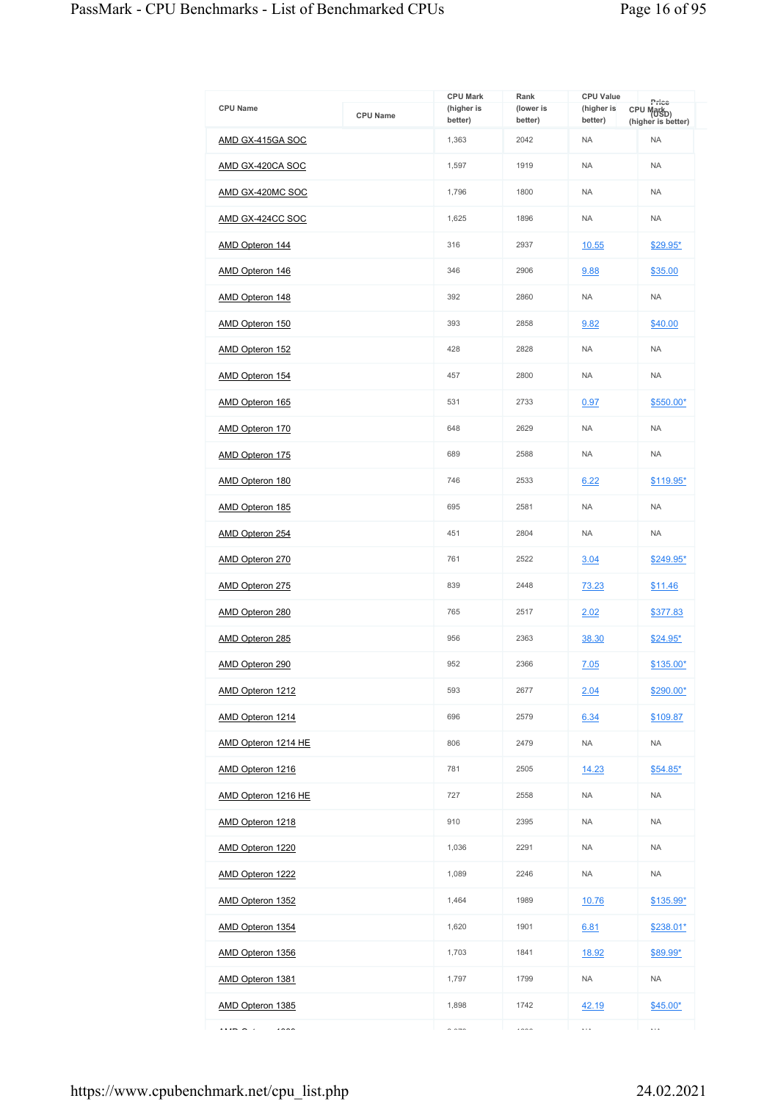| <b>CPU Name</b>                  | <b>CPU Name</b> | <b>CPU Mark</b><br>(higher is | Rank<br>(lower is | <b>CPU Value</b><br>(higher is | Price<br>CPU Mark <sub>D)</sub> |
|----------------------------------|-----------------|-------------------------------|-------------------|--------------------------------|---------------------------------|
| AMD GX-415GA SOC                 |                 | better)<br>1,363              | better)<br>2042   | better)<br><b>NA</b>           | (higher is better)<br><b>NA</b> |
| AMD GX-420CA SOC                 |                 | 1,597                         | 1919              | <b>NA</b>                      | <b>NA</b>                       |
|                                  |                 |                               |                   |                                |                                 |
| AMD GX-420MC SOC                 |                 | 1,796                         | 1800              | <b>NA</b>                      | <b>NA</b>                       |
| AMD GX-424CC SOC                 |                 | 1,625                         | 1896              | <b>NA</b>                      | <b>NA</b>                       |
| AMD Opteron 144                  |                 | 316                           | 2937              | 10.55                          | \$29.95*                        |
| AMD Opteron 146                  |                 | 346                           | 2906              | 9.88                           | \$35.00                         |
| AMD Opteron 148                  |                 | 392                           | 2860              | <b>NA</b>                      | <b>NA</b>                       |
| <b>AMD Opteron 150</b>           |                 | 393                           | 2858              | 9.82                           | \$40.00                         |
| AMD Opteron 152                  |                 | 428                           | 2828              | <b>NA</b>                      | <b>NA</b>                       |
| AMD Opteron 154                  |                 | 457                           | 2800              | <b>NA</b>                      | <b>NA</b>                       |
| AMD Opteron 165                  |                 | 531                           | 2733              | 0.97                           | \$550.00*                       |
| AMD Opteron 170                  |                 | 648                           | 2629              | <b>NA</b>                      | <b>NA</b>                       |
| AMD Opteron 175                  |                 | 689                           | 2588              | <b>NA</b>                      | <b>NA</b>                       |
| <b>AMD Opteron 180</b>           |                 | 746                           | 2533              | 6.22                           | \$119.95*                       |
| AMD Opteron 185                  |                 | 695                           | 2581              | <b>NA</b>                      | <b>NA</b>                       |
| AMD Opteron 254                  |                 | 451                           | 2804              | <b>NA</b>                      | <b>NA</b>                       |
| <b>AMD Opteron 270</b>           |                 | 761                           | 2522              | 3.04                           | \$249.95*                       |
| AMD Opteron 275                  |                 | 839                           | 2448              | 73.23                          | \$11.46                         |
| AMD Opteron 280                  |                 | 765                           | 2517              | 2.02                           | \$377.83                        |
| AMD Opteron 285                  |                 | 956                           | 2363              | 38.30                          | \$24.95*                        |
| AMD Opteron 290                  |                 | 952                           | 2366              | 7.05                           | \$135.00*                       |
| AMD Opteron 1212                 |                 | 593                           | 2677              | 2.04                           | $$290.00*$                      |
| AMD Opteron 1214                 |                 | 696                           | 2579              | 6.34                           | \$109.87                        |
| AMD Opteron 1214 HE              |                 | 806                           | 2479              | <b>NA</b>                      | <b>NA</b>                       |
| AMD Opteron 1216                 |                 | 781                           | 2505              | 14.23                          | $$54.85*$                       |
| AMD Opteron 1216 HE              |                 | 727                           | 2558              | <b>NA</b>                      | <b>NA</b>                       |
| AMD Opteron 1218                 |                 | 910                           | 2395              | <b>NA</b>                      | <b>NA</b>                       |
| AMD Opteron 1220                 |                 | 1,036                         | 2291              | <b>NA</b>                      | <b>NA</b>                       |
| AMD Opteron 1222                 |                 | 1,089                         | 2246              | <b>NA</b>                      | <b>NA</b>                       |
| <b>AMD Opteron 1352</b>          |                 | 1,464                         | 1989              | <u>10.76</u>                   | \$135.99*                       |
| AMD Opteron 1354                 |                 | 1,620                         | 1901              | 6.81                           | \$238.01*                       |
| AMD Opteron 1356                 |                 | 1,703                         | 1841              | 18.92                          | \$89.99*                        |
| <b>AMD Opteron 1381</b>          |                 | 1,797                         | 1799              | <b>NA</b>                      | NA                              |
| AMD Opteron 1385                 |                 | 1,898                         | 1742              | 42.19                          | $$45.00*$                       |
| $\cdots$ $\sim$ $\cdots$<br>1000 |                 | $\sim$ $\sim$ $\sim$          | 1000              | $\ldots$                       | $\ldots$                        |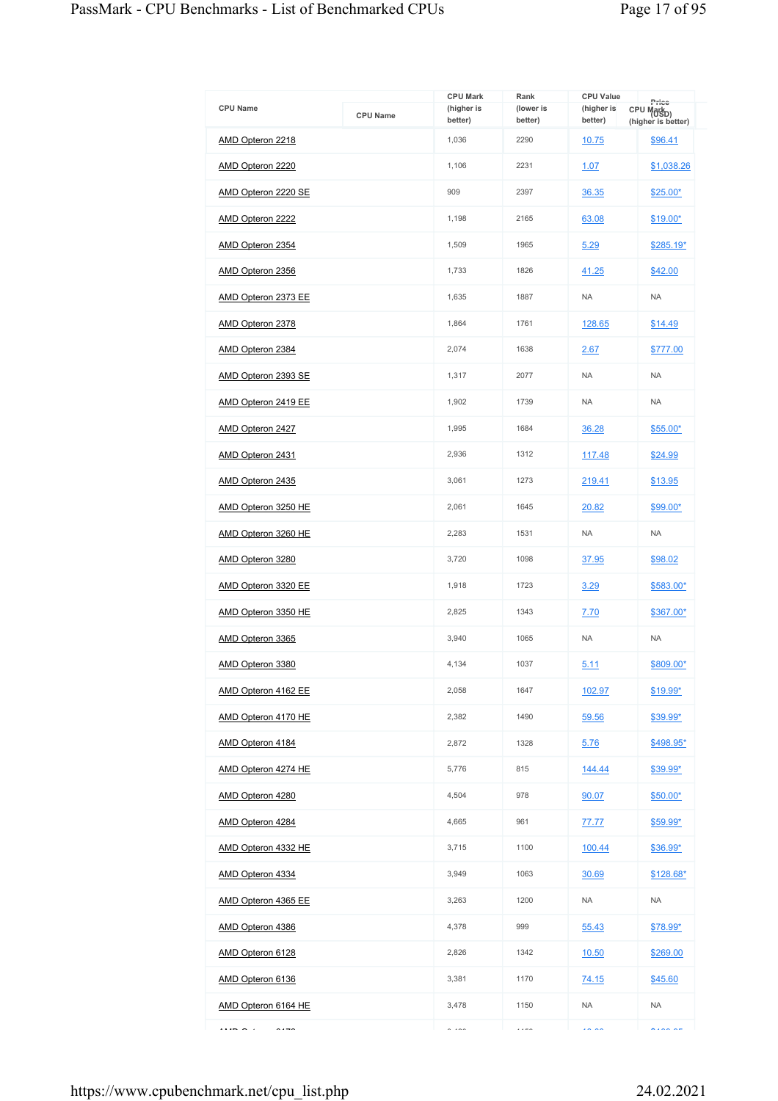| <b>CPU Name</b>                                  | <b>CPU Name</b> | <b>CPU Mark</b><br>(higher is<br>better) | Rank<br>(lower is<br>better) | <b>CPU Value</b><br>(higher is<br>better) | Price<br>CPU Mark <sub>D)</sub><br>(higher is better) |
|--------------------------------------------------|-----------------|------------------------------------------|------------------------------|-------------------------------------------|-------------------------------------------------------|
| AMD Opteron 2218                                 |                 | 1,036                                    | 2290                         | 10.75                                     | \$96.41                                               |
| AMD Opteron 2220                                 |                 | 1.106                                    | 2231                         | 1.07                                      | \$1,038.26                                            |
| AMD Opteron 2220 SE                              |                 | 909                                      | 2397                         | 36.35                                     | $$25.00*$                                             |
| AMD Opteron 2222                                 |                 | 1,198                                    | 2165                         | 63.08                                     | $$19.00*$                                             |
| AMD Opteron 2354                                 |                 | 1.509                                    | 1965                         | 5.29                                      | \$285.19*                                             |
| AMD Opteron 2356                                 |                 | 1,733                                    | 1826                         | 41.25                                     | \$42.00                                               |
| AMD Opteron 2373 EE                              |                 | 1,635                                    | 1887                         | <b>NA</b>                                 | <b>NA</b>                                             |
| AMD Opteron 2378                                 |                 | 1,864                                    | 1761                         | 128.65                                    | \$14.49                                               |
| AMD Opteron 2384                                 |                 | 2,074                                    | 1638                         | 2.67                                      | \$777.00                                              |
| AMD Opteron 2393 SE                              |                 | 1,317                                    | 2077                         | <b>NA</b>                                 | <b>NA</b>                                             |
| AMD Opteron 2419 EE                              |                 | 1,902                                    | 1739                         | <b>NA</b>                                 | <b>NA</b>                                             |
| AMD Opteron 2427                                 |                 | 1,995                                    | 1684                         | 36.28                                     | $$55.00*$                                             |
| AMD Opteron 2431                                 |                 | 2,936                                    | 1312                         | 117.48                                    | \$24.99                                               |
| AMD Opteron 2435                                 |                 | 3,061                                    | 1273                         | 219.41                                    | \$13.95                                               |
| AMD Opteron 3250 HE                              |                 | 2,061                                    | 1645                         | 20.82                                     | \$99.00*                                              |
| AMD Opteron 3260 HE                              |                 | 2,283                                    | 1531                         | <b>NA</b>                                 | <b>NA</b>                                             |
| AMD Opteron 3280                                 |                 | 3,720                                    | 1098                         | 37.95                                     | \$98.02                                               |
| AMD Opteron 3320 EE                              |                 | 1,918                                    | 1723                         | 3.29                                      | \$583.00*                                             |
| AMD Opteron 3350 HE                              |                 | 2,825                                    | 1343                         | 7.70                                      | \$367.00*                                             |
| AMD Opteron 3365                                 |                 | 3,940                                    | 1065                         | <b>NA</b>                                 | <b>NA</b>                                             |
| AMD Opteron 3380                                 |                 | 4,134                                    | 1037                         | 5.11                                      | \$809.00*                                             |
| AMD Opteron 4162 EE                              |                 | 2,058                                    | 1647                         | 102.97                                    | \$19.99*                                              |
| AMD Opteron 4170 HE                              |                 | 2,382                                    | 1490                         | 59.56                                     | \$39.99*                                              |
| AMD Opteron 4184                                 |                 | 2,872                                    | 1328                         | 5.76                                      | \$498.95*                                             |
| AMD Opteron 4274 HE                              |                 | 5,776                                    | 815                          | 144.44                                    | \$39.99*                                              |
| AMD Opteron 4280                                 |                 | 4,504                                    | 978                          | 90.07                                     | $$50.00*$                                             |
| AMD Opteron 4284                                 |                 | 4,665                                    | 961                          | 77.77                                     | $$59.99^{\star}$                                      |
| AMD Opteron 4332 HE                              |                 | 3,715                                    | 1100                         | 100.44                                    | \$36.99*                                              |
| AMD Opteron 4334                                 |                 | 3,949                                    | 1063                         | 30.69                                     | \$128.68*                                             |
| AMD Opteron 4365 EE                              |                 | 3,263                                    | 1200                         | <b>NA</b>                                 | <b>NA</b>                                             |
| AMD Opteron 4386                                 |                 | 4,378                                    | 999                          | 55.43                                     | \$78.99*                                              |
| AMD Opteron 6128                                 |                 | 2,826                                    | 1342                         | 10.50                                     | \$269.00                                              |
| AMD Opteron 6136                                 |                 | 3,381                                    | 1170                         | <u>74.15</u>                              | \$45.60                                               |
| AMD Opteron 6164 HE                              |                 | 3,478                                    | 1150                         | <b>NA</b>                                 | <b>NA</b>                                             |
| $\cdots$ $\sim$ $\cdots$<br>$\sim$ $\sim$ $\sim$ |                 | $\sim$ $\sim$                            | $\cdots$                     | $\sim$ $\sim$                             | $\sim$ $\sim$ $\sim$                                  |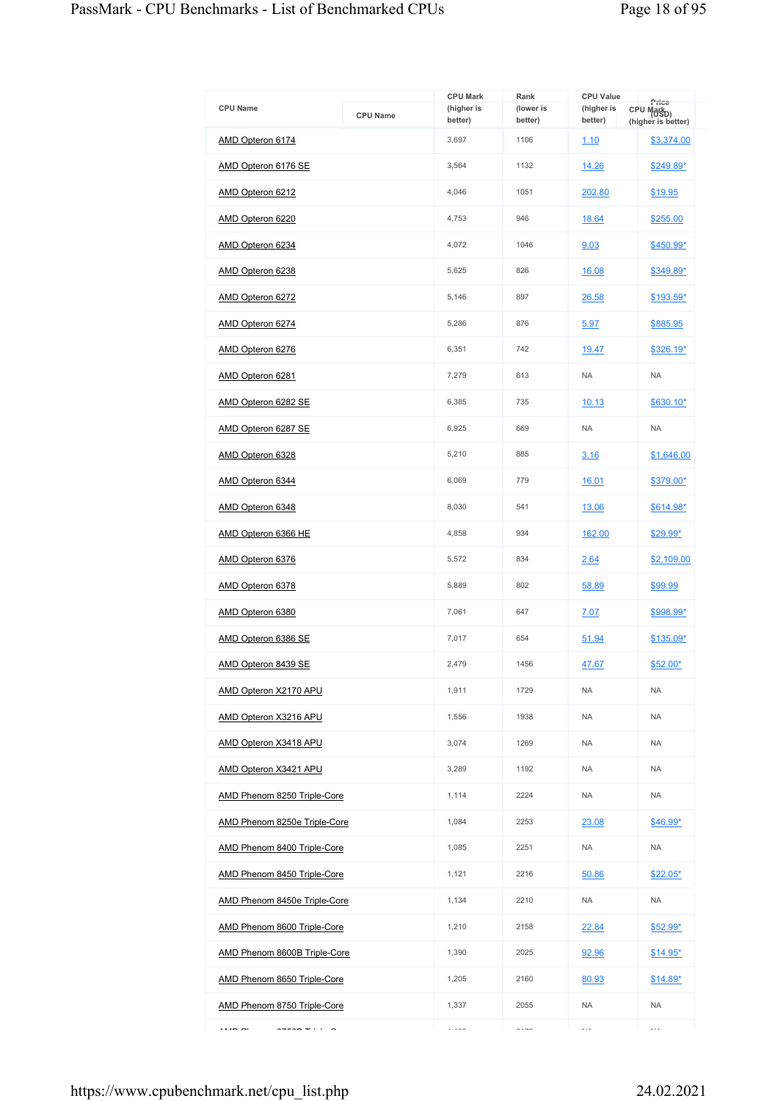|                                        |                 | <b>CPU Mark</b>       | Rank                 | <b>CPU Value</b>      | Price                                        |
|----------------------------------------|-----------------|-----------------------|----------------------|-----------------------|----------------------------------------------|
| <b>CPU Name</b>                        | <b>CPU Name</b> | (higher is<br>better) | (lower is<br>better) | (higher is<br>better) | CPU Mark <sub>D)</sub><br>(higher is better) |
| AMD Opteron 6174                       |                 | 3,697                 | 1106                 | 1.10                  | \$3,374.00                                   |
| AMD Opteron 6176 SE                    |                 | 3,564                 | 1132                 | 14.26                 | \$249.89*                                    |
| AMD Opteron 6212                       |                 | 4,046                 | 1051                 | 202.80                | \$19.95                                      |
| AMD Opteron 6220                       |                 | 4.753                 | 946                  | 18.64                 | \$255.00                                     |
| AMD Opteron 6234                       |                 | 4,072                 | 1046                 | 9.03                  | \$450.99*                                    |
| AMD Opteron 6238                       |                 | 5,625                 | 826                  | 16.08                 | \$349.89*                                    |
| AMD Opteron 6272                       |                 | 5,146                 | 897                  | 26.58                 | \$193.59*                                    |
| AMD Opteron 6274                       |                 | 5,286                 | 876                  | 5.97                  | \$885.95                                     |
| AMD Opteron 6276                       |                 | 6.351                 | 742                  | 19.47                 | $$326.19*$                                   |
| AMD Opteron 6281                       |                 | 7,279                 | 613                  | <b>NA</b>             | <b>NA</b>                                    |
| AMD Opteron 6282 SE                    |                 | 6,385                 | 735                  | 10.13                 | $$630.10*$                                   |
| AMD Opteron 6287 SE                    |                 | 6.925                 | 669                  | <b>NA</b>             | <b>NA</b>                                    |
| AMD Opteron 6328                       |                 | 5,210                 | 885                  | 3.16                  | \$1,646.00                                   |
| AMD Opteron 6344                       |                 | 6,069                 | 779                  | 16.01                 | \$379.00*                                    |
| AMD Opteron 6348                       |                 | 8,030                 | 541                  | <u>13.06</u>          | \$614.98*                                    |
| AMD Opteron 6366 HE                    |                 | 4,858                 | 934                  | 162.00                | \$29.99*                                     |
| AMD Opteron 6376                       |                 | 5,572                 | 834                  | 2.64                  | \$2,109.00                                   |
| AMD Opteron 6378                       |                 | 5,889                 | 802                  | 58.89                 | \$99.99                                      |
| AMD Opteron 6380                       |                 | 7,061                 | 647                  | 7.07                  | \$998.99*                                    |
| AMD Opteron 6386 SE                    |                 | 7,017                 | 654                  | 51.94                 | \$135.09*                                    |
| AMD Opteron 8439 SE                    |                 | 2,479                 | 1456                 | 47.67                 | $$52.00*$                                    |
| <b>AMD Opteron X2170 APU</b>           |                 | 1,911                 | 1729                 | <b>NA</b>             | <b>NA</b>                                    |
| AMD Opteron X3216 APU                  |                 | 1,556                 | 1938                 | <b>NA</b>             | <b>NA</b>                                    |
| AMD Opteron X3418 APU                  |                 | 3,074                 | 1269                 | <b>NA</b>             | <b>NA</b>                                    |
| <b>AMD Opteron X3421 APU</b>           |                 | 3,289                 | 1192                 | <b>NA</b>             | <b>NA</b>                                    |
| AMD Phenom 8250 Triple-Core            |                 | 1,114                 | 2224                 | <b>NA</b>             | <b>NA</b>                                    |
| AMD Phenom 8250e Triple-Core           |                 | 1,084                 | 2253                 | 23.08                 | \$46.99*                                     |
| AMD Phenom 8400 Triple-Core            |                 | 1,085                 | 2251                 | <b>NA</b>             | <b>NA</b>                                    |
| AMD Phenom 8450 Triple-Core            |                 | 1,121                 | 2216                 | 50.86                 | $$22.05^*$                                   |
| AMD Phenom 8450e Triple-Core           |                 | 1,134                 | 2210                 | <b>NA</b>             | <b>NA</b>                                    |
| AMD Phenom 8600 Triple-Core            |                 | 1,210                 | 2158                 | 22.84                 | \$52.99*                                     |
| AMD Phenom 8600B Triple-Core           |                 | 1,390                 | 2025                 | 92.96                 | $$14.95^*$                                   |
| AMD Phenom 8650 Triple-Core            |                 | 1,205                 | 2160                 | 80.93                 | $$14.89*$                                    |
| AMD Phenom 8750 Triple-Core            |                 | 1,337                 | 2055                 | <b>NA</b>             | <b>NA</b>                                    |
| <br>$\sim$ $\sim$ $\sim$ $\sim$ $\sim$ |                 | $\cdots$              | $\sim$ $\sim$ $\sim$ | $\ldots$              | $\ldots$                                     |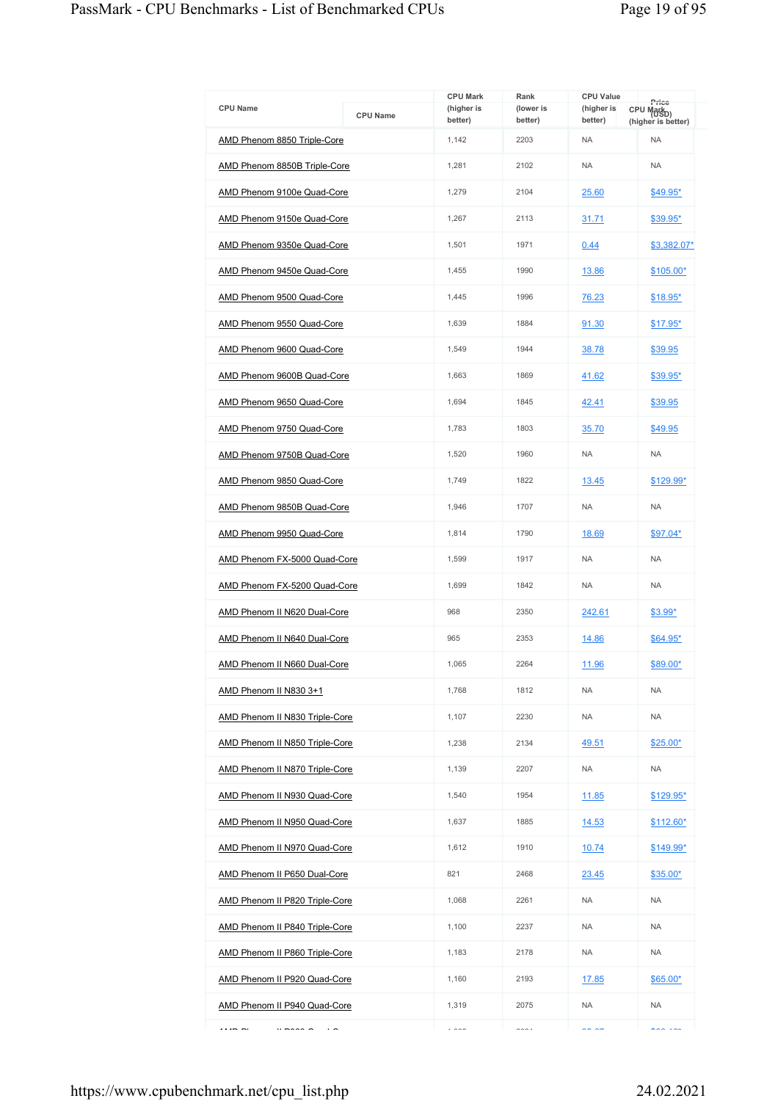|                                                |                 | <b>CPU Mark</b>       | Rank                 | <b>CPU Value</b>      | Price                                        |
|------------------------------------------------|-----------------|-----------------------|----------------------|-----------------------|----------------------------------------------|
| <b>CPU Name</b>                                | <b>CPU Name</b> | (higher is<br>better) | (lower is<br>better) | (higher is<br>better) | CPU Mark <sub>D)</sub><br>(higher is better) |
| AMD Phenom 8850 Triple-Core                    |                 | 1,142                 | 2203                 | <b>NA</b>             | <b>NA</b>                                    |
| <b>AMD Phenom 8850B Triple-Core</b>            |                 | 1,281                 | 2102                 | <b>NA</b>             | <b>NA</b>                                    |
| AMD Phenom 9100e Quad-Core                     |                 | 1,279                 | 2104                 | 25.60                 | $$49.95^*$                                   |
| AMD Phenom 9150e Quad-Core                     |                 | 1,267                 | 2113                 | 31.71                 | \$39.95*                                     |
| AMD Phenom 9350e Quad-Core                     |                 | 1,501                 | 1971                 | 0.44                  | \$3,382.07*                                  |
| AMD Phenom 9450e Quad-Core                     |                 | 1,455                 | 1990                 | 13.86                 | $$105.00*$                                   |
| AMD Phenom 9500 Quad-Core                      |                 | 1,445                 | 1996                 | 76.23                 | $$18.95*$                                    |
| AMD Phenom 9550 Quad-Core                      |                 | 1,639                 | 1884                 | 91.30                 | $$17.95*$                                    |
| AMD Phenom 9600 Quad-Core                      |                 | 1,549                 | 1944                 | 38.78                 | \$39.95                                      |
| AMD Phenom 9600B Quad-Core                     |                 | 1,663                 | 1869                 | 41.62                 | \$39.95*                                     |
| AMD Phenom 9650 Quad-Core                      |                 | 1,694                 | 1845                 | 42.41                 | \$39.95                                      |
| AMD Phenom 9750 Quad-Core                      |                 | 1,783                 | 1803                 | 35.70                 | \$49.95                                      |
| AMD Phenom 9750B Quad-Core                     |                 | 1,520                 | 1960                 | <b>NA</b>             | <b>NA</b>                                    |
| AMD Phenom 9850 Quad-Core                      |                 | 1,749                 | 1822                 | 13.45                 | \$129.99*                                    |
| AMD Phenom 9850B Quad-Core                     |                 | 1,946                 | 1707                 | <b>NA</b>             | <b>NA</b>                                    |
| AMD Phenom 9950 Quad-Core                      |                 | 1,814                 | 1790                 | 18.69                 | \$97.04*                                     |
| AMD Phenom FX-5000 Quad-Core                   |                 | 1,599                 | 1917                 | <b>NA</b>             | <b>NA</b>                                    |
| AMD Phenom FX-5200 Quad-Core                   |                 | 1,699                 | 1842                 | <b>NA</b>             | <b>NA</b>                                    |
| AMD Phenom II N620 Dual-Core                   |                 | 968                   | 2350                 | 242.61                | \$3.99*                                      |
| AMD Phenom II N640 Dual-Core                   |                 | 965                   | 2353                 | 14.86                 | $$64.95*$                                    |
| AMD Phenom II N660 Dual-Core                   |                 | 1,065                 | 2264                 | 11.96                 | \$89.00*                                     |
| AMD Phenom II N830 3+1                         |                 | 1,768                 | 1812                 | <b>NA</b>             | <b>NA</b>                                    |
| <b>AMD Phenom II N830 Triple-Core</b>          |                 | 1,107                 | 2230                 | <b>NA</b>             | <b>NA</b>                                    |
| AMD Phenom II N850 Triple-Core                 |                 | 1,238                 | 2134                 | 49.51                 | $$25.00*$                                    |
| AMD Phenom II N870 Triple-Core                 |                 | 1,139                 | 2207                 | <b>NA</b>             | <b>NA</b>                                    |
| AMD Phenom II N930 Quad-Core                   |                 | 1,540                 | 1954                 | <u>11.85</u>          | \$129.95*                                    |
| AMD Phenom II N950 Quad-Core                   |                 | 1,637                 | 1885                 | 14.53                 | $$112.60*$                                   |
| AMD Phenom II N970 Quad-Core                   |                 | 1,612                 | 1910                 | 10.74                 | \$149.99*                                    |
| <b>AMD Phenom II P650 Dual-Core</b>            |                 | 821                   | 2468                 | 23.45                 | $$35.00*$                                    |
| AMD Phenom II P820 Triple-Core                 |                 | 1,068                 | 2261                 | <b>NA</b>             | <b>NA</b>                                    |
| AMD Phenom II P840 Triple-Core                 |                 | 1,100                 | 2237                 | <b>NA</b>             | <b>NA</b>                                    |
| <b>AMD Phenom II P860 Triple-Core</b>          |                 | 1,183                 | 2178                 | <b>NA</b>             | <b>NA</b>                                    |
| AMD Phenom II P920 Quad-Core                   |                 | 1,160                 | 2193                 | 17.85                 | \$65.00*                                     |
| AMD Phenom II P940 Quad-Core                   |                 | 1,319                 | 2075                 | <b>NA</b>             | <b>NA</b>                                    |
| $ -$<br>$ - - - -$<br>$\overline{\phantom{0}}$ |                 | $\cdots$              | $\sim$ $\sim$ $\sim$ | $- - -$               | $\lambda$                                    |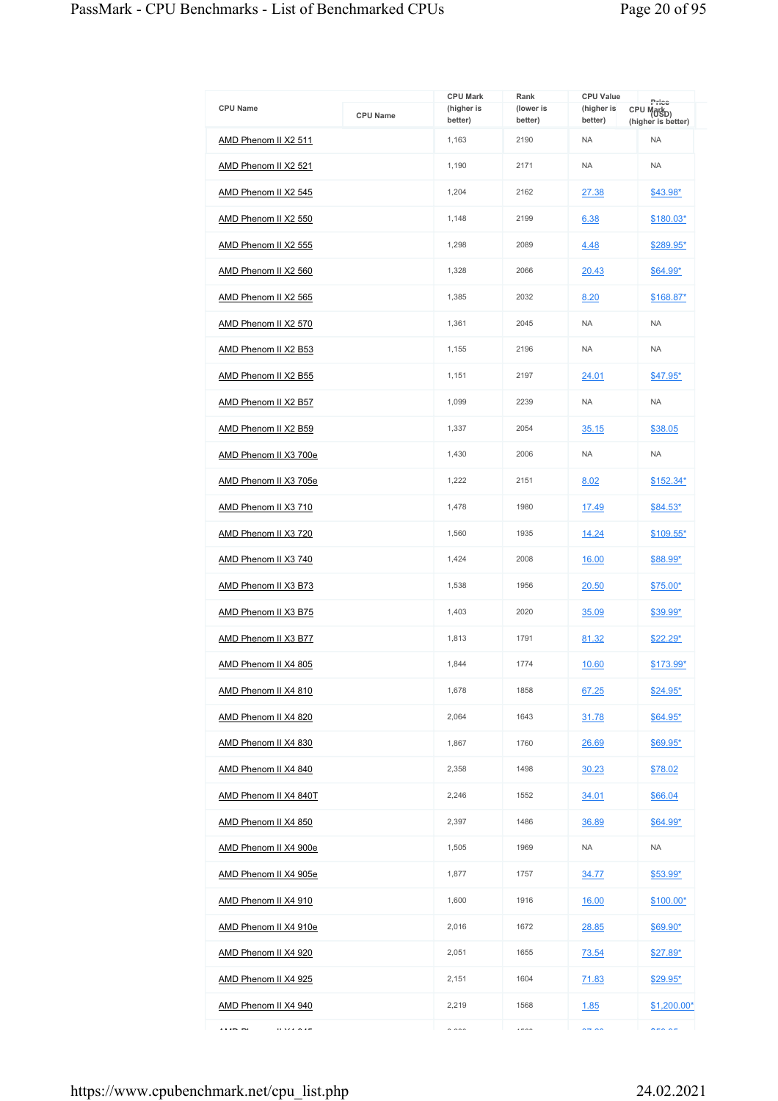|                       |                 | <b>CPU Mark</b>       | Rank                 | <b>CPU Value</b>      | Price                                        |
|-----------------------|-----------------|-----------------------|----------------------|-----------------------|----------------------------------------------|
| <b>CPU Name</b>       | <b>CPU Name</b> | (higher is<br>better) | (lower is<br>better) | (higher is<br>better) | CPU Mark <sub>D)</sub><br>(higher is better) |
| AMD Phenom II X2 511  |                 | 1,163                 | 2190                 | <b>NA</b>             | <b>NA</b>                                    |
| AMD Phenom II X2 521  |                 | 1,190                 | 2171                 | <b>NA</b>             | <b>NA</b>                                    |
| AMD Phenom II X2 545  |                 | 1,204                 | 2162                 | 27.38                 | \$43.98*                                     |
| AMD Phenom II X2 550  |                 | 1,148                 | 2199                 | 6.38                  | \$180.03*                                    |
| AMD Phenom II X2 555  |                 | 1,298                 | 2089                 | 4.48                  | \$289.95*                                    |
| AMD Phenom II X2 560  |                 | 1,328                 | 2066                 | 20.43                 | $$64.99*$                                    |
| AMD Phenom II X2 565  |                 | 1,385                 | 2032                 | 8.20                  | $$168.87*$                                   |
| AMD Phenom II X2 570  |                 | 1,361                 | 2045                 | <b>NA</b>             | <b>NA</b>                                    |
| AMD Phenom II X2 B53  |                 | 1,155                 | 2196                 | <b>NA</b>             | <b>NA</b>                                    |
| AMD Phenom II X2 B55  |                 | 1,151                 | 2197                 | 24.01                 | \$47.95*                                     |
| AMD Phenom II X2 B57  |                 | 1,099                 | 2239                 | <b>NA</b>             | <b>NA</b>                                    |
| AMD Phenom II X2 B59  |                 | 1,337                 | 2054                 | 35.15                 | \$38.05                                      |
| AMD Phenom II X3 700e |                 | 1,430                 | 2006                 | <b>NA</b>             | <b>NA</b>                                    |
| AMD Phenom II X3 705e |                 | 1,222                 | 2151                 | 8.02                  | $$152.34*$                                   |
| AMD Phenom II X3 710  |                 | 1,478                 | 1980                 | 17.49                 | $$84.53*$                                    |
| AMD Phenom II X3 720  |                 | 1,560                 | 1935                 | 14.24                 | \$109.55*                                    |
| AMD Phenom II X3 740  |                 | 1,424                 | 2008                 | 16.00                 | \$88.99*                                     |
| AMD Phenom II X3 B73  |                 | 1,538                 | 1956                 | 20.50                 | $$75.00*$                                    |
| AMD Phenom II X3 B75  |                 | 1.403                 | 2020                 | 35.09                 | \$39.99*                                     |
| AMD Phenom II X3 B77  |                 | 1,813                 | 1791                 | 81.32                 | $$22.29*$                                    |
| AMD Phenom II X4 805  |                 | 1,844                 | 1774                 | 10.60                 | \$173.99*                                    |
| AMD Phenom II X4 810  |                 | 1,678                 | 1858                 | 67.25                 | $$24.95*$                                    |
| AMD Phenom II X4 820  |                 | 2,064                 | 1643                 | 31.78                 | $$64.95*$                                    |
| AMD Phenom II X4 830  |                 | 1,867                 | 1760                 | 26.69                 | \$69.95*                                     |
| AMD Phenom II X4 840  |                 | 2,358                 | 1498                 | 30.23                 | \$78.02                                      |
| AMD Phenom II X4 840T |                 | 2,246                 | 1552                 | 34.01                 | \$66.04                                      |
| AMD Phenom II X4 850  |                 | 2,397                 | 1486                 | 36.89                 | \$64.99*                                     |
| AMD Phenom II X4 900e |                 | 1,505                 | 1969                 | <b>NA</b>             | <b>NA</b>                                    |
| AMD Phenom II X4 905e |                 | 1,877                 | 1757                 | 34.77                 | \$53.99*                                     |
| AMD Phenom II X4 910  |                 | 1,600                 | 1916                 | <u>16.00</u>          | $$100.00*$                                   |
| AMD Phenom II X4 910e |                 | 2,016                 | 1672                 | 28.85                 | \$69.90*                                     |
| AMD Phenom II X4 920  |                 | 2,051                 | 1655                 | <u>73.54</u>          | <u>\$27.89*</u>                              |
| AMD Phenom II X4 925  |                 | 2,151                 | 1604                 | 71.83                 | $$29.95^*$                                   |
| AMD Phenom II X4 940  |                 | 2,219                 | 1568                 | 1.85                  | $$1,200.00*$                                 |
| $0.324 - 0.47$<br>    |                 | 0.000                 | $---$                | $\sim$ $\sim$         | $\lambda = \lambda \lambda =$                |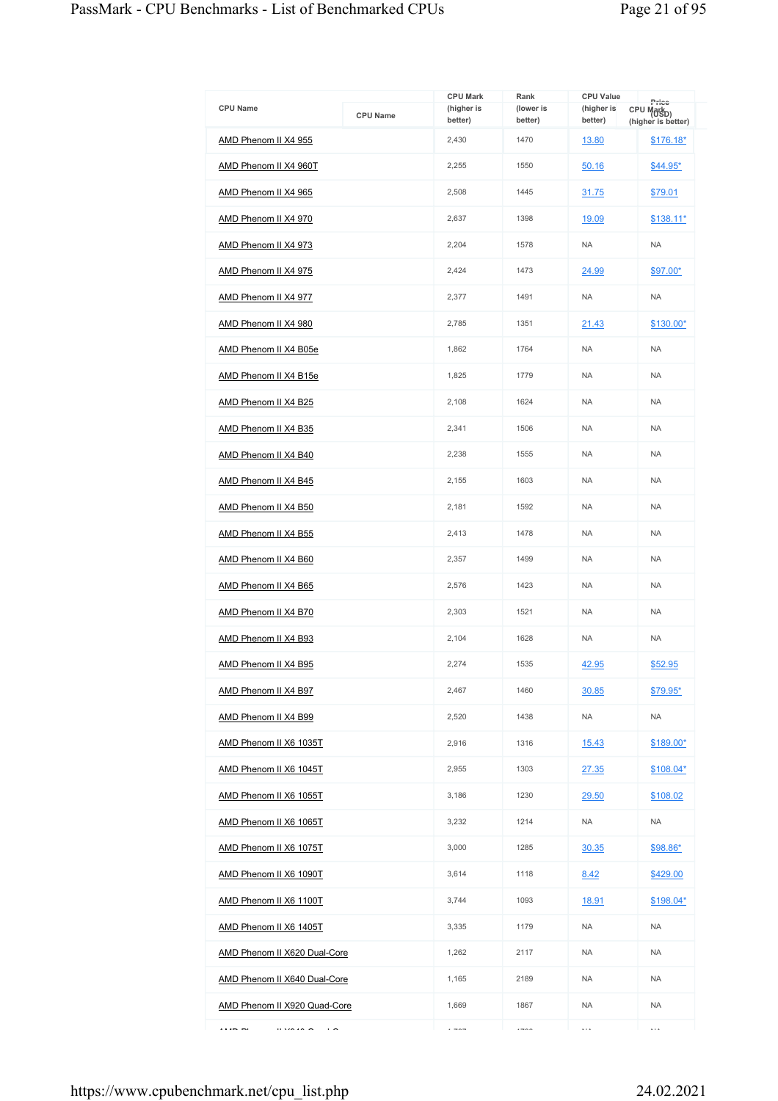|                                  |                 | <b>CPU Mark</b>       | Rank                 | <b>CPU Value</b>      | Price                                        |
|----------------------------------|-----------------|-----------------------|----------------------|-----------------------|----------------------------------------------|
| <b>CPU Name</b>                  | <b>CPU Name</b> | (higher is<br>better) | (lower is<br>better) | (higher is<br>better) | CPU Mark <sub>D)</sub><br>(higher is better) |
| AMD Phenom II X4 955             |                 | 2,430                 | 1470                 | 13.80                 | $$176.18*$                                   |
| AMD Phenom II X4 960T            |                 | 2,255                 | 1550                 | 50.16                 | $$44.95*$                                    |
| AMD Phenom II X4 965             |                 | 2,508                 | 1445                 | 31.75                 | \$79.01                                      |
| AMD Phenom II X4 970             |                 | 2,637                 | 1398                 | 19.09                 | $$138.11*$                                   |
| AMD Phenom II X4 973             |                 | 2,204                 | 1578                 | <b>NA</b>             | <b>NA</b>                                    |
| AMD Phenom II X4 975             |                 | 2,424                 | 1473                 | 24.99                 | \$97.00*                                     |
| AMD Phenom II X4 977             |                 | 2,377                 | 1491                 | <b>NA</b>             | <b>NA</b>                                    |
| AMD Phenom II X4 980             |                 | 2,785                 | 1351                 | 21.43                 | \$130.00*                                    |
| AMD Phenom II X4 B05e            |                 | 1,862                 | 1764                 | <b>NA</b>             | <b>NA</b>                                    |
| AMD Phenom II X4 B15e            |                 | 1,825                 | 1779                 | <b>NA</b>             | <b>NA</b>                                    |
| AMD Phenom II X4 B25             |                 | 2.108                 | 1624                 | <b>NA</b>             | <b>NA</b>                                    |
| AMD Phenom II X4 B35             |                 | 2,341                 | 1506                 | <b>NA</b>             | <b>NA</b>                                    |
| AMD Phenom II X4 B40             |                 | 2,238                 | 1555                 | <b>NA</b>             | <b>NA</b>                                    |
| AMD Phenom II X4 B45             |                 | 2,155                 | 1603                 | <b>NA</b>             | <b>NA</b>                                    |
| AMD Phenom II X4 B50             |                 | 2,181                 | 1592                 | <b>NA</b>             | <b>NA</b>                                    |
| AMD Phenom II X4 B55             |                 | 2,413                 | 1478                 | <b>NA</b>             | <b>NA</b>                                    |
| AMD Phenom II X4 B60             |                 | 2,357                 | 1499                 | <b>NA</b>             | <b>NA</b>                                    |
| AMD Phenom II X4 B65             |                 | 2,576                 | 1423                 | <b>NA</b>             | <b>NA</b>                                    |
| AMD Phenom II X4 B70             |                 | 2,303                 | 1521                 | <b>NA</b>             | <b>NA</b>                                    |
| AMD Phenom II X4 B93             |                 | 2,104                 | 1628                 | <b>NA</b>             | <b>NA</b>                                    |
| AMD Phenom II X4 B95             |                 | 2,274                 | 1535                 | 42.95                 | \$52.95                                      |
| AMD Phenom II X4 B97             |                 | 2,467                 | 1460                 | 30.85                 | $$79.95^*$                                   |
| AMD Phenom II X4 B99             |                 | 2,520                 | 1438                 | <b>NA</b>             | <b>NA</b>                                    |
| AMD Phenom II X6 1035T           |                 | 2,916                 | 1316                 | 15.43                 | \$189.00*                                    |
| AMD Phenom II X6 1045T           |                 | 2,955                 | 1303                 | 27.35                 | $$108.04*$                                   |
| AMD Phenom II X6 1055T           |                 | 3,186                 | 1230                 | 29.50                 | \$108.02                                     |
| AMD Phenom II X6 1065T           |                 | 3,232                 | 1214                 | <b>NA</b>             | NA                                           |
| AMD Phenom II X6 1075T           |                 | 3,000                 | 1285                 | 30.35                 | \$98.86*                                     |
| AMD Phenom II X6 1090T           |                 | 3,614                 | 1118                 | 8.42                  | \$429.00                                     |
| AMD Phenom II X6 1100T           |                 | 3,744                 | 1093                 | <u>18.91</u>          | \$198.04*                                    |
| AMD Phenom II X6 1405T           |                 | 3,335                 | 1179                 | <b>NA</b>             | <b>NA</b>                                    |
| AMD Phenom II X620 Dual-Core     |                 | 1,262                 | 2117                 | <b>NA</b>             | <b>NA</b>                                    |
| AMD Phenom II X640 Dual-Core     |                 | 1,165                 | 2189                 | <b>NA</b>             | <b>NA</b>                                    |
| AMD Phenom II X920 Quad-Core     |                 | 1,669                 | 1867                 | <b>NA</b>             | <b>NA</b>                                    |
| <br><br>$\overline{\phantom{0}}$ |                 | $- - -$               | $1 - 0$              | $\ddotsc$             | $\cdots$                                     |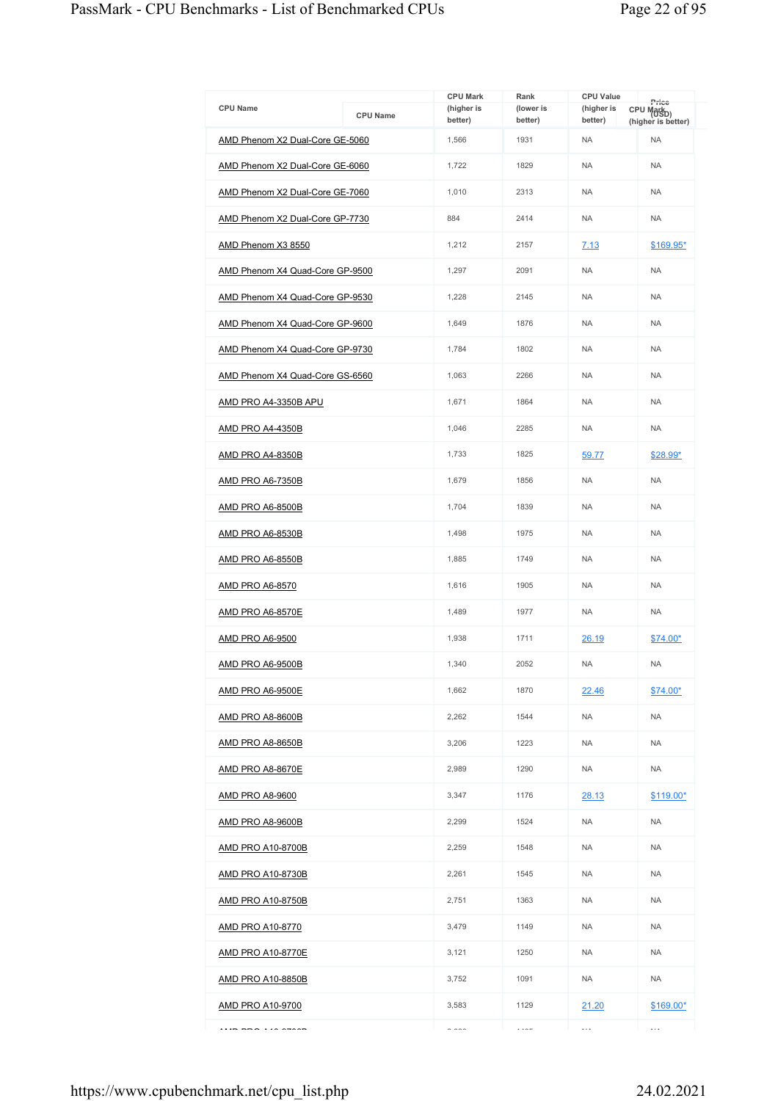|                                 |                 | <b>CPU Mark</b>       | Rank                 | <b>CPU Value</b>      |                                                       |
|---------------------------------|-----------------|-----------------------|----------------------|-----------------------|-------------------------------------------------------|
| <b>CPU Name</b>                 | <b>CPU Name</b> | (higher is<br>better) | (lower is<br>better) | (higher is<br>better) | Price<br>CPU Mark <sub>D)</sub><br>(higher is better) |
| AMD Phenom X2 Dual-Core GE-5060 |                 | 1,566                 | 1931                 | <b>NA</b>             | <b>NA</b>                                             |
| AMD Phenom X2 Dual-Core GE-6060 |                 | 1,722                 | 1829                 | <b>NA</b>             | <b>NA</b>                                             |
| AMD Phenom X2 Dual-Core GE-7060 |                 | 1,010                 | 2313                 | <b>NA</b>             | <b>NA</b>                                             |
| AMD Phenom X2 Dual-Core GP-7730 |                 | 884                   | 2414                 | <b>NA</b>             | <b>NA</b>                                             |
| AMD Phenom X3 8550              |                 | 1,212                 | 2157                 | 7.13                  | $$169.95*$                                            |
| AMD Phenom X4 Quad-Core GP-9500 |                 | 1,297                 | 2091                 | <b>NA</b>             | <b>NA</b>                                             |
| AMD Phenom X4 Quad-Core GP-9530 |                 | 1,228                 | 2145                 | <b>NA</b>             | <b>NA</b>                                             |
| AMD Phenom X4 Quad-Core GP-9600 |                 | 1,649                 | 1876                 | <b>NA</b>             | <b>NA</b>                                             |
| AMD Phenom X4 Quad-Core GP-9730 |                 | 1,784                 | 1802                 | <b>NA</b>             | <b>NA</b>                                             |
| AMD Phenom X4 Quad-Core GS-6560 |                 | 1,063                 | 2266                 | <b>NA</b>             | <b>NA</b>                                             |
| AMD PRO A4-3350B APU            |                 | 1,671                 | 1864                 | <b>NA</b>             | <b>NA</b>                                             |
| <b>AMD PRO A4-4350B</b>         |                 | 1,046                 | 2285                 | <b>NA</b>             | <b>NA</b>                                             |
| AMD PRO A4-8350B                |                 | 1,733                 | 1825                 | 59.77                 | \$28.99*                                              |
| <b>AMD PRO A6-7350B</b>         |                 | 1,679                 | 1856                 | <b>NA</b>             | <b>NA</b>                                             |
| <b>AMD PRO A6-8500B</b>         |                 | 1,704                 | 1839                 | <b>NA</b>             | <b>NA</b>                                             |
| <b>AMD PRO A6-8530B</b>         |                 | 1,498                 | 1975                 | <b>NA</b>             | <b>NA</b>                                             |
| AMD PRO A6-8550B                |                 | 1,885                 | 1749                 | <b>NA</b>             | <b>NA</b>                                             |
| AMD PRO A6-8570                 |                 | 1,616                 | 1905                 | <b>NA</b>             | <b>NA</b>                                             |
| <b>AMD PRO A6-8570E</b>         |                 | 1,489                 | 1977                 | <b>NA</b>             | <b>NA</b>                                             |
| <b>AMD PRO A6-9500</b>          |                 | 1.938                 | 1711                 | 26.19                 | \$74.00*                                              |
| AMD PRO A6-9500B                |                 | 1,340                 | 2052                 | <b>NA</b>             | <b>NA</b>                                             |
| AMD PRO A6-9500E                |                 | 1,662                 | 1870                 | 22.46                 | $$74.00*$                                             |
| <b>AMD PRO A8-8600B</b>         |                 | 2.262                 | 1544                 | <b>NA</b>             | <b>NA</b>                                             |
| <b>AMD PRO A8-8650B</b>         |                 | 3,206                 | 1223                 | <b>NA</b>             | <b>NA</b>                                             |
| <b>AMD PRO A8-8670E</b>         |                 | 2,989                 | 1290                 | <b>NA</b>             | <b>NA</b>                                             |
| <u>AMD PRO A8-9600</u>          |                 | 3,347                 | 1176                 | 28.13                 | \$119.00*                                             |
| AMD PRO A8-9600B                |                 | 2,299                 | 1524                 | <b>NA</b>             | <b>NA</b>                                             |
| <u>AMD PRO A10-8700B</u>        |                 | 2,259                 | 1548                 | <b>NA</b>             | <b>NA</b>                                             |
| <b>AMD PRO A10-8730B</b>        |                 | 2,261                 | 1545                 | <b>NA</b>             | <b>NA</b>                                             |
| <u>AMD PRO A10-8750B</u>        |                 | 2,751                 | 1363                 | <b>NA</b>             | <b>NA</b>                                             |
| <b>AMD PRO A10-8770</b>         |                 | 3,479                 | 1149                 | <b>NA</b>             | <b>NA</b>                                             |
| <b>AMD PRO A10-8770E</b>        |                 | 3,121                 | 1250                 | <b>NA</b>             | <b>NA</b>                                             |
| <u>AMD PRO A10-8850B</u>        |                 | 3,752                 | 1091                 | <b>NA</b>             | <b>NA</b>                                             |
| <u>AMD PRO A10-9700</u>         |                 | 3,583                 | 1129                 | 21.20                 | \$169.00*                                             |
| $\cdots$                        |                 | 0.000                 | $\cdots$             | $\ldots$              | .                                                     |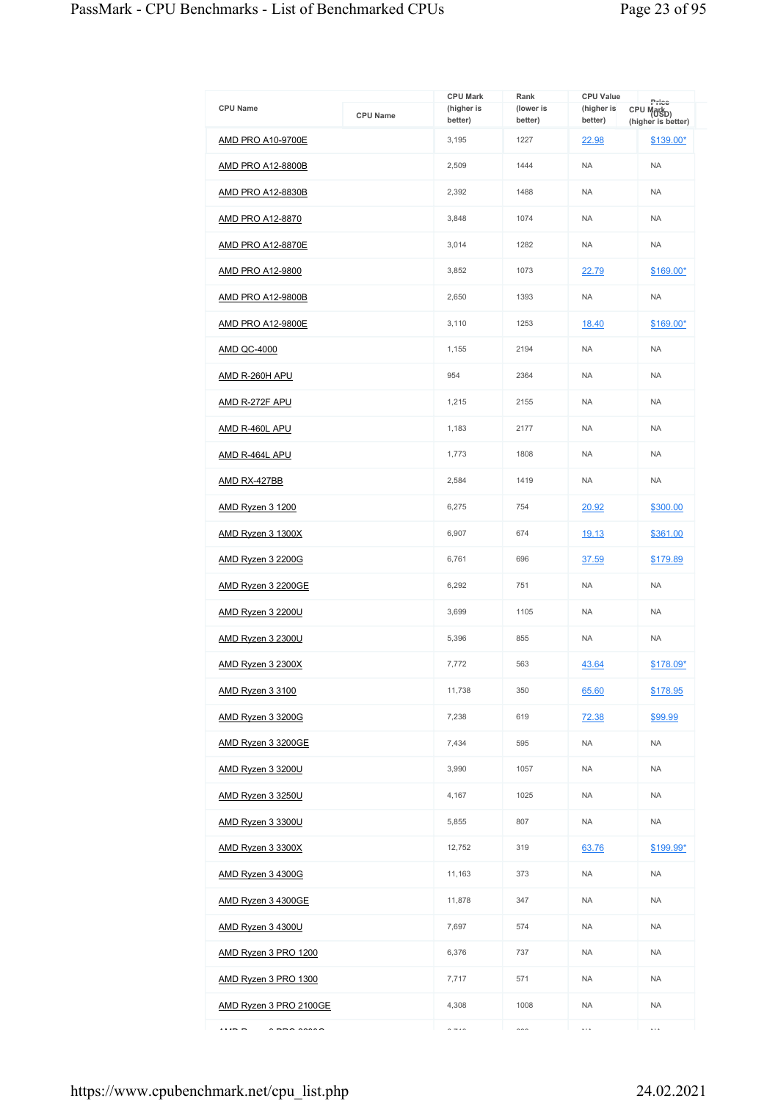|                                |                 | <b>CPU Mark</b>       | Rank                 | <b>CPU Value</b>      | Price                                        |
|--------------------------------|-----------------|-----------------------|----------------------|-----------------------|----------------------------------------------|
| <b>CPU Name</b>                | <b>CPU Name</b> | (higher is<br>better) | (lower is<br>better) | (higher is<br>better) | CPU Mark <sub>D)</sub><br>(higher is better) |
| AMD PRO A10-9700E              |                 | 3,195                 | 1227                 | 22.98                 | \$139.00*                                    |
| <b>AMD PRO A12-8800B</b>       |                 | 2,509                 | 1444                 | <b>NA</b>             | <b>NA</b>                                    |
| <b>AMD PRO A12-8830B</b>       |                 | 2,392                 | 1488                 | <b>NA</b>             | <b>NA</b>                                    |
| <b>AMD PRO A12-8870</b>        |                 | 3,848                 | 1074                 | <b>NA</b>             | <b>NA</b>                                    |
| <b>AMD PRO A12-8870E</b>       |                 | 3,014                 | 1282                 | <b>NA</b>             | <b>NA</b>                                    |
| <b>AMD PRO A12-9800</b>        |                 | 3,852                 | 1073                 | 22.79                 | \$169.00*                                    |
| AMD PRO A12-9800B              |                 | 2,650                 | 1393                 | <b>NA</b>             | <b>NA</b>                                    |
| <b>AMD PRO A12-9800E</b>       |                 | 3,110                 | 1253                 | 18.40                 | \$169.00*                                    |
| <b>AMD QC-4000</b>             |                 | 1,155                 | 2194                 | <b>NA</b>             | <b>NA</b>                                    |
| AMD R-260H APU                 |                 | 954                   | 2364                 | <b>NA</b>             | <b>NA</b>                                    |
| AMD R-272F APU                 |                 | 1,215                 | 2155                 | <b>NA</b>             | <b>NA</b>                                    |
| AMD R-460L APU                 |                 | 1,183                 | 2177                 | <b>NA</b>             | <b>NA</b>                                    |
| AMD R-464L APU                 |                 | 1.773                 | 1808                 | <b>NA</b>             | <b>NA</b>                                    |
| <b>AMD RX-427BB</b>            |                 | 2,584                 | 1419                 | <b>NA</b>             | <b>NA</b>                                    |
| <b>AMD Ryzen 3 1200</b>        |                 | 6,275                 | 754                  | 20.92                 | \$300.00                                     |
| AMD Ryzen 3 1300X              |                 | 6,907                 | 674                  | 19.13                 | \$361.00                                     |
| <b>AMD Ryzen 3 2200G</b>       |                 | 6,761                 | 696                  | 37.59                 | \$179.89                                     |
| AMD Ryzen 3 2200GE             |                 | 6,292                 | 751                  | <b>NA</b>             | <b>NA</b>                                    |
| <b>AMD Ryzen 3 2200U</b>       |                 | 3.699                 | 1105                 | <b>NA</b>             | <b>NA</b>                                    |
| <b>AMD Ryzen 3 2300U</b>       |                 | 5,396                 | 855                  | <b>NA</b>             | <b>NA</b>                                    |
| AMD Ryzen 3 2300X              |                 | 7,772                 | 563                  | 43.64                 | \$178.09*                                    |
| <b>AMD Ryzen 3 3100</b>        |                 | 11,738                | 350                  | 65.60                 | \$178.95                                     |
| AMD Ryzen 3 3200G              |                 | 7,238                 | 619                  | 72.38                 | \$99.99                                      |
| AMD Ryzen 3 3200GE             |                 | 7,434                 | 595                  | <b>NA</b>             | <b>NA</b>                                    |
| AMD Ryzen 3 3200U              |                 | 3,990                 | 1057                 | <b>NA</b>             | <b>NA</b>                                    |
| <b>AMD Ryzen 3 3250U</b>       |                 | 4,167                 | 1025                 | <b>NA</b>             | <b>NA</b>                                    |
| <b>AMD Ryzen 3 3300U</b>       |                 | 5,855                 | 807                  | <b>NA</b>             | <b>NA</b>                                    |
| AMD Ryzen 3 3300X              |                 | 12,752                | 319                  | 63.76                 | \$199.99*                                    |
| <b>AMD Ryzen 3 4300G</b>       |                 | 11,163                | 373                  | <b>NA</b>             | <b>NA</b>                                    |
| AMD Ryzen 3 4300GE             |                 | 11,878                | 347                  | <b>NA</b>             | <b>NA</b>                                    |
| AMD Ryzen 3 4300U              |                 | 7,697                 | 574                  | <b>NA</b>             | <b>NA</b>                                    |
| AMD Ryzen 3 PRO 1200           |                 | 6,376                 | 737                  | <b>NA</b>             | <b>NA</b>                                    |
| AMD Ryzen 3 PRO 1300           |                 | 7,717                 | 571                  | <b>NA</b>             | <b>NA</b>                                    |
| AMD Ryzen 3 PRO 2100GE         |                 | 4,308                 | 1008                 | <b>NA</b>             | <b>NA</b>                                    |
| $ -$<br>$\sim$ nno anno $\sim$ |                 | $\sim$ $\sim$ $\sim$  | $\sim$               | $\ddotsc$             | $\cdots$                                     |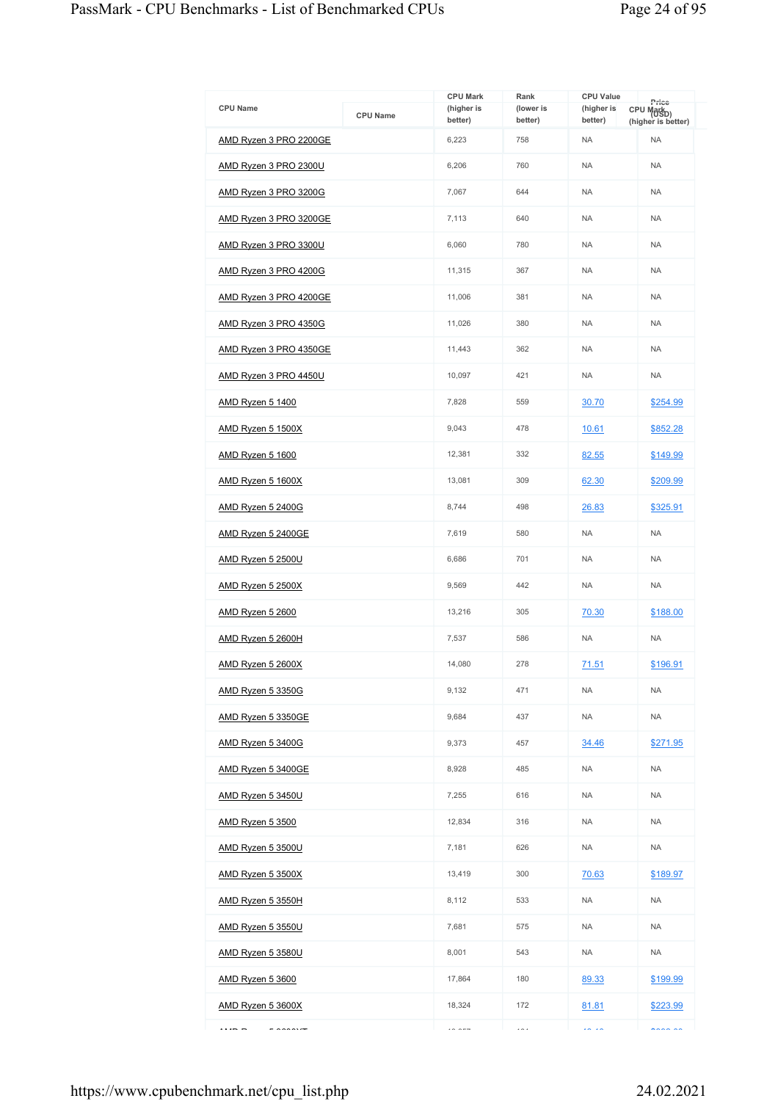| <b>CPU Name</b>          | <b>CPU Name</b> | <b>CPU Mark</b><br>(higher is | Rank<br>(lower is | <b>CPU Value</b><br>(higher is | Price<br>CPU Mark <sub>D)</sub> |
|--------------------------|-----------------|-------------------------------|-------------------|--------------------------------|---------------------------------|
| AMD Ryzen 3 PRO 2200GE   |                 | better)<br>6,223              | better)<br>758    | better)<br><b>NA</b>           | (higher is better)<br><b>NA</b> |
| AMD Ryzen 3 PRO 2300U    |                 | 6,206                         | 760               | <b>NA</b>                      | <b>NA</b>                       |
|                          |                 | 7,067                         | 644               | <b>NA</b>                      | <b>NA</b>                       |
| AMD Ryzen 3 PRO 3200G    |                 |                               |                   | <b>NA</b>                      |                                 |
| AMD Ryzen 3 PRO 3200GE   |                 | 7,113                         | 640               |                                | <b>NA</b>                       |
| AMD Ryzen 3 PRO 3300U    |                 | 6,060                         | 780               | <b>NA</b>                      | <b>NA</b>                       |
| AMD Ryzen 3 PRO 4200G    |                 | 11,315                        | 367               | <b>NA</b>                      | <b>NA</b>                       |
| AMD Ryzen 3 PRO 4200GE   |                 | 11,006                        | 381               | <b>NA</b>                      | <b>NA</b>                       |
| AMD Ryzen 3 PRO 4350G    |                 | 11,026                        | 380               | <b>NA</b>                      | <b>NA</b>                       |
| AMD Ryzen 3 PRO 4350GE   |                 | 11,443                        | 362               | <b>NA</b>                      | <b>NA</b>                       |
| AMD Ryzen 3 PRO 4450U    |                 | 10,097                        | 421               | <b>NA</b>                      | <b>NA</b>                       |
| AMD Ryzen 5 1400         |                 | 7,828                         | 559               | 30.70                          | \$254.99                        |
| AMD Ryzen 5 1500X        |                 | 9,043                         | 478               | 10.61                          | \$852.28                        |
| <b>AMD Ryzen 5 1600</b>  |                 | 12,381                        | 332               | 82.55                          | \$149.99                        |
| AMD Ryzen 5 1600X        |                 | 13,081                        | 309               | 62.30                          | \$209.99                        |
| <b>AMD Ryzen 5 2400G</b> |                 | 8,744                         | 498               | 26.83                          | \$325.91                        |
| AMD Ryzen 5 2400GE       |                 | 7,619                         | 580               | <b>NA</b>                      | <b>NA</b>                       |
| AMD Ryzen 5 2500U        |                 | 6,686                         | 701               | <b>NA</b>                      | <b>NA</b>                       |
| <b>AMD Ryzen 5 2500X</b> |                 | 9,569                         | 442               | <b>NA</b>                      | <b>NA</b>                       |
| AMD Ryzen 5 2600         |                 | 13,216                        | 305               | 70.30                          | \$188.00                        |
| AMD Ryzen 5 2600H        |                 | 7,537                         | 586               | <b>NA</b>                      | <b>NA</b>                       |
| <b>AMD Ryzen 5 2600X</b> |                 | 14,080                        | 278               | 71.51                          | \$196.91                        |
| AMD Ryzen 5 3350G        |                 | 9,132                         | 471               | <b>NA</b>                      | <b>NA</b>                       |
| AMD Ryzen 5 3350GE       |                 | 9,684                         | 437               | <b>NA</b>                      | <b>NA</b>                       |
| <u>AMD Ryzen 5 3400G</u> |                 | 9,373                         | 457               | <u>34.46</u>                   | \$271.95                        |
| AMD Ryzen 5 3400GE       |                 | 8,928                         | 485               | <b>NA</b>                      | <b>NA</b>                       |
| <u>AMD Ryzen 5 3450U</u> |                 | 7,255                         | 616               | <b>NA</b>                      | <b>NA</b>                       |
| <b>AMD Ryzen 5 3500</b>  |                 | 12,834                        | 316               | <b>NA</b>                      | <b>NA</b>                       |
| AMD Ryzen 5 3500U        |                 | 7,181                         | 626               | <b>NA</b>                      | <b>NA</b>                       |
| AMD Ryzen 5 3500X        |                 | 13,419                        | 300               | 70.63                          | \$189.97                        |
| AMD Ryzen 5 3550H        |                 | 8,112                         | 533               | <b>NA</b>                      | <b>NA</b>                       |
| <b>AMD Ryzen 5 3550U</b> |                 | 7,681                         | 575               | <b>NA</b>                      | <b>NA</b>                       |
| <b>AMD Ryzen 5 3580U</b> |                 | 8,001                         | 543               | NA                             | <b>NA</b>                       |
| <b>AMD Ryzen 5 3600</b>  |                 | 17,864                        | 180               | 89.33                          | \$199.99                        |
| AMD Ryzen 5 3600X        |                 | 18,324                        | 172               | 81.81                          | \$223.99                        |
| $ - -$<br>500000         |                 | $\cdots$                      | $\cdots$          | $\sim$ $\sim$                  | $\cdots$                        |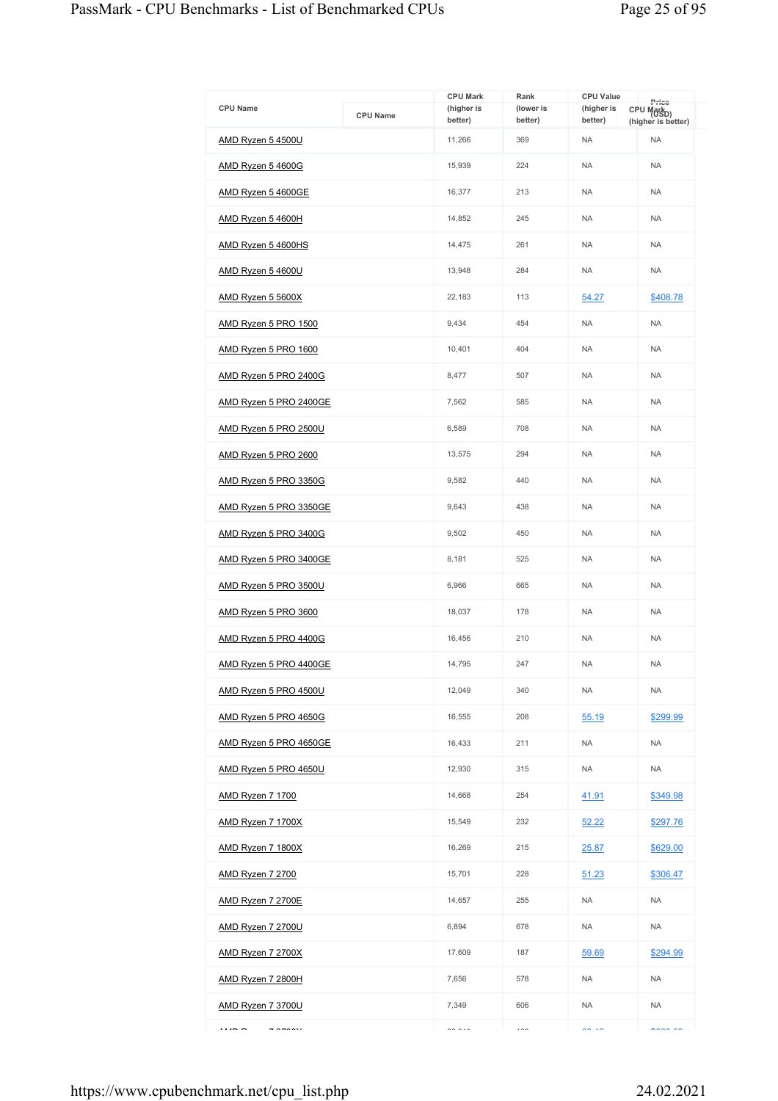| <b>CPU Name</b>                    | <b>CPU Name</b> | <b>CPU Mark</b><br>(higher is<br>better) | Rank<br>(lower is<br>better) | <b>CPU Value</b><br>(higher is<br>better) | Price<br>CPU Mark <sub>D)</sub><br>(higher is better) |
|------------------------------------|-----------------|------------------------------------------|------------------------------|-------------------------------------------|-------------------------------------------------------|
| AMD Ryzen 5 4500U                  |                 | 11,266                                   | 369                          | <b>NA</b>                                 | <b>NA</b>                                             |
| <u>AMD Ryzen 5 4600G</u>           |                 | 15,939                                   | 224                          | <b>NA</b>                                 | <b>NA</b>                                             |
| <u>AMD Ryzen 5 4600GE</u>          |                 | 16,377                                   | 213                          | <b>NA</b>                                 | <b>NA</b>                                             |
| <u>AMD Ryzen 5 4600H</u>           |                 | 14,852                                   | 245                          | <b>NA</b>                                 | <b>NA</b>                                             |
| AMD Ryzen 5 4600HS                 |                 | 14,475                                   | 261                          | <b>NA</b>                                 | <b>NA</b>                                             |
| <u>AMD Ryzen 5 4600U</u>           |                 | 13,948                                   | 284                          | <b>NA</b>                                 | <b>NA</b>                                             |
| <u>AMD Ryzen 5 5600X</u>           |                 | 22,183                                   | 113                          | 54.27                                     | \$408.78                                              |
| AMD Ryzen 5 PRO 1500               |                 | 9,434                                    | 454                          | <b>NA</b>                                 | <b>NA</b>                                             |
| <u>AMD Ryzen 5 PRO 1600</u>        |                 | 10,401                                   | 404                          | <b>NA</b>                                 | <b>NA</b>                                             |
| AMD Ryzen 5 PRO 2400G              |                 | 8,477                                    | 507                          | <b>NA</b>                                 | <b>NA</b>                                             |
| AMD Ryzen 5 PRO 2400GE             |                 | 7,562                                    | 585                          | <b>NA</b>                                 | <b>NA</b>                                             |
| <u>AMD Ryzen 5 PRO 2500U</u>       |                 | 6,589                                    | 708                          | <b>NA</b>                                 | <b>NA</b>                                             |
| AMD Ryzen 5 PRO 2600               |                 | 13,575                                   | 294                          | <b>NA</b>                                 | <b>NA</b>                                             |
| AMD Ryzen 5 PRO 3350G              |                 | 9,582                                    | 440                          | <b>NA</b>                                 | <b>NA</b>                                             |
| <u>AMD Ryzen 5 PRO 3350GE</u>      |                 | 9,643                                    | 438                          | <b>NA</b>                                 | <b>NA</b>                                             |
| AMD Ryzen 5 PRO 3400G              |                 | 9,502                                    | 450                          | <b>NA</b>                                 | <b>NA</b>                                             |
| <u>AMD Ryzen 5 PRO 3400GE</u>      |                 | 8,181                                    | 525                          | <b>NA</b>                                 | <b>NA</b>                                             |
| <u>AMD Ryzen 5 PRO 3500U</u>       |                 | 6,966                                    | 665                          | <b>NA</b>                                 | <b>NA</b>                                             |
| <u>AMD Ryzen 5 PRO 3600</u>        |                 | 18,037                                   | 178                          | <b>NA</b>                                 | <b>NA</b>                                             |
| AMD Ryzen 5 PRO 4400G              |                 | 16,456                                   | 210                          | <b>NA</b>                                 | <b>NA</b>                                             |
| AMD Ryzen 5 PRO 4400GE             |                 | 14,795                                   | 247                          | <b>NA</b>                                 | <b>NA</b>                                             |
| AMD Ryzen 5 PRO 4500U              |                 | 12,049                                   | 340                          | <b>NA</b>                                 | <b>NA</b>                                             |
| AMD Ryzen 5 PRO 4650G              |                 | 16,555                                   | 208                          | 55.19                                     | \$299.99                                              |
| AMD Ryzen 5 PRO 4650GE             |                 | 16,433                                   | 211                          | <b>NA</b>                                 | <b>NA</b>                                             |
| AMD Ryzen 5 PRO 4650U              |                 | 12,930                                   | 315                          | <b>NA</b>                                 | <b>NA</b>                                             |
| <b>AMD Ryzen 7 1700</b>            |                 | 14,668                                   | 254                          | 41.91                                     | \$349.98                                              |
| AMD Ryzen 7 1700X                  |                 | 15,549                                   | 232                          | 52.22                                     | \$297.76                                              |
| <u>AMD Ryzen 7 1800X</u>           |                 | 16,269                                   | 215                          | 25.87                                     | \$629.00                                              |
| <b>AMD Ryzen 7 2700</b>            |                 | 15,701                                   | 228                          | 51.23                                     | \$306.47                                              |
| AMD Ryzen 7 2700E                  |                 | 14,657                                   | 255                          | <b>NA</b>                                 | <b>NA</b>                                             |
| <b>AMD Ryzen 7 2700U</b>           |                 | 6,894                                    | 678                          | <b>NA</b>                                 | <b>NA</b>                                             |
| <b>AMD Ryzen 7 2700X</b>           |                 | 17,609                                   | 187                          | 59.69                                     | \$294.99                                              |
| <u>AMD Ryzen 7 2800H</u>           |                 | 7,656                                    | 578                          | <b>NA</b>                                 | <b>NA</b>                                             |
| <u>AMD Ryzen 7 3700U</u>           |                 | 7,349                                    | 606                          | <b>NA</b>                                 | <b>NA</b>                                             |
| $ - -$<br>$\overline{\phantom{a}}$ |                 | $\sim$ $\sim$ $\sim$                     | $\cdots$                     | $\sim$ $\sim$                             | $\sim$                                                |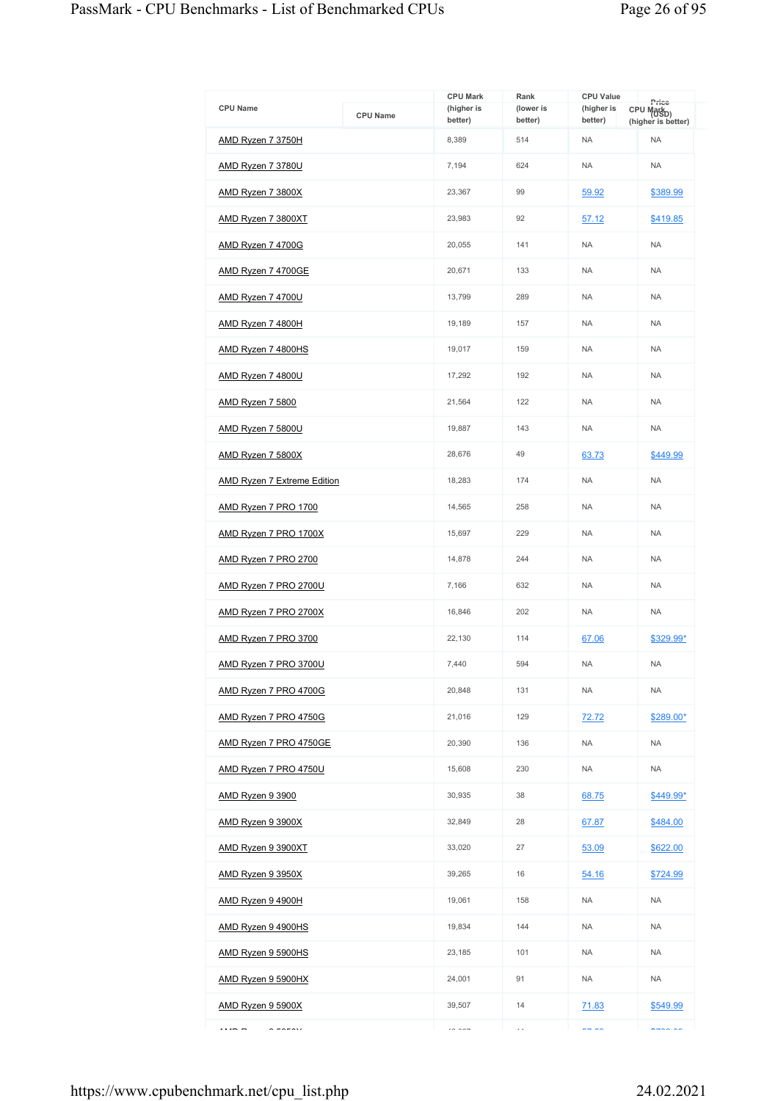| <b>CPU Name</b>                    | <b>CPU Name</b> | <b>CPU Mark</b><br>(higher is<br>better) | Rank<br>(lower is<br>better) | <b>CPU Value</b><br>(higher is<br>better) | Price<br>CPU Mark <sub>D)</sub> |
|------------------------------------|-----------------|------------------------------------------|------------------------------|-------------------------------------------|---------------------------------|
| AMD Ryzen 7 3750H                  |                 | 8,389                                    | 514                          | <b>NA</b>                                 | (higher is better)<br><b>NA</b> |
| <b>AMD Ryzen 7 3780U</b>           |                 | 7,194                                    | 624                          | <b>NA</b>                                 | <b>NA</b>                       |
| AMD Ryzen 7 3800X                  |                 | 23,367                                   | 99                           | 59.92                                     | \$389.99                        |
| AMD Ryzen 7 3800XT                 |                 | 23.983                                   | 92                           | 57.12                                     | \$419.85                        |
| AMD Ryzen 7 4700G                  |                 | 20,055                                   | 141                          | <b>NA</b>                                 | <b>NA</b>                       |
| AMD Ryzen 7 4700GE                 |                 | 20,671                                   | 133                          | <b>NA</b>                                 | <b>NA</b>                       |
| <b>AMD Ryzen 7 4700U</b>           |                 | 13,799                                   | 289                          | <b>NA</b>                                 | <b>NA</b>                       |
| AMD Ryzen 7 4800H                  |                 | 19,189                                   | 157                          | <b>NA</b>                                 | <b>NA</b>                       |
| AMD Ryzen 7 4800HS                 |                 | 19,017                                   | 159                          | <b>NA</b>                                 | <b>NA</b>                       |
| AMD Ryzen 7 4800U                  |                 | 17,292                                   | 192                          | <b>NA</b>                                 | <b>NA</b>                       |
| <b>AMD Ryzen 7 5800</b>            |                 | 21,564                                   | 122                          | <b>NA</b>                                 | <b>NA</b>                       |
| AMD Ryzen 7 5800U                  |                 | 19,887                                   | 143                          | <b>NA</b>                                 | <b>NA</b>                       |
| AMD Ryzen 7 5800X                  |                 | 28.676                                   | 49                           | 63.73                                     | \$449.99                        |
| <b>AMD Ryzen 7 Extreme Edition</b> |                 | 18,283                                   | 174                          | <b>NA</b>                                 | <b>NA</b>                       |
| AMD Ryzen 7 PRO 1700               |                 | 14,565                                   | 258                          | <b>NA</b>                                 | <b>NA</b>                       |
| AMD Ryzen 7 PRO 1700X              |                 | 15,697                                   | 229                          | <b>NA</b>                                 | <b>NA</b>                       |
| AMD Ryzen 7 PRO 2700               |                 | 14,878                                   | 244                          | <b>NA</b>                                 | <b>NA</b>                       |
| AMD Ryzen 7 PRO 2700U              |                 | 7,166                                    | 632                          | <b>NA</b>                                 | <b>NA</b>                       |
| AMD Ryzen 7 PRO 2700X              |                 | 16.846                                   | 202                          | <b>NA</b>                                 | <b>NA</b>                       |
| AMD Ryzen 7 PRO 3700               |                 | 22,130                                   | 114                          | 67.06                                     | \$329.99*                       |
| AMD Ryzen 7 PRO 3700U              |                 | 7,440                                    | 594                          | <b>NA</b>                                 | <b>NA</b>                       |
| AMD Ryzen 7 PRO 4700G              |                 | 20,848                                   | 131                          | <b>NA</b>                                 | <b>NA</b>                       |
| AMD Ryzen 7 PRO 4750G              |                 | 21,016                                   | 129                          | 72.72                                     | \$289.00*                       |
| AMD Ryzen 7 PRO 4750GE             |                 | 20,390                                   | 136                          | <b>NA</b>                                 | <b>NA</b>                       |
| AMD Ryzen 7 PRO 4750U              |                 | 15,608                                   | 230                          | <b>NA</b>                                 | <b>NA</b>                       |
| AMD Ryzen 9 3900                   |                 | 30,935                                   | 38                           | 68.75                                     | \$449.99*                       |
| AMD Ryzen 9 3900X                  |                 | 32.849                                   | 28                           | 67.87                                     | \$484.00                        |
| AMD Ryzen 9 3900XT                 |                 | 33,020                                   | 27                           | 53.09                                     | \$622.00                        |
| AMD Ryzen 9 3950X                  |                 | 39,265                                   | 16                           | 54.16                                     | \$724.99                        |
| AMD Ryzen 9 4900H                  |                 | 19,061                                   | 158                          | <b>NA</b>                                 | <b>NA</b>                       |
| AMD Ryzen 9 4900HS                 |                 | 19,834                                   | 144                          | <b>NA</b>                                 | <b>NA</b>                       |
| AMD Ryzen 9 5900HS                 |                 | 23,185                                   | 101                          | <b>NA</b>                                 | <b>NA</b>                       |
| AMD Ryzen 9 5900HX                 |                 | 24,001                                   | 91                           | <b>NA</b>                                 | <b>NA</b>                       |
| AMD Ryzen 9 5900X                  |                 | 39,507                                   | 14                           | 71.83                                     | \$549.99                        |
| $ - -$<br>$\sim$ $\sim$ $\sim$     |                 | $\sim$ $\sim$ $\sim$                     | ÷.                           | $- - - -$                                 | $\sim$                          |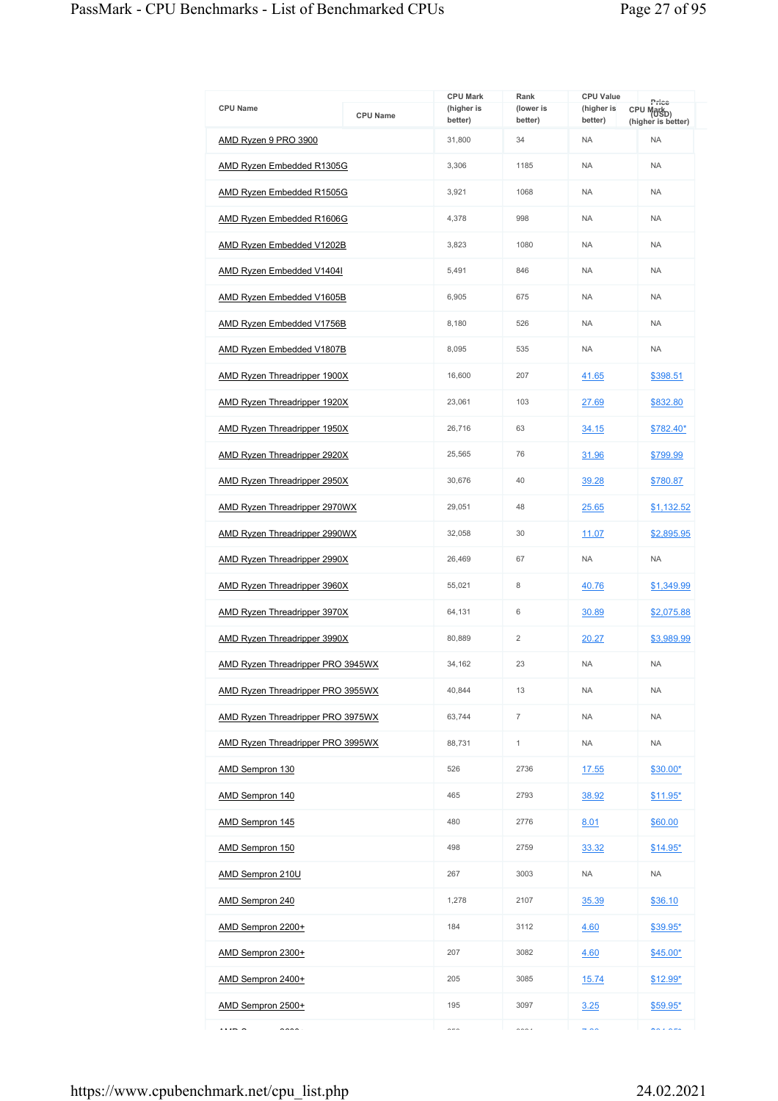|                                          |                 | <b>CPU Mark</b>       | Rank                 | <b>CPU Value</b>      |                                                       |
|------------------------------------------|-----------------|-----------------------|----------------------|-----------------------|-------------------------------------------------------|
| <b>CPU Name</b>                          | <b>CPU Name</b> | (higher is<br>better) | (lower is<br>better) | (higher is<br>better) | Price<br>CPU Mark <sub>D)</sub><br>(higher is better) |
| AMD Ryzen 9 PRO 3900                     |                 | 31,800                | 34                   | <b>NA</b>             | <b>NA</b>                                             |
| <b>AMD Ryzen Embedded R1305G</b>         |                 | 3,306                 | 1185                 | <b>NA</b>             | <b>NA</b>                                             |
| AMD Ryzen Embedded R1505G                |                 | 3.921                 | 1068                 | <b>NA</b>             | <b>NA</b>                                             |
| AMD Ryzen Embedded R1606G                |                 | 4,378                 | 998                  | <b>NA</b>             | <b>NA</b>                                             |
| AMD Ryzen Embedded V1202B                |                 | 3,823                 | 1080                 | <b>NA</b>             | <b>NA</b>                                             |
| <b>AMD Ryzen Embedded V1404I</b>         |                 | 5,491                 | 846                  | <b>NA</b>             | <b>NA</b>                                             |
| AMD Ryzen Embedded V1605B                |                 | 6,905                 | 675                  | <b>NA</b>             | <b>NA</b>                                             |
| AMD Ryzen Embedded V1756B                |                 | 8,180                 | 526                  | <b>NA</b>             | <b>NA</b>                                             |
| AMD Ryzen Embedded V1807B                |                 | 8,095                 | 535                  | <b>NA</b>             | <b>NA</b>                                             |
| <b>AMD Ryzen Threadripper 1900X</b>      |                 | 16,600                | 207                  | 41.65                 | \$398.51                                              |
| AMD Ryzen Threadripper 1920X             |                 | 23,061                | 103                  | 27.69                 | \$832.80                                              |
| AMD Ryzen Threadripper 1950X             |                 | 26,716                | 63                   | 34.15                 | \$782.40*                                             |
| AMD Ryzen Threadripper 2920X             |                 | 25,565                | 76                   | 31.96                 | \$799.99                                              |
| <b>AMD Ryzen Threadripper 2950X</b>      |                 | 30,676                | 40                   | 39.28                 | \$780.87                                              |
| AMD Ryzen Threadripper 2970WX            |                 | 29,051                | 48                   | 25.65                 | \$1,132.52                                            |
| AMD Ryzen Threadripper 2990WX            |                 | 32,058                | 30                   | 11.07                 | \$2,895.95                                            |
| <b>AMD Ryzen Threadripper 2990X</b>      |                 | 26,469                | 67                   | <b>NA</b>             | <b>NA</b>                                             |
| AMD Ryzen Threadripper 3960X             |                 | 55,021                | 8                    | 40.76                 | \$1,349.99                                            |
| AMD Ryzen Threadripper 3970X             |                 | 64,131                | 6                    | 30.89                 | \$2,075.88                                            |
| <b>AMD Ryzen Threadripper 3990X</b>      |                 | 80,889                | $\overline{2}$       | 20.27                 | \$3,989.99                                            |
| AMD Ryzen Threadripper PRO 3945WX        |                 | 34,162                | 23                   | <b>NA</b>             | <b>NA</b>                                             |
| <b>AMD Ryzen Threadripper PRO 3955WX</b> |                 | 40,844                | 13                   | <b>NA</b>             | <b>NA</b>                                             |
| AMD Ryzen Threadripper PRO 3975WX        |                 | 63,744                | $\overline{7}$       | <b>NA</b>             | <b>NA</b>                                             |
| AMD Ryzen Threadripper PRO 3995WX        |                 | 88,731                | $\mathbf{1}$         | <b>NA</b>             | <b>NA</b>                                             |
| AMD Sempron 130                          |                 | 526                   | 2736                 | 17.55                 | $$30.00*$                                             |
| <b>AMD Sempron 140</b>                   |                 | 465                   | 2793                 | 38.92                 | $$11.95*$                                             |
| AMD Sempron 145                          |                 | 480                   | 2776                 | 8.01                  | \$60.00                                               |
| <b>AMD Sempron 150</b>                   |                 | 498                   | 2759                 | 33.32                 | $$14.95*$                                             |
| AMD Sempron 210U                         |                 | 267                   | 3003                 | <b>NA</b>             | <b>NA</b>                                             |
| <b>AMD Sempron 240</b>                   |                 | 1,278                 | 2107                 | 35.39                 | \$36.10                                               |
| AMD Sempron 2200+                        |                 | 184                   | 3112                 | 4.60                  | \$39.95*                                              |
| AMD Sempron 2300+                        |                 | 207                   | 3082                 | 4.60                  | $$45.00*$                                             |
| AMD Sempron 2400+                        |                 | 205                   | 3085                 | 15.74                 | $$12.99*$                                             |
| AMD Sempron 2500+                        |                 | 195                   | 3097                 | 3.25                  | \$59.95*                                              |
| $\cdots$ $\sim$<br>$\sim$                |                 | $\sim$ $\sim$         | $\sim$ $\sim$ $\sim$ | $\rightarrow$ 00      | $\mathbf{A} \mathbf{A}$ $\mathbf{A} \mathbf{A}$       |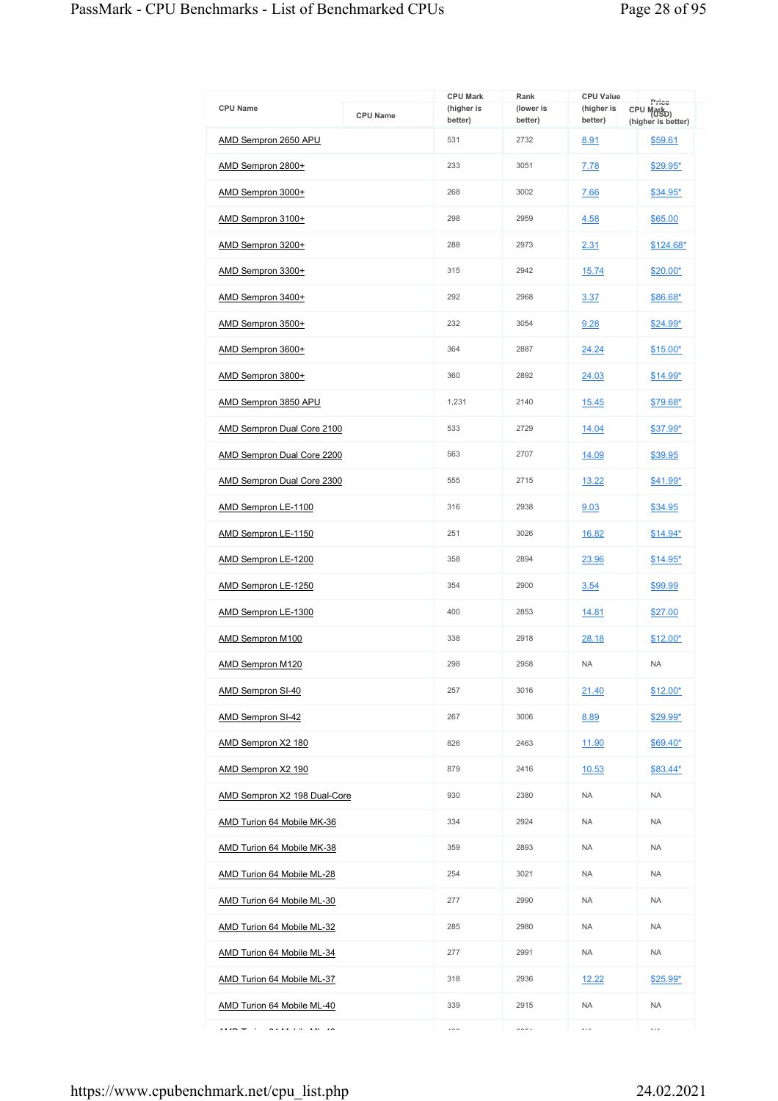| <b>CPU Name</b>                   | <b>CPU Name</b> | <b>CPU Mark</b><br>(higher is<br>better) | Rank<br>(lower is<br>better) | <b>CPU Value</b><br>(higher is<br>better) | Price<br>CPU Mark <sub>D)</sub><br>(higher is better) |
|-----------------------------------|-----------------|------------------------------------------|------------------------------|-------------------------------------------|-------------------------------------------------------|
| AMD Sempron 2650 APU              |                 | 531                                      | 2732                         | 8.91                                      | \$59.61                                               |
| AMD Sempron 2800+                 |                 | 233                                      | 3051                         | 7.78                                      | \$29.95*                                              |
| AMD Sempron 3000+                 |                 | 268                                      | 3002                         | 7.66                                      | $$34.95*$                                             |
| AMD Sempron 3100+                 |                 | 298                                      | 2959                         | 4.58                                      | \$65.00                                               |
| AMD Sempron 3200+                 |                 | 288                                      | 2973                         | 2.31                                      | $$124.68*$                                            |
| AMD Sempron 3300+                 |                 | 315                                      | 2942                         | 15.74                                     | \$20.00*                                              |
| AMD Sempron 3400+                 |                 | 292                                      | 2968                         | 3.37                                      | \$86.68*                                              |
| AMD Sempron 3500+                 |                 | 232                                      | 3054                         | 9.28                                      | \$24.99*                                              |
| AMD Sempron 3600+                 |                 | 364                                      | 2887                         | 24.24                                     | $$15.00*$                                             |
| AMD Sempron 3800+                 |                 | 360                                      | 2892                         | 24.03                                     | $$14.99*$                                             |
| AMD Sempron 3850 APU              |                 | 1,231                                    | 2140                         | 15.45                                     | \$79.68*                                              |
| AMD Sempron Dual Core 2100        |                 | 533                                      | 2729                         | 14.04                                     | \$37.99*                                              |
| <b>AMD Sempron Dual Core 2200</b> |                 | 563                                      | 2707                         | 14.09                                     | \$39.95                                               |
| <b>AMD Sempron Dual Core 2300</b> |                 | 555                                      | 2715                         | 13.22                                     | \$41.99*                                              |
| AMD Sempron LE-1100               |                 | 316                                      | 2938                         | 9.03                                      | \$34.95                                               |
| AMD Sempron LE-1150               |                 | 251                                      | 3026                         | 16.82                                     | $$14.94*$                                             |
| AMD Sempron LE-1200               |                 | 358                                      | 2894                         | 23.96                                     | $$14.95*$                                             |
| AMD Sempron LE-1250               |                 | 354                                      | 2900                         | 3.54                                      | \$99.99                                               |
| AMD Sempron LE-1300               |                 | 400                                      | 2853                         | 14.81                                     | \$27.00                                               |
| <b>AMD Sempron M100</b>           |                 | 338                                      | 2918                         | 28.18                                     | $$12.00*$                                             |
| AMD Sempron M120                  |                 | 298                                      | 2958                         | <b>NA</b>                                 | <b>NA</b>                                             |
| AMD Sempron SI-40                 |                 | 257                                      | 3016                         | 21.40                                     | $$12.00*$                                             |
| <b>AMD Sempron SI-42</b>          |                 | 267                                      | 3006                         | 8.89                                      | \$29.99*                                              |
| AMD Sempron X2 180                |                 | 826                                      | 2463                         | 11.90                                     | \$69.40*                                              |
| AMD Sempron X2 190                |                 | 879                                      | 2416                         | 10.53                                     | $$83.44*$                                             |
| AMD Sempron X2 198 Dual-Core      |                 | 930                                      | 2380                         | <b>NA</b>                                 | <b>NA</b>                                             |
| AMD Turion 64 Mobile MK-36        |                 | 334                                      | 2924                         | <b>NA</b>                                 | <b>NA</b>                                             |
| AMD Turion 64 Mobile MK-38        |                 | 359                                      | 2893                         | <b>NA</b>                                 | <b>NA</b>                                             |
| <b>AMD Turion 64 Mobile ML-28</b> |                 | 254                                      | 3021                         | <b>NA</b>                                 | <b>NA</b>                                             |
| AMD Turion 64 Mobile ML-30        |                 | 277                                      | 2990                         | <b>NA</b>                                 | <b>NA</b>                                             |
| <b>AMD Turion 64 Mobile ML-32</b> |                 | 285                                      | 2980                         | <b>NA</b>                                 | <b>NA</b>                                             |
| AMD Turion 64 Mobile ML-34        |                 | 277                                      | 2991                         | <b>NA</b>                                 | <b>NA</b>                                             |
| AMD Turion 64 Mobile ML-37        |                 | 318                                      | 2936                         | 12.22                                     | $$25.99*$                                             |
| AMD Turion 64 Mobile ML-40        |                 | 339                                      | 2915                         | <b>NA</b>                                 | <b>NA</b>                                             |
| .<br>$ -$                         |                 | $\cdots$                                 | $\sim -1$                    | $\ldots$                                  | $\cdots$                                              |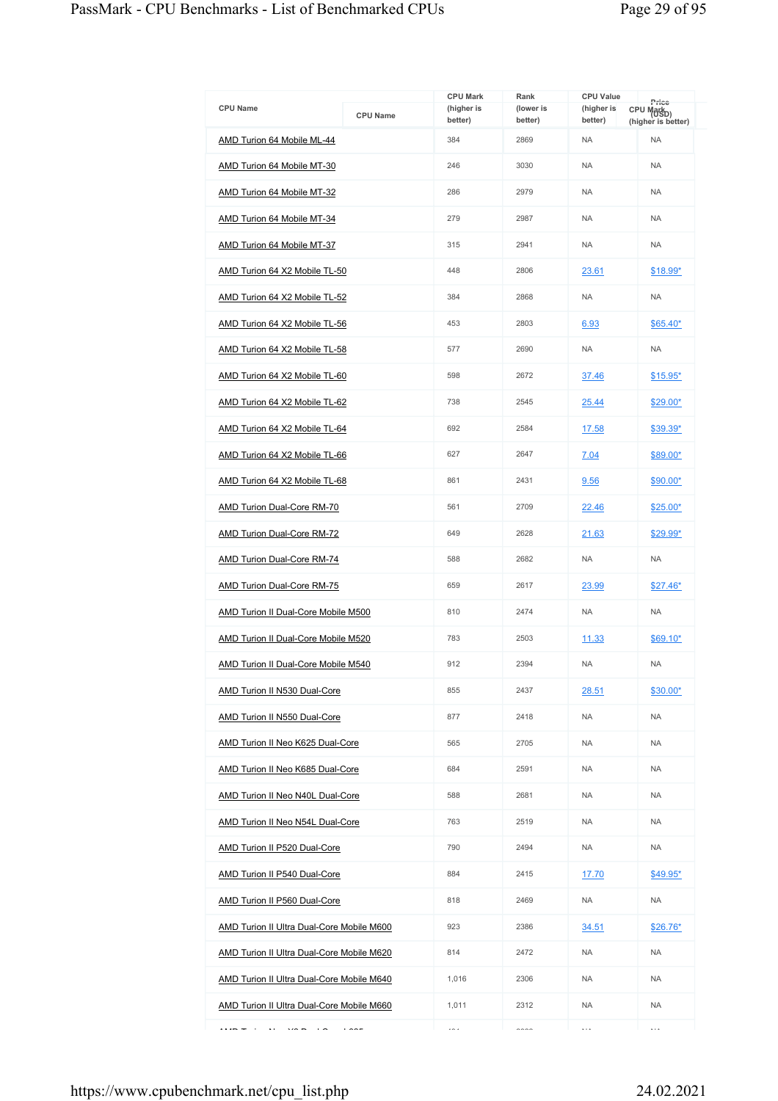| <b>CPU Name</b>                                    | <b>CPU Name</b> | <b>CPU Mark</b><br>(higher is<br>better) | Rank<br>(lower is<br>better) | <b>CPU Value</b><br>(higher is<br>better) | Price<br>CPU Mark <sub>D)</sub><br>(higher is better) |
|----------------------------------------------------|-----------------|------------------------------------------|------------------------------|-------------------------------------------|-------------------------------------------------------|
| AMD Turion 64 Mobile ML-44                         |                 | 384                                      | 2869                         | <b>NA</b>                                 | <b>NA</b>                                             |
| AMD Turion 64 Mobile MT-30                         |                 | 246                                      | 3030                         | <b>NA</b>                                 | <b>NA</b>                                             |
| AMD Turion 64 Mobile MT-32                         |                 | 286                                      | 2979                         | <b>NA</b>                                 | <b>NA</b>                                             |
| AMD Turion 64 Mobile MT-34                         |                 | 279                                      | 2987                         | <b>NA</b>                                 | <b>NA</b>                                             |
| AMD Turion 64 Mobile MT-37                         |                 | 315                                      | 2941                         | <b>NA</b>                                 | <b>NA</b>                                             |
| AMD Turion 64 X2 Mobile TL-50                      |                 | 448                                      | 2806                         | 23.61                                     | \$18.99*                                              |
| AMD Turion 64 X2 Mobile TL-52                      |                 | 384                                      | 2868                         | <b>NA</b>                                 | <b>NA</b>                                             |
| AMD Turion 64 X2 Mobile TL-56                      |                 | 453                                      | 2803                         | 6.93                                      | $$65.40*$                                             |
| AMD Turion 64 X2 Mobile TL-58                      |                 | 577                                      | 2690                         | <b>NA</b>                                 | <b>NA</b>                                             |
| AMD Turion 64 X2 Mobile TL-60                      |                 | 598                                      | 2672                         | 37.46                                     | $$15.95*$                                             |
| AMD Turion 64 X2 Mobile TL-62                      |                 | 738                                      | 2545                         | 25.44                                     | $$29.00*$                                             |
| AMD Turion 64 X2 Mobile TL-64                      |                 | 692                                      | 2584                         | 17.58                                     | \$39.39*                                              |
| AMD Turion 64 X2 Mobile TL-66                      |                 | 627                                      | 2647                         | 7.04                                      | \$89.00*                                              |
| AMD Turion 64 X2 Mobile TL-68                      |                 | 861                                      | 2431                         | 9.56                                      | \$90.00*                                              |
| AMD Turion Dual-Core RM-70                         |                 | 561                                      | 2709                         | 22.46                                     | \$25.00*                                              |
| <b>AMD Turion Dual-Core RM-72</b>                  |                 | 649                                      | 2628                         | 21.63                                     | \$29.99*                                              |
| AMD Turion Dual-Core RM-74                         |                 | 588                                      | 2682                         | <b>NA</b>                                 | <b>NA</b>                                             |
| AMD Turion Dual-Core RM-75                         |                 | 659                                      | 2617                         | 23.99                                     | $$27.46*$                                             |
| AMD Turion II Dual-Core Mobile M500                |                 | 810                                      | 2474                         | <b>NA</b>                                 | <b>NA</b>                                             |
| AMD Turion II Dual-Core Mobile M520                |                 | 783                                      | 2503                         | 11.33                                     | $$69.10*$                                             |
| <b>AMD Turion II Dual-Core Mobile M540</b>         |                 | 912                                      | 2394                         | <b>NA</b>                                 | <b>NA</b>                                             |
| AMD Turion II N530 Dual-Core                       |                 | 855                                      | 2437                         | 28.51                                     | \$30.00*                                              |
| AMD Turion II N550 Dual-Core                       |                 | 877                                      | 2418                         | <b>NA</b>                                 | <b>NA</b>                                             |
| <b>AMD Turion II Neo K625 Dual-Core</b>            |                 | 565                                      | 2705                         | <b>NA</b>                                 | <b>NA</b>                                             |
| AMD Turion II Neo K685 Dual-Core                   |                 | 684                                      | 2591                         | <b>NA</b>                                 | <b>NA</b>                                             |
| <b>AMD Turion II Neo N40L Dual-Core</b>            |                 | 588                                      | 2681                         | <b>NA</b>                                 | <b>NA</b>                                             |
| AMD Turion II Neo N54L Dual-Core                   |                 | 763                                      | 2519                         | <b>NA</b>                                 | <b>NA</b>                                             |
| <b>AMD Turion II P520 Dual-Core</b>                |                 | 790                                      | 2494                         | <b>NA</b>                                 | <b>NA</b>                                             |
| <b>AMD Turion II P540 Dual-Core</b>                |                 | 884                                      | 2415                         | <u>17.70</u>                              | \$49.95*                                              |
| <b>AMD Turion II P560 Dual-Core</b>                |                 | 818                                      | 2469                         | <b>NA</b>                                 | <b>NA</b>                                             |
| AMD Turion II Ultra Dual-Core Mobile M600          |                 | 923                                      | 2386                         | 34.51                                     | $$26.76*$                                             |
| AMD Turion II Ultra Dual-Core Mobile M620          |                 | 814                                      | 2472                         | <b>NA</b>                                 | <b>NA</b>                                             |
| AMD Turion II Ultra Dual-Core Mobile M640          |                 | 1,016                                    | 2306                         | <b>NA</b>                                 | <b>NA</b>                                             |
| AMD Turion II Ultra Dual-Core Mobile M660          |                 | 1,011                                    | 2312                         | <b>NA</b>                                 | <b>NA</b>                                             |
| $\ddot{\phantom{a}}$<br>$\cdots$<br>$ -$<br>$\sim$ |                 | $\sim$                                   | $\sim$                       | $\cdots$                                  | $\cdots$                                              |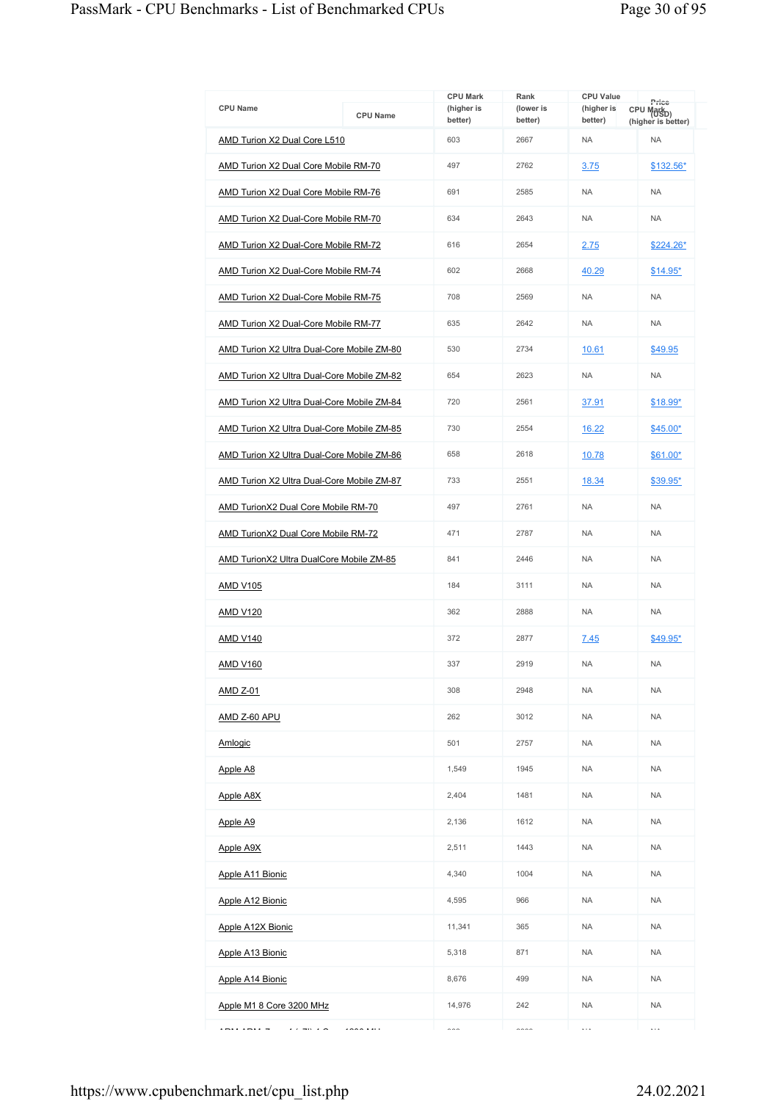| <b>CPU Name</b>                             | <b>CPU Name</b> | <b>CPU Mark</b><br>(higher is<br>better) | Rank<br>(lower is<br>better) | <b>CPU Value</b><br>(higher is<br>better) | Price<br>CPU Markp)<br>(higher is better) |
|---------------------------------------------|-----------------|------------------------------------------|------------------------------|-------------------------------------------|-------------------------------------------|
| AMD Turion X2 Dual Core L510                |                 | 603                                      | 2667                         | <b>NA</b>                                 | <b>NA</b>                                 |
| <b>AMD Turion X2 Dual Core Mobile RM-70</b> |                 | 497                                      | 2762                         | 3.75                                      | \$132.56*                                 |
| AMD Turion X2 Dual Core Mobile RM-76        |                 | 691                                      | 2585                         | <b>NA</b>                                 | <b>NA</b>                                 |
| <b>AMD Turion X2 Dual-Core Mobile RM-70</b> |                 | 634                                      | 2643                         | <b>NA</b>                                 | <b>NA</b>                                 |
| AMD Turion X2 Dual-Core Mobile RM-72        |                 | 616                                      | 2654                         | 2.75                                      | \$224.26*                                 |
| AMD Turion X2 Dual-Core Mobile RM-74        |                 | 602                                      | 2668                         | 40.29                                     | $$14.95*$                                 |
| AMD Turion X2 Dual-Core Mobile RM-75        |                 | 708                                      | 2569                         | <b>NA</b>                                 | <b>NA</b>                                 |
| <b>AMD Turion X2 Dual-Core Mobile RM-77</b> |                 | 635                                      | 2642                         | <b>NA</b>                                 | <b>NA</b>                                 |
| AMD Turion X2 Ultra Dual-Core Mobile ZM-80  |                 | 530                                      | 2734                         | 10.61                                     | \$49.95                                   |
| AMD Turion X2 Ultra Dual-Core Mobile ZM-82  |                 | 654                                      | 2623                         | <b>NA</b>                                 | <b>NA</b>                                 |
| AMD Turion X2 Ultra Dual-Core Mobile ZM-84  |                 | 720                                      | 2561                         | 37.91                                     | \$18.99*                                  |
| AMD Turion X2 Ultra Dual-Core Mobile ZM-85  |                 | 730                                      | 2554                         | 16.22                                     | \$45.00*                                  |
| AMD Turion X2 Ultra Dual-Core Mobile ZM-86  |                 | 658                                      | 2618                         | 10.78                                     | \$61.00*                                  |
| AMD Turion X2 Ultra Dual-Core Mobile ZM-87  |                 | 733                                      | 2551                         | 18.34                                     | \$39.95*                                  |
| AMD TurionX2 Dual Core Mobile RM-70         |                 | 497                                      | 2761                         | <b>NA</b>                                 | <b>NA</b>                                 |
| <b>AMD TurionX2 Dual Core Mobile RM-72</b>  |                 | 471                                      | 2787                         | <b>NA</b>                                 | <b>NA</b>                                 |
| AMD TurionX2 Ultra DualCore Mobile ZM-85    |                 | 841                                      | 2446                         | <b>NA</b>                                 | <b>NA</b>                                 |
| <b>AMD V105</b>                             |                 | 184                                      | 3111                         | <b>NA</b>                                 | <b>NA</b>                                 |
| <b>AMD V120</b>                             |                 | 362                                      | 2888                         | <b>NA</b>                                 | <b>NA</b>                                 |
| <b>AMD V140</b>                             |                 | 372                                      | 2877                         | 7.45                                      | \$49.95*                                  |
| <b>AMD V160</b>                             |                 | 337                                      | 2919                         | <b>NA</b>                                 | <b>NA</b>                                 |
| <u>AMD Z-01</u>                             |                 | 308                                      | 2948                         | <b>NA</b>                                 | <b>NA</b>                                 |
| AMD Z-60 APU                                |                 | 262                                      | 3012                         | <b>NA</b>                                 | <b>NA</b>                                 |
| Amlogic                                     |                 | 501                                      | 2757                         | <b>NA</b>                                 | <b>NA</b>                                 |
| Apple A8                                    |                 | 1,549                                    | 1945                         | <b>NA</b>                                 | <b>NA</b>                                 |
| <b>Apple A8X</b>                            |                 | 2,404                                    | 1481                         | <b>NA</b>                                 | <b>NA</b>                                 |
| Apple A9                                    |                 | 2,136                                    | 1612                         | <b>NA</b>                                 | <b>NA</b>                                 |
| <b>Apple A9X</b>                            |                 | 2,511                                    | 1443                         | <b>NA</b>                                 | <b>NA</b>                                 |
| Apple A11 Bionic                            |                 | 4,340                                    | 1004                         | <b>NA</b>                                 | <b>NA</b>                                 |
| <b>Apple A12 Bionic</b>                     |                 | 4,595                                    | 966                          | <b>NA</b>                                 | <b>NA</b>                                 |
| Apple A12X Bionic                           |                 | 11,341                                   | 365                          | <b>NA</b>                                 | <b>NA</b>                                 |
| Apple A13 Bionic                            |                 | 5,318                                    | 871                          | <b>NA</b>                                 | <b>NA</b>                                 |
| Apple A14 Bionic                            |                 | 8,676                                    | 499                          | NA                                        | <b>NA</b>                                 |
| Apple M1 8 Core 3200 MHz                    |                 | 14,976                                   | 242                          | <b>NA</b>                                 | <b>NA</b>                                 |
| $\cdots$                                    | 1000111         | $\sim$                                   | $\sim$                       | $\ddotsc$                                 | $\ddotsc$                                 |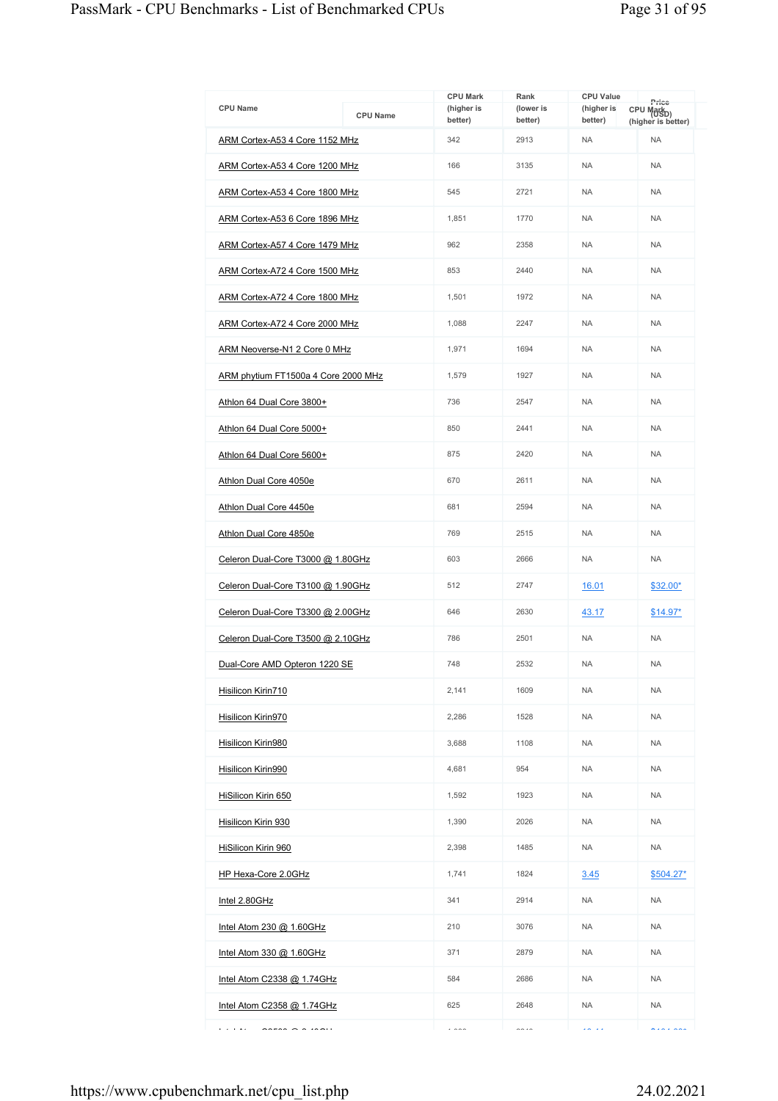| <b>CPU Name</b>                     |                 | <b>CPU Mark</b><br>(higher is | Rank<br>(lower is | <b>CPU Value</b><br>(higher is | Price<br>CPU Mark <sub>D)</sub> |
|-------------------------------------|-----------------|-------------------------------|-------------------|--------------------------------|---------------------------------|
|                                     | <b>CPU Name</b> | better)                       | better)           | better)                        | (higher is better)              |
| ARM Cortex-A53 4 Core 1152 MHz      |                 | 342                           | 2913              | <b>NA</b>                      | <b>NA</b>                       |
| ARM Cortex-A53 4 Core 1200 MHz      |                 | 166                           | 3135              | <b>NA</b>                      | <b>NA</b>                       |
| ARM Cortex-A53 4 Core 1800 MHz      |                 | 545                           | 2721              | <b>NA</b>                      | <b>NA</b>                       |
| ARM Cortex-A53 6 Core 1896 MHz      |                 | 1,851                         | 1770              | <b>NA</b>                      | <b>NA</b>                       |
| ARM Cortex-A57 4 Core 1479 MHz      |                 | 962                           | 2358              | <b>NA</b>                      | <b>NA</b>                       |
| ARM Cortex-A72 4 Core 1500 MHz      |                 | 853                           | 2440              | <b>NA</b>                      | <b>NA</b>                       |
| ARM Cortex-A72 4 Core 1800 MHz      |                 | 1,501                         | 1972              | <b>NA</b>                      | <b>NA</b>                       |
| ARM Cortex-A72 4 Core 2000 MHz      |                 | 1,088                         | 2247              | <b>NA</b>                      | <b>NA</b>                       |
| ARM Neoverse-N1 2 Core 0 MHz        |                 | 1,971                         | 1694              | <b>NA</b>                      | <b>NA</b>                       |
| ARM phytium FT1500a 4 Core 2000 MHz |                 | 1,579                         | 1927              | <b>NA</b>                      | <b>NA</b>                       |
| Athlon 64 Dual Core 3800+           |                 | 736                           | 2547              | <b>NA</b>                      | <b>NA</b>                       |
| Athlon 64 Dual Core 5000+           |                 | 850                           | 2441              | <b>NA</b>                      | <b>NA</b>                       |
| Athlon 64 Dual Core 5600+           |                 | 875                           | 2420              | <b>NA</b>                      | <b>NA</b>                       |
| Athlon Dual Core 4050e              |                 | 670                           | 2611              | <b>NA</b>                      | <b>NA</b>                       |
| Athlon Dual Core 4450e              |                 | 681                           | 2594              | <b>NA</b>                      | <b>NA</b>                       |
| Athlon Dual Core 4850e              |                 | 769                           | 2515              | <b>NA</b>                      | <b>NA</b>                       |
| Celeron Dual-Core T3000 @ 1.80GHz   |                 | 603                           | 2666              | <b>NA</b>                      | <b>NA</b>                       |
| Celeron Dual-Core T3100 @ 1.90GHz   |                 | 512                           | 2747              | 16.01                          | \$32.00*                        |
| Celeron Dual-Core T3300 @ 2.00GHz   |                 | 646                           | 2630              | 43.17                          | $$14.97*$                       |
| Celeron Dual-Core T3500 @ 2.10GHz   |                 | 786                           | 2501              | <b>NA</b>                      | <b>NA</b>                       |
| Dual-Core AMD Opteron 1220 SE       |                 | 748                           | 2532              | <b>NA</b>                      | <b>NA</b>                       |
| Hisilicon Kirin710                  |                 | 2,141                         | 1609              | <b>NA</b>                      | <b>NA</b>                       |
| Hisilicon Kirin970                  |                 | 2,286                         | 1528              | <b>NA</b>                      | <b>NA</b>                       |
| Hisilicon Kirin980                  |                 | 3,688                         | 1108              | <b>NA</b>                      | <b>NA</b>                       |
| Hisilicon Kirin990                  |                 | 4,681                         | 954               | <b>NA</b>                      | <b>NA</b>                       |
| HiSilicon Kirin 650                 |                 | 1,592                         | 1923              | <b>NA</b>                      | <b>NA</b>                       |
| Hisilicon Kirin 930                 |                 | 1,390                         | 2026              | <b>NA</b>                      | <b>NA</b>                       |
| <b>HiSilicon Kirin 960</b>          |                 | 2,398                         | 1485              | <b>NA</b>                      | <b>NA</b>                       |
| HP Hexa-Core 2.0GHz                 |                 | 1,741                         | 1824              | 3.45                           | \$504.27*                       |
| Intel 2.80GHz                       |                 | 341                           | 2914              | <b>NA</b>                      | <b>NA</b>                       |
| Intel Atom 230 @ 1.60GHz            |                 | 210                           | 3076              | <b>NA</b>                      | <b>NA</b>                       |
| Intel Atom 330 @ 1.60GHz            |                 | 371                           | 2879              | <b>NA</b>                      | <b>NA</b>                       |
| Intel Atom C2338 $@$ 1.74 GHz       |                 | 584                           | 2686              | <b>NA</b>                      | <b>NA</b>                       |
| Intel Atom C2358 @ 1.74GHz          |                 | 625                           | 2648              | <b>NA</b>                      | <b>NA</b>                       |
| <b>Contact</b><br>$\mathsf{S}$      |                 |                               | $\sim\sim\sim$    | معالمه                         | $\lambda$                       |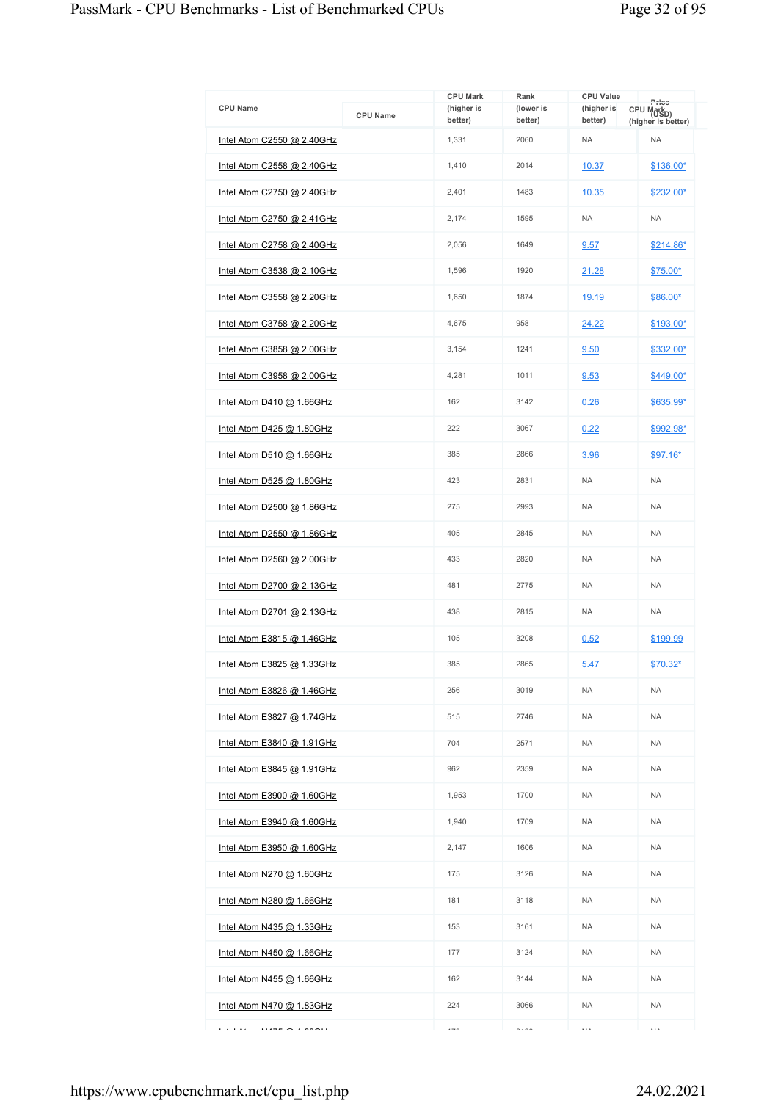| <b>CPU Name</b>                   | <b>CPU Name</b> | <b>CPU Mark</b><br>(higher is | Rank<br>(lower is | <b>CPU Value</b><br>(higher is | Price<br>CPU Mark <sub>D)</sub> |
|-----------------------------------|-----------------|-------------------------------|-------------------|--------------------------------|---------------------------------|
| Intel Atom C2550 @ 2.40GHz        |                 | better)<br>1,331              | better)<br>2060   | better)<br><b>NA</b>           | (higher is better)<br><b>NA</b> |
| <u>Intel Atom C2558 @ 2.40GHz</u> |                 | 1.410                         | 2014              | 10.37                          | \$136.00*                       |
| Intel Atom C2750 @ 2.40GHz        |                 | 2,401                         | 1483              | 10.35                          | \$232.00*                       |
| Intel Atom C2750 @ 2.41GHz        |                 | 2,174                         | 1595              | <b>NA</b>                      | <b>NA</b>                       |
| Intel Atom C2758 @ 2.40GHz        |                 | 2,056                         | 1649              | 9.57                           | $$214.86*$                      |
| Intel Atom C3538 @ 2.10GHz        |                 | 1,596                         | 1920              | 21.28                          | \$75.00*                        |
| Intel Atom C3558 @ 2.20GHz        |                 | 1,650                         | 1874              | 19.19                          | \$86.00*                        |
| Intel Atom C3758 @ 2.20GHz        |                 | 4,675                         | 958               | 24.22                          | \$193.00*                       |
| Intel Atom C3858 @ 2.00GHz        |                 | 3,154                         | 1241              | 9.50                           | \$332.00*                       |
| <u>Intel Atom C3958 @ 2.00GHz</u> |                 | 4,281                         | 1011              | 9.53                           | \$449.00*                       |
| Intel Atom D410 $@$ 1.66GHz       |                 | 162                           | 3142              | 0.26                           | \$635.99*                       |
|                                   |                 | 222                           | 3067              | 0.22                           | \$992.98*                       |
| <u>Intel Atom D425 @ 1.80GHz</u>  |                 | 385                           | 2866              |                                |                                 |
| Intel Atom D510 $@$ 1.66GHz       |                 | 423                           | 2831              | 3.96<br><b>NA</b>              | $$97.16*$<br><b>NA</b>          |
| Intel Atom D525 @ 1.80GHz         |                 |                               |                   |                                |                                 |
| Intel Atom D2500 @ 1.86GHz        |                 | 275                           | 2993              | <b>NA</b>                      | <b>NA</b>                       |
| <u>Intel Atom D2550 @ 1.86GHz</u> |                 | 405                           | 2845              | <b>NA</b>                      | <b>NA</b>                       |
| Intel Atom D2560 @ 2.00GHz        |                 | 433                           | 2820              | <b>NA</b>                      | <b>NA</b>                       |
| Intel Atom D2700 @ 2.13GHz        |                 | 481                           | 2775              | <b>NA</b>                      | <b>NA</b>                       |
| Intel Atom D2701 @ 2.13GHz        |                 | 438                           | 2815              | <b>NA</b>                      | <b>NA</b>                       |
| Intel Atom E3815 @ 1.46GHz        |                 | 105                           | 3208              | 0.52                           | \$199.99                        |
| Intel Atom E3825 @ 1.33GHz        |                 | 385                           | 2865              | 5.47                           | \$70.32*                        |
| Intel Atom E3826 @ 1.46GHz        |                 | 256                           | 3019              | <b>NA</b>                      | <b>NA</b>                       |
| Intel Atom E3827 @ 1.74GHz        |                 | 515                           | 2746              | <b>NA</b>                      | <b>NA</b>                       |
| <u>Intel Atom E3840 @ 1.91GHz</u> |                 | 704                           | 2571              | <b>NA</b>                      | <b>NA</b>                       |
| Intel Atom E3845 @ 1.91GHz        |                 | 962                           | 2359              | <b>NA</b>                      | <b>NA</b>                       |
| Intel Atom E3900 @ 1.60GHz        |                 | 1,953                         | 1700              | <b>NA</b>                      | <b>NA</b>                       |
| Intel Atom E3940 $@$ 1.60GHz      |                 | 1,940                         | 1709              | <b>NA</b>                      | <b>NA</b>                       |
| Intel Atom E3950 @ 1.60GHz        |                 | 2,147                         | 1606              | <b>NA</b>                      | <b>NA</b>                       |
| Intel Atom N270 @ 1.60GHz         |                 | 175                           | 3126              | <b>NA</b>                      | <b>NA</b>                       |
| Intel Atom N280 @ 1.66GHz         |                 | 181                           | 3118              | <b>NA</b>                      | <b>NA</b>                       |
| Intel Atom N435 @ 1.33GHz         |                 | 153                           | 3161              | <b>NA</b>                      | <b>NA</b>                       |
| Intel Atom N450 @ 1.66GHz         |                 | 177                           | 3124              | <b>NA</b>                      | <b>NA</b>                       |
| Intel Atom N455 @ 1.66GHz         |                 | 162                           | 3144              | <b>NA</b>                      | <b>NA</b>                       |
| <u>Intel Atom N470 @ 1.83GHz</u>  |                 | 224                           | 3066              | <b>NA</b>                      | <b>NA</b>                       |
| $\cdots$<br>$\cdots$              |                 | $-$                           | $\cdots$          | $\ddotsc$                      | $\ldots$                        |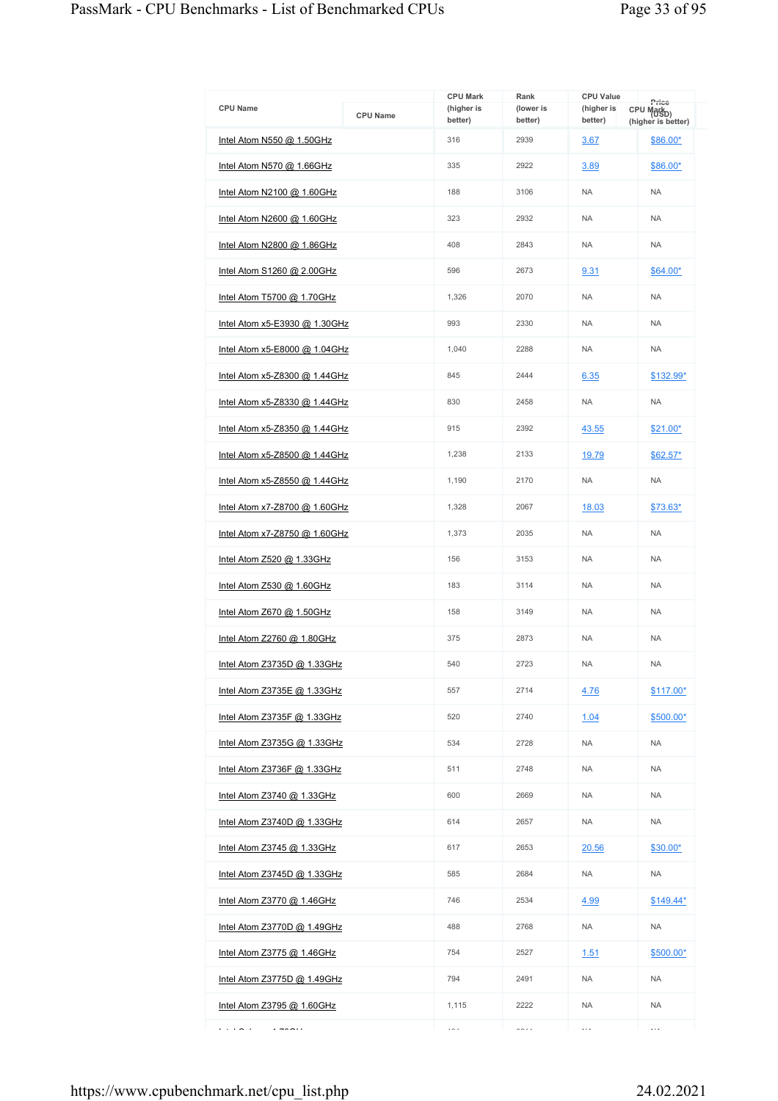| <b>CPU Name</b>                      | <b>CPU Name</b> | <b>CPU Mark</b><br>(higher is<br>better) | Rank<br>(lower is<br>better) | <b>CPU Value</b><br>(higher is<br>better) | Price<br>CPU Mark <sub>D)</sub><br>(higher is better) |
|--------------------------------------|-----------------|------------------------------------------|------------------------------|-------------------------------------------|-------------------------------------------------------|
| Intel Atom N550 @ 1.50GHz            |                 | 316                                      | 2939                         | 3.67                                      | \$86.00*                                              |
| <u>Intel Atom N570 @ 1.66GHz</u>     |                 | 335                                      | 2922                         | 3.89                                      | \$86.00*                                              |
| Intel Atom N2100 $@$ 1.60GHz         |                 | 188                                      | 3106                         | <b>NA</b>                                 | <b>NA</b>                                             |
| Intel Atom N2600 @ 1.60GHz           |                 | 323                                      | 2932                         | <b>NA</b>                                 | <b>NA</b>                                             |
| Intel Atom N2800 @ 1.86GHz           |                 | 408                                      | 2843                         | <b>NA</b>                                 | <b>NA</b>                                             |
| Intel Atom S1260 @ 2.00GHz           |                 | 596                                      | 2673                         | 9.31                                      | \$64.00*                                              |
| Intel Atom T5700 @ 1.70GHz           |                 | 1,326                                    | 2070                         | <b>NA</b>                                 | <b>NA</b>                                             |
| <u>Intel Atom x5-E3930 @ 1.30GHz</u> |                 | 993                                      | 2330                         | <b>NA</b>                                 | <b>NA</b>                                             |
| Intel Atom x5-E8000 @ 1.04GHz        |                 | 1,040                                    | 2288                         | <b>NA</b>                                 | <b>NA</b>                                             |
| <u>Intel Atom x5-Z8300 @ 1.44GHz</u> |                 | 845                                      | 2444                         | 6.35                                      | \$132.99*                                             |
| Intel Atom x5-Z8330 @ 1.44GHz        |                 | 830                                      | 2458                         | <b>NA</b>                                 | <b>NA</b>                                             |
| Intel Atom x5-Z8350 @ 1.44GHz        |                 | 915                                      | 2392                         | 43.55                                     | \$21.00*                                              |
| Intel Atom $x5$ -Z8500 @ 1.44GHz     |                 | 1,238                                    | 2133                         | 19.79                                     | $$62.57*$                                             |
| Intel Atom x5-Z8550 @ 1.44GHz        |                 | 1,190                                    | 2170                         | <b>NA</b>                                 | <b>NA</b>                                             |
| Intel Atom x7-Z8700 @ 1.60GHz        |                 | 1,328                                    | 2067                         | 18.03                                     | \$73.63*                                              |
| <u>Intel Atom x7-Z8750 @ 1.60GHz</u> |                 | 1,373                                    | 2035                         | <b>NA</b>                                 | <b>NA</b>                                             |
| Intel Atom Z520 @ 1.33GHz            |                 | 156                                      | 3153                         | <b>NA</b>                                 | <b>NA</b>                                             |
| Intel Atom Z530 @ 1.60GHz            |                 | 183                                      | 3114                         | <b>NA</b>                                 | <b>NA</b>                                             |
| Intel Atom Z670 @ 1.50GHz            |                 | 158                                      | 3149                         | <b>NA</b>                                 | <b>NA</b>                                             |
| <u>Intel Atom Z2760 @ 1.80GHz</u>    |                 | 375                                      | 2873                         | <b>NA</b>                                 | <b>NA</b>                                             |
| Intel Atom Z3735D @ 1.33GHz          |                 | 540                                      | 2723                         | <b>NA</b>                                 | <b>NA</b>                                             |
| Intel Atom Z3735E @ 1.33GHz          |                 | 557                                      | 2714                         | 4.76                                      | $$117.00*$                                            |
| Intel Atom Z3735F @ 1.33GHz          |                 | 520                                      | 2740                         | 1.04                                      | \$500.00*                                             |
| Intel Atom $Z3735G$ @ 1.33GHz        |                 | 534                                      | 2728                         | <b>NA</b>                                 | <b>NA</b>                                             |
| Intel Atom Z3736F @ 1.33GHz          |                 | 511                                      | 2748                         | <b>NA</b>                                 | <b>NA</b>                                             |
| <u>Intel Atom Z3740 @ 1.33GHz</u>    |                 | 600                                      | 2669                         | <b>NA</b>                                 | <b>NA</b>                                             |
| Intel Atom Z3740D @ 1.33GHz          |                 | 614                                      | 2657                         | NA.                                       | <b>NA</b>                                             |
| Intel Atom Z3745 @ 1.33GHz           |                 | 617                                      | 2653                         | 20.56                                     | \$30.00*                                              |
| Intel Atom Z3745D @ 1.33GHz          |                 | 585                                      | 2684                         | NA                                        | <b>NA</b>                                             |
| <u>Intel Atom Z3770 @ 1.46GHz</u>    |                 | 746                                      | 2534                         | 4.99                                      | $$149.44*$                                            |
| Intel Atom Z3770D @ 1.49GHz          |                 | 488                                      | 2768                         | <b>NA</b>                                 | <b>NA</b>                                             |
| Intel Atom Z3775 @ 1.46GHz           |                 | 754                                      | 2527                         | 1.51                                      | $$500.00*$                                            |
| Intel Atom $Z3775D$ @ 1.49GHz        |                 | 794                                      | 2491                         | <b>NA</b>                                 | <b>NA</b>                                             |
| Intel Atom Z3795 @ 1.60GHz           |                 | 1,115                                    | 2222                         | <b>NA</b>                                 | <b>NA</b>                                             |
| .<br>$-222$                          |                 | $\overline{\phantom{a}}$                 | $\sim$ $\sim$                | $\cdots$                                  | $\cdots$                                              |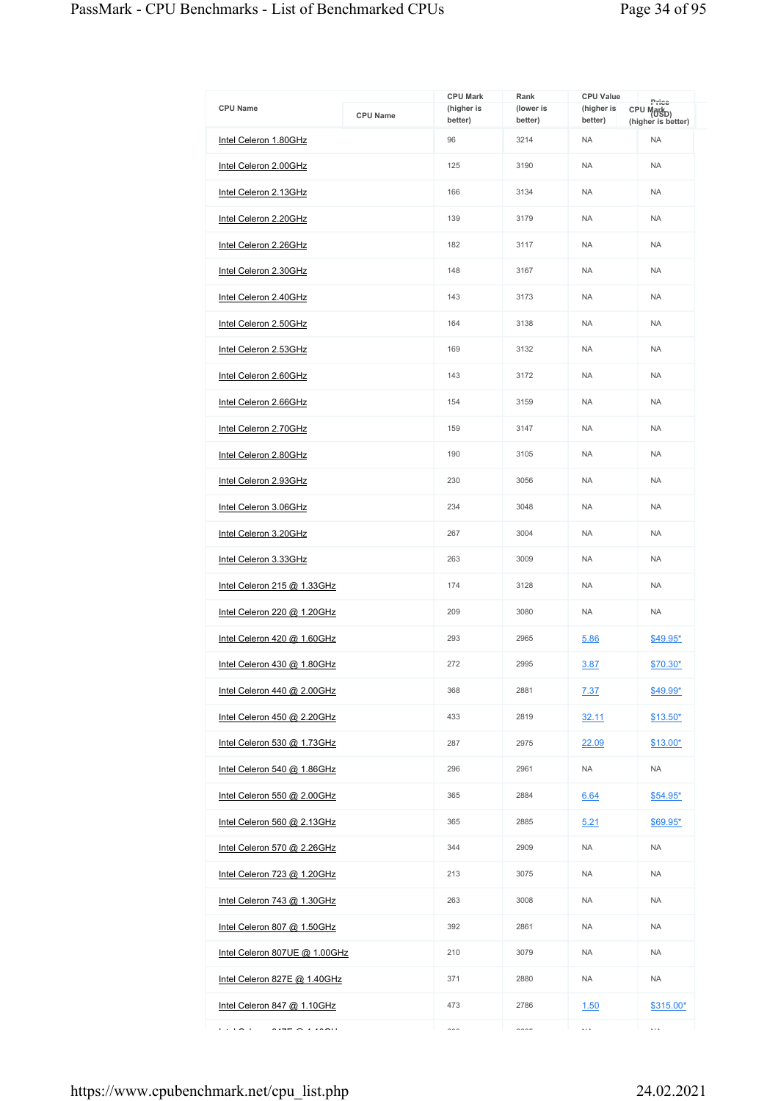| <b>CPU Name</b>               | <b>CPU Name</b> | <b>CPU Mark</b><br>(higher is<br>better) | Rank<br>(lower is<br>better) | <b>CPU Value</b><br>(higher is<br>better) | Price<br>CPU Markp)<br>(higher is better) |
|-------------------------------|-----------------|------------------------------------------|------------------------------|-------------------------------------------|-------------------------------------------|
| Intel Celeron 1.80GHz         |                 | 96                                       | 3214                         | <b>NA</b>                                 | <b>NA</b>                                 |
| Intel Celeron 2.00GHz         |                 | 125                                      | 3190                         | <b>NA</b>                                 | <b>NA</b>                                 |
| Intel Celeron 2.13GHz         |                 | 166                                      | 3134                         | <b>NA</b>                                 | <b>NA</b>                                 |
| Intel Celeron 2.20GHz         |                 | 139                                      | 3179                         | <b>NA</b>                                 | <b>NA</b>                                 |
| Intel Celeron 2.26GHz         |                 | 182                                      | 3117                         | <b>NA</b>                                 | <b>NA</b>                                 |
| Intel Celeron 2.30GHz         |                 | 148                                      | 3167                         | <b>NA</b>                                 | <b>NA</b>                                 |
| Intel Celeron 2.40GHz         |                 | 143                                      | 3173                         | <b>NA</b>                                 | <b>NA</b>                                 |
| Intel Celeron 2.50GHz         |                 | 164                                      | 3138                         | <b>NA</b>                                 | <b>NA</b>                                 |
| Intel Celeron 2.53GHz         |                 | 169                                      | 3132                         | <b>NA</b>                                 | <b>NA</b>                                 |
| Intel Celeron 2.60GHz         |                 | 143                                      | 3172                         | <b>NA</b>                                 | <b>NA</b>                                 |
| Intel Celeron 2.66GHz         |                 | 154                                      | 3159                         | <b>NA</b>                                 | <b>NA</b>                                 |
| Intel Celeron 2.70GHz         |                 | 159                                      | 3147                         | <b>NA</b>                                 | <b>NA</b>                                 |
| Intel Celeron 2.80GHz         |                 | 190                                      | 3105                         | <b>NA</b>                                 | <b>NA</b>                                 |
| Intel Celeron 2.93GHz         |                 | 230                                      | 3056                         | <b>NA</b>                                 | <b>NA</b>                                 |
| Intel Celeron 3.06GHz         |                 | 234                                      | 3048                         | <b>NA</b>                                 | <b>NA</b>                                 |
| Intel Celeron 3.20GHz         |                 | 267                                      | 3004                         | <b>NA</b>                                 | <b>NA</b>                                 |
| Intel Celeron 3.33GHz         |                 | 263                                      | 3009                         | <b>NA</b>                                 | <b>NA</b>                                 |
| Intel Celeron 215 @ 1.33GHz   |                 | 174                                      | 3128                         | <b>NA</b>                                 | <b>NA</b>                                 |
| Intel Celeron 220 @ 1.20GHz   |                 | 209                                      | 3080                         | <b>NA</b>                                 | <b>NA</b>                                 |
| Intel Celeron 420 @ 1.60GHz   |                 | 293                                      | 2965                         | 5.86                                      | \$49.95*                                  |
| Intel Celeron 430 @ 1.80GHz   |                 | 272                                      | 2995                         | 3.87                                      | \$70.30*                                  |
| Intel Celeron 440 @ 2.00 GHz  |                 | 368                                      | 2881                         | 7.37                                      | \$49.99*                                  |
| Intel Celeron 450 @ 2.20GHz   |                 | 433                                      | 2819                         | 32.11                                     | $$13.50*$                                 |
| Intel Celeron 530 @ 1.73GHz   |                 | 287                                      | 2975                         | 22.09                                     | $$13.00*$                                 |
| Intel Celeron 540 @ 1.86GHz   |                 | 296                                      | 2961                         | <b>NA</b>                                 | <b>NA</b>                                 |
| Intel Celeron 550 @ 2.00GHz   |                 | 365                                      | 2884                         | 6.64                                      | $$54.95*$                                 |
| Intel Celeron 560 @ 2.13GHz   |                 | 365                                      | 2885                         | 5.21                                      | $$69.95*$                                 |
| Intel Celeron 570 @ 2.26GHz   |                 | 344                                      | 2909                         | <b>NA</b>                                 | <b>NA</b>                                 |
| Intel Celeron 723 @ 1.20GHz   |                 | 213                                      | 3075                         | <b>NA</b>                                 | <b>NA</b>                                 |
| Intel Celeron 743 @ 1.30GHz   |                 | 263                                      | 3008                         | <b>NA</b>                                 | <b>NA</b>                                 |
| Intel Celeron 807 @ 1.50GHz   |                 | 392                                      | 2861                         | <b>NA</b>                                 | <b>NA</b>                                 |
| Intel Celeron 807UE @ 1.00GHz |                 | 210                                      | 3079                         | <b>NA</b>                                 | <b>NA</b>                                 |
| Intel Celeron 827E @ 1.40GHz  |                 | 371                                      | 2880                         | <b>NA</b>                                 | <b>NA</b>                                 |
| Intel Celeron 847 @ 1.10GHz   |                 | 473                                      | 2786                         | 1.50                                      | \$315.00*                                 |
| .                             |                 | $\sim$                                   | $\sim$                       | $\cdots$                                  | $\ldots$                                  |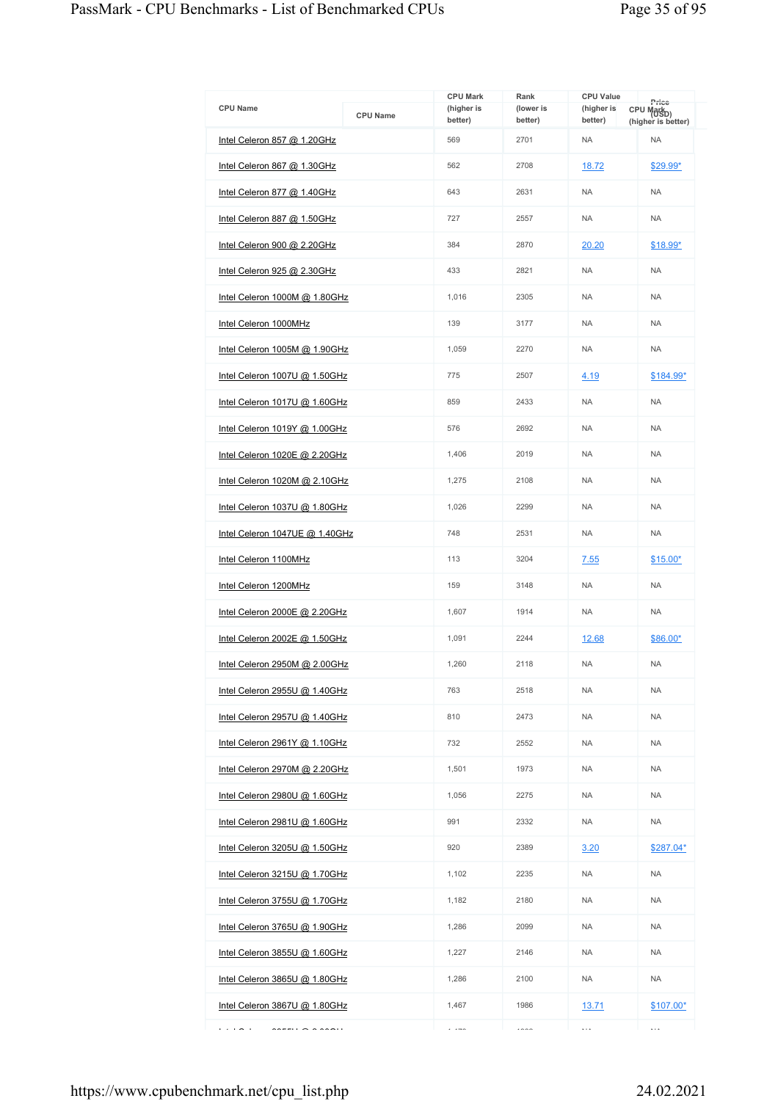|                                      |                 | <b>CPU Mark</b>       | Rank                 | <b>CPU Value</b>      | Price                            |
|--------------------------------------|-----------------|-----------------------|----------------------|-----------------------|----------------------------------|
| <b>CPU Name</b>                      | <b>CPU Name</b> | (higher is<br>better) | (lower is<br>better) | (higher is<br>better) | CPU Markp)<br>(higher is better) |
| Intel Celeron 857 @ 1.20GHz          |                 | 569                   | 2701                 | <b>NA</b>             | <b>NA</b>                        |
| Intel Celeron 867 @ 1.30GHz          |                 | 562                   | 2708                 | 18.72                 | \$29.99*                         |
| Intel Celeron 877 @ 1.40GHz          |                 | 643                   | 2631                 | <b>NA</b>             | <b>NA</b>                        |
| Intel Celeron 887 @ 1.50GHz          |                 | 727                   | 2557                 | <b>NA</b>             | <b>NA</b>                        |
| Intel Celeron 900 @ 2.20GHz          |                 | 384                   | 2870                 | 20.20                 | $$18.99*$                        |
| Intel Celeron 925 @ 2.30GHz          |                 | 433                   | 2821                 | <b>NA</b>             | <b>NA</b>                        |
| Intel Celeron 1000M @ 1.80GHz        |                 | 1,016                 | 2305                 | <b>NA</b>             | <b>NA</b>                        |
| Intel Celeron 1000MHz                |                 | 139                   | 3177                 | <b>NA</b>             | <b>NA</b>                        |
| Intel Celeron 1005M @ 1.90GHz        |                 | 1,059                 | 2270                 | <b>NA</b>             | <b>NA</b>                        |
| Intel Celeron 1007U @ 1.50GHz        |                 | 775                   | 2507                 | 4.19                  | \$184.99*                        |
| Intel Celeron 1017U @ 1.60GHz        |                 | 859                   | 2433                 | <b>NA</b>             | <b>NA</b>                        |
| Intel Celeron 1019Y @ 1.00GHz        |                 | 576                   | 2692                 | <b>NA</b>             | <b>NA</b>                        |
| Intel Celeron 1020E @ 2.20GHz        |                 | 1,406                 | 2019                 | <b>NA</b>             | <b>NA</b>                        |
| Intel Celeron 1020M @ 2.10GHz        |                 | 1,275                 | 2108                 | <b>NA</b>             | <b>NA</b>                        |
| Intel Celeron 1037U @ 1.80GHz        |                 | 1,026                 | 2299                 | <b>NA</b>             | <b>NA</b>                        |
| Intel Celeron 1047UE @ 1.40GHz       |                 | 748                   | 2531                 | <b>NA</b>             | <b>NA</b>                        |
| Intel Celeron 1100MHz                |                 | 113                   | 3204                 | 7.55                  | \$15.00*                         |
| Intel Celeron 1200MHz                |                 | 159                   | 3148                 | <b>NA</b>             | <b>NA</b>                        |
| Intel Celeron 2000E @ 2.20GHz        |                 | 1,607                 | 1914                 | <b>NA</b>             | <b>NA</b>                        |
| Intel Celeron 2002E @ 1.50GHz        |                 | 1,091                 | 2244                 | 12.68                 | \$86.00*                         |
| Intel Celeron 2950M @ 2.00GHz        |                 | 1,260                 | 2118                 | <b>NA</b>             | <b>NA</b>                        |
| Intel Celeron 2955U @ 1.40GHz        |                 | 763                   | 2518                 | <b>NA</b>             | <b>NA</b>                        |
| Intel Celeron 2957U @ 1.40GHz        |                 | 810                   | 2473                 | <b>NA</b>             | <b>NA</b>                        |
| Intel Celeron 2961Y @ 1.10GHz        |                 | 732                   | 2552                 | <b>NA</b>             | <b>NA</b>                        |
| Intel Celeron 2970M @ 2.20GHz        |                 | 1,501                 | 1973                 | <b>NA</b>             | <b>NA</b>                        |
| Intel Celeron 2980U @ 1.60GHz        |                 | 1,056                 | 2275                 | <b>NA</b>             | <b>NA</b>                        |
| Intel Celeron 2981U @ 1.60GHz        |                 | 991                   | 2332                 | <b>NA</b>             | <b>NA</b>                        |
| <u>Intel Celeron 3205U @ 1.50GHz</u> |                 | 920                   | 2389                 | 3.20                  | \$287.04*                        |
| Intel Celeron 3215U @ 1.70GHz        |                 | 1,102                 | 2235                 | NA                    | <b>NA</b>                        |
| Intel Celeron 3755U @ 1.70GHz        |                 | 1,182                 | 2180                 | <b>NA</b>             | <b>NA</b>                        |
| Intel Celeron 3765U @ 1.90GHz        |                 | 1,286                 | 2099                 | <b>NA</b>             | <b>NA</b>                        |
| Intel Celeron 3855U @ 1.60GHz        |                 | 1,227                 | 2146                 | NA.                   | <b>NA</b>                        |
| Intel Celeron 3865U @ 1.80GHz        |                 | 1,286                 | 2100                 | <b>NA</b>             | <b>NA</b>                        |
| Intel Celeron 3867U @ 1.80GHz        |                 | 1,467                 | 1986                 | <u>13.71</u>          | $$107.00*$                       |
| .                                    |                 | $\cdots$              | 1000                 | $\ddotsc$             | $\ldots$                         |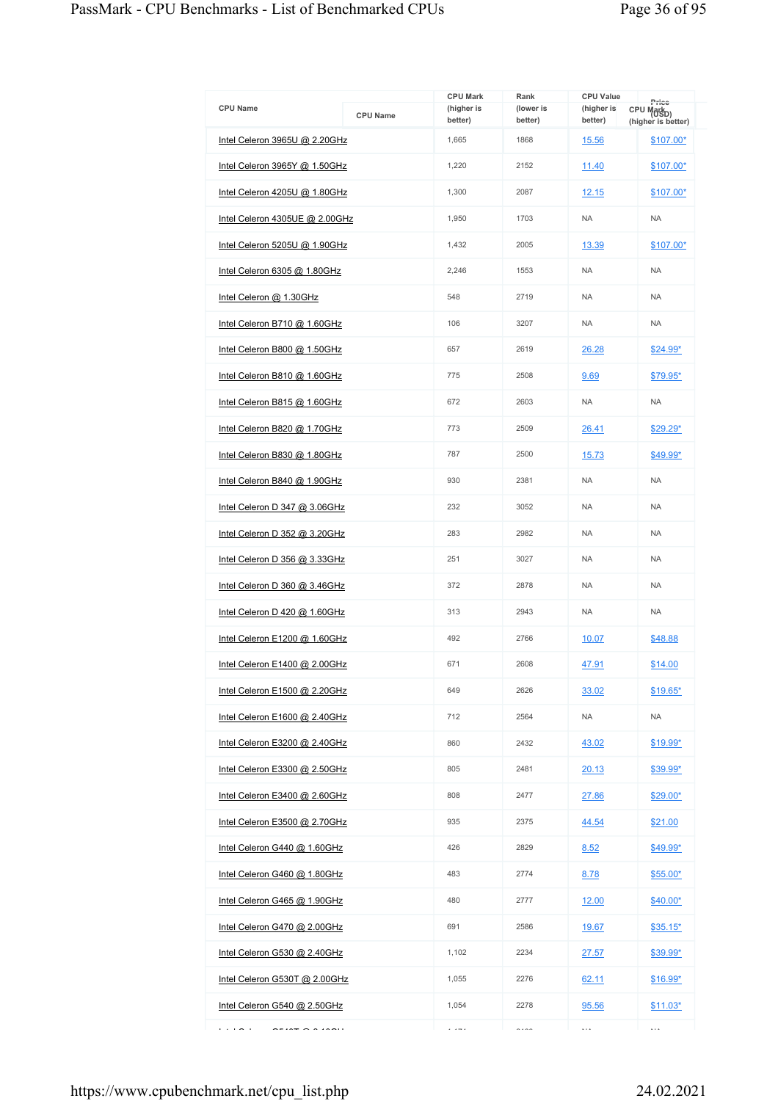| <b>CPU Name</b>                                                                                                                           | <b>CPU Name</b> | <b>CPU Mark</b><br>(higher is<br>better) | Rank<br>(lower is<br>better) | <b>CPU Value</b><br>(higher is<br>better) | Price<br>CPU Mark <sub>D)</sub><br>(higher is better) |
|-------------------------------------------------------------------------------------------------------------------------------------------|-----------------|------------------------------------------|------------------------------|-------------------------------------------|-------------------------------------------------------|
| Intel Celeron 3965U @ 2.20GHz                                                                                                             |                 | 1,665                                    | 1868                         | 15.56                                     | $$107.00*$                                            |
| Intel Celeron 3965Y @ 1.50GHz                                                                                                             |                 | 1,220                                    | 2152                         | 11.40                                     | $$107.00*$                                            |
| Intel Celeron 4205U @ 1.80GHz                                                                                                             |                 | 1,300                                    | 2087                         | 12.15                                     | $$107.00*$                                            |
| Intel Celeron 4305UE @ 2.00GHz                                                                                                            |                 | 1,950                                    | 1703                         | <b>NA</b>                                 | <b>NA</b>                                             |
| Intel Celeron 5205U @ 1.90GHz                                                                                                             |                 | 1,432                                    | 2005                         | 13.39                                     | $$107.00*$                                            |
| Intel Celeron 6305 @ 1.80GHz                                                                                                              |                 | 2.246                                    | 1553                         | <b>NA</b>                                 | <b>NA</b>                                             |
| Intel Celeron @ 1.30GHz                                                                                                                   |                 | 548                                      | 2719                         | <b>NA</b>                                 | <b>NA</b>                                             |
| Intel Celeron B710 @ 1.60GHz                                                                                                              |                 | 106                                      | 3207                         | <b>NA</b>                                 | <b>NA</b>                                             |
| Intel Celeron B800 @ 1.50GHz                                                                                                              |                 | 657                                      | 2619                         | 26.28                                     | $$24.99*$                                             |
| Intel Celeron B810 @ 1.60GHz                                                                                                              |                 | 775                                      | 2508                         | 9.69                                      | \$79.95*                                              |
| Intel Celeron B815 @ 1.60GHz                                                                                                              |                 | 672                                      | 2603                         | <b>NA</b>                                 | <b>NA</b>                                             |
| Intel Celeron B820 @ 1.70GHz                                                                                                              |                 | 773                                      | 2509                         | 26.41                                     | \$29.29*                                              |
| Intel Celeron B830 @ 1.80GHz                                                                                                              |                 | 787                                      | 2500                         | 15.73                                     | $$49.99*$                                             |
| Intel Celeron B840 @ 1.90GHz                                                                                                              |                 | 930                                      | 2381                         | <b>NA</b>                                 | <b>NA</b>                                             |
| Intel Celeron D 347 @ 3.06GHz                                                                                                             |                 | 232                                      | 3052                         | <b>NA</b>                                 | <b>NA</b>                                             |
| Intel Celeron D 352 @ 3.20GHz                                                                                                             |                 | 283                                      | 2982                         | <b>NA</b>                                 | <b>NA</b>                                             |
| Intel Celeron D 356 @ 3.33GHz                                                                                                             |                 | 251                                      | 3027                         | <b>NA</b>                                 | <b>NA</b>                                             |
| Intel Celeron D $360$ @ $3.46$ GHz                                                                                                        |                 | 372                                      | 2878                         | <b>NA</b>                                 | <b>NA</b>                                             |
| Intel Celeron D 420 @ 1.60GHz                                                                                                             |                 | 313                                      | 2943                         | <b>NA</b>                                 | <b>NA</b>                                             |
| Intel Celeron E1200 @ 1.60GHz                                                                                                             |                 | 492                                      | 2766                         | 10.07                                     | \$48.88                                               |
| Intel Celeron E1400 @ 2.00GHz                                                                                                             |                 | 671                                      | 2608                         | 47.91                                     | \$14.00                                               |
| Intel Celeron E1500 @ 2.20GHz                                                                                                             |                 | 649                                      | 2626                         | 33.02                                     | $$19.65*$                                             |
| Intel Celeron E1600 @ 2.40GHz                                                                                                             |                 | 712                                      | 2564                         | <b>NA</b>                                 | <b>NA</b>                                             |
| Intel Celeron E3200 @ 2.40GHz                                                                                                             |                 | 860                                      | 2432                         | 43.02                                     | \$19.99*                                              |
| Intel Celeron E3300 @ 2.50GHz                                                                                                             |                 | 805                                      | 2481                         | 20.13                                     | \$39.99*                                              |
| Intel Celeron E3400 @ 2.60GHz                                                                                                             |                 | 808                                      | 2477                         | 27.86                                     | $$29.00*$                                             |
| Intel Celeron E3500 $@$ 2.70GHz                                                                                                           |                 | 935                                      | 2375                         | 44.54                                     | \$21.00                                               |
| Intel Celeron G440 @ 1.60GHz                                                                                                              |                 | 426                                      | 2829                         | 8.52                                      | \$49.99*                                              |
| Intel Celeron G460 @ 1.80GHz                                                                                                              |                 | 483                                      | 2774                         | 8.78                                      | $$55.00*$                                             |
| Intel Celeron G465 @ 1.90GHz                                                                                                              |                 | 480                                      | 2777                         | 12.00                                     | $$40.00*$                                             |
| Intel Celeron G470 @ 2.00GHz                                                                                                              |                 | 691                                      | 2586                         | 19.67                                     | $$35.15*$                                             |
| Intel Celeron G530 @ 2.40GHz                                                                                                              |                 | 1,102                                    | 2234                         | 27.57                                     | $$39.99^*$                                            |
| Intel Celeron G530T @ 2.00GHz                                                                                                             |                 | 1,055                                    | 2276                         | 62.11                                     | $$16.99*$                                             |
| Intel Celeron G540 @ 2.50GHz                                                                                                              |                 | 1,054                                    | 2278                         | 95.56                                     | $$11.03*$                                             |
| .<br>$\mathsf{O}\mathsf{P}\mathsf{I}\mathsf{O}\mathsf{P}\mathsf{P}\mathsf{O}\mathsf{I}\mathsf{O}\mathsf{O}\mathsf{I}\mathsf{I}\mathsf{I}$ |                 | $\cdots$                                 | $\sim$ $\sim$ $\sim$         | $\ldots$                                  | $\ldots$                                              |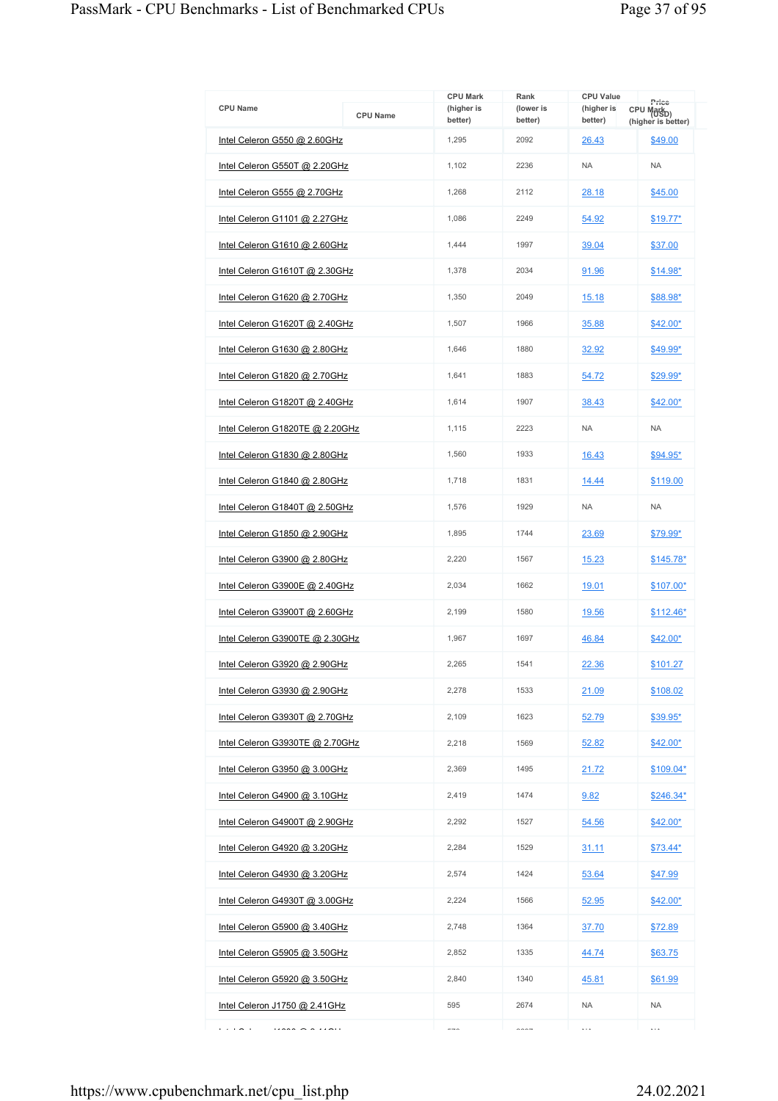| <b>CPU Name</b>                 | <b>CPU Name</b> | <b>CPU Mark</b><br>(higher is<br>better) | Rank<br>(lower is<br>better) | <b>CPU Value</b><br>(higher is<br>better) | Price<br>CPU Mark <sub>D)</sub><br>(higher is better) |
|---------------------------------|-----------------|------------------------------------------|------------------------------|-------------------------------------------|-------------------------------------------------------|
| Intel Celeron G550 @ 2.60GHz    |                 | 1,295                                    | 2092                         | 26.43                                     | \$49.00                                               |
| Intel Celeron G550T @ 2.20GHz   |                 | 1,102                                    | 2236                         | <b>NA</b>                                 | <b>NA</b>                                             |
| Intel Celeron G555 @ 2.70GHz    |                 | 1,268                                    | 2112                         | 28.18                                     | \$45.00                                               |
| Intel Celeron G1101 @ 2.27GHz   |                 | 1,086                                    | 2249                         | 54.92                                     | <u>\$19.77*</u>                                       |
| Intel Celeron G1610 @ 2.60GHz   |                 | 1,444                                    | 1997                         | 39.04                                     | \$37.00                                               |
| Intel Celeron G1610T @ 2.30GHz  |                 | 1,378                                    | 2034                         | 91.96                                     | \$14.98*                                              |
| Intel Celeron G1620 @ 2.70GHz   |                 | 1,350                                    | 2049                         | 15.18                                     | \$88.98*                                              |
| Intel Celeron G1620T @ 2.40GHz  |                 | 1,507                                    | 1966                         | 35.88                                     | $$42.00*$                                             |
| Intel Celeron G1630 @ 2.80GHz   |                 | 1,646                                    | 1880                         | 32.92                                     | \$49.99*                                              |
| Intel Celeron G1820 @ 2.70GHz   |                 | 1,641                                    | 1883                         | 54.72                                     | \$29.99*                                              |
| Intel Celeron G1820T @ 2.40GHz  |                 | 1,614                                    | 1907                         | 38.43                                     | \$42.00*                                              |
| Intel Celeron G1820TE @ 2.20GHz |                 | 1,115                                    | 2223                         | <b>NA</b>                                 | <b>NA</b>                                             |
| Intel Celeron G1830 @ 2.80GHz   |                 | 1,560                                    | 1933                         | 16.43                                     | \$94.95*                                              |
| Intel Celeron G1840 @ 2.80GHz   |                 | 1,718                                    | 1831                         | 14.44                                     | \$119.00                                              |
| Intel Celeron G1840T @ 2.50GHz  |                 | 1,576                                    | 1929                         | <b>NA</b>                                 | <b>NA</b>                                             |
| Intel Celeron G1850 @ 2.90GHz   |                 | 1,895                                    | 1744                         | 23.69                                     | <u>\$79.99*</u>                                       |
| Intel Celeron G3900 @ 2.80GHz   |                 | 2,220                                    | 1567                         | 15.23                                     | \$145.78*                                             |
| Intel Celeron G3900E @ 2.40GHz  |                 | 2,034                                    | 1662                         | 19.01                                     | \$107.00*                                             |
| Intel Celeron G3900T @ 2.60GHz  |                 | 2,199                                    | 1580                         | 19.56                                     | \$112.46*                                             |
| Intel Celeron G3900TE @ 2.30GHz |                 | 1,967                                    | 1697                         | 46.84                                     | \$42.00*                                              |
| Intel Celeron G3920 @ 2.90GHz   |                 | 2,265                                    | 1541                         | 22.36                                     | \$101.27                                              |
| Intel Celeron G3930 @ 2.90GHz   |                 | 2,278                                    | 1533                         | 21.09                                     | \$108.02                                              |
| Intel Celeron G3930T @ 2.70GHz  |                 | 2,109                                    | 1623                         | 52.79                                     | \$39.95*                                              |
| Intel Celeron G3930TE @ 2.70GHz |                 | 2,218                                    | 1569                         | 52.82                                     | <u>\$42.00*</u>                                       |
| Intel Celeron G3950 @ 3.00GHz   |                 | 2,369                                    | 1495                         | 21.72                                     | \$109.04*                                             |
| Intel Celeron G4900 @ 3.10GHz   |                 | 2,419                                    | 1474                         | 9.82                                      | <u>\$246.34*</u>                                      |
| Intel Celeron G4900T @ 2.90GHz  |                 | 2.292                                    | 1527                         | 54.56                                     | \$42.00*                                              |
| Intel Celeron G4920 @ 3.20GHz   |                 | 2,284                                    | 1529                         | 31.11                                     | $$73.44*$                                             |
| Intel Celeron G4930 @ 3.20GHz   |                 | 2,574                                    | 1424                         | 53.64                                     | <u>\$47.99</u>                                        |
| Intel Celeron G4930T @ 3.00GHz  |                 | 2,224                                    | 1566                         | 52.95                                     | $$42.00*$                                             |
| Intel Celeron G5900 @ 3.40GHz   |                 | 2,748                                    | 1364                         | 37.70                                     | \$72.89                                               |
| Intel Celeron G5905 @ 3.50GHz   |                 | 2,852                                    | 1335                         | 44.74                                     | \$63.75                                               |
| Intel Celeron G5920 @ 3.50GHz   |                 | 2,840                                    | 1340                         | 45.81                                     | \$61.99                                               |
| Intel Celeron J1750 @ 2.41GHz   |                 | 595                                      | 2674                         | <b>NA</b>                                 | <b>NA</b>                                             |
| .<br>14000000011                |                 | ---                                      | $\sim$ $\sim$ $\sim$         | $\ddotsc$                                 | $\ldots$                                              |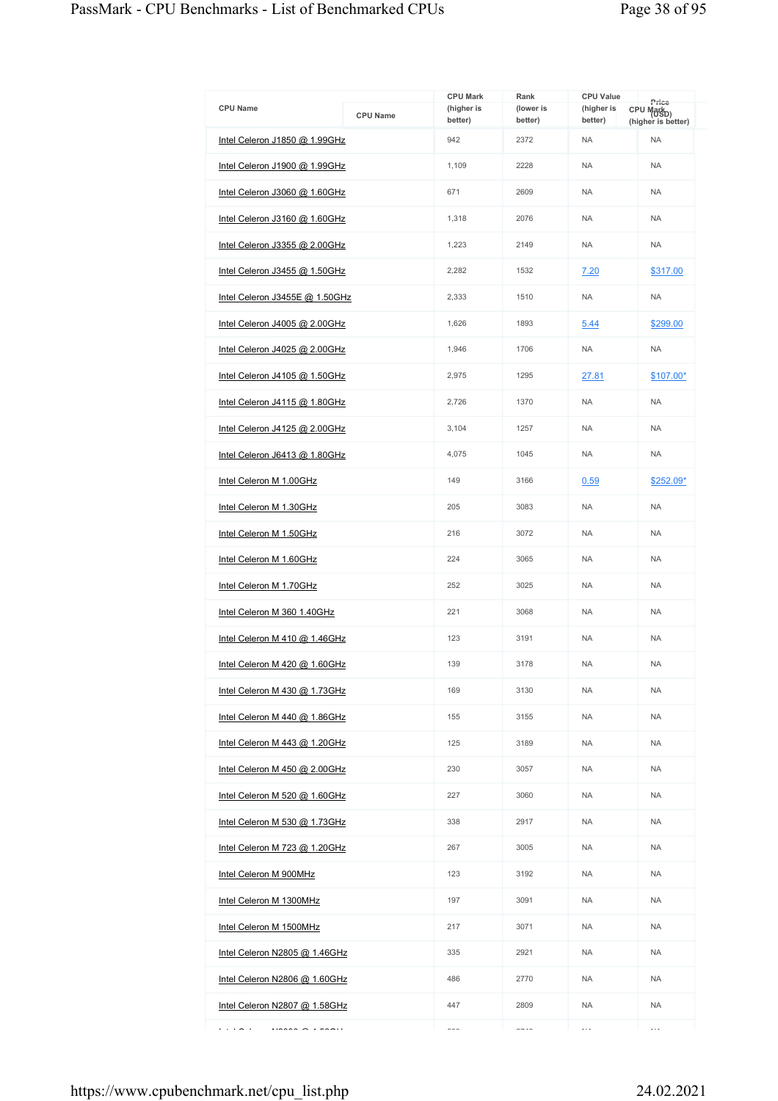| <b>CPU Name</b>                | <b>CPU Name</b> | <b>CPU Mark</b><br>(higher is<br>better) | Rank<br>(lower is<br>better) | <b>CPU Value</b><br>(higher is<br>better) | Price<br>CPU Mark <sub>D)</sub><br>(higher is better) |
|--------------------------------|-----------------|------------------------------------------|------------------------------|-------------------------------------------|-------------------------------------------------------|
| Intel Celeron J1850 @ 1.99GHz  |                 | 942                                      | 2372                         | <b>NA</b>                                 | <b>NA</b>                                             |
| Intel Celeron J1900 @ 1.99GHz  |                 | 1,109                                    | 2228                         | <b>NA</b>                                 | <b>NA</b>                                             |
| Intel Celeron J3060 @ 1.60GHz  |                 | 671                                      | 2609                         | <b>NA</b>                                 | <b>NA</b>                                             |
| Intel Celeron J3160 @ 1.60GHz  |                 | 1,318                                    | 2076                         | <b>NA</b>                                 | <b>NA</b>                                             |
| Intel Celeron J3355 @ 2.00GHz  |                 | 1,223                                    | 2149                         | <b>NA</b>                                 | <b>NA</b>                                             |
| Intel Celeron J3455 @ 1.50GHz  |                 | 2,282                                    | 1532                         | 7.20                                      | \$317.00                                              |
| Intel Celeron J3455E @ 1.50GHz |                 | 2,333                                    | 1510                         | <b>NA</b>                                 | <b>NA</b>                                             |
| Intel Celeron J4005 @ 2.00GHz  |                 | 1,626                                    | 1893                         | 5.44                                      | \$299.00                                              |
| Intel Celeron J4025 @ 2.00GHz  |                 | 1,946                                    | 1706                         | <b>NA</b>                                 | <b>NA</b>                                             |
| Intel Celeron J4105 @ 1.50GHz  |                 | 2.975                                    | 1295                         | 27.81                                     | $$107.00*$                                            |
| Intel Celeron J4115 @ 1.80GHz  |                 | 2,726                                    | 1370                         | <b>NA</b>                                 | <b>NA</b>                                             |
| Intel Celeron J4125 @ 2.00GHz  |                 | 3.104                                    | 1257                         | <b>NA</b>                                 | <b>NA</b>                                             |
| Intel Celeron J6413 @ 1.80GHz  |                 | 4,075                                    | 1045                         | <b>NA</b>                                 | <b>NA</b>                                             |
| Intel Celeron M 1.00GHz        |                 | 149                                      | 3166                         | 0.59                                      | \$252.09*                                             |
| Intel Celeron M 1.30GHz        |                 | 205                                      | 3083                         | <b>NA</b>                                 | <b>NA</b>                                             |
| Intel Celeron M 1.50GHz        |                 | 216                                      | 3072                         | <b>NA</b>                                 | <b>NA</b>                                             |
| Intel Celeron M 1.60GHz        |                 | 224                                      | 3065                         | <b>NA</b>                                 | <b>NA</b>                                             |
| Intel Celeron M 1.70GHz        |                 | 252                                      | 3025                         | <b>NA</b>                                 | <b>NA</b>                                             |
| Intel Celeron M 360 1.40GHz    |                 | 221                                      | 3068                         | <b>NA</b>                                 | <b>NA</b>                                             |
| Intel Celeron M 410 @ 1.46GHz  |                 | 123                                      | 3191                         | <b>NA</b>                                 | <b>NA</b>                                             |
| Intel Celeron M 420 @ 1.60GHz  |                 | 139                                      | 3178                         | <b>NA</b>                                 | <b>NA</b>                                             |
| Intel Celeron M 430 @ 1.73GHz  |                 | 169                                      | 3130                         | <b>NA</b>                                 | <b>NA</b>                                             |
| Intel Celeron M 440 @ 1.86GHz  |                 | 155                                      | 3155                         | NA.                                       | <b>NA</b>                                             |
| Intel Celeron M 443 @ 1.20GHz  |                 | 125                                      | 3189                         | <b>NA</b>                                 | <b>NA</b>                                             |
| Intel Celeron M 450 @ 2.00GHz  |                 | 230                                      | 3057                         | <b>NA</b>                                 | <b>NA</b>                                             |
| Intel Celeron M 520 @ 1.60GHz  |                 | 227                                      | 3060                         | NA.                                       | <b>NA</b>                                             |
| Intel Celeron M 530 @ 1.73GHz  |                 | 338                                      | 2917                         | <b>NA</b>                                 | <b>NA</b>                                             |
| Intel Celeron M 723 @ 1.20GHz  |                 | 267                                      | 3005                         | <b>NA</b>                                 | <b>NA</b>                                             |
| Intel Celeron M 900MHz         |                 | 123                                      | 3192                         | NA.                                       | <b>NA</b>                                             |
| Intel Celeron M 1300MHz        |                 | 197                                      | 3091                         | <b>NA</b>                                 | <b>NA</b>                                             |
| Intel Celeron M 1500MHz        |                 | 217                                      | 3071                         | <b>NA</b>                                 | <b>NA</b>                                             |
| Intel Celeron N2805 @ 1.46GHz  |                 | 335                                      | 2921                         | NA.                                       | <b>NA</b>                                             |
| Intel Celeron N2806 @ 1.60GHz  |                 | 486                                      | 2770                         | <b>NA</b>                                 | <b>NA</b>                                             |
| Intel Celeron N2807 @ 1.58GHz  |                 | 447                                      | 2809                         | <b>NA</b>                                 | <b>NA</b>                                             |
| .<br>$\cdots$                  |                 | $\sim$                                   | $\sim$ $\sim$                | $\ldots$                                  | $\ldots$                                              |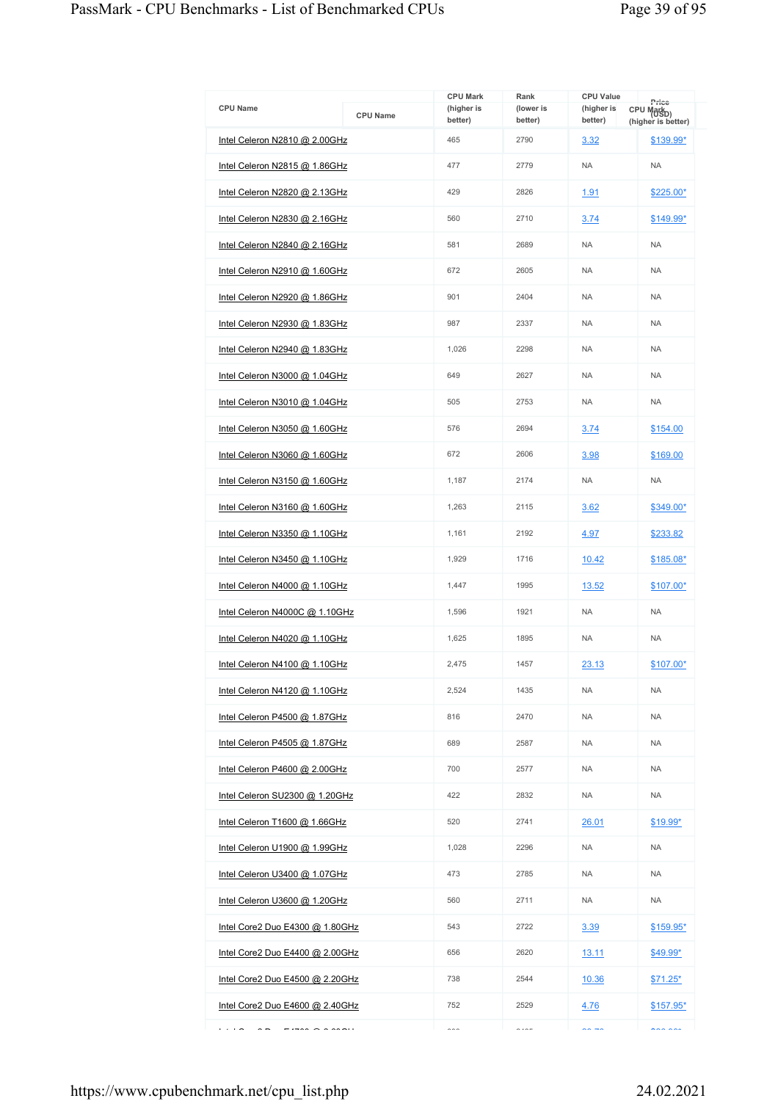|                                 |                 | <b>CPU Mark</b>       | Rank                 | <b>CPU Value</b>      | Price                                        |
|---------------------------------|-----------------|-----------------------|----------------------|-----------------------|----------------------------------------------|
| <b>CPU Name</b>                 | <b>CPU Name</b> | (higher is<br>better) | (lower is<br>better) | (higher is<br>better) | CPU Mark <sub>D)</sub><br>(higher is better) |
| Intel Celeron N2810 @ 2.00GHz   |                 | 465                   | 2790                 | 3.32                  | \$139.99*                                    |
| Intel Celeron N2815 @ 1.86GHz   |                 | 477                   | 2779                 | <b>NA</b>             | <b>NA</b>                                    |
| Intel Celeron N2820 @ 2.13GHz   |                 | 429                   | 2826                 | <u>1.91</u>           | $$225.00*$                                   |
| Intel Celeron N2830 @ 2.16GHz   |                 | 560                   | 2710                 | 3.74                  | \$149.99*                                    |
| Intel Celeron N2840 @ 2.16GHz   |                 | 581                   | 2689                 | <b>NA</b>             | <b>NA</b>                                    |
| Intel Celeron N2910 @ 1.60GHz   |                 | 672                   | 2605                 | <b>NA</b>             | <b>NA</b>                                    |
| Intel Celeron N2920 @ 1.86GHz   |                 | 901                   | 2404                 | <b>NA</b>             | <b>NA</b>                                    |
| Intel Celeron N2930 @ 1.83GHz   |                 | 987                   | 2337                 | <b>NA</b>             | <b>NA</b>                                    |
| Intel Celeron N2940 @ 1.83GHz   |                 | 1,026                 | 2298                 | <b>NA</b>             | <b>NA</b>                                    |
| Intel Celeron N3000 @ 1.04GHz   |                 | 649                   | 2627                 | <b>NA</b>             | <b>NA</b>                                    |
| Intel Celeron N3010 @ 1.04GHz   |                 | 505                   | 2753                 | <b>NA</b>             | <b>NA</b>                                    |
| Intel Celeron N3050 @ 1.60GHz   |                 | 576                   | 2694                 | 3.74                  | \$154.00                                     |
| Intel Celeron N3060 @ 1.60GHz   |                 | 672                   | 2606                 | 3.98                  | \$169.00                                     |
| Intel Celeron N3150 @ 1.60GHz   |                 | 1,187                 | 2174                 | <b>NA</b>             | <b>NA</b>                                    |
| Intel Celeron N3160 @ 1.60GHz   |                 | 1,263                 | 2115                 | 3.62                  | \$349.00*                                    |
| Intel Celeron N3350 @ 1.10GHz   |                 | 1,161                 | 2192                 | 4.97                  | \$233.82                                     |
| Intel Celeron N3450 @ 1.10GHz   |                 | 1,929                 | 1716                 | 10.42                 | \$185.08*                                    |
| Intel Celeron N4000 $@$ 1.10GHz |                 | 1,447                 | 1995                 | 13.52                 | \$107.00*                                    |
| Intel Celeron N4000C @ 1.10GHz  |                 | 1.596                 | 1921                 | <b>NA</b>             | <b>NA</b>                                    |
| Intel Celeron N4020 @ 1.10GHz   |                 | 1,625                 | 1895                 | <b>NA</b>             | <b>NA</b>                                    |
| Intel Celeron N4100 @ 1.10GHz   |                 | 2,475                 | 1457                 | 23.13                 | \$107.00*                                    |
| Intel Celeron N4120 @ 1.10GHz   |                 | 2,524                 | 1435                 | <b>NA</b>             | <b>NA</b>                                    |
| Intel Celeron P4500 @ 1.87GHz   |                 | 816                   | 2470                 | <b>NA</b>             | <b>NA</b>                                    |
| Intel Celeron P4505 @ 1.87GHz   |                 | 689                   | 2587                 | <b>NA</b>             | <b>NA</b>                                    |
| Intel Celeron P4600 @ 2.00GHz   |                 | 700                   | 2577                 | <b>NA</b>             | <b>NA</b>                                    |
| Intel Celeron SU2300 @ 1.20GHz  |                 | 422                   | 2832                 | <b>NA</b>             | <b>NA</b>                                    |
| Intel Celeron T1600 @ 1.66GHz   |                 | 520                   | 2741                 | 26.01                 | \$19.99*                                     |
| Intel Celeron U1900 @ 1.99GHz   |                 | 1,028                 | 2296                 | <b>NA</b>             | <b>NA</b>                                    |
| Intel Celeron U3400 @ 1.07GHz   |                 | 473                   | 2785                 | <b>NA</b>             | <b>NA</b>                                    |
| Intel Celeron U3600 @ 1.20GHz   |                 | 560                   | 2711                 | NA.                   | <b>NA</b>                                    |
| Intel Core2 Duo E4300 @ 1.80GHz |                 | 543                   | 2722                 | 3.39                  | $$159.95*$                                   |
| Intel Core2 Duo E4400 @ 2.00GHz |                 | 656                   | 2620                 | <u>13.11</u>          | <u>\$49.99*</u>                              |
| Intel Core2 Duo E4500 @ 2.20GHz |                 | 738                   | 2544                 | 10.36                 | $$71.25^*$                                   |
| Intel Core2 Duo E4600 @ 2.40GHz |                 | 752                   | 2529                 | 4.76                  | $$157.95*$                                   |
| .<br>17000000000000             |                 | $\sim$                | $\sim$ $\sim$ $\sim$ | $\sim -1$             | $\sim$ $\sim$ $\sim$                         |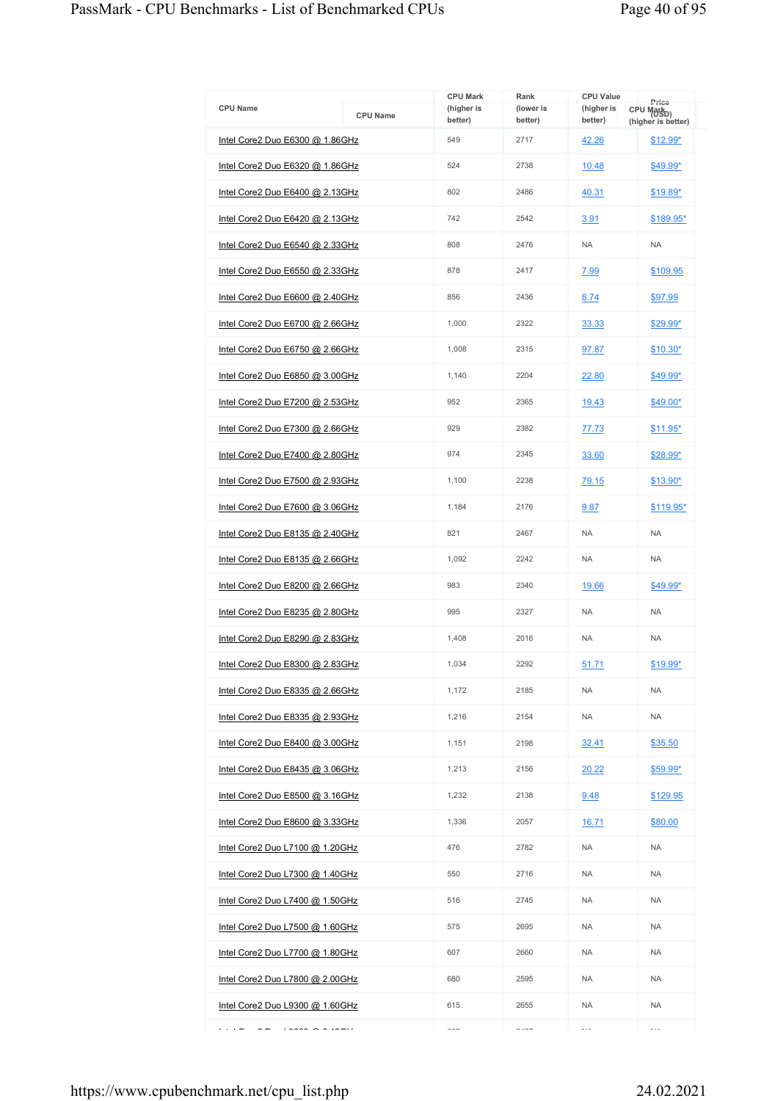| <b>CPU Name</b>                 |                 | <b>CPU Mark</b><br>(higher is | Rank<br>(lower is    | <b>CPU Value</b><br>(higher is | Price<br>CPU Mark <sub>D)</sub> |
|---------------------------------|-----------------|-------------------------------|----------------------|--------------------------------|---------------------------------|
|                                 | <b>CPU Name</b> | better)                       | better)              | better)                        | (higher is better)              |
| Intel Core2 Duo E6300 @ 1.86GHz |                 | 549                           | 2717                 | 42.26                          | \$12.99*                        |
| Intel Core2 Duo E6320 @ 1.86GHz |                 | 524                           | 2738                 | 10.48                          | \$49.99*                        |
| Intel Core2 Duo E6400 @ 2.13GHz |                 | 802                           | 2486                 | 40.31                          | \$19.89*                        |
| Intel Core2 Duo E6420 @ 2.13GHz |                 | 742                           | 2542                 | 3.91                           | \$189.95*                       |
| Intel Core2 Duo E6540 @ 2.33GHz |                 | 808                           | 2476                 | <b>NA</b>                      | <b>NA</b>                       |
| Intel Core2 Duo E6550 @ 2.33GHz |                 | 878                           | 2417                 | 7.99                           | \$109.95                        |
| Intel Core2 Duo E6600 @ 2.40GHz |                 | 856                           | 2436                 | 8.74                           | \$97.99                         |
| Intel Core2 Duo E6700 @ 2.66GHz |                 | 1,000                         | 2322                 | 33.33                          | \$29.99*                        |
| Intel Core2 Duo E6750 @ 2.66GHz |                 | 1.008                         | 2315                 | 97.87                          | \$10.30*                        |
| Intel Core2 Duo E6850 @ 3.00GHz |                 | 1,140                         | 2204                 | 22.80                          | \$49.99*                        |
| Intel Core2 Duo E7200 @ 2.53GHz |                 | 952                           | 2365                 | 19.43                          | \$49.00*                        |
| Intel Core2 Duo E7300 @ 2.66GHz |                 | 929                           | 2382                 | 77.73                          | $$11.95*$                       |
| Intel Core2 Duo E7400 @ 2.80GHz |                 | 974                           | 2345                 | 33.60                          | \$28.99*                        |
| Intel Core2 Duo E7500 @ 2.93GHz |                 | 1,100                         | 2238                 | 79.15                          | <u>\$13.90*</u>                 |
| Intel Core2 Duo E7600 @ 3.06GHz |                 | 1,184                         | 2176                 | 9.87                           | \$119.95*                       |
| Intel Core2 Duo E8135 @ 2.40GHz |                 | 821                           | 2467                 | <b>NA</b>                      | <b>NA</b>                       |
| Intel Core2 Duo E8135 @ 2.66GHz |                 | 1,092                         | 2242                 | <b>NA</b>                      | <b>NA</b>                       |
| Intel Core2 Duo E8200 @ 2.66GHz |                 | 983                           | 2340                 | 19.66                          | \$49.99*                        |
| Intel Core2 Duo E8235 @ 2.80GHz |                 | 995                           | 2327                 | <b>NA</b>                      | <b>NA</b>                       |
| Intel Core2 Duo E8290 @ 2.83GHz |                 | 1,408                         | 2016                 | <b>NA</b>                      | <b>NA</b>                       |
| Intel Core2 Duo E8300 @ 2.83GHz |                 | 1,034                         | 2292                 | 51.71                          | \$19.99*                        |
| Intel Core2 Duo E8335 @ 2.66GHz |                 | 1,172                         | 2185                 | <b>NA</b>                      | <b>NA</b>                       |
| Intel Core2 Duo E8335 @ 2.93GHz |                 | 1,216                         | 2154                 | <b>NA</b>                      | <b>NA</b>                       |
| Intel Core2 Duo E8400 @ 3.00GHz |                 | 1,151                         | 2198                 | 32.41                          | \$35.50                         |
| Intel Core2 Duo E8435 @ 3.06GHz |                 | 1,213                         | 2156                 | 20.22                          | \$59.99*                        |
| Intel Core2 Duo E8500 @ 3.16GHz |                 | 1,232                         | 2138                 | 9.48                           | \$129.95                        |
| Intel Core2 Duo E8600 @ 3.33GHz |                 | 1,336                         | 2057                 | 16.71                          | \$80.00                         |
| Intel Core2 Duo L7100 @ 1.20GHz |                 | 476                           | 2782                 | <b>NA</b>                      | <b>NA</b>                       |
| Intel Core2 Duo L7300 @ 1.40GHz |                 | 550                           | 2716                 | <b>NA</b>                      | <b>NA</b>                       |
| Intel Core2 Duo L7400 @ 1.50GHz |                 | 516                           | 2745                 | NA.                            | <b>NA</b>                       |
| Intel Core2 Duo L7500 @ 1.60GHz |                 | 575                           | 2695                 | <b>NA</b>                      | <b>NA</b>                       |
| Intel Core2 Duo L7700 @ 1.80GHz |                 | 607                           | 2660                 | <b>NA</b>                      | <b>NA</b>                       |
| Intel Core2 Duo L7800 @ 2.00GHz |                 | 680                           | 2595                 | NA.                            | <b>NA</b>                       |
| Intel Core2 Duo L9300 @ 1.60GHz |                 | 615                           | 2655                 | <b>NA</b>                      | <b>NA</b>                       |
| .<br>10000000000000             |                 | $\sim$ $\sim$ $-$             | $\sim$ $\sim$ $\sim$ | $\cdots$                       | $\cdots$                        |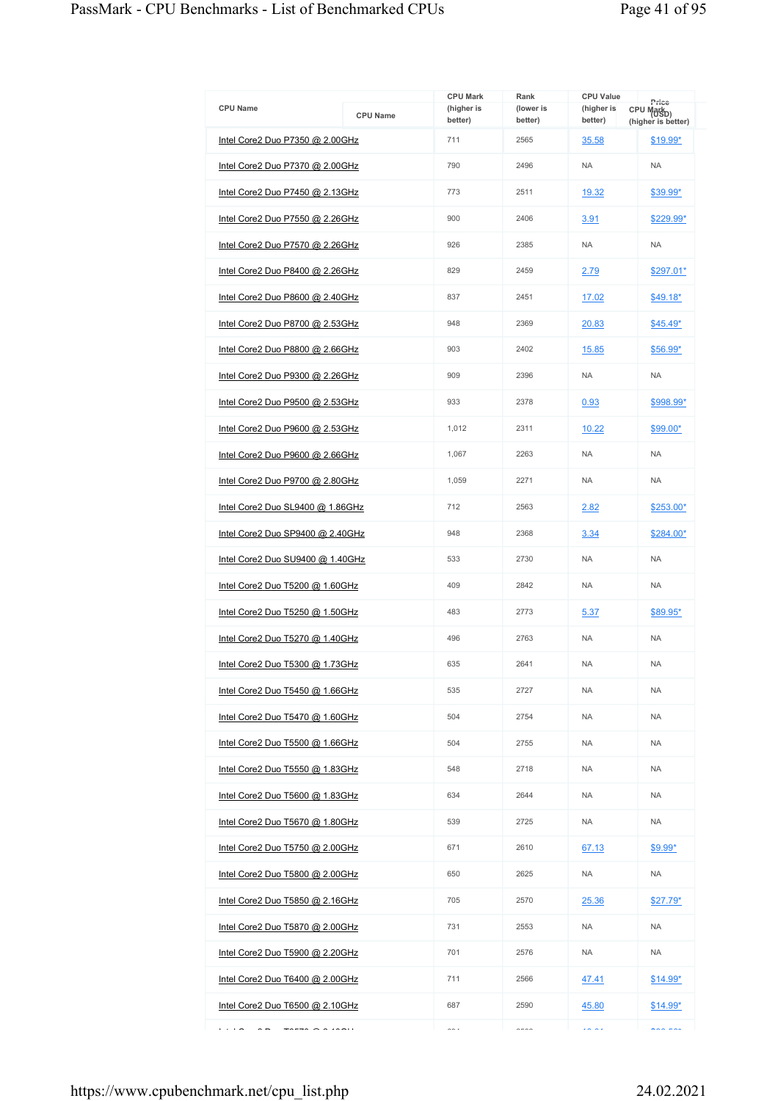| <b>CPU Name</b>                        | <b>CPU Name</b> | <b>CPU Mark</b><br>(higher is | Rank<br>(lower is | <b>CPU Value</b><br>(higher is | Price<br>CPU Mark <sub>D)</sub> |
|----------------------------------------|-----------------|-------------------------------|-------------------|--------------------------------|---------------------------------|
| Intel Core2 Duo P7350 @ 2.00GHz        |                 | better)<br>711                | better)<br>2565   | better)<br>35.58               | (higher is better)<br>\$19.99*  |
| Intel Core2 Duo P7370 @ 2.00GHz        |                 | 790                           | 2496              | <b>NA</b>                      | <b>NA</b>                       |
| Intel Core2 Duo P7450 @ 2.13GHz        |                 | 773                           | 2511              | 19.32                          | $$39.99^*$                      |
|                                        |                 | 900                           | 2406              |                                |                                 |
| Intel Core2 Duo P7550 @ 2.26GHz        |                 |                               |                   | 3.91                           | \$229.99*                       |
| Intel Core2 Duo P7570 @ 2.26GHz        |                 | 926                           | 2385              | <b>NA</b>                      | <b>NA</b>                       |
| Intel Core2 Duo P8400 @ 2.26GHz        |                 | 829                           | 2459              | 2.79                           | \$297.01*                       |
| Intel Core2 Duo P8600 @ 2.40GHz        |                 | 837                           | 2451              | 17.02                          | $$49.18*$                       |
| Intel Core2 Duo P8700 @ 2.53GHz        |                 | 948                           | 2369              | 20.83                          | $$45.49*$                       |
| Intel Core2 Duo P8800 @ 2.66GHz        |                 | 903                           | 2402              | 15.85                          | \$56.99*                        |
| Intel Core2 Duo P9300 @ 2.26GHz        |                 | 909                           | 2396              | <b>NA</b>                      | <b>NA</b>                       |
| Intel Core2 Duo P9500 @ 2.53GHz        |                 | 933                           | 2378              | 0.93                           | \$998.99*                       |
| Intel Core2 Duo P9600 @ 2.53GHz        |                 | 1.012                         | 2311              | 10.22                          | \$99.00*                        |
| Intel Core2 Duo P9600 @ 2.66GHz        |                 | 1,067                         | 2263              | <b>NA</b>                      | <b>NA</b>                       |
| Intel Core2 Duo P9700 @ 2.80GHz        |                 | 1,059                         | 2271              | <b>NA</b>                      | <b>NA</b>                       |
| Intel Core2 Duo SL9400 @ 1.86GHz       |                 | 712                           | 2563              | 2.82                           | \$253.00*                       |
| Intel Core2 Duo SP9400 @ 2.40GHz       |                 | 948                           | 2368              | 3.34                           | \$284.00*                       |
| Intel Core2 Duo SU9400 @ 1.40GHz       |                 | 533                           | 2730              | <b>NA</b>                      | <b>NA</b>                       |
| Intel Core2 Duo T5200 @ 1.60GHz        |                 | 409                           | 2842              | <b>NA</b>                      | <b>NA</b>                       |
| Intel Core2 Duo T5250 @ 1.50GHz        |                 | 483                           | 2773              | 5.37                           | \$89.95*                        |
| Intel Core2 Duo T5270 @ 1.40GHz        |                 | 496                           | 2763              | <b>NA</b>                      | <b>NA</b>                       |
| Intel Core2 Duo T5300 @ 1.73GHz        |                 | 635                           | 2641              | <b>NA</b>                      | <b>NA</b>                       |
| Intel Core2 Duo T5450 @ 1.66GHz        |                 | 535                           | 2727              | <b>NA</b>                      | <b>NA</b>                       |
| Intel Core2 Duo T5470 @ 1.60GHz        |                 | 504                           | 2754              | <b>NA</b>                      | <b>NA</b>                       |
| Intel Core2 Duo T5500 @ 1.66GHz        |                 | 504                           | 2755              | <b>NA</b>                      | <b>NA</b>                       |
| Intel Core2 Duo T5550 @ 1.83GHz        |                 | 548                           | 2718              | <b>NA</b>                      | <b>NA</b>                       |
| Intel Core2 Duo T5600 @ 1.83GHz        |                 | 634                           | 2644              | <b>NA</b>                      | <b>NA</b>                       |
| Intel Core2 Duo T5670 @ 1.80GHz        |                 | 539                           | 2725              | <b>NA</b>                      | <b>NA</b>                       |
| Intel Core2 Duo T5750 @ 2.00GHz        |                 | 671                           | 2610              | 67.13                          | $$9.99*$                        |
| Intel Core2 Duo T5800 @ 2.00GHz        |                 | 650                           | 2625              | <b>NA</b>                      | <b>NA</b>                       |
| <u>Intel Core2 Duo T5850 @ 2.16GHz</u> |                 | 705                           | 2570              | 25.36                          | $$27.79*$                       |
| Intel Core2 Duo T5870 @ 2.00GHz        |                 | 731                           | 2553              | <b>NA</b>                      | <b>NA</b>                       |
| Intel Core2 Duo T5900 @ 2.20GHz        |                 | 701                           | 2576              | <b>NA</b>                      | <b>NA</b>                       |
| Intel Core2 Duo T6400 @ 2.00GHz        |                 | 711                           | 2566              | 47.41                          | $$14.99*$                       |
| Intel Core2 Duo T6500 @ 2.10GHz        |                 | 687                           | 2590              | 45.80                          | $$14.99*$                       |
| $\cdots$<br>$\tau$                     |                 | $\sim$                        | $---$             | $\overline{a}$                 | $n \times n$                    |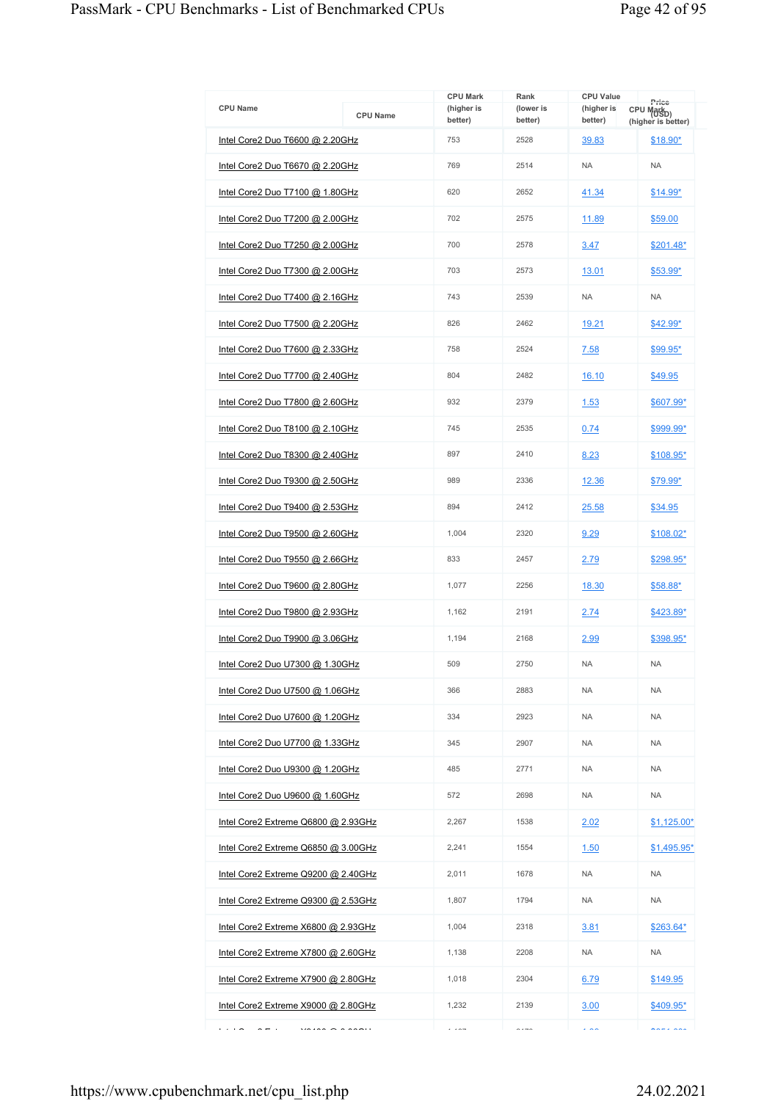|                                        |                 | <b>CPU Mark</b>       | Rank                 | <b>CPU Value</b>      | Price                                        |
|----------------------------------------|-----------------|-----------------------|----------------------|-----------------------|----------------------------------------------|
| <b>CPU Name</b>                        | <b>CPU Name</b> | (higher is<br>better) | (lower is<br>better) | (higher is<br>better) | CPU Mark <sub>D)</sub><br>(higher is better) |
| Intel Core2 Duo T6600 @ 2.20GHz        |                 | 753                   | 2528                 | 39.83                 | \$18.90*                                     |
| Intel Core2 Duo T6670 @ 2.20GHz        |                 | 769                   | 2514                 | <b>NA</b>             | <b>NA</b>                                    |
| Intel Core2 Duo T7100 @ 1.80GHz        |                 | 620                   | 2652                 | 41.34                 | <u>\$14.99*</u>                              |
| Intel Core2 Duo T7200 @ 2.00GHz        |                 | 702                   | 2575                 | 11.89                 | \$59.00                                      |
| Intel Core2 Duo T7250 @ 2.00GHz        |                 | 700                   | 2578                 | 3.47                  | \$201.48*                                    |
| Intel Core2 Duo T7300 @ 2.00GHz        |                 | 703                   | 2573                 | 13.01                 | <u>\$53.99*</u>                              |
| Intel Core2 Duo T7400 @ 2.16GHz        |                 | 743                   | 2539                 | <b>NA</b>             | <b>NA</b>                                    |
| <u>Intel Core2 Duo T7500 @ 2.20GHz</u> |                 | 826                   | 2462                 | 19.21                 | \$42.99*                                     |
| Intel Core2 Duo T7600 @ 2.33GHz        |                 | 758                   | 2524                 | 7.58                  | \$99.95*                                     |
| Intel Core2 Duo T7700 @ 2.40GHz        |                 | 804                   | 2482                 | 16.10                 | \$49.95                                      |
| Intel Core2 Duo T7800 @ 2.60GHz        |                 | 932                   | 2379                 | 1.53                  | \$607.99*                                    |
| Intel Core2 Duo T8100 @ 2.10GHz        |                 | 745                   | 2535                 | 0.74                  | \$999.99*                                    |
| Intel Core2 Duo T8300 @ 2.40GHz        |                 | 897                   | 2410                 | 8.23                  | \$108.95*                                    |
| Intel Core2 Duo T9300 @ 2.50GHz        |                 | 989                   | 2336                 | 12.36                 | <u>\$79.99*</u>                              |
| Intel Core2 Duo T9400 @ 2.53GHz        |                 | 894                   | 2412                 | 25.58                 | \$34.95                                      |
| Intel Core2 Duo T9500 @ 2.60GHz        |                 | 1,004                 | 2320                 | 9.29                  | \$108.02*                                    |
| Intel Core2 Duo T9550 @ 2.66GHz        |                 | 833                   | 2457                 | 2.79                  | \$298.95*                                    |
| Intel Core2 Duo T9600 @ 2.80GHz        |                 | 1,077                 | 2256                 | 18.30                 | \$58.88*                                     |
| Intel Core2 Duo T9800 @ 2.93GHz        |                 | 1,162                 | 2191                 | 2.74                  | \$423.89*                                    |
| Intel Core2 Duo T9900 @ 3.06GHz        |                 | 1.194                 | 2168                 | 2.99                  | \$398.95*                                    |
| Intel Core2 Duo U7300 @ 1.30GHz        |                 | 509                   | 2750                 | <b>NA</b>             | <b>NA</b>                                    |
| Intel Core2 Duo U7500 @ 1.06GHz        |                 | 366                   | 2883                 | <b>NA</b>             | <b>NA</b>                                    |
| Intel Core2 Duo U7600 @ 1.20GHz        |                 | 334                   | 2923                 | <b>NA</b>             | <b>NA</b>                                    |
| Intel Core2 Duo U7700 @ 1.33GHz        |                 | 345                   | 2907                 | <b>NA</b>             | <b>NA</b>                                    |
| Intel Core2 Duo U9300 @ 1.20GHz        |                 | 485                   | 2771                 | <b>NA</b>             | <b>NA</b>                                    |
| Intel Core2 Duo U9600 @ 1.60GHz        |                 | 572                   | 2698                 | <b>NA</b>             | <b>NA</b>                                    |
| Intel Core2 Extreme Q6800 @ 2.93GHz    |                 | 2.267                 | 1538                 | 2.02                  | $$1,125.00*$                                 |
| Intel Core2 Extreme Q6850 @ 3.00GHz    |                 | 2,241                 | 1554                 | 1.50                  | \$1,495.95*                                  |
| Intel Core2 Extreme Q9200 @ 2.40GHz    |                 | 2,011                 | 1678                 | <b>NA</b>             | <b>NA</b>                                    |
| Intel Core2 Extreme Q9300 @ 2.53GHz    |                 | 1,807                 | 1794                 | NA.                   | <b>NA</b>                                    |
| Intel Core2 Extreme X6800 @ 2.93GHz    |                 | 1,004                 | 2318                 | 3.81                  | $$263.64*$                                   |
| Intel Core2 Extreme X7800 @ 2.60GHz    |                 | 1,138                 | 2208                 | <b>NA</b>             | <b>NA</b>                                    |
| Intel Core2 Extreme X7900 @ 2.80GHz    |                 | 1,018                 | 2304                 | 6.79                  | \$149.95                                     |
| Intel Core2 Extreme X9000 @ 2.80GHz    |                 | 1,232                 | 2139                 | 3.00                  | $$409.95*$                                   |
| $\cdots$<br>$\cdots$                   |                 | $\cdots$              | $\sim$ $\sim$ $\sim$ | $\overline{a}$        | $\lambda$                                    |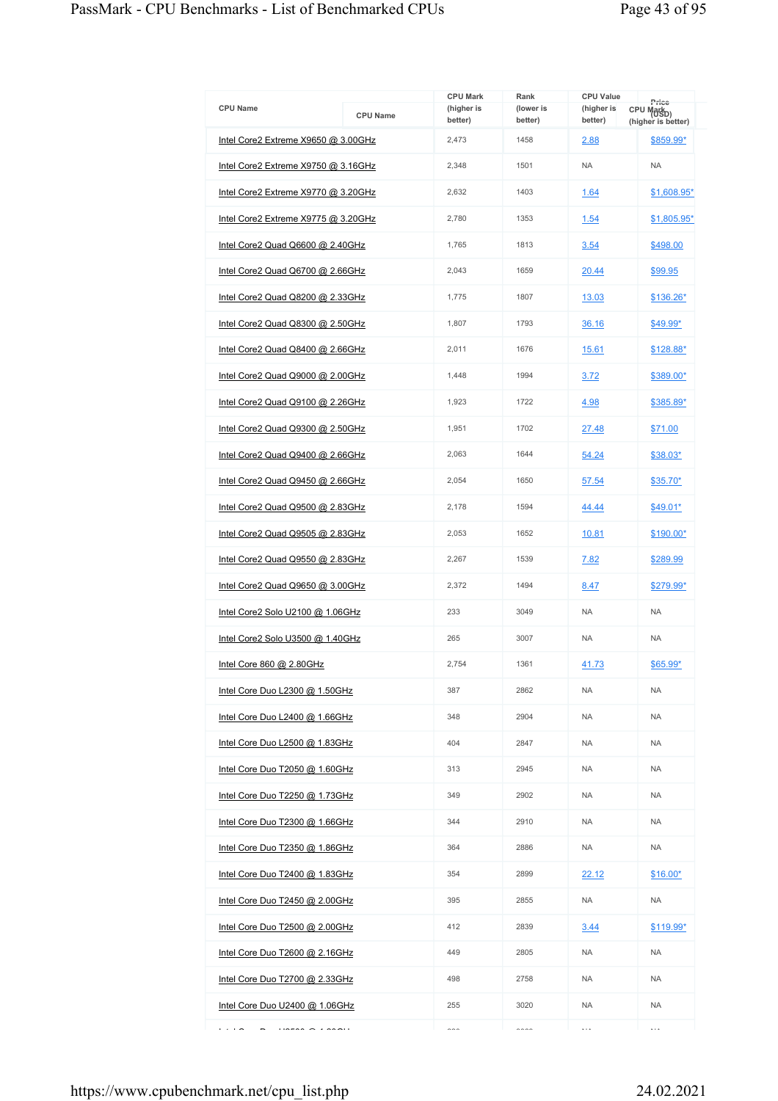| <b>CPU Name</b>                     | <b>CPU Name</b> | <b>CPU Mark</b><br>(higher is<br>better) | Rank<br>(lower is<br>better) | <b>CPU Value</b><br>(higher is<br>better) | Price<br>CPU Mark <sub>D)</sub><br>(higher is better) |
|-------------------------------------|-----------------|------------------------------------------|------------------------------|-------------------------------------------|-------------------------------------------------------|
| Intel Core2 Extreme X9650 @ 3.00GHz |                 | 2,473                                    | 1458                         | 2.88                                      | \$859.99*                                             |
| Intel Core2 Extreme X9750 @ 3.16GHz |                 | 2,348                                    | 1501                         | <b>NA</b>                                 | <b>NA</b>                                             |
| Intel Core2 Extreme X9770 @ 3.20GHz |                 | 2,632                                    | 1403                         | 1.64                                      | \$1,608.95*                                           |
| Intel Core2 Extreme X9775 @ 3.20GHz |                 | 2,780                                    | 1353                         | 1.54                                      | \$1,805.95*                                           |
| Intel Core2 Quad Q6600 @ 2.40GHz    |                 | 1,765                                    | 1813                         | 3.54                                      | \$498.00                                              |
| Intel Core2 Quad Q6700 @ 2.66GHz    |                 | 2,043                                    | 1659                         | 20.44                                     | \$99.95                                               |
| Intel Core2 Quad Q8200 @ 2.33GHz    |                 | 1,775                                    | 1807                         | 13.03                                     | \$136.26*                                             |
| Intel Core2 Quad Q8300 @ 2.50GHz    |                 | 1,807                                    | 1793                         | 36.16                                     | \$49.99*                                              |
| Intel Core2 Quad Q8400 @ 2.66GHz    |                 | 2,011                                    | 1676                         | 15.61                                     | \$128.88*                                             |
| Intel Core2 Quad Q9000 @ 2.00GHz    |                 | 1,448                                    | 1994                         | 3.72                                      | \$389.00*                                             |
| Intel Core2 Quad Q9100 @ 2.26GHz    |                 | 1,923                                    | 1722                         | 4.98                                      | \$385.89*                                             |
| Intel Core2 Quad Q9300 @ 2.50GHz    |                 | 1,951                                    | 1702                         | 27.48                                     | \$71.00                                               |
| Intel Core2 Quad Q9400 @ 2.66GHz    |                 | 2,063                                    | 1644                         | 54.24                                     | $$38.03*$                                             |
| Intel Core2 Quad Q9450 @ 2.66GHz    |                 | 2,054                                    | 1650                         | 57.54                                     | \$35.70*                                              |
| Intel Core2 Quad Q9500 @ 2.83GHz    |                 | 2,178                                    | 1594                         | 44.44                                     | \$49.01*                                              |
| Intel Core2 Quad Q9505 @ 2.83GHz    |                 | 2,053                                    | 1652                         | 10.81                                     | \$190.00*                                             |
| Intel Core2 Quad Q9550 @ 2.83GHz    |                 | 2,267                                    | 1539                         | 7.82                                      | \$289.99                                              |
| Intel Core2 Quad Q9650 @ 3.00GHz    |                 | 2,372                                    | 1494                         | 8.47                                      | \$279.99*                                             |
| Intel Core2 Solo U2100 @ 1.06GHz    |                 | 233                                      | 3049                         | <b>NA</b>                                 | <b>NA</b>                                             |
| Intel Core2 Solo U3500 @ 1.40GHz    |                 | 265                                      | 3007                         | <b>NA</b>                                 | <b>NA</b>                                             |
| Intel Core 860 @ 2.80GHz            |                 | 2,754                                    | 1361                         | 41.73                                     | \$65.99*                                              |
| Intel Core Duo L2300 @ 1.50GHz      |                 | 387                                      | 2862                         | <b>NA</b>                                 | <b>NA</b>                                             |
| Intel Core Duo L2400 @ 1.66GHz      |                 | 348                                      | 2904                         | <b>NA</b>                                 | <b>NA</b>                                             |
| Intel Core Duo L2500 @ 1.83GHz      |                 | 404                                      | 2847                         | <b>NA</b>                                 | <b>NA</b>                                             |
| Intel Core Duo T2050 @ 1.60GHz      |                 | 313                                      | 2945                         | <b>NA</b>                                 | <b>NA</b>                                             |
| Intel Core Duo T2250 @ 1.73GHz      |                 | 349                                      | 2902                         | <b>NA</b>                                 | <b>NA</b>                                             |
| Intel Core Duo T2300 @ 1.66GHz      |                 | 344                                      | 2910                         | NA.                                       | <b>NA</b>                                             |
| Intel Core Duo T2350 @ 1.86GHz      |                 | 364                                      | 2886                         | <b>NA</b>                                 | <b>NA</b>                                             |
| Intel Core Duo T2400 @ 1.83GHz      |                 | 354                                      | 2899                         | <u>22.12</u>                              | <u>\$16.00*</u>                                       |
| Intel Core Duo T2450 @ 2.00GHz      |                 | 395                                      | 2855                         | <b>NA</b>                                 | NA                                                    |
| Intel Core Duo T2500 @ 2.00GHz      |                 | 412                                      | 2839                         | 3.44                                      | \$119.99*                                             |
| Intel Core Duo T2600 @ 2.16GHz      |                 | 449                                      | 2805                         | NA.                                       | NA                                                    |
| Intel Core Duo T2700 @ 2.33GHz      |                 | 498                                      | 2758                         | <b>NA</b>                                 | <b>NA</b>                                             |
| Intel Core Duo U2400 $@$ 1.06GHz    |                 | 255                                      | 3020                         | <b>NA</b>                                 | <b>NA</b>                                             |
| $\cdots$                            |                 | $\sim$                                   | $\sim$                       | $\ddotsc$                                 | $\cdots$                                              |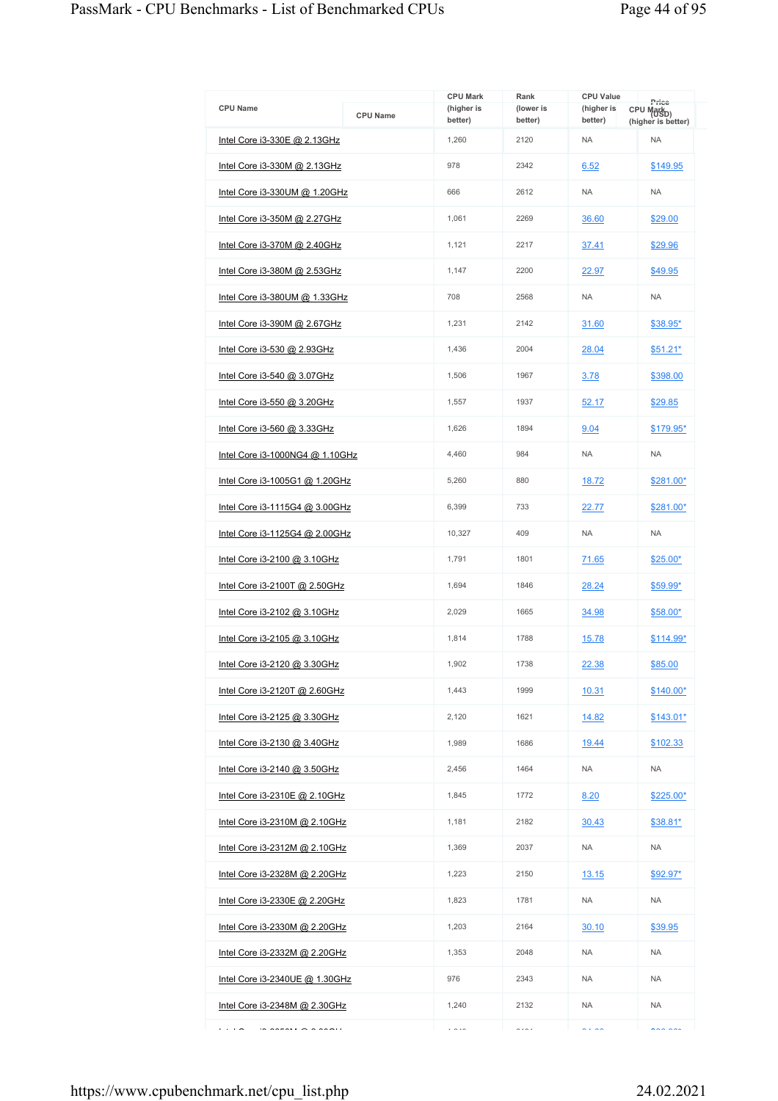| <b>CPU Name</b>                               | <b>CPU Name</b> | <b>CPU Mark</b><br>(higher is<br>better) | Rank<br>(lower is<br>better) | <b>CPU Value</b><br>(higher is<br>better) | Price<br>CPU Mark <sub>D)</sub> |
|-----------------------------------------------|-----------------|------------------------------------------|------------------------------|-------------------------------------------|---------------------------------|
| Intel Core i3-330E @ 2.13GHz                  |                 | 1,260                                    | 2120                         | <b>NA</b>                                 | (higher is better)<br><b>NA</b> |
| Intel Core i3-330M @ 2.13GHz                  |                 | 978                                      | 2342                         | 6.52                                      | \$149.95                        |
| Intel Core i3-330UM @ 1.20GHz                 |                 | 666                                      | 2612                         | <b>NA</b>                                 | <b>NA</b>                       |
| <u>Intel Core i3-350M @ 2.27GHz</u>           |                 | 1.061                                    | 2269                         | 36.60                                     | \$29.00                         |
| Intel Core i3-370M @ 2.40GHz                  |                 | 1,121                                    | 2217                         | 37.41                                     | \$29.96                         |
| Intel Core i3-380M @ 2.53GHz                  |                 | 1,147                                    | 2200                         | 22.97                                     | \$49.95                         |
| Intel Core i3-380UM @ 1.33GHz                 |                 | 708                                      | 2568                         | <b>NA</b>                                 | <b>NA</b>                       |
| <u>Intel Core i3-390M @ 2.67GHz</u>           |                 | 1,231                                    | 2142                         | 31.60                                     | $$38.95*$                       |
| Intel Core i3-530 @ 2.93GHz                   |                 | 1.436                                    | 2004                         | 28.04                                     | $$51.21*$                       |
| Intel Core i3-540 @ 3.07GHz                   |                 | 1,506                                    | 1967                         | 3.78                                      | \$398.00                        |
| Intel Core i3-550 @ 3.20GHz                   |                 | 1,557                                    | 1937                         | 52.17                                     | \$29.85                         |
| Intel Core i3-560 @ 3.33GHz                   |                 | 1.626                                    | 1894                         | 9.04                                      | \$179.95*                       |
| Intel Core i3-1000NG4 @ 1.10GHz               |                 | 4,460                                    | 984                          | <b>NA</b>                                 | <b>NA</b>                       |
| <u>Intel Core i3-1005G1 @ 1.20GHz</u>         |                 | 5,260                                    | 880                          | 18.72                                     | \$281.00*                       |
| Intel Core i3-1115G4 @ 3.00GHz                |                 | 6,399                                    | 733                          | 22.77                                     | \$281.00*                       |
| Intel Core i3-1125G4 @ 2.00GHz                |                 | 10,327                                   | 409                          | <b>NA</b>                                 | <b>NA</b>                       |
| Intel Core i3-2100 @ 3.10GHz                  |                 | 1,791                                    | 1801                         | 71.65                                     | $$25.00*$                       |
| Intel Core i3-2100T @ 2.50GHz                 |                 | 1,694                                    | 1846                         | 28.24                                     | $$59.99*$                       |
| Intel Core i3-2102 @ 3.10GHz                  |                 | 2,029                                    | 1665                         | 34.98                                     | $$58.00*$                       |
| Intel Core i3-2105 @ 3.10GHz                  |                 | 1,814                                    | 1788                         | 15.78                                     | \$114.99*                       |
| <u>Intel Core i3-2120 @ 3.30GHz</u>           |                 | 1.902                                    | 1738                         | 22.38                                     | \$85.00                         |
| Intel Core i3-2120T @ 2.60GHz                 |                 | 1,443                                    | 1999                         | 10.31                                     | $$140.00*$                      |
| Intel Core i3-2125 @ 3.30GHz                  |                 | 2,120                                    | 1621                         | 14.82                                     | $$143.01*$                      |
| <u>Intel Core i3-2130 @ 3.40GHz</u>           |                 | 1,989                                    | 1686                         | 19.44                                     | \$102.33                        |
| Intel Core i3-2140 @ 3.50GHz                  |                 | 2,456                                    | 1464                         | <b>NA</b>                                 | <b>NA</b>                       |
| Intel Core i3-2310E @ 2.10GHz                 |                 | 1,845                                    | 1772                         | 8.20                                      | $$225.00*$                      |
| Intel Core i3-2310M @ 2.10GHz                 |                 | 1,181                                    | 2182                         | 30.43                                     | \$38.81*                        |
| Intel Core i3-2312M @ 2.10GHz                 |                 | 1,369                                    | 2037                         | <b>NA</b>                                 | <b>NA</b>                       |
| Intel Core i3-2328M @ 2.20GHz                 |                 | 1,223                                    | 2150                         | 13.15                                     | $$92.97*$                       |
| <u>Intel Core i3-2330E @ 2.20GHz</u>          |                 | 1,823                                    | 1781                         | NA                                        | <b>NA</b>                       |
| Intel Core i3-2330M @ 2.20GHz                 |                 | 1,203                                    | 2164                         | 30.10                                     | \$39.95                         |
| Intel Core i3-2332M @ 2.20GHz                 |                 | 1,353                                    | 2048                         | <b>NA</b>                                 | <b>NA</b>                       |
| Intel Core i3-2340UE @ 1.30GHz                |                 | 976                                      | 2343                         | NA.                                       | <b>NA</b>                       |
| <u>Intel Core i3-2348M @ 2.30GHz</u>          |                 | 1,240                                    | 2132                         | <b>NA</b>                                 | <b>NA</b>                       |
| .<br>$\sum_{i=1}^{n} a_i = a_i a_i + a_i a_i$ |                 | $\cdots$                                 | .                            | $\sim$ $\sim$                             | maxmax                          |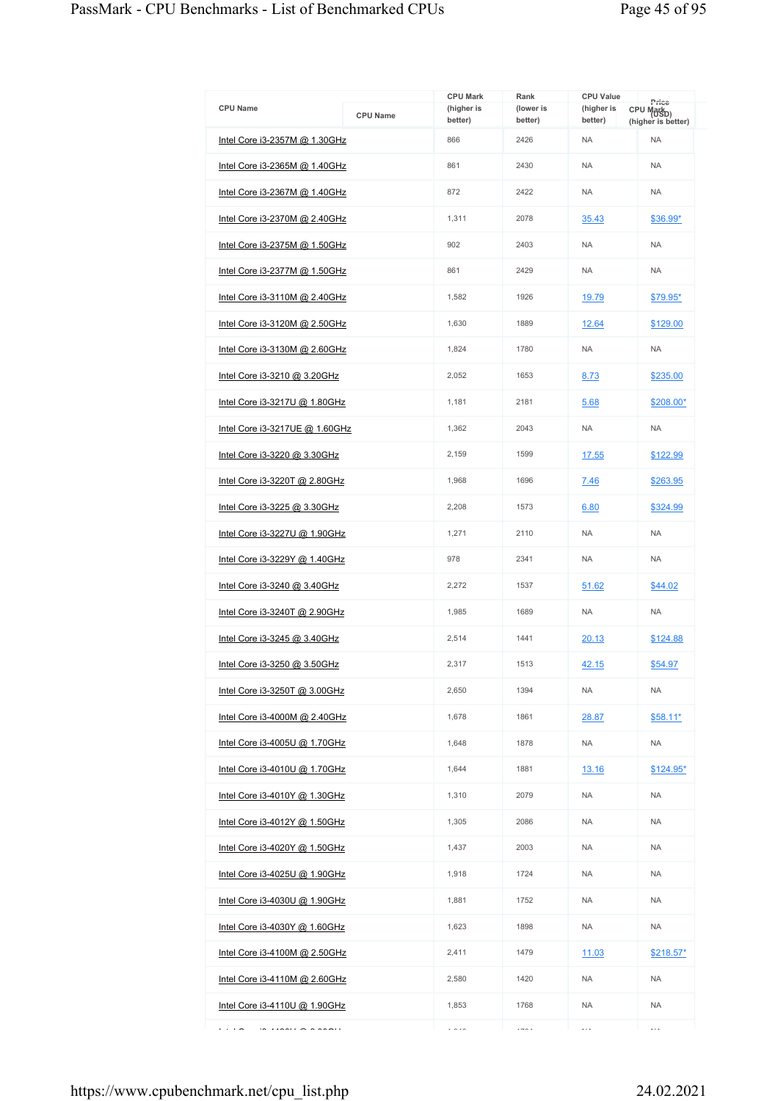|                                      |                 | <b>CPU Mark</b>       | Rank                 | <b>CPU Value</b>      | Price                                        |
|--------------------------------------|-----------------|-----------------------|----------------------|-----------------------|----------------------------------------------|
| <b>CPU Name</b>                      | <b>CPU Name</b> | (higher is<br>better) | (lower is<br>better) | (higher is<br>better) | CPU Mark <sub>D)</sub><br>(higher is better) |
| Intel Core i3-2357M @ 1.30GHz        |                 | 866                   | 2426                 | <b>NA</b>             | <b>NA</b>                                    |
| Intel Core i3-2365M @ 1.40GHz        |                 | 861                   | 2430                 | <b>NA</b>             | <b>NA</b>                                    |
| Intel Core i3-2367M @ 1.40GHz        |                 | 872                   | 2422                 | <b>NA</b>             | <b>NA</b>                                    |
| <u>Intel Core i3-2370M @ 2.40GHz</u> |                 | 1,311                 | 2078                 | 35.43                 | \$36.99*                                     |
| Intel Core i3-2375M @ 1.50GHz        |                 | 902                   | 2403                 | <b>NA</b>             | <b>NA</b>                                    |
| <u>Intel Core i3-2377M @ 1.50GHz</u> |                 | 861                   | 2429                 | <b>NA</b>             | <b>NA</b>                                    |
| Intel Core $i3-3110M$ @ 2.40GHz      |                 | 1,582                 | 1926                 | 19.79                 | $$79.95*$                                    |
| <u>Intel Core i3-3120M @ 2.50GHz</u> |                 | 1,630                 | 1889                 | 12.64                 | \$129.00                                     |
| Intel Core i3-3130M @ 2.60GHz        |                 | 1.824                 | 1780                 | <b>NA</b>             | <b>NA</b>                                    |
| Intel Core i3-3210 @ 3.20GHz         |                 | 2,052                 | 1653                 | 8.73                  | \$235.00                                     |
| Intel Core i3-3217U @ 1.80GHz        |                 | 1,181                 | 2181                 | 5.68                  | $$208.00*$                                   |
| Intel Core i3-3217UE @ 1.60GHz       |                 | 1,362                 | 2043                 | <b>NA</b>             | <b>NA</b>                                    |
| Intel Core i3-3220 @ 3.30GHz         |                 | 2,159                 | 1599                 | 17.55                 | \$122.99                                     |
| <u>Intel Core i3-3220T @ 2.80GHz</u> |                 | 1,968                 | 1696                 | 7.46                  | \$263.95                                     |
| Intel Core i3-3225 @ 3.30GHz         |                 | 2,208                 | 1573                 | 6.80                  | \$324.99                                     |
| <u>Intel Core i3-3227U @ 1.90GHz</u> |                 | 1,271                 | 2110                 | <b>NA</b>             | <b>NA</b>                                    |
| Intel Core i3-3229Y @ 1.40GHz        |                 | 978                   | 2341                 | <b>NA</b>             | <b>NA</b>                                    |
| Intel Core i3-3240 @ 3.40GHz         |                 | 2,272                 | 1537                 | 51.62                 | \$44.02                                      |
| Intel Core i3-3240T @ 2.90GHz        |                 | 1,985                 | 1689                 | <b>NA</b>             | <b>NA</b>                                    |
| Intel Core i3-3245 @ 3.40GHz         |                 | 2,514                 | 1441                 | 20.13                 | \$124.88                                     |
| Intel Core i3-3250 @ 3.50GHz         |                 | 2.317                 | 1513                 | 42.15                 | \$54.97                                      |
| Intel Core i3-3250T @ 3.00GHz        |                 | 2,650                 | 1394                 | <b>NA</b>             | <b>NA</b>                                    |
| Intel Core i3-4000M @ 2.40GHz        |                 | 1,678                 | 1861                 | 28.87                 | $$58.11*$                                    |
| <u>Intel Core i3-4005U @ 1.70GHz</u> |                 | 1,648                 | 1878                 | <b>NA</b>             | <b>NA</b>                                    |
| Intel Core i3-4010U @ 1.70GHz        |                 | 1,644                 | 1881                 | 13.16                 | $$124.95*$                                   |
| Intel Core i3-4010Y @ 1.30GHz        |                 | 1,310                 | 2079                 | <b>NA</b>             | <b>NA</b>                                    |
| Intel Core i3-4012Y @ 1.50GHz        |                 | 1,305                 | 2086                 | NA                    | <b>NA</b>                                    |
| Intel Core i3-4020Y @ 1.50GHz        |                 | 1,437                 | 2003                 | <b>NA</b>             | <b>NA</b>                                    |
| Intel Core i3-4025U @ 1.90GHz        |                 | 1,918                 | 1724                 | <b>NA</b>             | <b>NA</b>                                    |
| <u>Intel Core i3-4030U @ 1.90GHz</u> |                 | 1,881                 | 1752                 | NA.                   | <b>NA</b>                                    |
| Intel Core i3-4030Y @ 1.60GHz        |                 | 1,623                 | 1898                 | <b>NA</b>             | <b>NA</b>                                    |
| Intel Core i3-4100M @ 2.50GHz        |                 | 2,411                 | 1479                 | 11.03                 | \$218.57*                                    |
| Intel Core $i3-4110M$ @ 2.60GHz      |                 | 2,580                 | 1420                 | <b>NA</b>             | <b>NA</b>                                    |
| Intel Core i3-4110U @ 1.90GHz        |                 | 1,853                 | 1768                 | <b>NA</b>             | <b>NA</b>                                    |
| .                                    |                 | $\overline{a}$        | $1 - 2$              | $\cdots$              | $\cdots$                                     |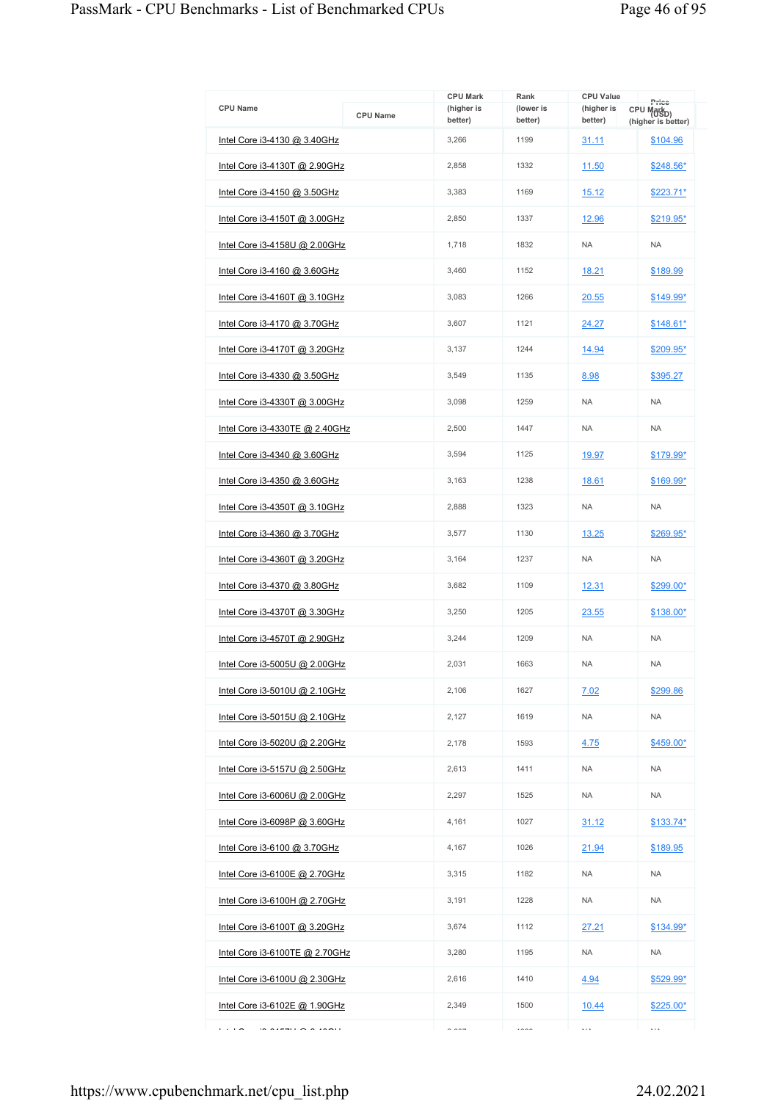| <b>CPU Name</b>                      | <b>CPU Name</b> | <b>CPU Mark</b><br>(higher is | Rank<br>(lower is | <b>CPU Value</b><br>(higher is | Price<br>CPU Mark <sub>D)</sub> |
|--------------------------------------|-----------------|-------------------------------|-------------------|--------------------------------|---------------------------------|
| Intel Core i3-4130 @ 3.40GHz         |                 | better)<br>3,266              | better)<br>1199   | better)<br>31.11               | (higher is better)<br>\$104.96  |
| Intel Core i3-4130T @ 2.90GHz        |                 | 2,858                         | 1332              | 11.50                          | \$248.56*                       |
| Intel Core i3-4150 @ 3.50GHz         |                 | 3,383                         | 1169              | 15.12                          | $$223.71*$                      |
| Intel Core i3-4150T @ 3.00GHz        |                 | 2,850                         | 1337              | 12.96                          | \$219.95*                       |
| Intel Core i3-4158U @ 2.00GHz        |                 | 1,718                         | 1832              | <b>NA</b>                      | <b>NA</b>                       |
| <u>Intel Core i3-4160 @ 3.60GHz</u>  |                 | 3,460                         | 1152              | 18.21                          | \$189.99                        |
| Intel Core i3-4160T @ 3.10GHz        |                 | 3,083                         | 1266              | 20.55                          | \$149.99*                       |
| <u>Intel Core i3-4170 @ 3.70GHz</u>  |                 | 3,607                         | 1121              | 24.27                          | $$148.61*$                      |
| Intel Core i3-4170T @ 3.20GHz        |                 | 3.137                         | 1244              | 14.94                          | \$209.95*                       |
| Intel Core i3-4330 @ 3.50GHz         |                 | 3.549                         | 1135              | 8.98                           | \$395.27                        |
| Intel Core i3-4330T @ 3.00GHz        |                 | 3,098                         | 1259              | <b>NA</b>                      | <b>NA</b>                       |
| Intel Core i3-4330TE @ 2.40GHz       |                 | 2,500                         | 1447              | <b>NA</b>                      | <b>NA</b>                       |
| Intel Core i3-4340 @ 3.60GHz         |                 | 3,594                         | 1125              | 19.97                          | \$179.99*                       |
| <u>Intel Core i3-4350 @ 3.60GHz</u>  |                 | 3,163                         | 1238              | 18.61                          | \$169.99*                       |
| Intel Core i3-4350T @ 3.10GHz        |                 | 2,888                         | 1323              | <b>NA</b>                      | <b>NA</b>                       |
| <u>Intel Core i3-4360 @ 3.70GHz</u>  |                 | 3,577                         | 1130              | 13.25                          | \$269.95*                       |
| Intel Core i3-4360T @ 3.20GHz        |                 | 3,164                         | 1237              | <b>NA</b>                      | <b>NA</b>                       |
| Intel Core i3-4370 @ 3.80GHz         |                 | 3,682                         | 1109              | 12.31                          | \$299.00*                       |
| Intel Core i3-4370T @ 3.30GHz        |                 | 3,250                         | 1205              | 23.55                          | \$138.00*                       |
| Intel Core i3-4570T @ 2.90GHz        |                 | 3,244                         | 1209              | <b>NA</b>                      | <b>NA</b>                       |
| Intel Core i3-5005U @ 2.00GHz        |                 | 2,031                         | 1663              | <b>NA</b>                      | <b>NA</b>                       |
| <u>Intel Core i3-5010U @ 2.10GHz</u> |                 | 2,106                         | 1627              | 7.02                           | \$299.86                        |
| Intel Core i3-5015U @ 2.10GHz        |                 | 2.127                         | 1619              | <b>NA</b>                      | <b>NA</b>                       |
| Intel Core i3-5020U @ 2.20GHz        |                 | 2,178                         | 1593              | 4.75                           | \$459.00*                       |
| Intel Core i3-5157U @ 2.50GHz        |                 | 2.613                         | 1411              | NA.                            | <b>NA</b>                       |
| Intel Core i3-6006U @ 2.00GHz        |                 | 2,297                         | 1525              | <b>NA</b>                      | <b>NA</b>                       |
| Intel Core i3-6098P @ 3.60GHz        |                 | 4,161                         | 1027              | 31.12                          | $$133.74*$                      |
| Intel Core i3-6100 @ 3.70GHz         |                 | 4,167                         | 1026              | 21.94                          | \$189.95                        |
| Intel Core i3-6100E @ 2.70GHz        |                 | 3,315                         | 1182              | <b>NA</b>                      | <b>NA</b>                       |
| Intel Core i3-6100H @ 2.70GHz        |                 | 3,191                         | 1228              | <b>NA</b>                      | <b>NA</b>                       |
| Intel Core i3-6100T @ 3.20GHz        |                 | 3,674                         | 1112              | 27.21                          | $$134.99*$                      |
| Intel Core i3-6100TE @ 2.70GHz       |                 | 3,280                         | 1195              | <b>NA</b>                      | <b>NA</b>                       |
| Intel Core $i3-6100U$ @ 2.30GHz      |                 | 2,616                         | 1410              | 4.94                           | \$529.99*                       |
| Intel Core i3-6102E @ 1.90GHz        |                 | 2,349                         | 1500              | 10.44                          | $$225.00*$                      |
| .<br>$\overline{a}$                  |                 | $\sim$ $\sim$ $\sim$          | 1000              | $\cdots$                       | $\ldots$                        |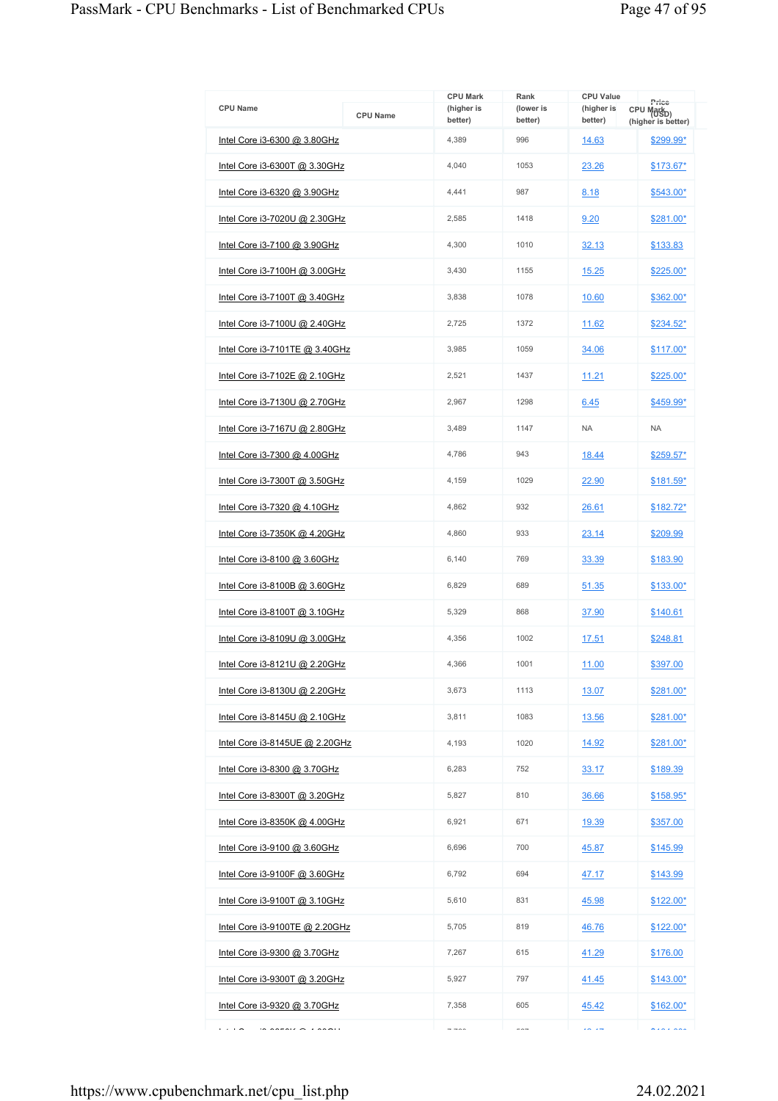| <b>CPU Name</b>                      | <b>CPU Name</b> | <b>CPU Mark</b><br>(higher is<br>better) | Rank<br>(lower is<br>better) | <b>CPU Value</b><br>(higher is<br>better) | Price<br>CPU Mark <sub>D)</sub><br>(higher is better) |
|--------------------------------------|-----------------|------------------------------------------|------------------------------|-------------------------------------------|-------------------------------------------------------|
| Intel Core i3-6300 @ 3.80GHz         |                 | 4,389                                    | 996                          | 14.63                                     | \$299.99*                                             |
| <u>Intel Core i3-6300T @ 3.30GHz</u> |                 | 4,040                                    | 1053                         | 23.26                                     | \$173.67*                                             |
| Intel Core i3-6320 @ 3.90GHz         |                 | 4,441                                    | 987                          | 8.18                                      | \$543.00*                                             |
| Intel Core i3-7020U @ 2.30GHz        |                 | 2.585                                    | 1418                         | 9.20                                      | \$281.00*                                             |
| Intel Core i3-7100 @ 3.90GHz         |                 | 4,300                                    | 1010                         | 32.13                                     | \$133.83                                              |
| Intel Core i3-7100H @ 3.00GHz        |                 | 3,430                                    | 1155                         | 15.25                                     | \$225.00*                                             |
| Intel Core i3-7100T @ 3.40GHz        |                 | 3,838                                    | 1078                         | 10.60                                     | \$362.00*                                             |
| <u>Intel Core i3-7100U @ 2.40GHz</u> |                 | 2,725                                    | 1372                         | 11.62                                     | \$234.52*                                             |
| Intel Core i3-7101TE @ 3.40GHz       |                 | 3,985                                    | 1059                         | 34.06                                     | $$117.00*$                                            |
| <u>Intel Core i3-7102E @ 2.10GHz</u> |                 | 2,521                                    | 1437                         | 11.21                                     | \$225.00*                                             |
| Intel Core i3-7130U @ 2.70GHz        |                 | 2,967                                    | 1298                         | 6.45                                      | \$459.99*                                             |
| Intel Core i3-7167U @ 2.80GHz        |                 | 3,489                                    | 1147                         | <b>NA</b>                                 | <b>NA</b>                                             |
| Intel Core i3-7300 @ 4.00GHz         |                 | 4,786                                    | 943                          | 18.44                                     | \$259.57*                                             |
| Intel Core i3-7300T @ 3.50GHz        |                 | 4,159                                    | 1029                         | 22.90                                     | $$181.59*$                                            |
| Intel Core i3-7320 @ 4.10GHz         |                 | 4,862                                    | 932                          | 26.61                                     | \$182.72*                                             |
| <u>Intel Core i3-7350K @ 4.20GHz</u> |                 | 4,860                                    | 933                          | 23.14                                     | \$209.99                                              |
| Intel Core i3-8100 @ 3.60GHz         |                 | 6,140                                    | 769                          | 33.39                                     | \$183.90                                              |
| Intel Core i3-8100B @ 3.60GHz        |                 | 6,829                                    | 689                          | 51.35                                     | \$133.00*                                             |
| Intel Core i3-8100T @ 3.10GHz        |                 | 5,329                                    | 868                          | 37.90                                     | \$140.61                                              |
| <u>Intel Core i3-8109U @ 3.00GHz</u> |                 | 4,356                                    | 1002                         | 17.51                                     | \$248.81                                              |
| Intel Core i3-8121U @ 2.20GHz        |                 | 4,366                                    | 1001                         | <u>11.00</u>                              | \$397.00                                              |
| <u>Intel Core i3-8130U @ 2.20GHz</u> |                 | 3,673                                    | 1113                         | 13.07                                     | \$281.00*                                             |
| Intel Core i3-8145U @ 2.10GHz        |                 | 3,811                                    | 1083                         | 13.56                                     | \$281.00*                                             |
| Intel Core i3-8145UE @ 2.20GHz       |                 | 4,193                                    | 1020                         | 14.92                                     | \$281.00*                                             |
| Intel Core i3-8300 @ 3.70GHz         |                 | 6,283                                    | 752                          | 33.17                                     | \$189.39                                              |
| Intel Core i3-8300T @ 3.20GHz        |                 | 5,827                                    | 810                          | 36.66                                     | \$158.95*                                             |
| Intel Core i3-8350K @ 4.00GHz        |                 | 6,921                                    | 671                          | 19.39                                     | \$357.00                                              |
| Intel Core i3-9100 @ 3.60GHz         |                 | 6,696                                    | 700                          | 45.87                                     | \$145.99                                              |
| Intel Core i3-9100F @ 3.60GHz        |                 | 6,792                                    | 694                          | <u>47.17</u>                              | \$143.99                                              |
| <u>Intel Core i3-9100T @ 3.10GHz</u> |                 | 5,610                                    | 831                          | 45.98                                     | $$122.00*$                                            |
| Intel Core i3-9100TE @ 2.20GHz       |                 | 5,705                                    | 819                          | 46.76                                     | $$122.00*$                                            |
| Intel Core i3-9300 @ 3.70GHz         |                 | 7,267                                    | 615                          | 41.29                                     | \$176.00                                              |
| Intel Core i3-9300T @ 3.20GHz        |                 | 5,927                                    | 797                          | 41.45                                     | $$143.00*$                                            |
| <u>Intel Core i3-9320 @ 3.70GHz</u>  |                 | 7,358                                    | 605                          | 45.42                                     | \$162.00*                                             |
| .<br>$\sum_{n=1}^{n} a_n = a_n$      |                 | $\rightarrow$ $\rightarrow$ $\sim$       | $---$                        | $\sim -$                                  |                                                       |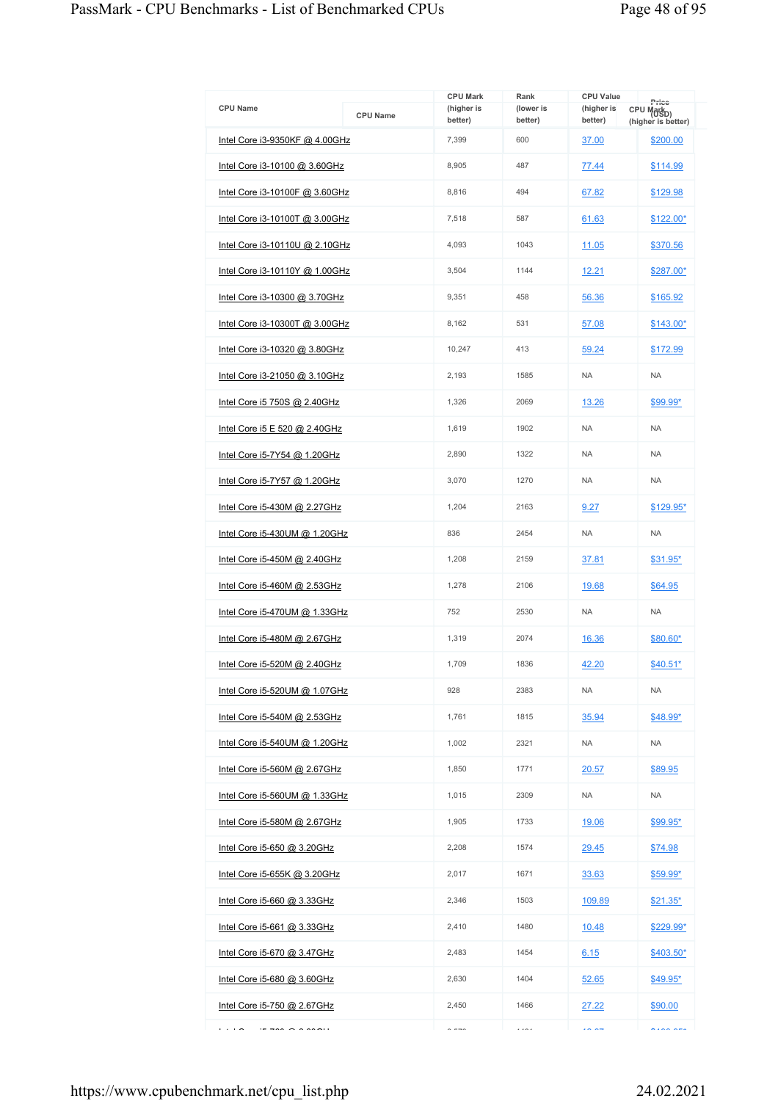|                                                            |                 | <b>CPU Mark</b>       | Rank                 | <b>CPU Value</b>      |                                                       |
|------------------------------------------------------------|-----------------|-----------------------|----------------------|-----------------------|-------------------------------------------------------|
| <b>CPU Name</b>                                            | <b>CPU Name</b> | (higher is<br>better) | (lower is<br>better) | (higher is<br>better) | Price<br>CPU Mark <sub>D)</sub><br>(higher is better) |
| Intel Core i3-9350KF @ 4.00GHz                             |                 | 7,399                 | 600                  | 37.00                 | \$200.00                                              |
| <u>Intel Core i3-10100 @ 3.60GHz</u>                       |                 | 8,905                 | 487                  | 77.44                 | \$114.99                                              |
| Intel Core i3-10100F @ 3.60GHz                             |                 | 8,816                 | 494                  | 67.82                 | \$129.98                                              |
| <u>Intel Core i3-10100T @ 3.00GHz</u>                      |                 | 7,518                 | 587                  | 61.63                 | \$122.00*                                             |
| Intel Core i3-10110U @ 2.10GHz                             |                 | 4,093                 | 1043                 | 11.05                 | \$370.56                                              |
| Intel Core i3-10110Y @ 1.00GHz                             |                 | 3,504                 | 1144                 | 12.21                 | \$287.00*                                             |
| Intel Core i3-10300 @ 3.70GHz                              |                 | 9,351                 | 458                  | 56.36                 | \$165.92                                              |
| Intel Core i3-10300T @ 3.00GHz                             |                 | 8,162                 | 531                  | 57.08                 | $$143.00*$                                            |
| Intel Core i3-10320 @ 3.80GHz                              |                 | 10,247                | 413                  | 59.24                 | \$172.99                                              |
| <u>Intel Core i3-21050 @ 3.10GHz</u>                       |                 | 2,193                 | 1585                 | <b>NA</b>             | <b>NA</b>                                             |
| Intel Core i5 750S @ 2.40GHz                               |                 | 1,326                 | 2069                 | 13.26                 | \$99.99*                                              |
| Intel Core i5 E 520 @ 2.40GHz                              |                 | 1,619                 | 1902                 | <b>NA</b>             | <b>NA</b>                                             |
| Intel Core i5-7Y54 @ 1.20GHz                               |                 | 2,890                 | 1322                 | <b>NA</b>             | <b>NA</b>                                             |
| <u>Intel Core i5-7Y57 @ 1.20GHz</u>                        |                 | 3,070                 | 1270                 | <b>NA</b>             | <b>NA</b>                                             |
| Intel Core i5-430M @ 2.27GHz                               |                 | 1,204                 | 2163                 | 9.27                  | \$129.95*                                             |
| Intel Core i5-430UM @ 1.20GHz                              |                 | 836                   | 2454                 | <b>NA</b>             | <b>NA</b>                                             |
| Intel Core i5-450M @ 2.40GHz                               |                 | 1,208                 | 2159                 | 37.81                 | $$31.95*$                                             |
| Intel Core i5-460M @ 2.53GHz                               |                 | 1,278                 | 2106                 | 19.68                 | \$64.95                                               |
| Intel Core i5-470UM @ 1.33GHz                              |                 | 752                   | 2530                 | <b>NA</b>             | <b>NA</b>                                             |
| <u>Intel Core i5-480M @ 2.67GHz</u>                        |                 | 1,319                 | 2074                 | 16.36                 | \$80.60*                                              |
| Intel Core i5-520M @ 2.40GHz                               |                 | 1,709                 | 1836                 | 42.20                 | \$40.51*                                              |
| Intel Core i5-520UM @ 1.07GHz                              |                 | 928                   | 2383                 | <b>NA</b>             | <b>NA</b>                                             |
| Intel Core i5-540M @ 2.53GHz                               |                 | 1,761                 | 1815                 | 35.94                 | \$48.99*                                              |
| <u>Intel Core i5-540UM @ 1.20GHz</u>                       |                 | 1,002                 | 2321                 | <b>NA</b>             | <b>NA</b>                                             |
| Intel Core i5-560M @ 2.67GHz                               |                 | 1,850                 | 1771                 | 20.57                 | \$89.95                                               |
| Intel Core i5-560UM @ 1.33GHz                              |                 | 1,015                 | 2309                 | NA                    | <b>NA</b>                                             |
| Intel Core i5-580M @ 2.67GHz                               |                 | 1,905                 | 1733                 | 19.06                 | <u>\$99.95*</u>                                       |
| <u>Intel Core i5-650 @ 3.20GHz</u>                         |                 | 2,208                 | 1574                 | 29.45                 | \$74.98                                               |
| <u>Intel Core i5-655K @ 3.20GHz</u>                        |                 | 2,017                 | 1671                 | 33.63                 | $$59.99^{\star}$                                      |
| <u>Intel Core i5-660 @ 3.33GHz</u>                         |                 | 2,346                 | 1503                 | 109.89                | $$21.35^*$                                            |
| <u>Intel Core i5-661 @ 3.33GHz</u>                         |                 | 2,410                 | 1480                 | 10.48                 | \$229.99*                                             |
| Intel Core i5-670 @ 3.47GHz                                |                 | 2,483                 | 1454                 | 6.15                  | $$403.50*$                                            |
| Intel Core i5-680 @ 3.60GHz                                |                 | 2,630                 | 1404                 | 52.65                 | $$49.95*$                                             |
| <u>Intel Core i5-750 @ 2.67GHz</u>                         |                 | 2,450                 | 1466                 | 27.22                 | \$90.00                                               |
| .<br>$\Rightarrow$ $\land$ $\land$ $\land$ $\land$ $\land$ |                 | $\sim$ $\sim$ $\sim$  | $\cdots$             | $\sim$ $\sim$         | $\lambda$                                             |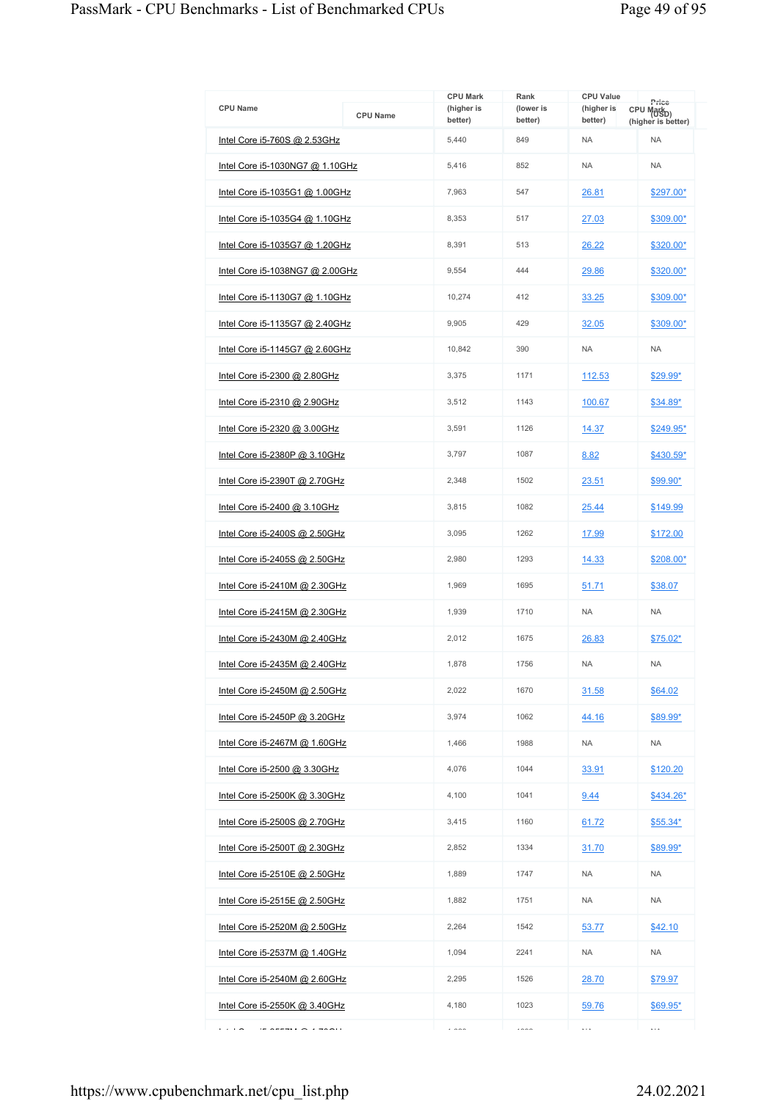| <b>CPU Name</b>                       | <b>CPU Name</b> | <b>CPU Mark</b><br>(higher is<br>better) | Rank<br>(lower is<br>better) | <b>CPU Value</b><br>(higher is<br>better) | Price<br>CPU Mark <sub>D)</sub><br>(higher is better) |
|---------------------------------------|-----------------|------------------------------------------|------------------------------|-------------------------------------------|-------------------------------------------------------|
| Intel Core i5-760S @ 2.53GHz          |                 | 5,440                                    | 849                          | <b>NA</b>                                 | <b>NA</b>                                             |
| Intel Core i5-1030NG7 @ 1.10GHz       |                 | 5,416                                    | 852                          | <b>NA</b>                                 | <b>NA</b>                                             |
| Intel Core i5-1035G1 @ 1.00GHz        |                 | 7,963                                    | 547                          | 26.81                                     | \$297.00*                                             |
| Intel Core i5-1035G4 @ 1.10GHz        |                 | 8,353                                    | 517                          | 27.03                                     | \$309.00*                                             |
| Intel Core i5-1035G7 @ 1.20GHz        |                 | 8,391                                    | 513                          | 26.22                                     | \$320.00*                                             |
| Intel Core i5-1038NG7 @ 2.00GHz       |                 | 9,554                                    | 444                          | 29.86                                     | \$320.00*                                             |
| Intel Core i5-1130G7 @ 1.10GHz        |                 | 10,274                                   | 412                          | 33.25                                     | \$309.00*                                             |
| <u>Intel Core i5-1135G7 @ 2.40GHz</u> |                 | 9,905                                    | 429                          | 32.05                                     | \$309.00*                                             |
| Intel Core i5-1145G7 @ 2.60GHz        |                 | 10,842                                   | 390                          | <b>NA</b>                                 | <b>NA</b>                                             |
| Intel Core i5-2300 @ 2.80GHz          |                 | 3,375                                    | 1171                         | 112.53                                    | \$29.99*                                              |
| Intel Core i5-2310 @ 2.90GHz          |                 | 3.512                                    | 1143                         | 100.67                                    | $$34.89*$                                             |
| Intel Core i5-2320 @ 3.00GHz          |                 | 3.591                                    | 1126                         | 14.37                                     | \$249.95*                                             |
| Intel Core i5-2380P @ 3.10GHz         |                 | 3,797                                    | 1087                         | 8.82                                      | \$430.59*                                             |
| <u>Intel Core i5-2390T @ 2.70GHz</u>  |                 | 2,348                                    | 1502                         | 23.51                                     | \$99.90*                                              |
| Intel Core i5-2400 @ 3.10GHz          |                 | 3,815                                    | 1082                         | 25.44                                     | \$149.99                                              |
| Intel Core i5-2400S @ 2.50GHz         |                 | 3,095                                    | 1262                         | 17.99                                     | \$172.00                                              |
| Intel Core i5-2405S @ 2.50GHz         |                 | 2,980                                    | 1293                         | 14.33                                     | \$208.00*                                             |
| Intel Core $i5-2410M$ @ 2.30GHz       |                 | 1,969                                    | 1695                         | 51.71                                     | \$38.07                                               |
| Intel Core i5-2415M @ 2.30GHz         |                 | 1,939                                    | 1710                         | <b>NA</b>                                 | <b>NA</b>                                             |
| Intel Core i5-2430M @ 2.40GHz         |                 | 2,012                                    | 1675                         | 26.83                                     | \$75.02*                                              |
| Intel Core i5-2435M @ 2.40GHz         |                 | 1.878                                    | 1756                         | <b>NA</b>                                 | <b>NA</b>                                             |
| Intel Core i5-2450M @ 2.50GHz         |                 | 2,022                                    | 1670                         | 31.58                                     | \$64.02                                               |
| Intel Core i5-2450P @ 3.20GHz         |                 | 3,974                                    | 1062                         | 44.16                                     | \$89.99*                                              |
| <u>Intel Core i5-2467M @ 1.60GHz</u>  |                 | 1,466                                    | 1988                         | <b>NA</b>                                 | <b>NA</b>                                             |
| Intel Core i5-2500 @ 3.30GHz          |                 | 4.076                                    | 1044                         | 33.91                                     | \$120.20                                              |
| Intel Core i5-2500K @ 3.30GHz         |                 | 4,100                                    | 1041                         | 9.44                                      | \$434.26*                                             |
| Intel Core i5-2500S @ 2.70GHz         |                 | 3,415                                    | 1160                         | 61.72                                     | \$55.34*                                              |
| Intel Core i5-2500T @ 2.30GHz         |                 | 2,852                                    | 1334                         | 31.70                                     | \$89.99*                                              |
| Intel Core i5-2510E @ 2.50GHz         |                 | 1,889                                    | 1747                         | <b>NA</b>                                 | <b>NA</b>                                             |
| <u>Intel Core i5-2515E @ 2.50GHz</u>  |                 | 1,882                                    | 1751                         | <b>NA</b>                                 | <b>NA</b>                                             |
| Intel Core i5-2520M @ 2.50GHz         |                 | 2,264                                    | 1542                         | 53.77                                     | \$42.10                                               |
| Intel Core i5-2537M @ 1.40GHz         |                 | 1,094                                    | 2241                         | NA.                                       | <b>NA</b>                                             |
| Intel Core i5-2540M @ 2.60GHz         |                 | 2,295                                    | 1526                         | 28.70                                     | \$79.97                                               |
| Intel Core i5-2550K @ 3.40GHz         |                 | 4,180                                    | 1023                         | 59.76                                     | $$69.95*$                                             |
| .<br>$A = 1$                          |                 | $\overline{\phantom{a}}$                 | 1000                         | $\cdots$                                  | $\ldots$                                              |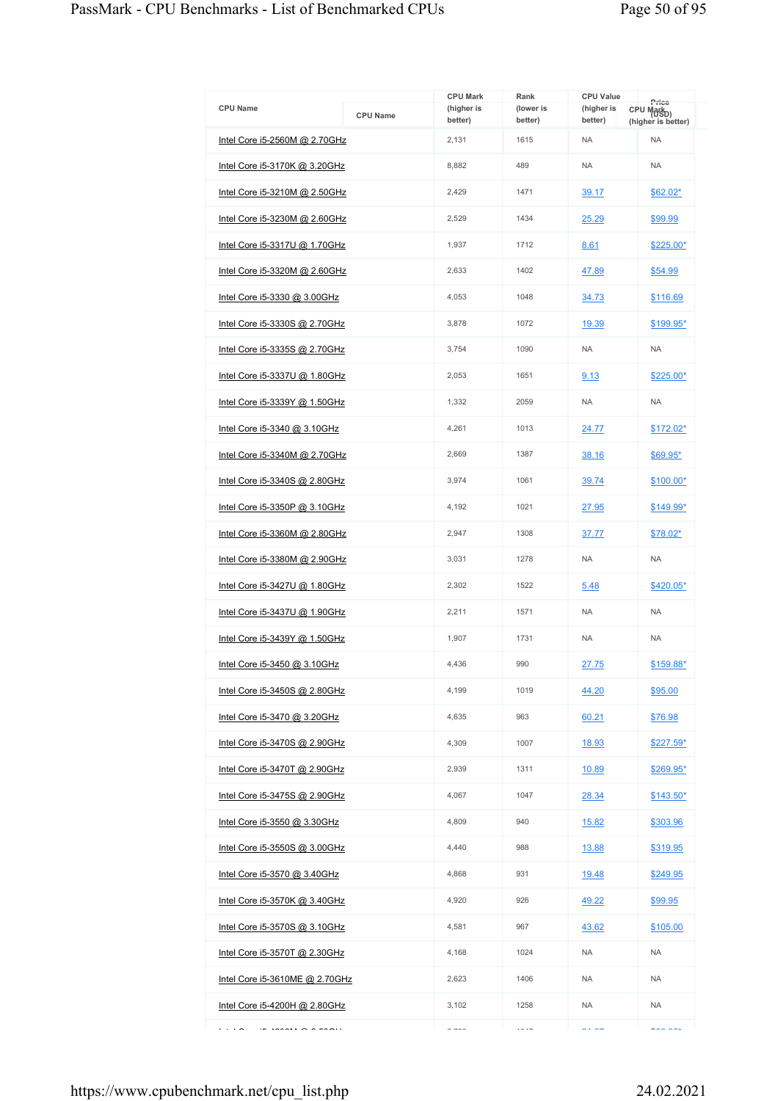| <b>CPU Name</b>                      | <b>CPU Name</b> | <b>CPU Mark</b><br>(higher is | Rank<br>(lower is | <b>CPU Value</b><br>(higher is | Price<br>CPU Mark <sub>D)</sub> |
|--------------------------------------|-----------------|-------------------------------|-------------------|--------------------------------|---------------------------------|
|                                      |                 | better)                       | better)           | better)                        | (higher is better)              |
| Intel Core i5-2560M @ 2.70GHz        |                 | 2,131                         | 1615              | <b>NA</b>                      | <b>NA</b>                       |
| Intel Core i5-3170K @ 3.20GHz        |                 | 8,882                         | 489               | <b>NA</b>                      | <b>NA</b>                       |
| Intel Core i5-3210M @ 2.50GHz        |                 | 2,429                         | 1471              | 39.17                          | $$62.02*$                       |
| Intel Core i5-3230M @ 2.60GHz        |                 | 2,529                         | 1434              | 25.29                          | \$99.99                         |
| Intel Core i5-3317U @ 1.70GHz        |                 | 1,937                         | 1712              | 8.61                           | \$225.00*                       |
| <u>Intel Core i5-3320M @ 2.60GHz</u> |                 | 2,633                         | 1402              | 47.89                          | \$54.99                         |
| Intel Core i5-3330 @ 3.00GHz         |                 | 4,053                         | 1048              | 34.73                          | \$116.69                        |
| <u>Intel Core i5-3330S @ 2.70GHz</u> |                 | 3,878                         | 1072              | 19.39                          | \$199.95*                       |
| Intel Core i5-3335S @ 2.70GHz        |                 | 3.754                         | 1090              | <b>NA</b>                      | <b>NA</b>                       |
| Intel Core i5-3337U @ 1.80GHz        |                 | 2,053                         | 1651              | 9.13                           | \$225.00*                       |
| Intel Core i5-3339Y @ 1.50GHz        |                 | 1,332                         | 2059              | <b>NA</b>                      | <b>NA</b>                       |
| Intel Core i5-3340 @ 3.10GHz         |                 | 4.261                         | 1013              | 24.77                          | \$172.02*                       |
| Intel Core i5-3340M @ 2.70GHz        |                 | 2,669                         | 1387              | 38.16                          | \$69.95*                        |
| <u>Intel Core i5-3340S @ 2.80GHz</u> |                 | 3,974                         | 1061              | 39.74                          | $$100.00*$                      |
| Intel Core $i5-3350P$ @ 3.10GHz      |                 | 4,192                         | 1021              | 27.95                          | $$149.99*$                      |
| Intel Core i5-3360M @ 2.80GHz        |                 | 2,947                         | 1308              | 37.77                          | \$78.02*                        |
| Intel Core i5-3380M @ 2.90GHz        |                 | 3,031                         | 1278              | <b>NA</b>                      | <b>NA</b>                       |
| Intel Core i5-3427U @ 1.80GHz        |                 | 2,302                         | 1522              | 5.48                           | \$420.05*                       |
| Intel Core i5-3437U @ 1.90GHz        |                 | 2,211                         | 1571              | <b>NA</b>                      | <b>NA</b>                       |
| <u>Intel Core i5-3439Y @ 1.50GHz</u> |                 | 1.907                         | 1731              | <b>NA</b>                      | <b>NA</b>                       |
| Intel Core i5-3450 @ 3.10GHz         |                 | 4,436                         | 990               | 27.75                          | \$159.88*                       |
| <u>Intel Core i5-3450S @ 2.80GHz</u> |                 | 4.199                         | 1019              | 44.20                          | \$95.00                         |
| Intel Core i5-3470 @ 3.20GHz         |                 | 4,635                         | 963               | 60.21                          | \$76.98                         |
| <u>Intel Core i5-3470S @ 2.90GHz</u> |                 | 4,309                         | 1007              | 18.93                          | \$227.59*                       |
| Intel Core i5-3470T @ 2.90GHz        |                 | 2,939                         | 1311              | 10.89                          | \$269.95*                       |
| Intel Core i5-3475S @ 2.90GHz        |                 | 4,067                         | 1047              | 28.34                          | $$143.50*$                      |
| Intel Core i5-3550 @ 3.30GHz         |                 | 4.809                         | 940               | <u>15.82</u>                   | \$303.96                        |
| Intel Core i5-3550S @ 3.00GHz        |                 | 4,440                         | 988               | 13.88                          | \$319.95                        |
| Intel Core i5-3570 @ 3.40GHz         |                 | 4,868                         | 931               | 19.48                          | \$249.95                        |
| <u>Intel Core i5-3570K @ 3.40GHz</u> |                 | 4,920                         | 926               | 49.22                          | \$99.95                         |
| Intel Core i5-3570S @ 3.10GHz        |                 | 4,581                         | 967               | 43.62                          | \$105.00                        |
| Intel Core i5-3570T @ 2.30GHz        |                 | 4,168                         | 1024              | NA                             | <b>NA</b>                       |
| Intel Core i5-3610ME @ 2.70GHz       |                 | 2,623                         | 1406              | NA.                            | <b>NA</b>                       |
| <u>Intel Core i5-4200H @ 2.80GHz</u> |                 | 3,102                         | 1258              | <b>NA</b>                      | <b>NA</b>                       |
| .<br>$\sim$                          |                 | $\sim$ $\sim$ $\sim$          | $\cdots$          | $\sim$ $\sim$                  | $\sum_{n=1}^{n}$                |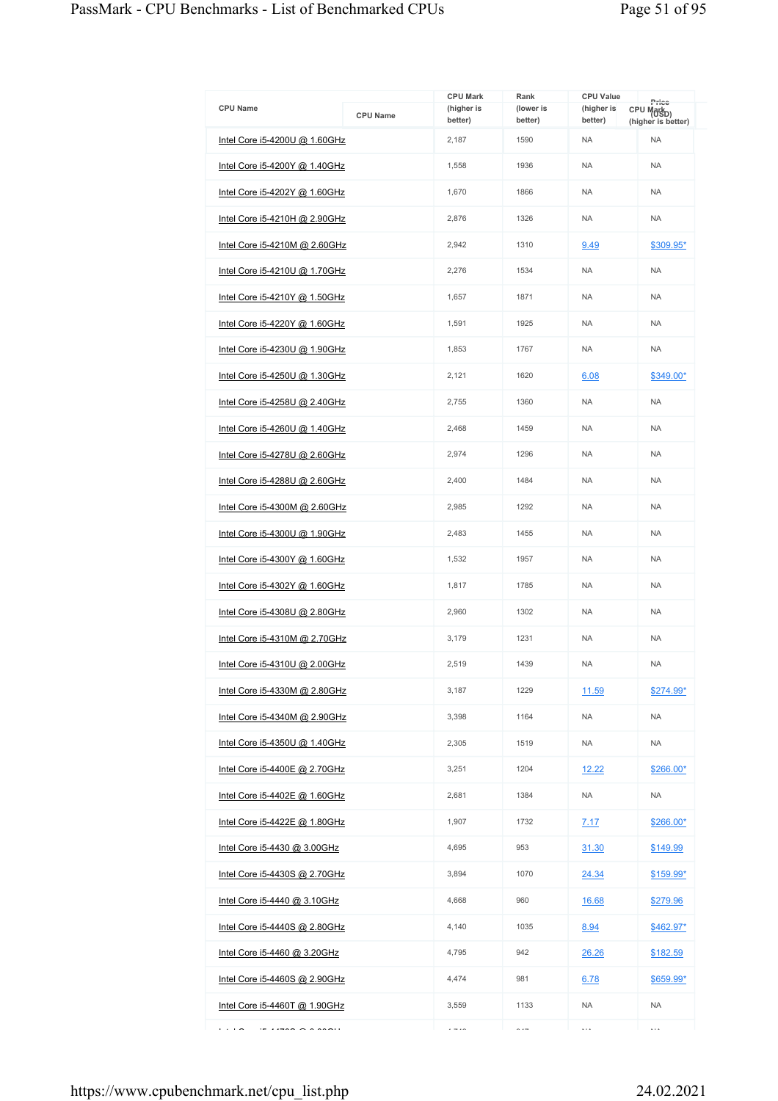|                                      |                 | <b>CPU Mark</b>       | Rank                 | <b>CPU Value</b>      |                                                       |
|--------------------------------------|-----------------|-----------------------|----------------------|-----------------------|-------------------------------------------------------|
| <b>CPU Name</b>                      | <b>CPU Name</b> | (higher is<br>better) | (lower is<br>better) | (higher is<br>better) | Price<br>CPU Mark <sub>D)</sub><br>(higher is better) |
| Intel Core i5-4200U @ 1.60GHz        |                 | 2,187                 | 1590                 | <b>NA</b>             | <b>NA</b>                                             |
| <u>Intel Core i5-4200Y @ 1.40GHz</u> |                 | 1,558                 | 1936                 | <b>NA</b>             | <b>NA</b>                                             |
| Intel Core i5-4202Y @ 1.60GHz        |                 | 1,670                 | 1866                 | <b>NA</b>             | <b>NA</b>                                             |
| Intel Core i5-4210H @ 2.90GHz        |                 | 2,876                 | 1326                 | <b>NA</b>             | <b>NA</b>                                             |
| Intel Core i5-4210M @ 2.60GHz        |                 | 2.942                 | 1310                 | 9.49                  | \$309.95*                                             |
| <u>Intel Core i5-4210U @ 1.70GHz</u> |                 | 2,276                 | 1534                 | <b>NA</b>             | <b>NA</b>                                             |
| Intel Core i5-4210Y @ 1.50GHz        |                 | 1,657                 | 1871                 | <b>NA</b>             | <b>NA</b>                                             |
| <u>Intel Core i5-4220Y @ 1.60GHz</u> |                 | 1,591                 | 1925                 | <b>NA</b>             | <b>NA</b>                                             |
| Intel Core i5-4230U @ 1.90GHz        |                 | 1,853                 | 1767                 | <b>NA</b>             | <b>NA</b>                                             |
| Intel Core i5-4250U @ 1.30GHz        |                 | 2,121                 | 1620                 | 6.08                  | $$349.00*$                                            |
| Intel Core i5-4258U @ 2.40GHz        |                 | 2,755                 | 1360                 | <b>NA</b>             | <b>NA</b>                                             |
| <u>Intel Core i5-4260U @ 1.40GHz</u> |                 | 2,468                 | 1459                 | <b>NA</b>             | <b>NA</b>                                             |
| Intel Core i5-4278U @ 2.60GHz        |                 | 2,974                 | 1296                 | <b>NA</b>             | <b>NA</b>                                             |
| Intel Core i5-4288U @ 2.60GHz        |                 | 2,400                 | 1484                 | <b>NA</b>             | <b>NA</b>                                             |
| Intel Core i5-4300M @ 2.60GHz        |                 | 2,985                 | 1292                 | <b>NA</b>             | <b>NA</b>                                             |
| Intel Core i5-4300U @ 1.90GHz        |                 | 2,483                 | 1455                 | <b>NA</b>             | <b>NA</b>                                             |
| Intel Core i5-4300Y @ 1.60GHz        |                 | 1,532                 | 1957                 | <b>NA</b>             | <b>NA</b>                                             |
| Intel Core i5-4302Y @ 1.60GHz        |                 | 1,817                 | 1785                 | <b>NA</b>             | <b>NA</b>                                             |
| Intel Core i5-4308U @ 2.80GHz        |                 | 2,960                 | 1302                 | <b>NA</b>             | <b>NA</b>                                             |
| <u>Intel Core i5-4310M @ 2.70GHz</u> |                 | 3.179                 | 1231                 | <b>NA</b>             | <b>NA</b>                                             |
| Intel Core i5-4310U @ 2.00GHz        |                 | 2,519                 | 1439                 | <b>NA</b>             | <b>NA</b>                                             |
| Intel Core i5-4330M @ 2.80GHz        |                 | 3,187                 | 1229                 | 11.59                 | \$274.99*                                             |
| Intel Core i5-4340M @ 2.90GHz        |                 | 3,398                 | 1164                 | NA.                   | <b>NA</b>                                             |
| <u>Intel Core i5-4350U @ 1.40GHz</u> |                 | 2,305                 | 1519                 | <b>NA</b>             | <b>NA</b>                                             |
| Intel Core i5-4400E @ 2.70GHz        |                 | 3,251                 | 1204                 | 12.22                 | $$266.00*$                                            |
| <u>Intel Core i5-4402E @ 1.60GHz</u> |                 | 2,681                 | 1384                 | NA.                   | <b>NA</b>                                             |
| Intel Core i5-4422E @ 1.80GHz        |                 | 1,907                 | 1732                 | 7.17                  | \$266.00*                                             |
| Intel Core i5-4430 @ 3.00GHz         |                 | 4,695                 | 953                  | 31.30                 | \$149.99                                              |
| Intel Core i5-4430S @ 2.70GHz        |                 | 3,894                 | 1070                 | 24.34                 | $$159.99*$                                            |
| Intel Core i5-4440 @ 3.10GHz         |                 | 4,668                 | 960                  | 16.68                 | \$279.96                                              |
| Intel Core i5-4440S @ 2.80GHz        |                 | 4,140                 | 1035                 | 8.94                  | $$462.97*$                                            |
| Intel Core i5-4460 @ 3.20GHz         |                 | 4,795                 | 942                  | 26.26                 | \$182.59                                              |
| Intel Core i5-4460S @ 2.90GHz        |                 | 4,474                 | 981                  | 6.78                  | \$659.99*                                             |
| Intel Core $i5-4460T$ @ 1.90GHz      |                 | 3,559                 | 1133                 | <b>NA</b>             | <b>NA</b>                                             |
| .                                    |                 | $\cdot$ - $\cdot$ -   | $\sim$ $-$           | $\cdots$              | $\ddotsc$                                             |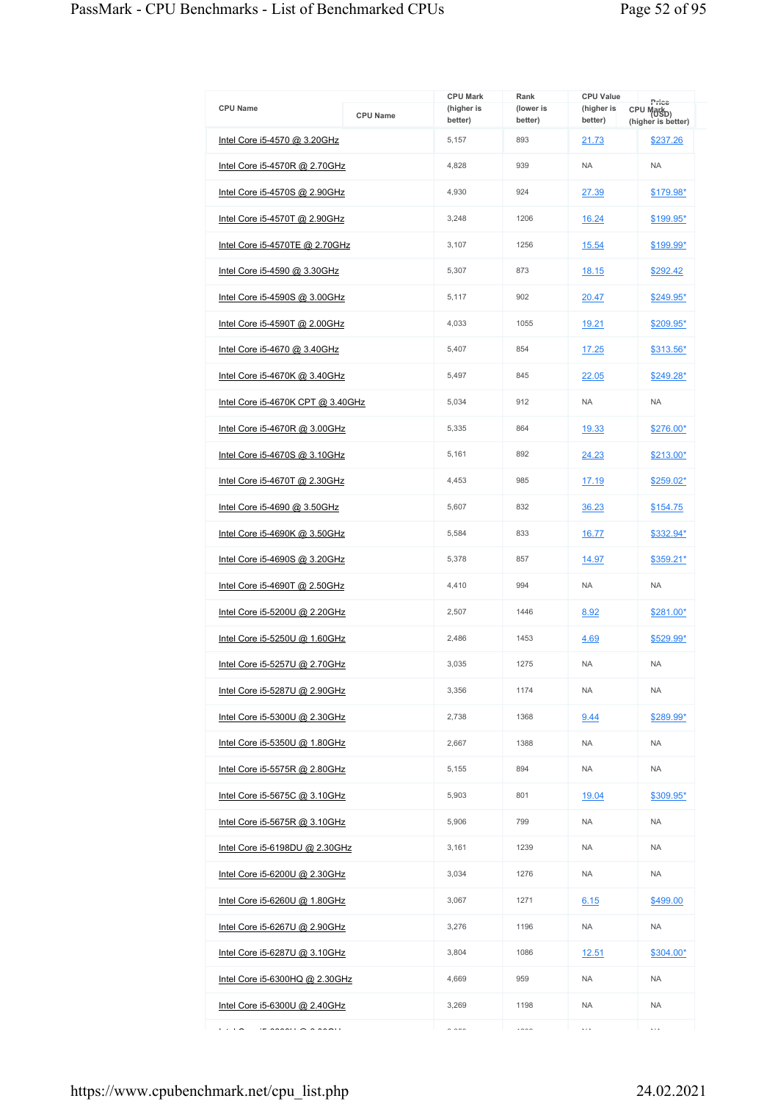| <b>CPU Name</b>                      | <b>CPU Name</b> | <b>CPU Mark</b><br>(higher is | Rank<br>(lower is | <b>CPU Value</b><br>(higher is | Price<br>CPU Mark <sub>D)</sub> |
|--------------------------------------|-----------------|-------------------------------|-------------------|--------------------------------|---------------------------------|
|                                      |                 | better)                       | better)           | better)                        | (higher is better)              |
| Intel Core i5-4570 @ 3.20GHz         |                 | 5,157                         | 893               | 21.73                          | \$237.26                        |
| Intel Core i5-4570R @ 2.70GHz        |                 | 4.828                         | 939               | <b>NA</b>                      | <b>NA</b>                       |
| Intel Core i5-4570S @ 2.90GHz        |                 | 4,930                         | 924               | 27.39                          | $$179.98*$                      |
| Intel Core i5-4570T @ 2.90GHz        |                 | 3,248                         | 1206              | 16.24                          | \$199.95*                       |
| Intel Core i5-4570TE @ 2.70GHz       |                 | 3,107                         | 1256              | 15.54                          | \$199.99*                       |
| <u>Intel Core i5-4590 @ 3.30GHz</u>  |                 | 5,307                         | 873               | <u>18.15</u>                   | \$292.42                        |
| Intel Core i5-4590S @ 3.00GHz        |                 | 5,117                         | 902               | 20.47                          | \$249.95*                       |
| <u>Intel Core i5-4590T @ 2.00GHz</u> |                 | 4,033                         | 1055              | 19.21                          | \$209.95*                       |
| Intel Core i5-4670 @ 3.40GHz         |                 | 5,407                         | 854               | 17.25                          | \$313.56*                       |
| Intel Core i5-4670K @ 3.40GHz        |                 | 5,497                         | 845               | 22.05                          | \$249.28*                       |
| Intel Core i5-4670K CPT @ 3.40GHz    |                 | 5,034                         | 912               | <b>NA</b>                      | <b>NA</b>                       |
| Intel Core i5-4670R @ 3.00GHz        |                 | 5,335                         | 864               | 19.33                          | \$276.00*                       |
| Intel Core i5-4670S @ 3.10GHz        |                 | 5,161                         | 892               | 24.23                          | \$213.00*                       |
| <u>Intel Core i5-4670T @ 2.30GHz</u> |                 | 4,453                         | 985               | 17.19                          | \$259.02*                       |
| Intel Core i5-4690 @ 3.50GHz         |                 | 5,607                         | 832               | 36.23                          | \$154.75                        |
| Intel Core i5-4690K @ 3.50GHz        |                 | 5,584                         | 833               | 16.77                          | \$332.94*                       |
| Intel Core i5-4690S @ 3.20GHz        |                 | 5,378                         | 857               | 14.97                          | $$359.21*$                      |
| Intel Core i5-4690T $@$ 2.50GHz      |                 | 4,410                         | 994               | <b>NA</b>                      | <b>NA</b>                       |
| Intel Core i5-5200U @ 2.20GHz        |                 | 2,507                         | 1446              | 8.92                           | \$281.00*                       |
| Intel Core i5-5250U @ 1.60GHz        |                 | 2,486                         | 1453              | 4.69                           | \$529.99*                       |
| Intel Core i5-5257U @ 2.70GHz        |                 | 3,035                         | 1275              | <b>NA</b>                      | <b>NA</b>                       |
| Intel Core i5-5287U @ 2.90GHz        |                 | 3,356                         | 1174              | <b>NA</b>                      | <b>NA</b>                       |
| Intel Core i5-5300U @ 2.30GHz        |                 | 2,738                         | 1368              | 9.44                           | $$289.99*$                      |
| <u>Intel Core i5-5350U @ 1.80GHz</u> |                 | 2,667                         | 1388              | <b>NA</b>                      | <b>NA</b>                       |
| Intel Core i5-5575R @ 2.80GHz        |                 | 5,155                         | 894               | <b>NA</b>                      | <b>NA</b>                       |
| <u>Intel Core i5-5675C @ 3.10GHz</u> |                 | 5,903                         | 801               | 19.04                          | \$309.95*                       |
| Intel Core i5-5675R @ 3.10GHz        |                 | 5,906                         | 799               | <b>NA</b>                      | <b>NA</b>                       |
| Intel Core i5-6198DU @ 2.30GHz       |                 | 3,161                         | 1239              | <b>NA</b>                      | <b>NA</b>                       |
| Intel Core i5-6200U @ 2.30GHz        |                 | 3,034                         | 1276              | <b>NA</b>                      | <b>NA</b>                       |
| <u>Intel Core i5-6260U @ 1.80GHz</u> |                 | 3,067                         | 1271              | 6.15                           | \$499.00                        |
| Intel Core i5-6267U @ 2.90GHz        |                 | 3,276                         | 1196              | <b>NA</b>                      | <b>NA</b>                       |
| Intel Core i5-6287U @ 3.10GHz        |                 | 3,804                         | 1086              | <u>12.51</u>                   | $$304.00*$                      |
| Intel Core i5-6300HQ @ 2.30GHz       |                 | 4,669                         | 959               | <b>NA</b>                      | <b>NA</b>                       |
| <u>Intel Core i5-6300U @ 2.40GHz</u> |                 | 3,269                         | 1198              | <b>NA</b>                      | <b>NA</b>                       |
| .<br>5.0001122222                    |                 | $\sim$ $\sim$ $\sim$          | $\cdots$          | $\cdots$                       | $\cdots$                        |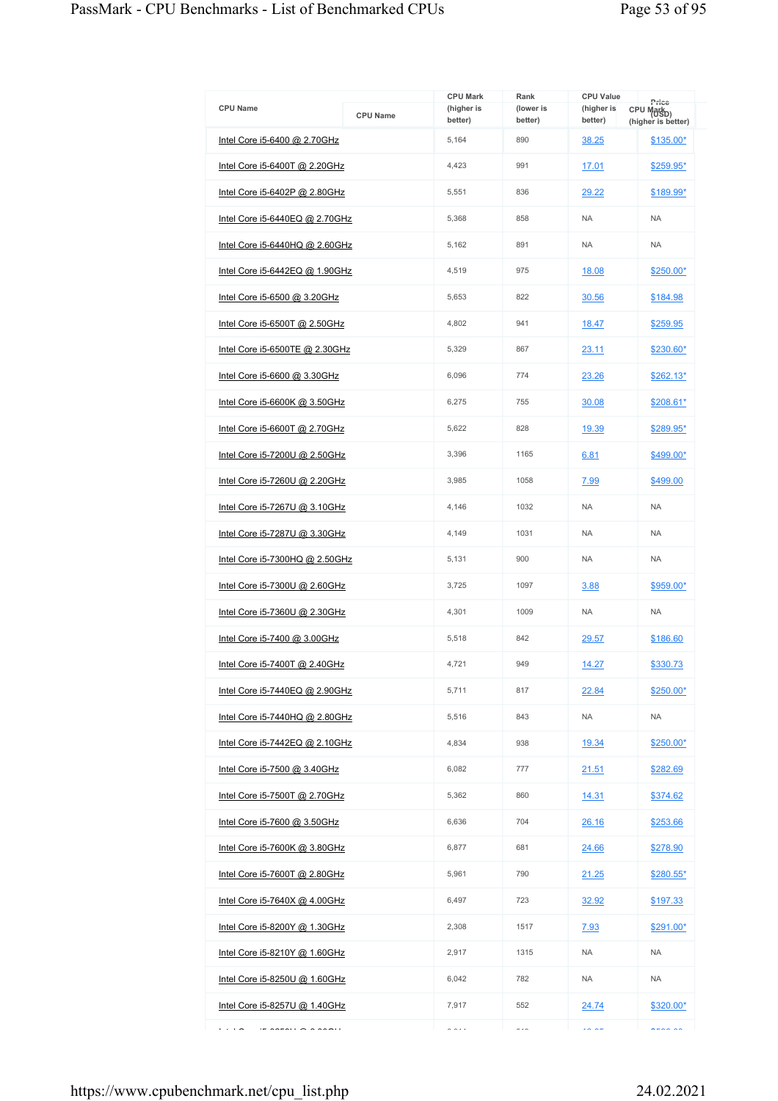| <b>CPU Name</b>                                                              | <b>CPU Name</b> | <b>CPU Mark</b><br>(higher is | Rank<br>(lower is        | <b>CPU Value</b><br>(higher is | Price<br>CPU Mark <sub>D)</sub> |
|------------------------------------------------------------------------------|-----------------|-------------------------------|--------------------------|--------------------------------|---------------------------------|
| Intel Core i5-6400 @ 2.70GHz                                                 |                 | better)<br>5,164              | better)<br>890           | better)<br>38.25               | (higher is better)<br>\$135.00* |
|                                                                              |                 | 4,423                         | 991                      |                                |                                 |
| Intel Core i5-6400T @ 2.20GHz                                                |                 |                               |                          | 17.01                          | \$259.95*                       |
| Intel Core i5-6402P $@$ 2.80GHz                                              |                 | 5,551                         | 836                      | 29.22                          | \$189.99*                       |
| Intel Core i5-6440EQ @ 2.70GHz                                               |                 | 5,368                         | 858                      | <b>NA</b>                      | <b>NA</b>                       |
| Intel Core i5-6440HQ @ 2.60GHz                                               |                 | 5.162                         | 891                      | <b>NA</b>                      | <b>NA</b>                       |
| Intel Core i5-6442EQ @ 1.90GHz                                               |                 | 4,519                         | 975                      | 18.08                          | \$250.00*                       |
| Intel Core i5-6500 @ 3.20GHz                                                 |                 | 5,653                         | 822                      | 30.56                          | \$184.98                        |
| Intel Core i5-6500T @ 2.50GHz                                                |                 | 4,802                         | 941                      | 18.47                          | \$259.95                        |
| Intel Core i5-6500TE @ 2.30GHz                                               |                 | 5,329                         | 867                      | 23.11                          | \$230.60*                       |
| <u>Intel Core i5-6600 @ 3.30GHz</u>                                          |                 | 6,096                         | 774                      | 23.26                          | $$262.13*$                      |
| Intel Core i5-6600K @ 3.50GHz                                                |                 | 6,275                         | 755                      | 30.08                          | $$208.61*$                      |
| Intel Core i5-6600T @ 2.70GHz                                                |                 | 5,622                         | 828                      | 19.39                          | \$289.95*                       |
| Intel Core i5-7200U @ 2.50GHz                                                |                 | 3,396                         | 1165                     | 6.81                           | \$499.00*                       |
| Intel Core i5-7260U @ 2.20GHz                                                |                 | 3,985                         | 1058                     | 7.99                           | \$499.00                        |
| Intel Core i5-7267U @ 3.10GHz                                                |                 | 4,146                         | 1032                     | <b>NA</b>                      | <b>NA</b>                       |
| Intel Core i5-7287U @ 3.30GHz                                                |                 | 4.149                         | 1031                     | <b>NA</b>                      | <b>NA</b>                       |
| Intel Core i5-7300HQ @ 2.50GHz                                               |                 | 5,131                         | 900                      | <b>NA</b>                      | <b>NA</b>                       |
| Intel Core i5-7300U @ 2.60GHz                                                |                 | 3,725                         | 1097                     | 3.88                           | \$959.00*                       |
| Intel Core i5-7360U @ 2.30GHz                                                |                 | 4,301                         | 1009                     | <b>NA</b>                      | <b>NA</b>                       |
| <u>Intel Core i5-7400 @ 3.00GHz</u>                                          |                 | 5,518                         | 842                      | 29.57                          | \$186.60                        |
| Intel Core i5-7400T @ 2.40GHz                                                |                 | 4,721                         | 949                      | 14.27                          | \$330.73                        |
| Intel Core $i5-7440EQ$ @ 2.90GHz                                             |                 | 5,711                         | 817                      | 22.84                          | \$250.00*                       |
| Intel Core i5-7440HQ @ 2.80GHz                                               |                 | 5.516                         | 843                      | <b>NA</b>                      | <b>NA</b>                       |
| Intel Core i5-7442EQ @ 2.10GHz                                               |                 | 4,834                         | 938                      | 19.34                          | $$250.00*$                      |
| Intel Core i5-7500 @ 3.40GHz                                                 |                 | 6,082                         | 777                      | 21.51                          | \$282.69                        |
| Intel Core i5-7500T @ 2.70GHz                                                |                 | 5,362                         | 860                      | 14.31                          | \$374.62                        |
| Intel Core i5-7600 @ 3.50GHz                                                 |                 | 6,636                         | 704                      | 26.16                          | \$253.66                        |
| <u>Intel Core i5-7600K @ 3.80GHz</u>                                         |                 | 6,877                         | 681                      | 24.66                          | \$278.90                        |
| Intel Core i5-7600T @ 2.80GHz                                                |                 | 5,961                         | 790                      | 21.25                          | $$280.55*$                      |
| <u>Intel Core i5-7640X @ 4.00GHz</u>                                         |                 | 6,497                         | 723                      | 32.92                          | \$197.33                        |
| Intel Core i5-8200Y @ 1.30GHz                                                |                 | 2,308                         | 1517                     | 7.93                           | $$291.00*$                      |
| Intel Core i5-8210Y @ 1.60GHz                                                |                 | 2,917                         | 1315                     | <b>NA</b>                      | <b>NA</b>                       |
| Intel Core i5-8250U @ 1.60GHz                                                |                 | 6,042                         | 782                      | <b>NA</b>                      | <b>NA</b>                       |
| <u>Intel Core i5-8257U @ 1.40GHz</u>                                         |                 | 7,917                         | 552                      | 24.74                          | $$320.00*$                      |
| .<br>$\overline{a}$ and $\overline{a}$ and $\overline{a}$ and $\overline{a}$ |                 | 0.011                         | $\overline{\phantom{a}}$ | $\sim$ $\sim$                  | $n = n - n$                     |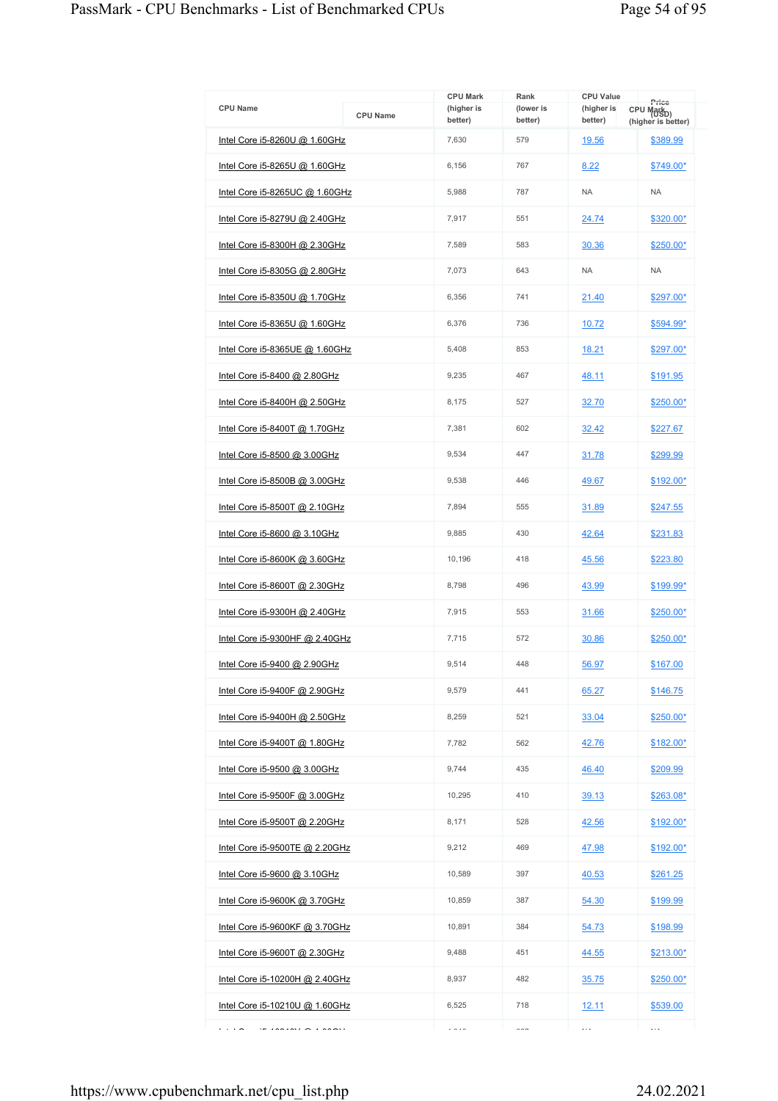|                                       |                 | <b>CPU Mark</b>       | Rank                 | <b>CPU Value</b>      | Price                                        |
|---------------------------------------|-----------------|-----------------------|----------------------|-----------------------|----------------------------------------------|
| <b>CPU Name</b>                       | <b>CPU Name</b> | (higher is<br>better) | (lower is<br>better) | (higher is<br>better) | CPU Mark <sub>D)</sub><br>(higher is better) |
| Intel Core $i5-8260U$ @ 1.60GHz       |                 | 7,630                 | 579                  | 19.56                 | \$389.99                                     |
| Intel Core i5-8265U @ 1.60GHz         |                 | 6,156                 | 767                  | 8.22                  | \$749.00*                                    |
| Intel Core i5-8265UC @ 1.60GHz        |                 | 5,988                 | 787                  | <b>NA</b>             | <b>NA</b>                                    |
| Intel Core i5-8279U @ 2.40GHz         |                 | 7,917                 | 551                  | 24.74                 | \$320.00*                                    |
| Intel Core i5-8300H @ 2.30GHz         |                 | 7,589                 | 583                  | 30.36                 | $$250.00*$                                   |
| <u>Intel Core i5-8305G @ 2.80GHz</u>  |                 | 7,073                 | 643                  | <b>NA</b>             | <b>NA</b>                                    |
| Intel Core i5-8350U @ 1.70GHz         |                 | 6,356                 | 741                  | 21.40                 | \$297.00*                                    |
| Intel Core i5-8365U @ 1.60GHz         |                 | 6,376                 | 736                  | 10.72                 | \$594.99*                                    |
| Intel Core i5-8365UE @ 1.60GHz        |                 | 5,408                 | 853                  | 18.21                 | \$297.00*                                    |
| <u>Intel Core i5-8400 @ 2.80GHz</u>   |                 | 9,235                 | 467                  | 48.11                 | \$191.95                                     |
| Intel Core i5-8400H @ 2.50GHz         |                 | 8,175                 | 527                  | 32.70                 | $$250.00*$                                   |
| <u>Intel Core i5-8400T @ 1.70GHz</u>  |                 | 7,381                 | 602                  | 32.42                 | \$227.67                                     |
| Intel Core i5-8500 @ 3.00GHz          |                 | 9,534                 | 447                  | 31.78                 | \$299.99                                     |
| Intel Core i5-8500B @ 3.00GHz         |                 | 9,538                 | 446                  | 49.67                 | \$192.00*                                    |
| Intel Core i5-8500T $@$ 2.10GHz       |                 | 7,894                 | 555                  | 31.89                 | \$247.55                                     |
| Intel Core i5-8600 @ 3.10GHz          |                 | 9,885                 | 430                  | 42.64                 | \$231.83                                     |
| Intel Core i5-8600K @ 3.60GHz         |                 | 10,196                | 418                  | 45.56                 | \$223.80                                     |
| Intel Core i5-8600T $@$ 2.30GHz       |                 | 8,798                 | 496                  | 43.99                 | \$199.99*                                    |
| Intel Core i5-9300H $@$ 2.40GHz       |                 | 7,915                 | 553                  | 31.66                 | \$250.00*                                    |
| Intel Core i5-9300HF @ 2.40GHz        |                 | 7,715                 | 572                  | 30.86                 | $$250.00*$                                   |
| Intel Core i5-9400 @ 2.90GHz          |                 | 9.514                 | 448                  | 56.97                 | \$167.00                                     |
| Intel Core i5-9400F @ 2.90GHz         |                 | 9,579                 | 441                  | 65.27                 | \$146.75                                     |
| Intel Core i5-9400H @ 2.50GHz         |                 | 8,259                 | 521                  | 33.04                 | $$250.00*$                                   |
| Intel Core i5-9400T @ 1.80GHz         |                 | 7.782                 | 562                  | 42.76                 | $$182.00*$                                   |
| Intel Core i5-9500 @ 3.00GHz          |                 | 9,744                 | 435                  | 46.40                 | \$209.99                                     |
| Intel Core i5-9500F @ 3.00GHz         |                 | 10.295                | 410                  | 39.13                 | \$263.08*                                    |
| Intel Core i5-9500T @ 2.20GHz         |                 | 8,171                 | 528                  | 42.56                 | $$192.00*$                                   |
| <u>Intel Core i5-9500TE @ 2.20GHz</u> |                 | 9,212                 | 469                  | 47.98                 | \$192.00*                                    |
| Intel Core i5-9600 @ 3.10GHz          |                 | 10,589                | 397                  | 40.53                 | \$261.25                                     |
| Intel Core i5-9600K @ 3.70GHz         |                 | 10,859                | 387                  | 54.30                 | \$199.99                                     |
| Intel Core i5-9600KF @ 3.70GHz        |                 | 10,891                | 384                  | 54.73                 | \$198.99                                     |
| Intel Core i5-9600T @ 2.30GHz         |                 | 9,488                 | 451                  | 44.55                 | \$213.00*                                    |
| Intel Core i5-10200H @ 2.40GHz        |                 | 8,937                 | 482                  | 35.75                 | $$250.00*$                                   |
| Intel Core i5-10210U @ 1.60GHz        |                 | 6,525                 | 718                  | <u>12.11</u>          | \$539.00                                     |
| $\cdots$<br>$\overline{1}$            |                 | $\cdots$              | $\sim$ $-$           | .                     | .                                            |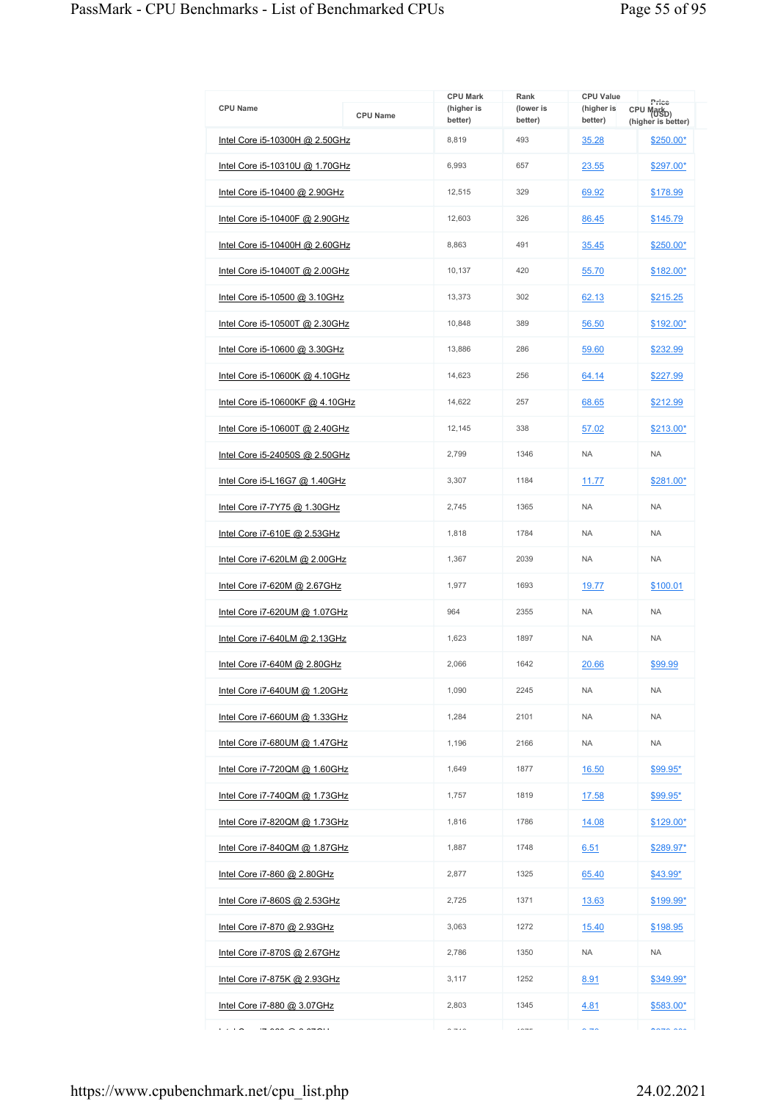|                                                                                                                                                                                                                                                                                                                                                                                                                                                                                      |                 | <b>CPU Mark</b>       | Rank                 | <b>CPU Value</b>            |                                                       |
|--------------------------------------------------------------------------------------------------------------------------------------------------------------------------------------------------------------------------------------------------------------------------------------------------------------------------------------------------------------------------------------------------------------------------------------------------------------------------------------|-----------------|-----------------------|----------------------|-----------------------------|-------------------------------------------------------|
| <b>CPU Name</b>                                                                                                                                                                                                                                                                                                                                                                                                                                                                      | <b>CPU Name</b> | (higher is<br>better) | (lower is<br>better) | (higher is<br>better)       | Price<br>CPU Mark <sub>D)</sub><br>(higher is better) |
| Intel Core i5-10300H @ 2.50GHz                                                                                                                                                                                                                                                                                                                                                                                                                                                       |                 | 8,819                 | 493                  | 35.28                       | \$250.00*                                             |
| <u>Intel Core i5-10310U @ 1.70GHz</u>                                                                                                                                                                                                                                                                                                                                                                                                                                                |                 | 6,993                 | 657                  | 23.55                       | \$297.00*                                             |
| Intel Core i5-10400 @ 2.90GHz                                                                                                                                                                                                                                                                                                                                                                                                                                                        |                 | 12,515                | 329                  | 69.92                       | \$178.99                                              |
| Intel Core i5-10400F @ 2.90GHz                                                                                                                                                                                                                                                                                                                                                                                                                                                       |                 | 12,603                | 326                  | 86.45                       | \$145.79                                              |
| Intel Core i5-10400H @ 2.60GHz                                                                                                                                                                                                                                                                                                                                                                                                                                                       |                 | 8,863                 | 491                  | 35.45                       | $$250.00*$                                            |
| <u>Intel Core i5-10400T @ 2.00GHz</u>                                                                                                                                                                                                                                                                                                                                                                                                                                                |                 | 10,137                | 420                  | 55.70                       | $$182.00*$                                            |
| Intel Core i5-10500 @ 3.10GHz                                                                                                                                                                                                                                                                                                                                                                                                                                                        |                 | 13,373                | 302                  | 62.13                       | \$215.25                                              |
| Intel Core i5-10500T @ 2.30GHz                                                                                                                                                                                                                                                                                                                                                                                                                                                       |                 | 10,848                | 389                  | 56.50                       | \$192.00*                                             |
| Intel Core i5-10600 @ 3.30GHz                                                                                                                                                                                                                                                                                                                                                                                                                                                        |                 | 13,886                | 286                  | 59.60                       | \$232.99                                              |
| Intel Core i5-10600K @ 4.10GHz                                                                                                                                                                                                                                                                                                                                                                                                                                                       |                 | 14,623                | 256                  | 64.14                       | \$227.99                                              |
| Intel Core i5-10600KF @ 4.10GHz                                                                                                                                                                                                                                                                                                                                                                                                                                                      |                 | 14,622                | 257                  | 68.65                       | \$212.99                                              |
| Intel Core i5-10600T @ 2.40GHz                                                                                                                                                                                                                                                                                                                                                                                                                                                       |                 | 12,145                | 338                  | 57.02                       | \$213.00*                                             |
| Intel Core i5-24050S @ 2.50GHz                                                                                                                                                                                                                                                                                                                                                                                                                                                       |                 | 2,799                 | 1346                 | <b>NA</b>                   | <b>NA</b>                                             |
| Intel Core i5-L16G7 @ 1.40GHz                                                                                                                                                                                                                                                                                                                                                                                                                                                        |                 | 3,307                 | 1184                 | 11.77                       | \$281.00*                                             |
| Intel Core i7-7Y75 @ 1.30GHz                                                                                                                                                                                                                                                                                                                                                                                                                                                         |                 | 2,745                 | 1365                 | <b>NA</b>                   | <b>NA</b>                                             |
| Intel Core i7-610E @ 2.53GHz                                                                                                                                                                                                                                                                                                                                                                                                                                                         |                 | 1,818                 | 1784                 | <b>NA</b>                   | <b>NA</b>                                             |
| Intel Core i7-620LM @ 2.00GHz                                                                                                                                                                                                                                                                                                                                                                                                                                                        |                 | 1,367                 | 2039                 | <b>NA</b>                   | <b>NA</b>                                             |
| Intel Core i7-620M @ 2.67GHz                                                                                                                                                                                                                                                                                                                                                                                                                                                         |                 | 1,977                 | 1693                 | 19.77                       | \$100.01                                              |
| Intel Core i7-620UM @ 1.07GHz                                                                                                                                                                                                                                                                                                                                                                                                                                                        |                 | 964                   | 2355                 | <b>NA</b>                   | <b>NA</b>                                             |
| <u>Intel Core i7-640LM @ 2.13GHz</u>                                                                                                                                                                                                                                                                                                                                                                                                                                                 |                 | 1,623                 | 1897                 | <b>NA</b>                   | <b>NA</b>                                             |
| Intel Core i7-640M @ 2.80GHz                                                                                                                                                                                                                                                                                                                                                                                                                                                         |                 | 2,066                 | 1642                 | 20.66                       | \$99.99                                               |
| Intel Core i7-640UM @ 1.20GHz                                                                                                                                                                                                                                                                                                                                                                                                                                                        |                 | 1,090                 | 2245                 | <b>NA</b>                   | <b>NA</b>                                             |
| Intel Core i7-660UM @ 1.33GHz                                                                                                                                                                                                                                                                                                                                                                                                                                                        |                 | 1,284                 | 2101                 | NA.                         | <b>NA</b>                                             |
| <u>Intel Core i7-680UM @ 1.47GHz</u>                                                                                                                                                                                                                                                                                                                                                                                                                                                 |                 | 1,196                 | 2166                 | <b>NA</b>                   | <b>NA</b>                                             |
| Intel Core i7-720QM @ 1.60GHz                                                                                                                                                                                                                                                                                                                                                                                                                                                        |                 | 1,649                 | 1877                 | 16.50                       | \$99.95*                                              |
| <u>Intel Core i7-740QM @ 1.73GHz</u>                                                                                                                                                                                                                                                                                                                                                                                                                                                 |                 | 1,757                 | 1819                 | <u>17.58</u>                | \$99.95*                                              |
| Intel Core i7-820QM @ 1.73GHz                                                                                                                                                                                                                                                                                                                                                                                                                                                        |                 | 1,816                 | 1786                 | 14.08                       | $$129.00*$                                            |
| <u>Intel Core i7-840QM @ 1.87GHz</u>                                                                                                                                                                                                                                                                                                                                                                                                                                                 |                 | 1,887                 | 1748                 | 6.51                        | \$289.97*                                             |
| Intel Core i7-860 @ 2.80GHz                                                                                                                                                                                                                                                                                                                                                                                                                                                          |                 | 2,877                 | 1325                 | 65.40                       | $$43.99*$                                             |
| <u>Intel Core i7-860S @ 2.53GHz</u>                                                                                                                                                                                                                                                                                                                                                                                                                                                  |                 | 2,725                 | 1371                 | 13.63                       | \$199.99*                                             |
| Intel Core i7-870 @ 2.93GHz                                                                                                                                                                                                                                                                                                                                                                                                                                                          |                 | 3,063                 | 1272                 | 15.40                       | \$198.95                                              |
| Intel Core i7-870S @ 2.67GHz                                                                                                                                                                                                                                                                                                                                                                                                                                                         |                 | 2,786                 | 1350                 | NA                          | <b>NA</b>                                             |
| <u>Intel Core i7-875K @ 2.93GHz</u>                                                                                                                                                                                                                                                                                                                                                                                                                                                  |                 | 3,117                 | 1252                 | 8.91                        | \$349.99*                                             |
| <u>Intel Core i7-880 @ 3.07GHz</u>                                                                                                                                                                                                                                                                                                                                                                                                                                                   |                 | 2,803                 | 1345                 | 4.81                        | \$583.00*                                             |
| .<br>$\overline{\phantom{a}}$ $\overline{\phantom{a}}$ $\overline{\phantom{a}}$ $\overline{\phantom{a}}$ $\overline{\phantom{a}}$ $\overline{\phantom{a}}$ $\overline{\phantom{a}}$ $\overline{\phantom{a}}$ $\overline{\phantom{a}}$ $\overline{\phantom{a}}$ $\overline{\phantom{a}}$ $\overline{\phantom{a}}$ $\overline{\phantom{a}}$ $\overline{\phantom{a}}$ $\overline{\phantom{a}}$ $\overline{\phantom{a}}$ $\overline{\phantom{a}}$ $\overline{\phantom{a}}$ $\overline{\$ |                 | $\sim -10$            | $---$                | $\sim$ $\rightarrow$ $\sim$ | $max =$                                               |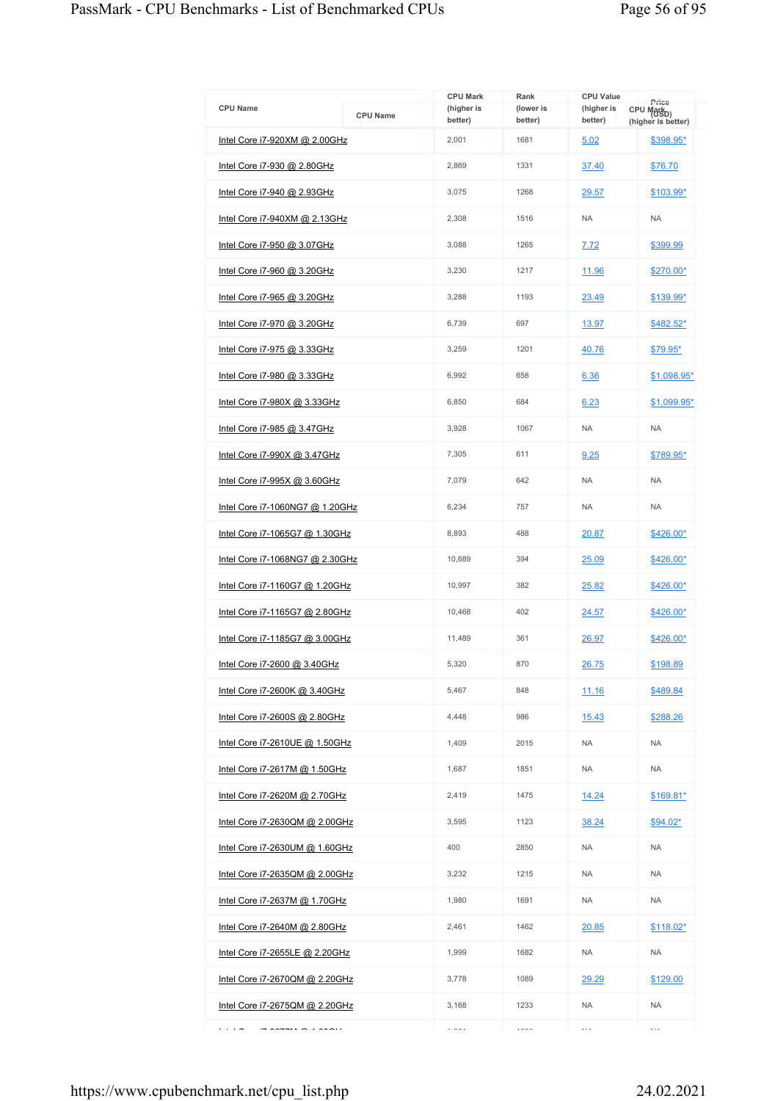| <b>CPU Name</b>                       | <b>CPU Name</b> | <b>CPU Mark</b><br>(higher is<br>better) | Rank<br>(lower is<br>better) | <b>CPU Value</b><br>(higher is<br>better) | Price<br>CPU Mark <sub>D)</sub><br>(higher is better) |
|---------------------------------------|-----------------|------------------------------------------|------------------------------|-------------------------------------------|-------------------------------------------------------|
| Intel Core i7-920XM @ 2.00GHz         |                 | 2,001                                    | 1681                         | 5.02                                      | \$398.95*                                             |
| <u>Intel Core i7-930 @ 2.80GHz</u>    |                 | 2,869                                    | 1331                         | 37.40                                     | \$76.70                                               |
| Intel Core i7-940 @ 2.93GHz           |                 | 3,075                                    | 1268                         | 29.57                                     | \$103.99*                                             |
| Intel Core i7-940XM @ 2.13GHz         |                 | 2,308                                    | 1516                         | <b>NA</b>                                 | <b>NA</b>                                             |
| Intel Core i7-950 @ 3.07GHz           |                 | 3,088                                    | 1265                         | 7.72                                      | \$399.99                                              |
| Intel Core i7-960 @ 3.20GHz           |                 | 3,230                                    | 1217                         | 11.96                                     | \$270.00*                                             |
| Intel Core i7-965 @ 3.20GHz           |                 | 3,288                                    | 1193                         | 23.49                                     | \$139.99*                                             |
| <u>Intel Core i7-970 @ 3.20GHz</u>    |                 | 6,739                                    | 697                          | 13.97                                     | \$482.52*                                             |
| Intel Core i7-975 @ 3.33GHz           |                 | 3,259                                    | 1201                         | 40.76                                     | \$79.95*                                              |
| <u>Intel Core i7-980 @ 3.33GHz</u>    |                 | 6,992                                    | 658                          | 6.36                                      | \$1,098.95*                                           |
| Intel Core i7-980X @ 3.33GHz          |                 | 6,850                                    | 684                          | 6.23                                      | $$1,099.95$ *                                         |
| Intel Core i7-985 @ 3.47GHz           |                 | 3,928                                    | 1067                         | <b>NA</b>                                 | <b>NA</b>                                             |
| Intel Core i7-990X @ 3.47GHz          |                 | 7,305                                    | 611                          | 9.25                                      | \$789.95*                                             |
| Intel Core i7-995X @ 3.60GHz          |                 | 7,079                                    | 642                          | <b>NA</b>                                 | <b>NA</b>                                             |
| Intel Core i7-1060NG7 @ 1.20GHz       |                 | 6,234                                    | 757                          | <b>NA</b>                                 | <b>NA</b>                                             |
| <u>Intel Core i7-1065G7 @ 1.30GHz</u> |                 | 8,893                                    | 488                          | 20.87                                     | \$426.00*                                             |
| Intel Core i7-1068NG7 @ 2.30GHz       |                 | 10,689                                   | 394                          | 25.09                                     | \$426.00*                                             |
| Intel Core i7-1160G7 @ 1.20GHz        |                 | 10,997                                   | 382                          | 25.82                                     | $$426.00*$                                            |
| Intel Core i7-1165G7 @ 2.80GHz        |                 | 10,468                                   | 402                          | 24.57                                     | \$426.00*                                             |
| Intel Core i7-1185G7 @ 3.00GHz        |                 | 11,489                                   | 361                          | 26.97                                     | \$426.00*                                             |
| Intel Core i7-2600 @ 3.40GHz          |                 | 5,320                                    | 870                          | 26.75                                     | \$198.89                                              |
| Intel Core i7-2600K @ 3.40GHz         |                 | 5,467                                    | 848                          | 11.16                                     | \$489.84                                              |
| Intel Core i7-2600S @ 2.80GHz         |                 | 4,448                                    | 986                          | 15.43                                     | \$288.26                                              |
| Intel Core i7-2610UE @ 1.50GHz        |                 | 1,409                                    | 2015                         | <b>NA</b>                                 | <b>NA</b>                                             |
| Intel Core i7-2617M @ 1.50GHz         |                 | 1,687                                    | 1851                         | <b>NA</b>                                 | <b>NA</b>                                             |
| Intel Core i7-2620M @ 2.70GHz         |                 | 2,419                                    | 1475                         | 14.24                                     | \$169.81*                                             |
| Intel Core i7-2630QM @ 2.00GHz        |                 | 3,595                                    | 1123                         | 38.24                                     | $$94.02*$                                             |
| Intel Core i7-2630UM @ 1.60GHz        |                 | 400                                      | 2850                         | <b>NA</b>                                 | <b>NA</b>                                             |
| Intel Core i7-2635QM @ 2.00GHz        |                 | 3,232                                    | 1215                         | NA.                                       | <b>NA</b>                                             |
| <u>Intel Core i7-2637M @ 1.70GHz</u>  |                 | 1,980                                    | 1691                         | NA.                                       | <b>NA</b>                                             |
| Intel Core i7-2640M @ 2.80GHz         |                 | 2,461                                    | 1462                         | 20.85                                     | $$118.02*$                                            |
| Intel Core i7-2655LE @ 2.20GHz        |                 | 1,999                                    | 1682                         | NA.                                       | <b>NA</b>                                             |
| Intel Core i7-2670QM @ 2.20GHz        |                 | 3,778                                    | 1089                         | 29.29                                     | \$129.00                                              |
| Intel Core i7-2675QM @ 2.20GHz        |                 | 3,168                                    | 1233                         | <b>NA</b>                                 | <b>NA</b>                                             |
| .<br>$\cdots$                         |                 | $\overline{a}$                           | $\cdots$                     | $\cdots$                                  | $\ddotsc$                                             |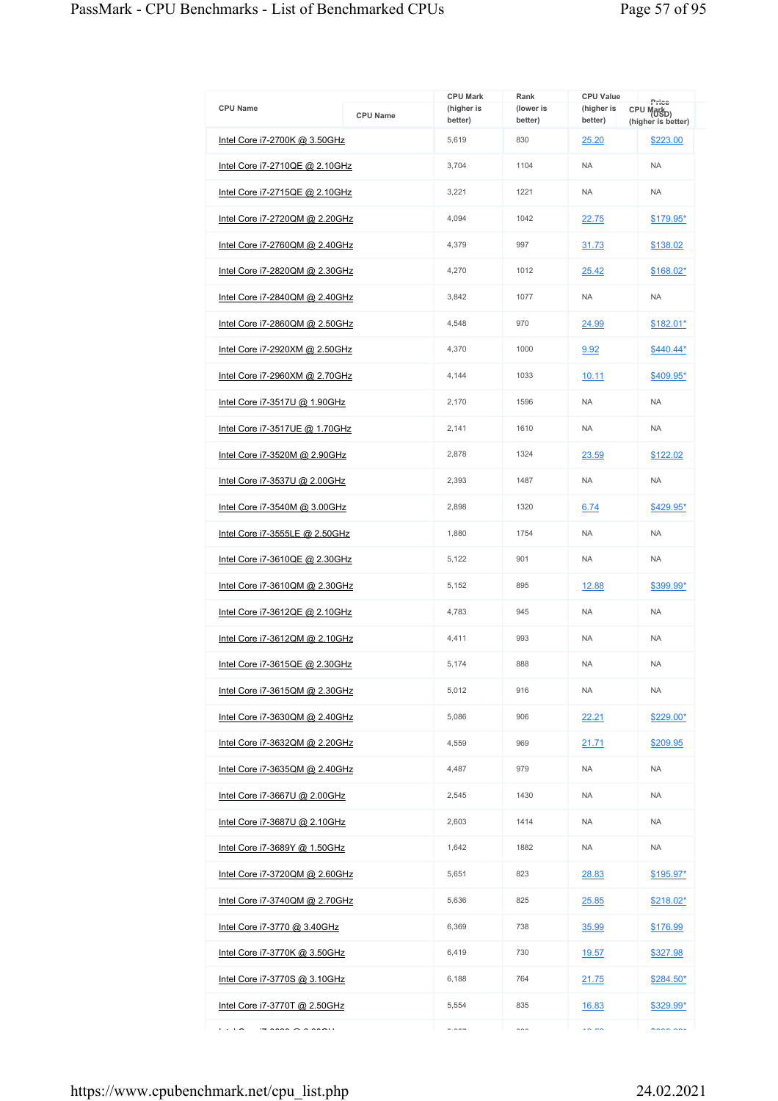| <b>CPU Name</b>                                                  | <b>CPU Name</b> | <b>CPU Mark</b><br>(higher is | Rank<br>(lower is | <b>CPU Value</b><br>(higher is | Price<br>CPU Mark <sub>D)</sub> |
|------------------------------------------------------------------|-----------------|-------------------------------|-------------------|--------------------------------|---------------------------------|
| Intel Core i7-2700K @ 3.50GHz                                    |                 | better)<br>5,619              | better)<br>830    | better)<br>25.20               | (higher is better)<br>\$223.00  |
| Intel Core i7-2710QE @ 2.10GHz                                   |                 | 3.704                         | 1104              | <b>NA</b>                      | <b>NA</b>                       |
| Intel Core i7-2715QE @ 2.10GHz                                   |                 | 3,221                         | 1221              | <b>NA</b>                      | <b>NA</b>                       |
|                                                                  |                 | 4,094                         | 1042              |                                |                                 |
| Intel Core i7-2720QM @ 2.20GHz                                   |                 |                               |                   | 22.75                          | \$179.95*                       |
| Intel Core i7-2760QM @ 2.40GHz                                   |                 | 4,379                         | 997               | 31.73                          | \$138.02                        |
| Intel Core i7-2820QM @ 2.30GHz                                   |                 | 4,270                         | 1012              | 25.42                          | \$168.02*                       |
| Intel Core i7-2840QM @ 2.40GHz                                   |                 | 3,842                         | 1077              | <b>NA</b>                      | <b>NA</b>                       |
| Intel Core i7-2860QM @ 2.50GHz                                   |                 | 4,548                         | 970               | 24.99                          | \$182.01*                       |
| Intel Core i7-2920XM @ 2.50GHz                                   |                 | 4,370                         | 1000              | 9.92                           | $$440.44*$                      |
| Intel Core i7-2960XM @ 2.70GHz                                   |                 | 4,144                         | 1033              | 10.11                          | \$409.95*                       |
| Intel Core i7-3517U @ 1.90GHz                                    |                 | 2,170                         | 1596              | <b>NA</b>                      | <b>NA</b>                       |
| Intel Core i7-3517UE @ 1.70GHz                                   |                 | 2,141                         | 1610              | <b>NA</b>                      | <b>NA</b>                       |
| Intel Core i7-3520M @ 2.90GHz                                    |                 | 2,878                         | 1324              | 23.59                          | \$122.02                        |
| <u>Intel Core i7-3537U @ 2.00GHz</u>                             |                 | 2,393                         | 1487              | <b>NA</b>                      | <b>NA</b>                       |
| Intel Core i7-3540M @ 3.00GHz                                    |                 | 2.898                         | 1320              | 6.74                           | \$429.95*                       |
| <u>Intel Core i7-3555LE @ 2.50GHz</u>                            |                 | 1,880                         | 1754              | <b>NA</b>                      | <b>NA</b>                       |
| Intel Core i7-3610QE @ 2.30GHz                                   |                 | 5,122                         | 901               | <b>NA</b>                      | <b>NA</b>                       |
| Intel Core i7-3610QM @ 2.30GHz                                   |                 | 5,152                         | 895               | 12.88                          | \$399.99*                       |
| Intel Core i7-3612QE @ 2.10GHz                                   |                 | 4,783                         | 945               | <b>NA</b>                      | <b>NA</b>                       |
| Intel Core i7-3612QM @ 2.10GHz                                   |                 | 4,411                         | 993               | <b>NA</b>                      | <b>NA</b>                       |
| Intel Core i7-3615QE @ 2.30GHz                                   |                 | 5,174                         | 888               | <b>NA</b>                      | <b>NA</b>                       |
| Intel Core i7-3615QM @ 2.30GHz                                   |                 | 5,012                         | 916               | <b>NA</b>                      | <b>NA</b>                       |
| Intel Core i7-3630QM @ 2.40GHz                                   |                 | 5,086                         | 906               | 22.21                          | $$229.00*$                      |
| Intel Core i7-3632QM @ 2.20GHz                                   |                 | 4,559                         | 969               | 21.71                          | \$209.95                        |
| Intel Core i7-3635QM @ 2.40GHz                                   |                 | 4,487                         | 979               | <b>NA</b>                      | <b>NA</b>                       |
| Intel Core i7-3667U @ 2.00GHz                                    |                 | 2,545                         | 1430              | <b>NA</b>                      | <b>NA</b>                       |
| Intel Core i7-3687U @ 2.10GHz                                    |                 | 2.603                         | 1414              | <b>NA</b>                      | <b>NA</b>                       |
| Intel Core i7-3689Y @ 1.50GHz                                    |                 | 1,642                         | 1882              | <b>NA</b>                      | <b>NA</b>                       |
| Intel Core i7-3720QM @ 2.60GHz                                   |                 | 5,651                         | 823               | 28.83                          | $$195.97*$                      |
| Intel Core i7-3740QM @ 2.70GHz                                   |                 | 5,636                         | 825               | 25.85                          | \$218.02*                       |
| Intel Core i7-3770 @ 3.40GHz                                     |                 | 6,369                         | 738               | 35.99                          | \$176.99                        |
| Intel Core i7-3770K @ 3.50GHz                                    |                 | 6,419                         | 730               | <u>19.57</u>                   | \$327.98                        |
| Intel Core i7-3770S @ 3.10GHz                                    |                 | 6,188                         | 764               | 21.75                          | $$284.50*$                      |
| Intel Core i7-3770T @ 2.50GHz                                    |                 | 5,554                         | 835               | 16.83                          | \$329.99*                       |
| $\cdots$<br>$\overline{z}$ and $\overline{z}$ and $\overline{z}$ |                 | $ -$                          | $\sim$            | $\sim -\infty$                 | $n \times n \times n$           |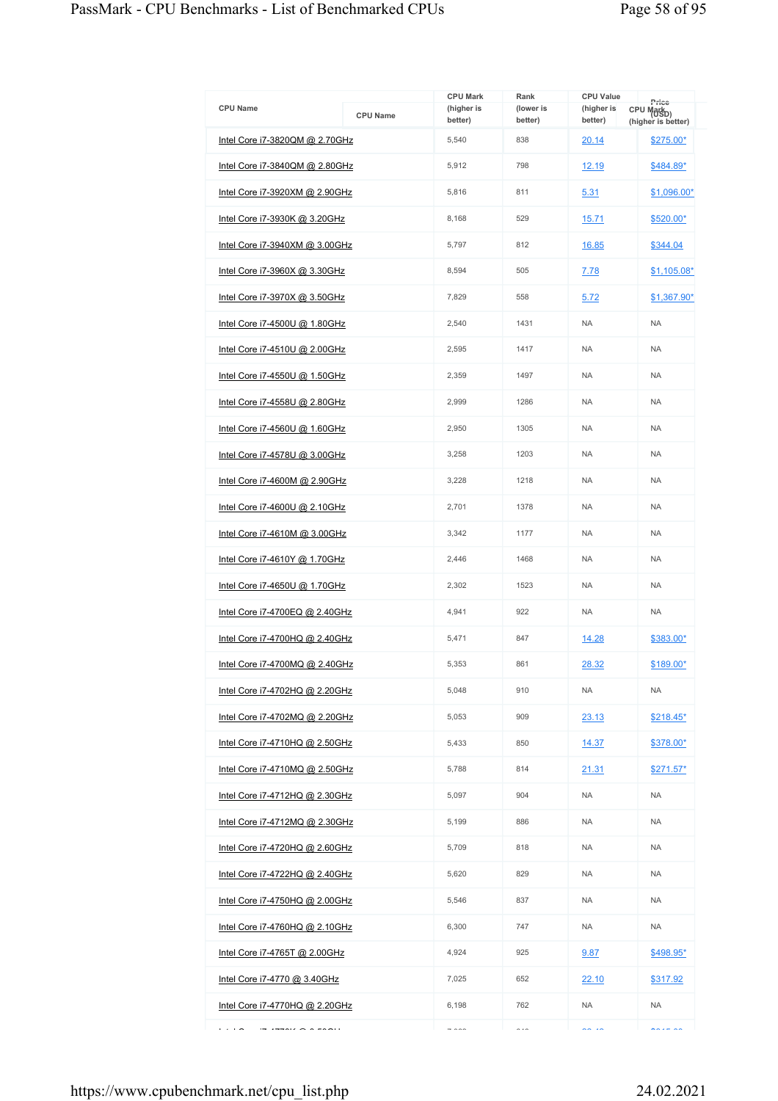| <b>CPU Name</b>                       | <b>CPU Name</b> | <b>CPU Mark</b><br>(higher is<br>better) | Rank<br>(lower is<br>better) | <b>CPU Value</b><br>(higher is<br>better) | Price<br>CPU Mark <sub>D)</sub><br>(higher is better) |
|---------------------------------------|-----------------|------------------------------------------|------------------------------|-------------------------------------------|-------------------------------------------------------|
| Intel Core i7-3820QM @ 2.70GHz        |                 | 5,540                                    | 838                          | 20.14                                     | $$275.00*$                                            |
| Intel Core i7-3840QM @ 2.80GHz        |                 | 5,912                                    | 798                          | 12.19                                     | \$484.89*                                             |
| Intel Core i7-3920XM @ 2.90GHz        |                 | 5,816                                    | 811                          | 5.31                                      | $$1,096.00*$                                          |
| Intel Core i7-3930K @ 3.20GHz         |                 | 8,168                                    | 529                          | 15.71                                     | $$520.00*$                                            |
| Intel Core i7-3940XM @ 3.00GHz        |                 | 5,797                                    | 812                          | 16.85                                     | \$344.04                                              |
| Intel Core i7-3960X @ 3.30GHz         |                 | 8,594                                    | 505                          | 7.78                                      | $$1,105.08*$                                          |
| Intel Core i7-3970X @ 3.50GHz         |                 | 7,829                                    | 558                          | 5.72                                      | \$1,367.90*                                           |
| <u>Intel Core i7-4500U @ 1.80GHz</u>  |                 | 2,540                                    | 1431                         | <b>NA</b>                                 | <b>NA</b>                                             |
| Intel Core i7-4510U @ 2.00GHz         |                 | 2,595                                    | 1417                         | <b>NA</b>                                 | <b>NA</b>                                             |
| Intel Core i7-4550U @ 1.50GHz         |                 | 2,359                                    | 1497                         | <b>NA</b>                                 | <b>NA</b>                                             |
| Intel Core i7-4558U @ 2.80GHz         |                 | 2,999                                    | 1286                         | <b>NA</b>                                 | <b>NA</b>                                             |
| Intel Core i7-4560U @ 1.60GHz         |                 | 2,950                                    | 1305                         | <b>NA</b>                                 | <b>NA</b>                                             |
| Intel Core i7-4578U @ 3.00GHz         |                 | 3,258                                    | 1203                         | <b>NA</b>                                 | <b>NA</b>                                             |
| Intel Core i7-4600M @ 2.90GHz         |                 | 3,228                                    | 1218                         | <b>NA</b>                                 | <b>NA</b>                                             |
| Intel Core i7-4600U @ 2.10GHz         |                 | 2,701                                    | 1378                         | <b>NA</b>                                 | <b>NA</b>                                             |
| <u>Intel Core i7-4610M @ 3.00GHz</u>  |                 | 3,342                                    | 1177                         | <b>NA</b>                                 | <b>NA</b>                                             |
| Intel Core i7-4610Y @ 1.70GHz         |                 | 2,446                                    | 1468                         | <b>NA</b>                                 | <b>NA</b>                                             |
| Intel Core i7-4650U @ 1.70GHz         |                 | 2,302                                    | 1523                         | <b>NA</b>                                 | <b>NA</b>                                             |
| Intel Core i7-4700EQ @ 2.40GHz        |                 | 4,941                                    | 922                          | <b>NA</b>                                 | <b>NA</b>                                             |
| Intel Core i7-4700HQ @ 2.40GHz        |                 | 5,471                                    | 847                          | 14.28                                     | \$383.00*                                             |
| Intel Core i7-4700MQ @ 2.40GHz        |                 | 5,353                                    | 861                          | 28.32                                     | \$189.00*                                             |
| Intel Core i7-4702HQ @ 2.20GHz        |                 | 5,048                                    | 910                          | <b>NA</b>                                 | <b>NA</b>                                             |
| Intel Core i7-4702MQ @ 2.20GHz        |                 | 5,053                                    | 909                          | 23.13                                     | $$218.45*$                                            |
| <u>Intel Core i7-4710HQ @ 2.50GHz</u> |                 | 5.433                                    | 850                          | 14.37                                     | \$378.00*                                             |
| Intel Core i7-4710MQ @ 2.50GHz        |                 | 5,788                                    | 814                          | 21.31                                     | $$271.57*$                                            |
| <u>Intel Core i7-4712HQ @ 2.30GHz</u> |                 | 5,097                                    | 904                          | <b>NA</b>                                 | <b>NA</b>                                             |
| Intel Core i7-4712MQ @ 2.30GHz        |                 | 5,199                                    | 886                          | <b>NA</b>                                 | <b>NA</b>                                             |
| Intel Core i7-4720HQ @ 2.60GHz        |                 | 5,709                                    | 818                          | <b>NA</b>                                 | <b>NA</b>                                             |
| Intel Core i7-4722HQ @ 2.40GHz        |                 | 5,620                                    | 829                          | NA.                                       | <b>NA</b>                                             |
| Intel Core i7-4750HQ @ 2.00GHz        |                 | 5,546                                    | 837                          | <b>NA</b>                                 | <b>NA</b>                                             |
| Intel Core i7-4760HQ @ 2.10GHz        |                 | 6,300                                    | 747                          | <b>NA</b>                                 | <b>NA</b>                                             |
| Intel Core i7-4765T @ 2.00GHz         |                 | 4,924                                    | 925                          | 9.87                                      | \$498.95*                                             |
| Intel Core i7-4770 @ 3.40GHz          |                 | 7,025                                    | 652                          | 22.10                                     | \$317.92                                              |
| <u>Intel Core i7-4770HQ @ 2.20GHz</u> |                 | 6,198                                    | 762                          | <b>NA</b>                                 | <b>NA</b>                                             |
| .<br>$177012 \times 277011$           |                 | $\rightarrow$ 0.00                       | $\sim$ $\sim$                | $\sim$ $\sim$                             | $\sim 100$                                            |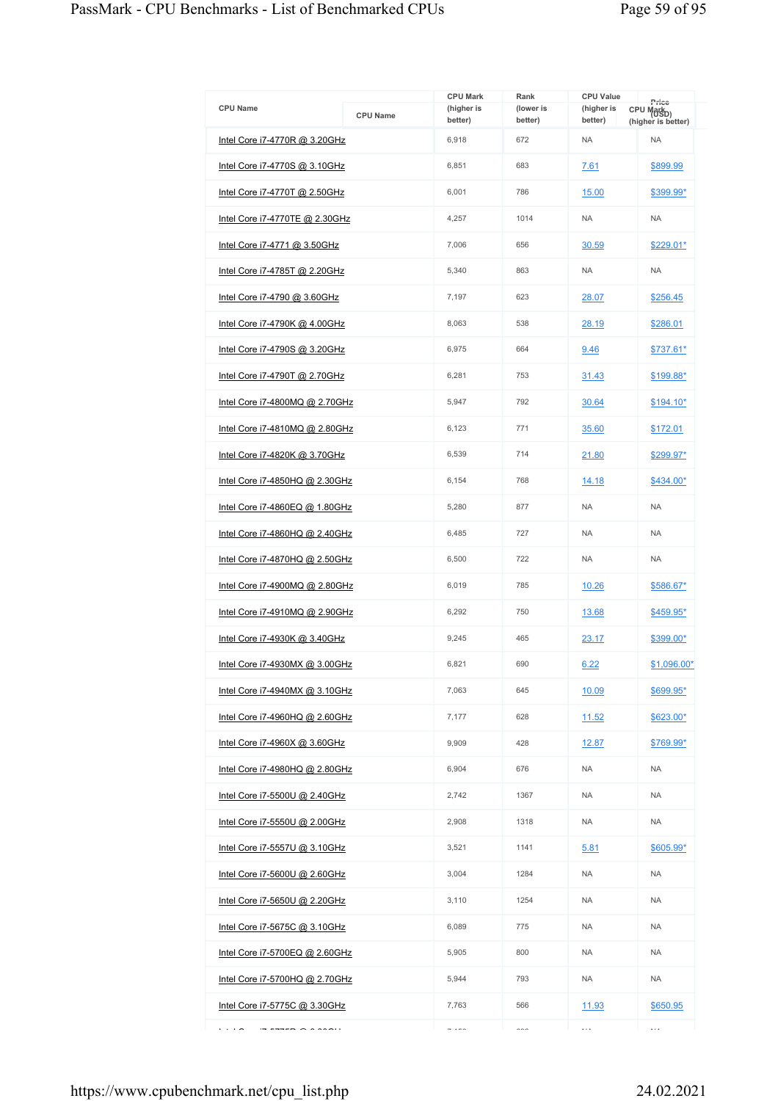| <b>CPU Name</b>                      | <b>CPU Name</b> | <b>CPU Mark</b><br>(higher is<br>better) | Rank<br>(lower is<br>better) | <b>CPU Value</b><br>(higher is<br>better) | Price<br>CPU Mark <sub>D)</sub><br>(higher is better) |
|--------------------------------------|-----------------|------------------------------------------|------------------------------|-------------------------------------------|-------------------------------------------------------|
| Intel Core i7-4770R @ 3.20GHz        |                 | 6,918                                    | 672                          | <b>NA</b>                                 | <b>NA</b>                                             |
| <u>Intel Core i7-4770S @ 3.10GHz</u> |                 | 6,851                                    | 683                          | 7.61                                      | \$899.99                                              |
| Intel Core i7-4770T @ 2.50GHz        |                 | 6,001                                    | 786                          | 15.00                                     | \$399.99*                                             |
| Intel Core i7-4770TE @ 2.30GHz       |                 | 4,257                                    | 1014                         | <b>NA</b>                                 | <b>NA</b>                                             |
| Intel Core i7-4771 @ 3.50GHz         |                 | 7,006                                    | 656                          | 30.59                                     | $$229.01*$                                            |
| Intel Core i7-4785T @ 2.20GHz        |                 | 5,340                                    | 863                          | <b>NA</b>                                 | <b>NA</b>                                             |
| Intel Core i7-4790 @ 3.60GHz         |                 | 7,197                                    | 623                          | 28.07                                     | \$256.45                                              |
| Intel Core i7-4790K @ 4.00GHz        |                 | 8,063                                    | 538                          | 28.19                                     | \$286.01                                              |
| Intel Core i7-4790S @ 3.20GHz        |                 | 6,975                                    | 664                          | 9.46                                      | \$737.61*                                             |
| Intel Core i7-4790T @ 2.70GHz        |                 | 6,281                                    | 753                          | 31.43                                     | \$199.88*                                             |
| Intel Core i7-4800MQ @ 2.70GHz       |                 | 5,947                                    | 792                          | 30.64                                     | $$194.10*$                                            |
| Intel Core i7-4810MQ @ 2.80GHz       |                 | 6,123                                    | 771                          | 35.60                                     | \$172.01                                              |
| Intel Core i7-4820K @ 3.70GHz        |                 | 6,539                                    | 714                          | 21.80                                     | \$299.97*                                             |
| Intel Core i7-4850HQ @ 2.30GHz       |                 | 6,154                                    | 768                          | 14.18                                     | \$434.00*                                             |
| Intel Core i7-4860EQ @ 1.80GHz       |                 | 5,280                                    | 877                          | <b>NA</b>                                 | <b>NA</b>                                             |
| Intel Core i7-4860HQ @ 2.40GHz       |                 | 6,485                                    | 727                          | <b>NA</b>                                 | <b>NA</b>                                             |
| Intel Core i7-4870HQ @ 2.50GHz       |                 | 6,500                                    | 722                          | <b>NA</b>                                 | <b>NA</b>                                             |
| Intel Core i7-4900MQ @ 2.80GHz       |                 | 6,019                                    | 785                          | 10.26                                     | \$586.67*                                             |
| Intel Core i7-4910MQ @ 2.90GHz       |                 | 6,292                                    | 750                          | 13.68                                     | \$459.95*                                             |
| Intel Core i7-4930K @ 3.40GHz        |                 | 9,245                                    | 465                          | 23.17                                     | \$399.00*                                             |
| Intel Core i7-4930MX @ 3.00GHz       |                 | 6,821                                    | 690                          | 6.22                                      | \$1,096.00*                                           |
| Intel Core i7-4940MX @ 3.10GHz       |                 | 7,063                                    | 645                          | 10.09                                     | \$699.95*                                             |
| Intel Core i7-4960HQ @ 2.60GHz       |                 | 7,177                                    | 628                          | 11.52                                     | $$623.00*$                                            |
| Intel Core i7-4960X @ 3.60GHz        |                 | 9,909                                    | 428                          | <u>12.87</u>                              | \$769.99*                                             |
| Intel Core i7-4980HQ @ 2.80GHz       |                 | 6,904                                    | 676                          | <b>NA</b>                                 | <b>NA</b>                                             |
| Intel Core i7-5500U @ 2.40GHz        |                 | 2,742                                    | 1367                         | <b>NA</b>                                 | <b>NA</b>                                             |
| Intel Core i7-5550U @ 2.00GHz        |                 | 2,908                                    | 1318                         | NA.                                       | <b>NA</b>                                             |
| Intel Core i7-5557U @ 3.10GHz        |                 | 3,521                                    | 1141                         | 5.81                                      | \$605.99*                                             |
| Intel Core i7-5600U @ 2.60GHz        |                 | 3,004                                    | 1284                         | NA.                                       | <b>NA</b>                                             |
| Intel Core i7-5650U @ 2.20GHz        |                 | 3,110                                    | 1254                         | <b>NA</b>                                 | <b>NA</b>                                             |
| Intel Core i7-5675C @ 3.10GHz        |                 | 6,089                                    | 775                          | <b>NA</b>                                 | <b>NA</b>                                             |
| Intel Core i7-5700EQ @ 2.60GHz       |                 | 5,905                                    | 800                          | NA.                                       | <b>NA</b>                                             |
| Intel Core i7-5700HQ @ 2.70GHz       |                 | 5,944                                    | 793                          | <b>NA</b>                                 | <b>NA</b>                                             |
| <u>Intel Core i7-5775C @ 3.30GHz</u> |                 | 7,763                                    | 566                          | 11.93                                     | \$650.95                                              |
| .<br>$\overline{\phantom{a}}$        |                 | $  -$                                    | $\sim$                       | $\ldots$                                  | $\cdots$                                              |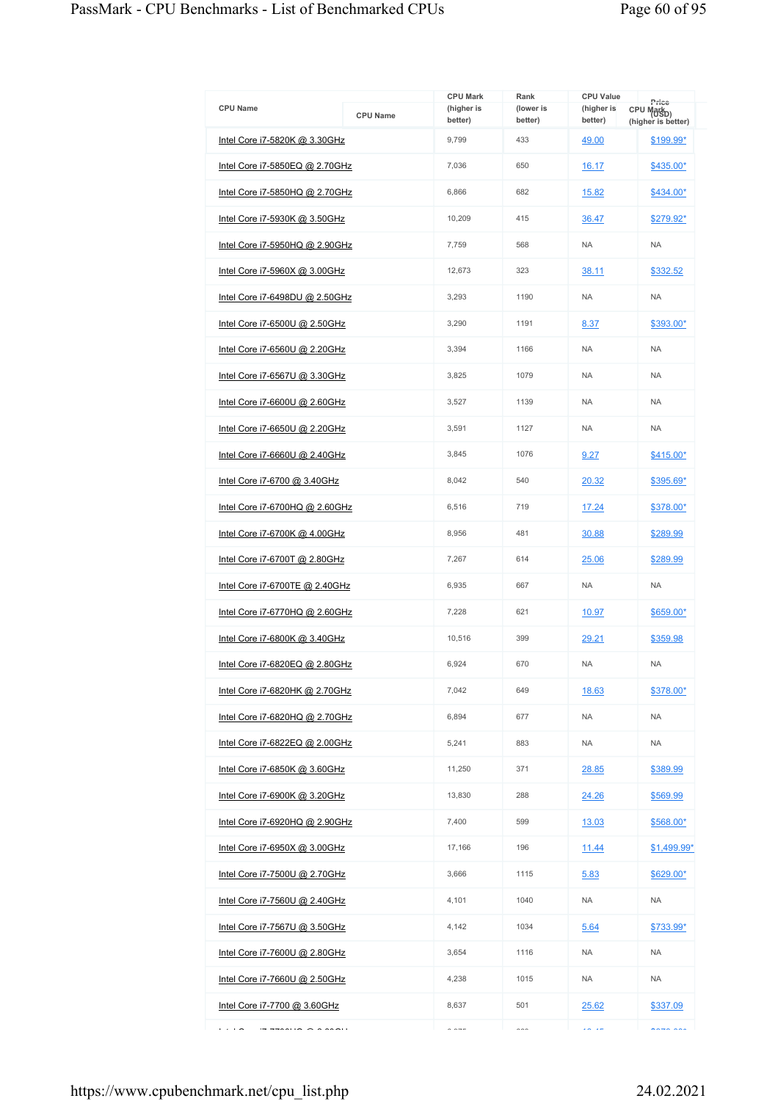| <b>CPU Name</b>                                              |                 | <b>CPU Mark</b><br>(higher is | Rank<br>(lower is | <b>CPU Value</b><br>(higher is | Price                                        |
|--------------------------------------------------------------|-----------------|-------------------------------|-------------------|--------------------------------|----------------------------------------------|
|                                                              | <b>CPU Name</b> | better)                       | better)           | better)                        | CPU Mark <sub>D)</sub><br>(higher is better) |
| Intel Core i7-5820K @ 3.30GHz                                |                 | 9,799                         | 433               | 49.00                          | \$199.99*                                    |
| Intel Core i7-5850EQ @ 2.70GHz                               |                 | 7,036                         | 650               | 16.17                          | \$435.00*                                    |
| Intel Core i7-5850HQ @ 2.70GHz                               |                 | 6,866                         | 682               | 15.82                          | \$434.00*                                    |
| Intel Core i7-5930K @ 3.50GHz                                |                 | 10,209                        | 415               | 36.47                          | \$279.92*                                    |
| Intel Core i7-5950HQ @ 2.90GHz                               |                 | 7,759                         | 568               | <b>NA</b>                      | <b>NA</b>                                    |
| Intel Core i7-5960X @ 3.00GHz                                |                 | 12,673                        | 323               | 38.11                          | \$332.52                                     |
| Intel Core i7-6498DU @ 2.50GHz                               |                 | 3,293                         | 1190              | <b>NA</b>                      | <b>NA</b>                                    |
| Intel Core i7-6500U @ 2.50GHz                                |                 | 3,290                         | 1191              | 8.37                           | \$393.00*                                    |
| Intel Core i7-6560U @ 2.20GHz                                |                 | 3,394                         | 1166              | <b>NA</b>                      | <b>NA</b>                                    |
| <u>Intel Core i7-6567U @ 3.30GHz</u>                         |                 | 3,825                         | 1079              | <b>NA</b>                      | <b>NA</b>                                    |
| Intel Core i7-6600U @ 2.60GHz                                |                 | 3,527                         | 1139              | <b>NA</b>                      | <b>NA</b>                                    |
| <u>Intel Core i7-6650U @ 2.20GHz</u>                         |                 | 3,591                         | 1127              | <b>NA</b>                      | <b>NA</b>                                    |
| Intel Core i7-6660U @ 2.40GHz                                |                 | 3,845                         | 1076              | 9.27                           | \$415.00*                                    |
| Intel Core i7-6700 @ 3.40GHz                                 |                 | 8,042                         | 540               | 20.32                          | \$395.69*                                    |
| Intel Core i7-6700HQ @ 2.60GHz                               |                 | 6,516                         | 719               | 17.24                          | \$378.00*                                    |
| Intel Core i7-6700K @ 4.00GHz                                |                 | 8,956                         | 481               | 30.88                          | \$289.99                                     |
| Intel Core i7-6700T @ 2.80GHz                                |                 | 7,267                         | 614               | 25.06                          | \$289.99                                     |
| Intel Core i7-6700TE @ 2.40GHz                               |                 | 6,935                         | 667               | <b>NA</b>                      | NA                                           |
| Intel Core i7-6770HQ @ 2.60GHz                               |                 | 7,228                         | 621               | 10.97                          | \$659.00*                                    |
| Intel Core i7-6800K @ 3.40GHz                                |                 | 10,516                        | 399               | 29.21                          | \$359.98                                     |
| Intel Core i7-6820EQ @ 2.80GHz                               |                 | 6,924                         | 670               | <b>NA</b>                      | <b>NA</b>                                    |
| Intel Core i7-6820HK @ 2.70GHz                               |                 | 7,042                         | 649               | 18.63                          | \$378.00*                                    |
| Intel Core i7-6820HQ @ 2.70GHz                               |                 | 6,894                         | 677               | <b>NA</b>                      | NA                                           |
| Intel Core i7-6822EQ @ 2.00GHz                               |                 | 5,241                         | 883               | <b>NA</b>                      | <b>NA</b>                                    |
| Intel Core i7-6850K @ 3.60GHz                                |                 | 11,250                        | 371               | 28.85                          | \$389.99                                     |
| Intel Core i7-6900K @ 3.20GHz                                |                 | 13,830                        | 288               | 24.26                          | \$569.99                                     |
| Intel Core i7-6920HQ @ 2.90GHz                               |                 | 7,400                         | 599               | 13.03                          | \$568.00*                                    |
| <u>Intel Core i7-6950X @ 3.00GHz</u>                         |                 | 17,166                        | 196               | 11.44                          | \$1,499.99*                                  |
| Intel Core i7-7500U @ 2.70GHz                                |                 | 3,666                         | 1115              | 5.83                           | $$629.00*$                                   |
| <u>Intel Core i7-7560U @ 2.40GHz</u>                         |                 | 4,101                         | 1040              | <b>NA</b>                      | <b>NA</b>                                    |
| Intel Core i7-7567U @ 3.50GHz                                |                 | 4,142                         | 1034              | 5.64                           | \$733.99*                                    |
| Intel Core i7-7600U @ 2.80GHz                                |                 | 3,654                         | 1116              | NA.                            | <b>NA</b>                                    |
| Intel Core i7-7660U @ 2.50GHz                                |                 | 4,238                         | 1015              | <b>NA</b>                      | <b>NA</b>                                    |
| Intel Core i7-7700 @ 3.60GHz                                 |                 | 8,637                         | 501               | 25.62                          | \$337.09                                     |
| $\cdots$<br>$\sim$ $\sim$ $\sim$ $\sim$ $\sim$ $\sim$ $\sim$ |                 | $\sim$ $\sim$ $\sim$          | $\sim$            | $\mathbf{z}$ is a set          | maxmax                                       |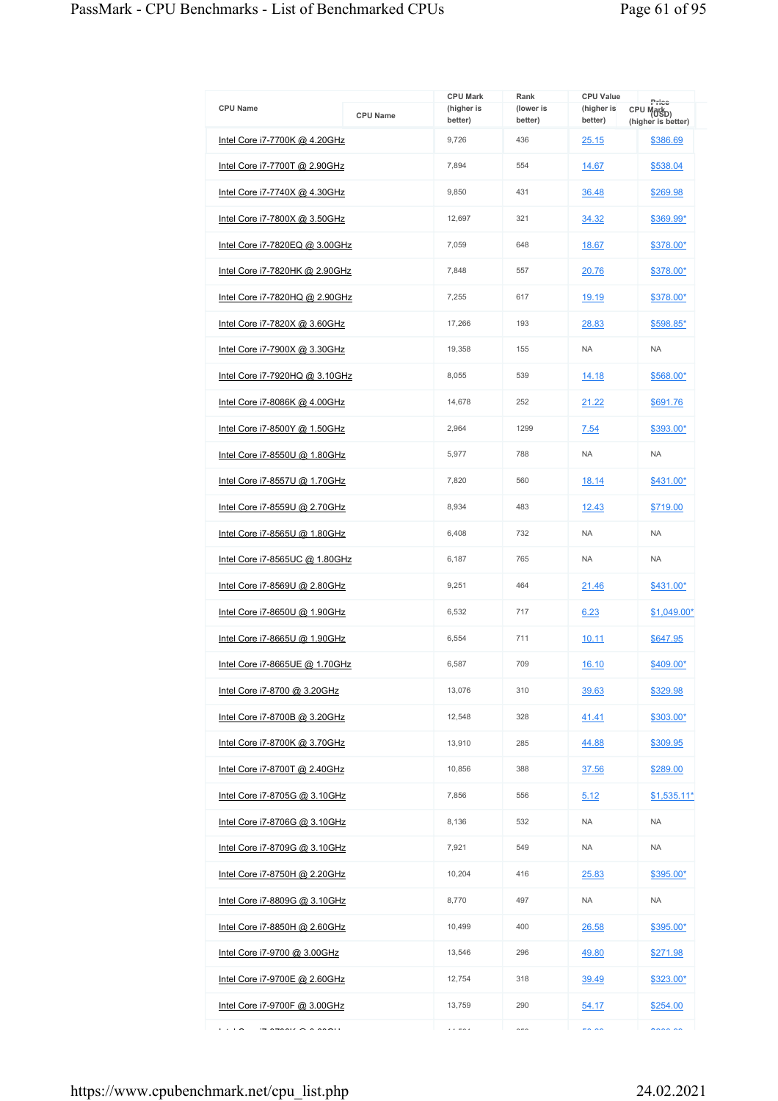| <b>CPU Name</b>                       | <b>CPU Name</b> | <b>CPU Mark</b><br>(higher is<br>better) | Rank<br>(lower is<br>better) | <b>CPU Value</b><br>(higher is<br>better) | Price<br>CPU Mark <sub>D)</sub><br>(higher is better) |
|---------------------------------------|-----------------|------------------------------------------|------------------------------|-------------------------------------------|-------------------------------------------------------|
| Intel Core i7-7700K @ 4.20GHz         |                 | 9,726                                    | 436                          | 25.15                                     | \$386.69                                              |
| <u>Intel Core i7-7700T @ 2.90GHz</u>  |                 | 7,894                                    | 554                          | 14.67                                     | \$538.04                                              |
| Intel Core i7-7740X @ 4.30GHz         |                 | 9,850                                    | 431                          | 36.48                                     | \$269.98                                              |
| Intel Core i7-7800X @ 3.50GHz         |                 | 12,697                                   | 321                          | 34.32                                     | \$369.99*                                             |
| Intel Core i7-7820EQ @ 3.00GHz        |                 | 7,059                                    | 648                          | 18.67                                     | \$378.00*                                             |
| Intel Core i7-7820HK @ 2.90GHz        |                 | 7.848                                    | 557                          | 20.76                                     | \$378.00*                                             |
| Intel Core i7-7820HQ @ 2.90GHz        |                 | 7,255                                    | 617                          | 19.19                                     | \$378.00*                                             |
| <u>Intel Core i7-7820X @ 3.60GHz</u>  |                 | 17,266                                   | 193                          | 28.83                                     | \$598.85*                                             |
| Intel Core i7-7900X @ 3.30GHz         |                 | 19,358                                   | 155                          | <b>NA</b>                                 | <b>NA</b>                                             |
| <u>Intel Core i7-7920HQ @ 3.10GHz</u> |                 | 8,055                                    | 539                          | 14.18                                     | \$568.00*                                             |
| Intel Core i7-8086K @ 4.00GHz         |                 | 14,678                                   | 252                          | 21.22                                     | \$691.76                                              |
| Intel Core i7-8500Y @ 1.50GHz         |                 | 2,964                                    | 1299                         | 7.54                                      | \$393.00*                                             |
| Intel Core i7-8550U @ 1.80GHz         |                 | 5,977                                    | 788                          | <b>NA</b>                                 | <b>NA</b>                                             |
| Intel Core i7-8557U @ 1.70GHz         |                 | 7,820                                    | 560                          | 18.14                                     | \$431.00*                                             |
| Intel Core i7-8559U @ 2.70GHz         |                 | 8,934                                    | 483                          | 12.43                                     | \$719.00                                              |
| <u>Intel Core i7-8565U @ 1.80GHz</u>  |                 | 6,408                                    | 732                          | <b>NA</b>                                 | <b>NA</b>                                             |
| Intel Core i7-8565UC @ 1.80GHz        |                 | 6,187                                    | 765                          | <b>NA</b>                                 | <b>NA</b>                                             |
| Intel Core i7-8569U @ 2.80GHz         |                 | 9,251                                    | 464                          | 21.46                                     | \$431.00*                                             |
| Intel Core i7-8650U @ 1.90GHz         |                 | 6,532                                    | 717                          | 6.23                                      | $$1,049.00*$                                          |
| Intel Core i7-8665U @ 1.90GHz         |                 | 6,554                                    | 711                          | 10.11                                     | \$647.95                                              |
| Intel Core i7-8665UE @ 1.70GHz        |                 | 6,587                                    | 709                          | 16.10                                     | \$409.00*                                             |
| Intel Core i7-8700 @ 3.20GHz          |                 | 13,076                                   | 310                          | 39.63                                     | \$329.98                                              |
| Intel Core i7-8700B @ 3.20GHz         |                 | 12,548                                   | 328                          | 41.41                                     | \$303.00*                                             |
| <u>Intel Core i7-8700K @ 3.70GHz</u>  |                 | 13.910                                   | 285                          | 44.88                                     | \$309.95                                              |
| Intel Core i7-8700T @ 2.40GHz         |                 | 10,856                                   | 388                          | 37.56                                     | \$289.00                                              |
| Intel Core i7-8705G @ 3.10GHz         |                 | 7,856                                    | 556                          | 5.12                                      | <u>\$1,535.11*</u>                                    |
| Intel Core i7-8706G @ 3.10GHz         |                 | 8,136                                    | 532                          | <b>NA</b>                                 | <b>NA</b>                                             |
| Intel Core i7-8709G @ 3.10GHz         |                 | 7,921                                    | 549                          | <b>NA</b>                                 | <b>NA</b>                                             |
| Intel Core i7-8750H @ 2.20GHz         |                 | 10,204                                   | 416                          | 25.83                                     | \$395.00*                                             |
| Intel Core i7-8809G @ 3.10GHz         |                 | 8,770                                    | 497                          | <b>NA</b>                                 | NA                                                    |
| Intel Core i7-8850H @ 2.60GHz         |                 | 10,499                                   | 400                          | 26.58                                     | \$395.00*                                             |
| Intel Core i7-9700 @ 3.00GHz          |                 | 13,546                                   | 296                          | 49.80                                     | \$271.98                                              |
| Intel Core i7-9700E @ 2.60GHz         |                 | 12,754                                   | 318                          | 39.49                                     | \$323.00*                                             |
| Intel Core i7-9700F @ 3.00GHz         |                 | 13,759                                   | 290                          | 54.17                                     | \$254.00                                              |
| .<br>$\overline{\phantom{a}}$         |                 | $\cdots$                                 | $\sim$ - $\sim$              | $-0.00$                                   | $\sim$                                                |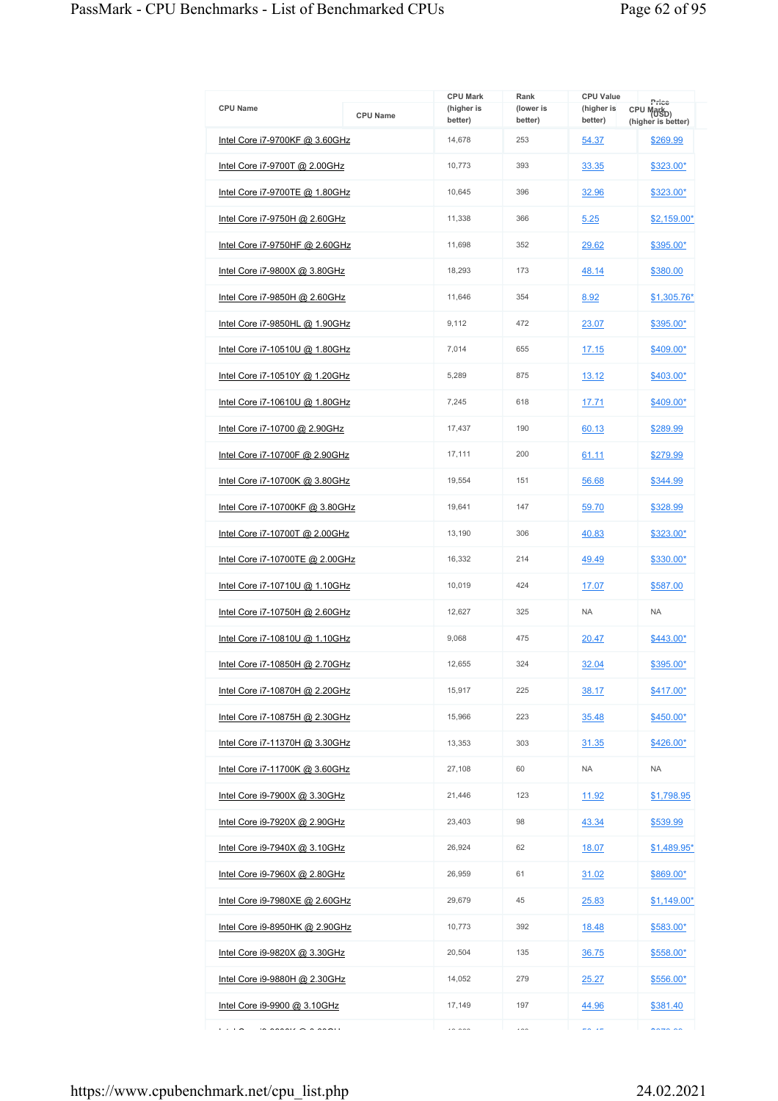|                                       |                 | <b>CPU Mark</b>       | Rank                 | <b>CPU Value</b>      | Price                                        |
|---------------------------------------|-----------------|-----------------------|----------------------|-----------------------|----------------------------------------------|
| <b>CPU Name</b>                       | <b>CPU Name</b> | (higher is<br>better) | (lower is<br>better) | (higher is<br>better) | CPU Mark <sub>D)</sub><br>(higher is better) |
| Intel Core i7-9700KF @ 3.60GHz        |                 | 14,678                | 253                  | 54.37                 | \$269.99                                     |
| <u>Intel Core i7-9700T @ 2.00GHz</u>  |                 | 10,773                | 393                  | 33.35                 | <u>\$323.00*</u>                             |
| Intel Core i7-9700TE @ 1.80GHz        |                 | 10,645                | 396                  | 32.96                 | \$323.00*                                    |
| <u>Intel Core i7-9750H @ 2.60GHz</u>  |                 | 11,338                | 366                  | 5.25                  | \$2,159.00*                                  |
| Intel Core i7-9750HF @ 2.60GHz        |                 | 11,698                | 352                  | 29.62                 | \$395.00*                                    |
| Intel Core i7-9800X @ 3.80GHz         |                 | 18,293                | 173                  | 48.14                 | \$380.00                                     |
| Intel Core i7-9850H @ 2.60GHz         |                 | 11,646                | 354                  | 8.92                  | \$1,305.76*                                  |
| Intel Core i7-9850HL @ 1.90GHz        |                 | 9,112                 | 472                  | 23.07                 | \$395.00*                                    |
| Intel Core i7-10510U @ 1.80GHz        |                 | 7,014                 | 655                  | 17.15                 | \$409.00*                                    |
| <u>Intel Core i7-10510Y @ 1.20GHz</u> |                 | 5,289                 | 875                  | 13.12                 | <u>\$403.00*</u>                             |
| Intel Core i7-10610U @ 1.80GHz        |                 | 7,245                 | 618                  | 17.71                 | \$409.00*                                    |
| <u>Intel Core i7-10700 @ 2.90GHz</u>  |                 | 17,437                | 190                  | 60.13                 | \$289.99                                     |
| Intel Core i7-10700F @ 2.90GHz        |                 | 17,111                | 200                  | 61.11                 | \$279.99                                     |
| Intel Core i7-10700K @ 3.80GHz        |                 | 19,554                | 151                  | 56.68                 | \$344.99                                     |
| Intel Core i7-10700KF @ 3.80GHz       |                 | 19,641                | 147                  | 59.70                 | \$328.99                                     |
| Intel Core i7-10700T @ 2.00GHz        |                 | 13,190                | 306                  | 40.83                 | \$323.00*                                    |
| Intel Core i7-10700TE @ 2.00GHz       |                 | 16,332                | 214                  | 49.49                 | \$330.00*                                    |
| Intel Core i7-10710U @ 1.10GHz        |                 | 10,019                | 424                  | 17.07                 | \$587.00                                     |
| Intel Core i7-10750H @ 2.60GHz        |                 | 12.627                | 325                  | <b>NA</b>             | <b>NA</b>                                    |
| <u>Intel Core i7-10810U @ 1.10GHz</u> |                 | 9,068                 | 475                  | 20.47                 | \$443.00*                                    |
| Intel Core i7-10850H @ 2.70GHz        |                 | 12,655                | 324                  | 32.04                 | \$395.00*                                    |
| <u>Intel Core i7-10870H @ 2.20GHz</u> |                 | 15,917                | 225                  | 38.17                 | \$417.00*                                    |
| Intel Core i7-10875H @ 2.30GHz        |                 | 15,966                | 223                  | 35.48                 | \$450.00*                                    |
| <u>Intel Core i7-11370H @ 3.30GHz</u> |                 | 13,353                | 303                  | 31.35                 | $$426.00*$                                   |
| Intel Core i7-11700K @ 3.60GHz        |                 | 27,108                | 60                   | <b>NA</b>             | <b>NA</b>                                    |
| <u>Intel Core i9-7900X @ 3.30GHz</u>  |                 | 21,446                | 123                  | 11.92                 | <u>\$1,798.95</u>                            |
| Intel Core i9-7920X @ 2.90GHz         |                 | 23,403                | 98                   | 43.34                 | <u>\$539.99</u>                              |
| <u>Intel Core i9-7940X @ 3.10GHz</u>  |                 | 26,924                | 62                   | 18.07                 | \$1,489.95*                                  |
| Intel Core i9-7960X @ 2.80GHz         |                 | 26,959                | 61                   | 31.02                 | \$869.00*                                    |
| Intel Core i9-7980XE @ 2.60GHz        |                 | 29,679                | 45                   | 25.83                 | <u>\$1,149.00*</u>                           |
| Intel Core i9-8950HK @ 2.90GHz        |                 | 10,773                | 392                  | 18.48                 | <u>\$583.00*</u>                             |
| Intel Core i9-9820X @ 3.30GHz         |                 | 20,504                | 135                  | 36.75                 | <u>\$558.00*</u>                             |
| Intel Core i9-9880H @ 2.30GHz         |                 | 14,052                | 279                  | 25.27                 | \$556.00*                                    |
| <u>Intel Core i9-9900 @ 3.10GHz</u>   |                 | 17,149                | 197                  | 44.96                 | \$381.40                                     |
| .                                     |                 | $\cdots$              | $\cdots$             | en ae                 | $\sim$                                       |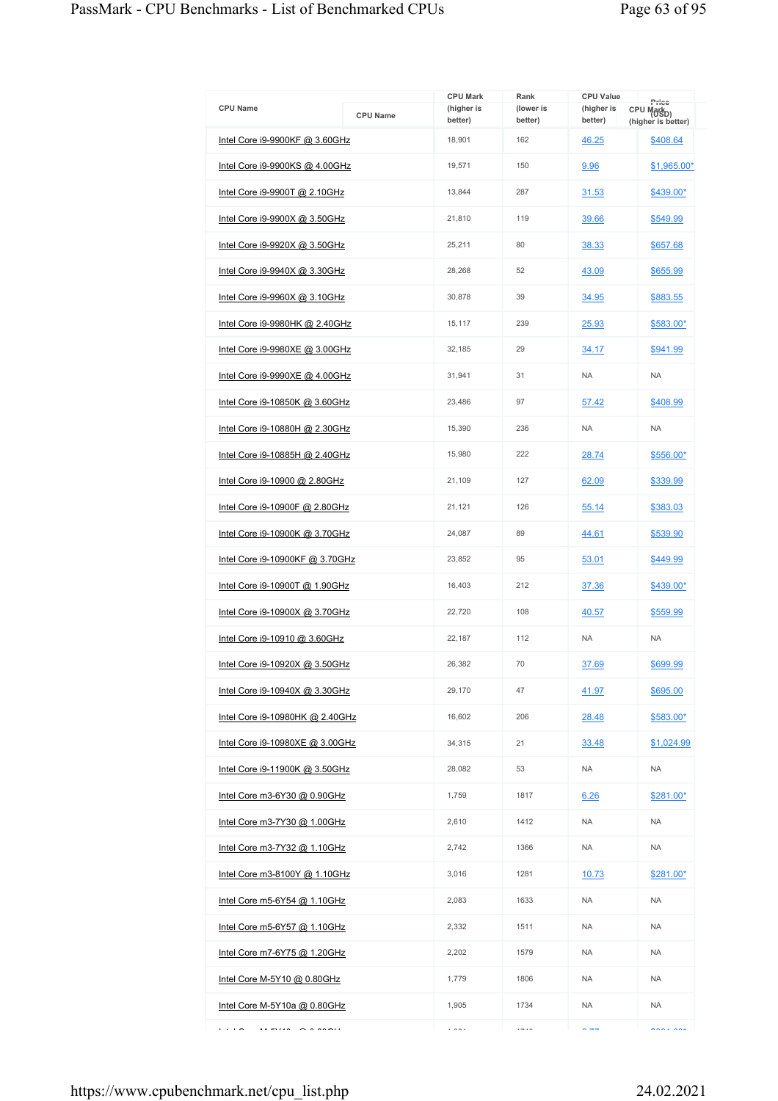| <b>CPU Name</b>                      | <b>CPU Name</b> | <b>CPU Mark</b><br>(higher is<br>better) | Rank<br>(lower is<br>better) | <b>CPU Value</b><br>(higher is<br>better) | Price<br>CPU Mark <sub>D)</sub><br>(higher is better) |
|--------------------------------------|-----------------|------------------------------------------|------------------------------|-------------------------------------------|-------------------------------------------------------|
| Intel Core i9-9900KF @ 3.60GHz       |                 | 18,901                                   | 162                          | 46.25                                     | \$408.64                                              |
| Intel Core i9-9900KS @ 4.00GHz       |                 | 19,571                                   | 150                          | 9.96                                      | \$1,965.00*                                           |
| Intel Core i9-9900T @ 2.10GHz        |                 | 13,844                                   | 287                          | 31.53                                     | \$439.00*                                             |
| Intel Core i9-9900X @ 3.50GHz        |                 | 21,810                                   | 119                          | 39.66                                     | \$549.99                                              |
| Intel Core i9-9920X @ 3.50GHz        |                 | 25,211                                   | 80                           | 38.33                                     | \$657.68                                              |
| <u>Intel Core i9-9940X @ 3.30GHz</u> |                 | 28,268                                   | 52                           | 43.09                                     | \$655.99                                              |
| Intel Core i9-9960X @ 3.10GHz        |                 | 30,878                                   | 39                           | 34.95                                     | \$883.55                                              |
| Intel Core i9-9980HK @ 2.40GHz       |                 | 15,117                                   | 239                          | 25.93                                     | \$583.00*                                             |
| Intel Core i9-9980XE @ 3.00GHz       |                 | 32,185                                   | 29                           | 34.17                                     | \$941.99                                              |
| Intel Core i9-9990XE @ 4.00GHz       |                 | 31,941                                   | 31                           | <b>NA</b>                                 | <b>NA</b>                                             |
| Intel Core i9-10850K @ 3.60GHz       |                 | 23.486                                   | 97                           | 57.42                                     | \$408.99                                              |
| Intel Core i9-10880H @ 2.30GHz       |                 | 15,390                                   | 236                          | <b>NA</b>                                 | <b>NA</b>                                             |
| Intel Core i9-10885H @ 2.40GHz       |                 | 15,980                                   | 222                          | 28.74                                     | \$556.00*                                             |
| <u>Intel Core i9-10900 @ 2.80GHz</u> |                 | 21,109                                   | 127                          | 62.09                                     | \$339.99                                              |
| Intel Core i9-10900F @ 2.80GHz       |                 | 21,121                                   | 126                          | 55.14                                     | \$383.03                                              |
| Intel Core i9-10900K @ 3.70GHz       |                 | 24,087                                   | 89                           | 44.61                                     | \$539.90                                              |
| Intel Core i9-10900KF @ 3.70GHz      |                 | 23,852                                   | 95                           | 53.01                                     | \$449.99                                              |
| Intel Core i9-10900T @ 1.90GHz       |                 | 16,403                                   | 212                          | 37.36                                     | \$439.00*                                             |
| Intel Core i9-10900X @ 3.70GHz       |                 | 22,720                                   | 108                          | 40.57                                     | \$559.99                                              |
| Intel Core i9-10910 @ 3.60GHz        |                 | 22,187                                   | 112                          | <b>NA</b>                                 | <b>NA</b>                                             |
| Intel Core i9-10920X @ 3.50GHz       |                 | 26,382                                   | 70                           | 37.69                                     | \$699.99                                              |
| Intel Core i9-10940X @ 3.30GHz       |                 | 29.170                                   | 47                           | 41.97                                     | \$695.00                                              |
| Intel Core i9-10980HK @ 2.40GHz      |                 | 16,602                                   | 206                          | 28.48                                     | \$583.00*                                             |
| Intel Core i9-10980XE @ 3.00GHz      |                 | 34,315                                   | 21                           | 33.48                                     | \$1,024.99                                            |
| Intel Core i9-11900K @ 3.50GHz       |                 | 28,082                                   | 53                           | <b>NA</b>                                 | <b>NA</b>                                             |
| Intel Core m3-6Y30 @ 0.90GHz         |                 | 1,759                                    | 1817                         | 6.26                                      | \$281.00*                                             |
| Intel Core m3-7Y30 @ 1.00GHz         |                 | 2,610                                    | 1412                         | <b>NA</b>                                 | <b>NA</b>                                             |
| <u>Intel Core m3-7Y32 @ 1.10GHz</u>  |                 | 2,742                                    | 1366                         | <b>NA</b>                                 | <b>NA</b>                                             |
| Intel Core m3-8100Y @ 1.10GHz        |                 | 3,016                                    | 1281                         | 10.73                                     | \$281.00*                                             |
| <u>Intel Core m5-6Y54 @ 1.10GHz</u>  |                 | 2,083                                    | 1633                         | <b>NA</b>                                 | <b>NA</b>                                             |
| Intel Core m5-6Y57 @ 1.10GHz         |                 | 2,332                                    | 1511                         | <b>NA</b>                                 | <b>NA</b>                                             |
| Intel Core m7-6Y75 @ 1.20GHz         |                 | 2,202                                    | 1579                         | <b>NA</b>                                 | <b>NA</b>                                             |
| Intel Core M-5Y10 @ 0.80GHz          |                 | 1,779                                    | 1806                         | NA.                                       | <b>NA</b>                                             |
| Intel Core M-5Y10a @ 0.80GHz         |                 | 1,905                                    | 1734                         | <b>NA</b>                                 | <b>NA</b>                                             |
| .<br><br>$\sim$ $\sim$ $\sim$ $\sim$ |                 | $\cdots$                                 | $- - -$                      | $\sim$ $\rightarrow$ $\rightarrow$        | $max = 1$                                             |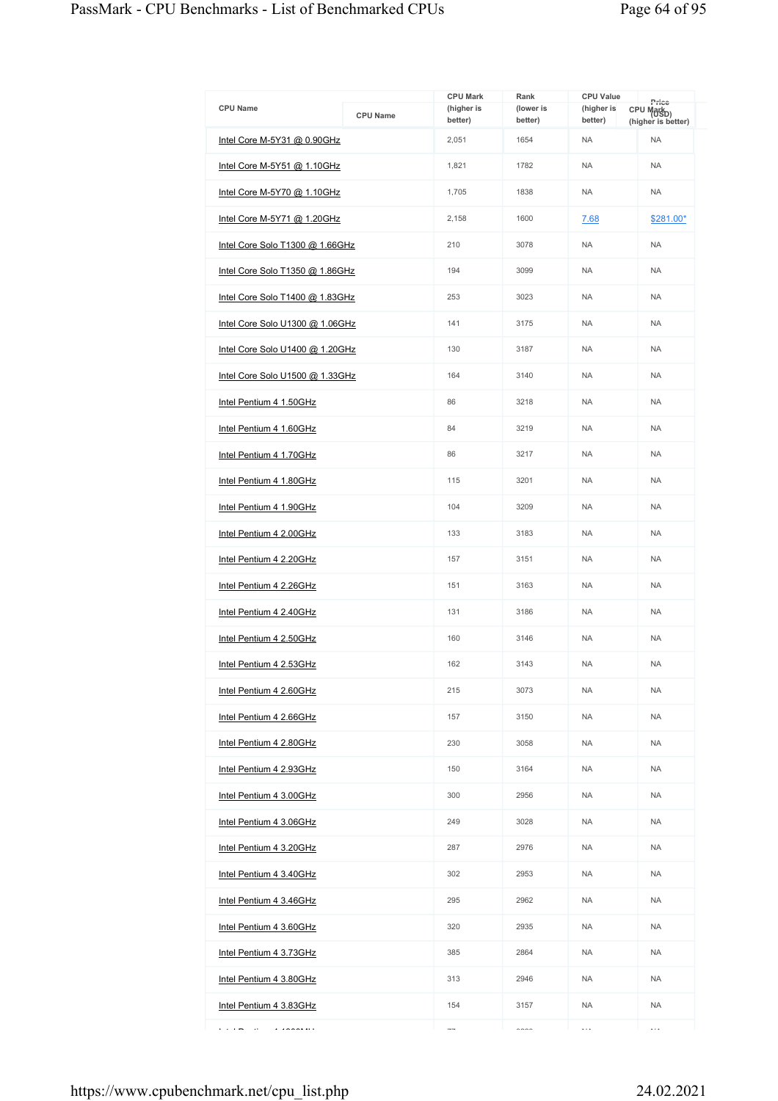| <b>CPU Name</b>                 | <b>CPU Name</b> | <b>CPU Mark</b><br>(higher is<br>better) | Rank<br>(lower is<br>better) | <b>CPU Value</b><br>(higher is<br>better) | Price<br>CPU Mark <sub>D)</sub><br>(higher is better) |
|---------------------------------|-----------------|------------------------------------------|------------------------------|-------------------------------------------|-------------------------------------------------------|
| Intel Core M-5Y31 @ 0.90GHz     |                 | 2,051                                    | 1654                         | <b>NA</b>                                 | <b>NA</b>                                             |
| Intel Core M-5Y51 @ 1.10GHz     |                 | 1,821                                    | 1782                         | <b>NA</b>                                 | <b>NA</b>                                             |
| Intel Core M-5Y70 @ 1.10GHz     |                 | 1,705                                    | 1838                         | <b>NA</b>                                 | <b>NA</b>                                             |
| Intel Core M-5Y71 @ 1.20GHz     |                 | 2,158                                    | 1600                         | 7.68                                      | \$281.00*                                             |
| Intel Core Solo T1300 @ 1.66GHz |                 | 210                                      | 3078                         | <b>NA</b>                                 | <b>NA</b>                                             |
| Intel Core Solo T1350 @ 1.86GHz |                 | 194                                      | 3099                         | <b>NA</b>                                 | <b>NA</b>                                             |
| Intel Core Solo T1400 @ 1.83GHz |                 | 253                                      | 3023                         | <b>NA</b>                                 | <b>NA</b>                                             |
| Intel Core Solo U1300 @ 1.06GHz |                 | 141                                      | 3175                         | <b>NA</b>                                 | <b>NA</b>                                             |
| Intel Core Solo U1400 @ 1.20GHz |                 | 130                                      | 3187                         | <b>NA</b>                                 | <b>NA</b>                                             |
| Intel Core Solo U1500 @ 1.33GHz |                 | 164                                      | 3140                         | <b>NA</b>                                 | <b>NA</b>                                             |
| Intel Pentium 4 1.50GHz         |                 | 86                                       | 3218                         | <b>NA</b>                                 | <b>NA</b>                                             |
| Intel Pentium 4 1.60GHz         |                 | 84                                       | 3219                         | <b>NA</b>                                 | <b>NA</b>                                             |
| Intel Pentium 4 1.70GHz         |                 | 86                                       | 3217                         | <b>NA</b>                                 | <b>NA</b>                                             |
| Intel Pentium 4 1.80GHz         |                 | 115                                      | 3201                         | <b>NA</b>                                 | <b>NA</b>                                             |
| Intel Pentium 4 1.90GHz         |                 | 104                                      | 3209                         | <b>NA</b>                                 | <b>NA</b>                                             |
| Intel Pentium 4 2.00GHz         |                 | 133                                      | 3183                         | <b>NA</b>                                 | <b>NA</b>                                             |
| Intel Pentium 4 2.20GHz         |                 | 157                                      | 3151                         | <b>NA</b>                                 | <b>NA</b>                                             |
| Intel Pentium 4 2.26GHz         |                 | 151                                      | 3163                         | <b>NA</b>                                 | <b>NA</b>                                             |
| Intel Pentium 4 2.40GHz         |                 | 131                                      | 3186                         | <b>NA</b>                                 | <b>NA</b>                                             |
| Intel Pentium 4 2.50GHz         |                 | 160                                      | 3146                         | <b>NA</b>                                 | <b>NA</b>                                             |
| Intel Pentium 4 2.53GHz         |                 | 162                                      | 3143                         | <b>NA</b>                                 | <b>NA</b>                                             |
| Intel Pentium 4 2.60GHz         |                 | 215                                      | 3073                         | <b>NA</b>                                 | <b>NA</b>                                             |
| Intel Pentium 4 2.66GHz         |                 | 157                                      | 3150                         | <b>NA</b>                                 | <b>NA</b>                                             |
| Intel Pentium 4 2.80GHz         |                 | 230                                      | 3058                         | <b>NA</b>                                 | <b>NA</b>                                             |
| Intel Pentium 4 2.93GHz         |                 | 150                                      | 3164                         | <b>NA</b>                                 | <b>NA</b>                                             |
| Intel Pentium 4 3.00GHz         |                 | 300                                      | 2956                         | <b>NA</b>                                 | <b>NA</b>                                             |
| Intel Pentium 4 3.06GHz         |                 | 249                                      | 3028                         | <b>NA</b>                                 | <b>NA</b>                                             |
| Intel Pentium 4 3.20GHz         |                 | 287                                      | 2976                         | <b>NA</b>                                 | <b>NA</b>                                             |
| Intel Pentium 4 3.40GHz         |                 | 302                                      | 2953                         | NA.                                       | <b>NA</b>                                             |
| Intel Pentium 4 3.46GHz         |                 | 295                                      | 2962                         | <b>NA</b>                                 | <b>NA</b>                                             |
| Intel Pentium 4 3.60GHz         |                 | 320                                      | 2935                         | <b>NA</b>                                 | <b>NA</b>                                             |
| Intel Pentium 4 3.73GHz         |                 | 385                                      | 2864                         | NA.                                       | <b>NA</b>                                             |
| Intel Pentium 4 3.80GHz         |                 | 313                                      | 2946                         | <b>NA</b>                                 | <b>NA</b>                                             |
| Intel Pentium 4 3.83GHz         |                 | 154                                      | 3157                         | <b>NA</b>                                 | <b>NA</b>                                             |
| .<br>$\cdot$<br>1.200000000     |                 | $\overline{\phantom{a}}$                 | $\sim$                       | $\ddotsc$                                 | $\ddotsc$                                             |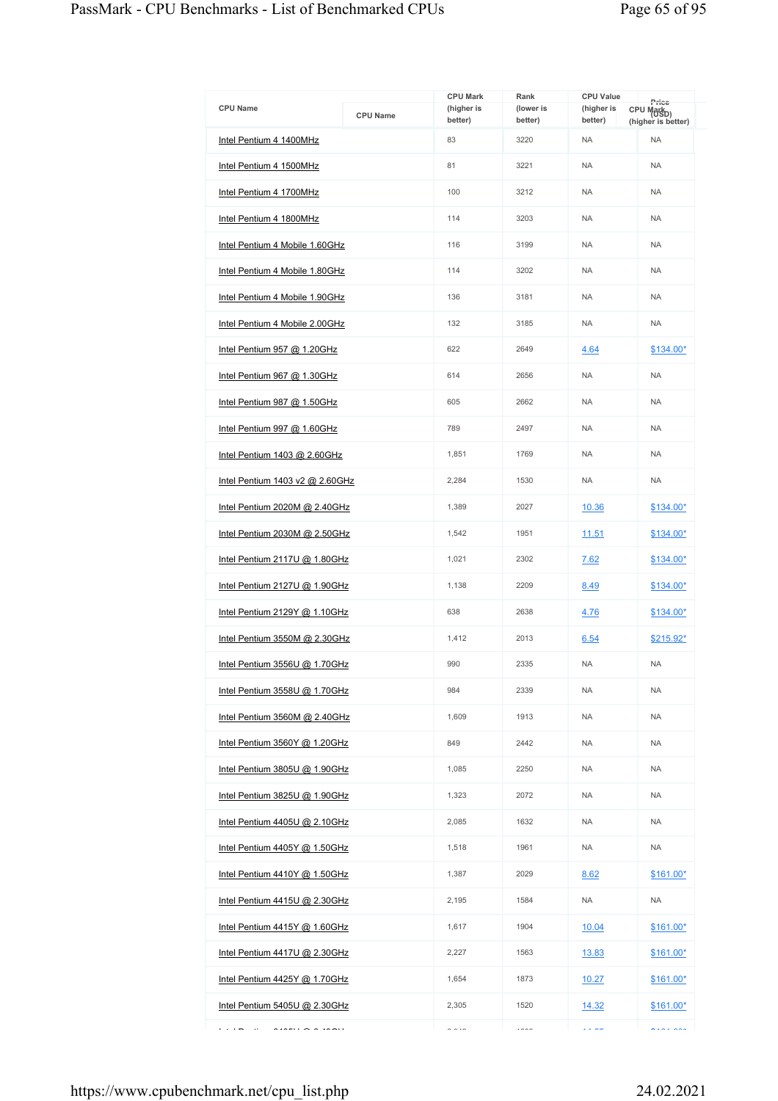| <b>CPU Name</b>                                                                                                                                                                                                                                                                                                                                                                                                                                                                     | <b>CPU Name</b> | <b>CPU Mark</b><br>(higher is<br>better) | Rank<br>(lower is<br>better) | <b>CPU Value</b><br>(higher is<br>better) | Price<br>CPU Markp)<br>(higher is better) |
|-------------------------------------------------------------------------------------------------------------------------------------------------------------------------------------------------------------------------------------------------------------------------------------------------------------------------------------------------------------------------------------------------------------------------------------------------------------------------------------|-----------------|------------------------------------------|------------------------------|-------------------------------------------|-------------------------------------------|
| Intel Pentium 4 1400MHz                                                                                                                                                                                                                                                                                                                                                                                                                                                             |                 | 83                                       | 3220                         | <b>NA</b>                                 | <b>NA</b>                                 |
| Intel Pentium 4 1500MHz                                                                                                                                                                                                                                                                                                                                                                                                                                                             |                 | 81                                       | 3221                         | <b>NA</b>                                 | <b>NA</b>                                 |
| Intel Pentium 4 1700MHz                                                                                                                                                                                                                                                                                                                                                                                                                                                             |                 | 100                                      | 3212                         | <b>NA</b>                                 | <b>NA</b>                                 |
| Intel Pentium 4 1800MHz                                                                                                                                                                                                                                                                                                                                                                                                                                                             |                 | 114                                      | 3203                         | <b>NA</b>                                 | <b>NA</b>                                 |
| Intel Pentium 4 Mobile 1.60GHz                                                                                                                                                                                                                                                                                                                                                                                                                                                      |                 | 116                                      | 3199                         | <b>NA</b>                                 | <b>NA</b>                                 |
| Intel Pentium 4 Mobile 1.80GHz                                                                                                                                                                                                                                                                                                                                                                                                                                                      |                 | 114                                      | 3202                         | <b>NA</b>                                 | <b>NA</b>                                 |
| Intel Pentium 4 Mobile 1.90GHz                                                                                                                                                                                                                                                                                                                                                                                                                                                      |                 | 136                                      | 3181                         | <b>NA</b>                                 | <b>NA</b>                                 |
| Intel Pentium 4 Mobile 2.00GHz                                                                                                                                                                                                                                                                                                                                                                                                                                                      |                 | 132                                      | 3185                         | <b>NA</b>                                 | <b>NA</b>                                 |
| Intel Pentium 957 @ 1.20GHz                                                                                                                                                                                                                                                                                                                                                                                                                                                         |                 | 622                                      | 2649                         | 4.64                                      | $$134.00*$                                |
| Intel Pentium 967 @ 1.30GHz                                                                                                                                                                                                                                                                                                                                                                                                                                                         |                 | 614                                      | 2656                         | <b>NA</b>                                 | <b>NA</b>                                 |
| Intel Pentium 987 @ 1.50GHz                                                                                                                                                                                                                                                                                                                                                                                                                                                         |                 | 605                                      | 2662                         | <b>NA</b>                                 | <b>NA</b>                                 |
| Intel Pentium 997 @ 1.60GHz                                                                                                                                                                                                                                                                                                                                                                                                                                                         |                 | 789                                      | 2497                         | <b>NA</b>                                 | <b>NA</b>                                 |
| Intel Pentium 1403 @ 2.60GHz                                                                                                                                                                                                                                                                                                                                                                                                                                                        |                 | 1,851                                    | 1769                         | <b>NA</b>                                 | <b>NA</b>                                 |
| <u>Intel Pentium 1403 v2 @ 2.60GHz</u>                                                                                                                                                                                                                                                                                                                                                                                                                                              |                 | 2,284                                    | 1530                         | <b>NA</b>                                 | <b>NA</b>                                 |
| Intel Pentium 2020M @ 2.40GHz                                                                                                                                                                                                                                                                                                                                                                                                                                                       |                 | 1,389                                    | 2027                         | 10.36                                     | $$134.00*$                                |
| Intel Pentium 2030M @ 2.50GHz                                                                                                                                                                                                                                                                                                                                                                                                                                                       |                 | 1,542                                    | 1951                         | 11.51                                     | $$134.00*$                                |
| Intel Pentium $2117U$ @ 1.80GHz                                                                                                                                                                                                                                                                                                                                                                                                                                                     |                 | 1,021                                    | 2302                         | 7.62                                      | $$134.00*$                                |
| Intel Pentium 2127U @ 1.90GHz                                                                                                                                                                                                                                                                                                                                                                                                                                                       |                 | 1,138                                    | 2209                         | 8.49                                      | $$134.00*$                                |
| Intel Pentium 2129Y @ 1.10GHz                                                                                                                                                                                                                                                                                                                                                                                                                                                       |                 | 638                                      | 2638                         | 4.76                                      | $$134.00*$                                |
| Intel Pentium 3550M @ 2.30GHz                                                                                                                                                                                                                                                                                                                                                                                                                                                       |                 | 1,412                                    | 2013                         | 6.54                                      | \$215.92*                                 |
| Intel Pentium 3556U @ 1.70GHz                                                                                                                                                                                                                                                                                                                                                                                                                                                       |                 | 990                                      | 2335                         | <b>NA</b>                                 | <b>NA</b>                                 |
| Intel Pentium 3558U $@$ 1.70GHz                                                                                                                                                                                                                                                                                                                                                                                                                                                     |                 | 984                                      | 2339                         | <b>NA</b>                                 | <b>NA</b>                                 |
| Intel Pentium 3560M @ 2.40GHz                                                                                                                                                                                                                                                                                                                                                                                                                                                       |                 | 1,609                                    | 1913                         | <b>NA</b>                                 | <b>NA</b>                                 |
| Intel Pentium 3560Y @ 1.20GHz                                                                                                                                                                                                                                                                                                                                                                                                                                                       |                 | 849                                      | 2442                         | <b>NA</b>                                 | <b>NA</b>                                 |
| Intel Pentium 3805U @ 1.90GHz                                                                                                                                                                                                                                                                                                                                                                                                                                                       |                 | 1.085                                    | 2250                         | <b>NA</b>                                 | <b>NA</b>                                 |
| Intel Pentium 3825U @ 1.90GHz                                                                                                                                                                                                                                                                                                                                                                                                                                                       |                 | 1,323                                    | 2072                         | <b>NA</b>                                 | <b>NA</b>                                 |
| Intel Pentium $4405U$ @ 2.10GHz                                                                                                                                                                                                                                                                                                                                                                                                                                                     |                 | 2,085                                    | 1632                         | <b>NA</b>                                 | <b>NA</b>                                 |
| Intel Pentium 4405Y @ 1.50GHz                                                                                                                                                                                                                                                                                                                                                                                                                                                       |                 | 1,518                                    | 1961                         | <b>NA</b>                                 | <b>NA</b>                                 |
| Intel Pentium 4410Y @ 1.50GHz                                                                                                                                                                                                                                                                                                                                                                                                                                                       |                 | 1,387                                    | 2029                         | 8.62                                      | $$161.00*$                                |
| Intel Pentium $4415U$ @ 2.30GHz                                                                                                                                                                                                                                                                                                                                                                                                                                                     |                 | 2,195                                    | 1584                         | <b>NA</b>                                 | <b>NA</b>                                 |
| Intel Pentium $4415Y$ @ 1.60GHz                                                                                                                                                                                                                                                                                                                                                                                                                                                     |                 | 1,617                                    | 1904                         | 10.04                                     | $$161.00*$                                |
| Intel Pentium $4417U$ @ 2.30GHz                                                                                                                                                                                                                                                                                                                                                                                                                                                     |                 | 2,227                                    | 1563                         | 13.83                                     | $$161.00*$                                |
| Intel Pentium $4425Y$ @ 1.70GHz                                                                                                                                                                                                                                                                                                                                                                                                                                                     |                 | 1,654                                    | 1873                         | 10.27                                     | <u>\$161.00*</u>                          |
| Intel Pentium 5405U @ 2.30GHz                                                                                                                                                                                                                                                                                                                                                                                                                                                       |                 | 2,305                                    | 1520                         | 14.32                                     | $$161.00*$                                |
| $\begin{array}{c} \n\text{if } \mathbf{a} \text{ is } \mathbf{a} \text{ is } \mathbf{a} \text{ is } \mathbf{a} \text{ is } \mathbf{a} \text{ is } \mathbf{a} \text{ is } \mathbf{a} \text{ is } \mathbf{a} \text{ is } \mathbf{a} \text{ is } \mathbf{a} \text{ is } \mathbf{a} \text{ is } \mathbf{a} \text{ is } \mathbf{a} \text{ is } \mathbf{a} \text{ is } \mathbf{a} \text{ is } \mathbf{a} \text{ is } \mathbf{a} \text{ is } \mathbf{a} \text{ is } \mathbf{a} \text$<br>. |                 | $\sim$ $\sim$ $\sim$                     | $---$                        | المساعدة                                  | AzAz AAF                                  |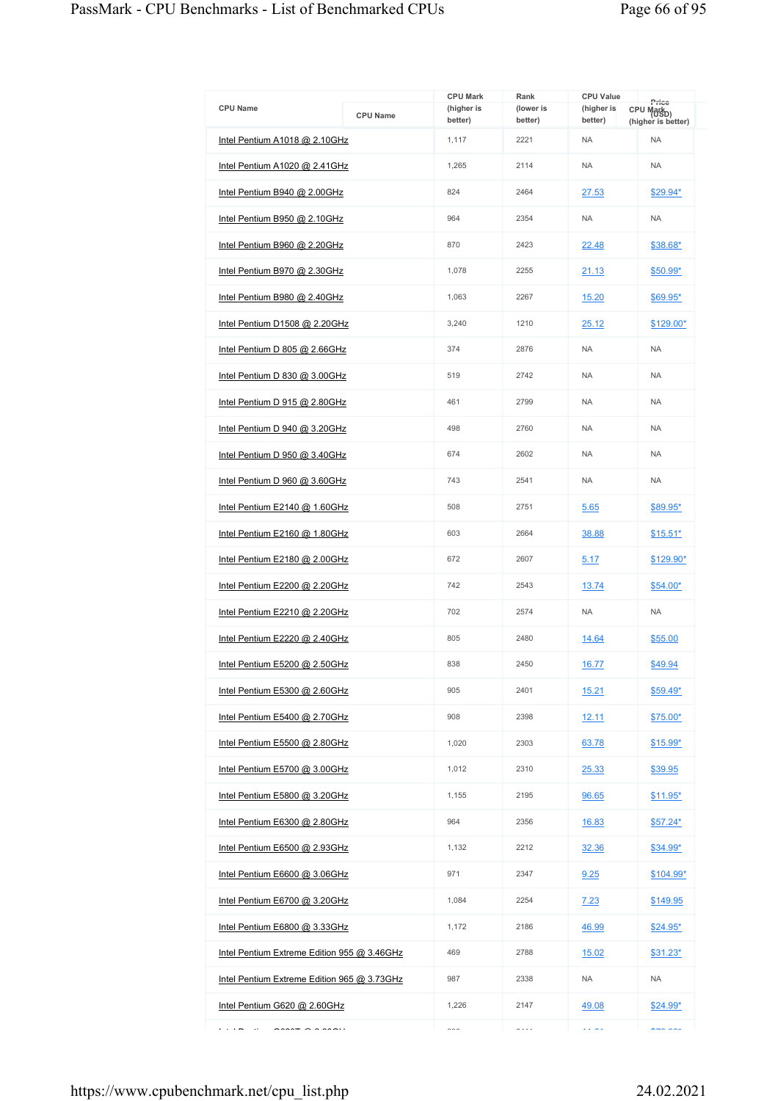| <b>CPU Name</b>                             | <b>CPU Name</b> | <b>CPU Mark</b><br>(higher is<br>better) | Rank<br>(lower is<br>better) | <b>CPU Value</b><br>(higher is<br>better) | Price<br>CPU Mark <sub>D)</sub><br>(higher is better) |
|---------------------------------------------|-----------------|------------------------------------------|------------------------------|-------------------------------------------|-------------------------------------------------------|
| Intel Pentium A1018 @ 2.10GHz               |                 | 1,117                                    | 2221                         | <b>NA</b>                                 | <b>NA</b>                                             |
| Intel Pentium A1020 @ 2.41GHz               |                 | 1,265                                    | 2114                         | <b>NA</b>                                 | <b>NA</b>                                             |
| Intel Pentium B940 $@$ 2.00GHz              |                 | 824                                      | 2464                         | 27.53                                     | $$29.94*$                                             |
| Intel Pentium B950 @ 2.10GHz                |                 | 964                                      | 2354                         | <b>NA</b>                                 | <b>NA</b>                                             |
| Intel Pentium B960 $@$ 2.20GHz              |                 | 870                                      | 2423                         | 22.48                                     | \$38.68*                                              |
| Intel Pentium B970 @ 2.30GHz                |                 | 1,078                                    | 2255                         | 21.13                                     | \$50.99*                                              |
| Intel Pentium B980 $@$ 2.40GHz              |                 | 1,063                                    | 2267                         | 15.20                                     | \$69.95*                                              |
| Intel Pentium D1508 @ 2.20GHz               |                 | 3,240                                    | 1210                         | 25.12                                     | $$129.00*$                                            |
| Intel Pentium D 805 @ 2.66GHz               |                 | 374                                      | 2876                         | <b>NA</b>                                 | <b>NA</b>                                             |
| Intel Pentium D 830 @ 3.00GHz               |                 | 519                                      | 2742                         | <b>NA</b>                                 | <b>NA</b>                                             |
| Intel Pentium D 915 @ 2.80GHz               |                 | 461                                      | 2799                         | <b>NA</b>                                 | <b>NA</b>                                             |
| Intel Pentium D 940 @ 3.20GHz               |                 | 498                                      | 2760                         | <b>NA</b>                                 | <b>NA</b>                                             |
| Intel Pentium D $950$ @ 3.40GHz             |                 | 674                                      | 2602                         | <b>NA</b>                                 | <b>NA</b>                                             |
| Intel Pentium D 960 @ 3.60GHz               |                 | 743                                      | 2541                         | <b>NA</b>                                 | <b>NA</b>                                             |
| Intel Pentium $E2140$ @ 1.60GHz             |                 | 508                                      | 2751                         | 5.65                                      | \$89.95*                                              |
| Intel Pentium E2160 @ 1.80GHz               |                 | 603                                      | 2664                         | 38.88                                     | $$15.51*$                                             |
| Intel Pentium E2180 @ 2.00GHz               |                 | 672                                      | 2607                         | 5.17                                      | $$129.90*$                                            |
| Intel Pentium E2200 @ 2.20GHz               |                 | 742                                      | 2543                         | <u>13.74</u>                              | $$54.00*$                                             |
| Intel Pentium E2210 $@$ 2.20GHz             |                 | 702                                      | 2574                         | <b>NA</b>                                 | <b>NA</b>                                             |
| Intel Pentium E2220 @ 2.40GHz               |                 | 805                                      | 2480                         | 14.64                                     | \$55.00                                               |
| Intel Pentium E5200 @ 2.50GHz               |                 | 838                                      | 2450                         | 16.77                                     | \$49.94                                               |
| Intel Pentium E5300 @ 2.60GHz               |                 | 905                                      | 2401                         | 15.21                                     | $$59.49*$                                             |
| Intel Pentium E5400 @ 2.70GHz               |                 | 908                                      | 2398                         | 12.11                                     | \$75.00*                                              |
| Intel Pentium E5500 @ 2.80GHz               |                 | 1,020                                    | 2303                         | 63.78                                     | \$15.99*                                              |
| Intel Pentium E5700 @ 3.00GHz               |                 | 1,012                                    | 2310                         | 25.33                                     | \$39.95                                               |
| Intel Pentium E5800 @ 3.20GHz               |                 | 1,155                                    | 2195                         | 96.65                                     | $$11.95*$                                             |
| Intel Pentium E6300 @ 2.80GHz               |                 | 964                                      | 2356                         | 16.83                                     | $$57.24*$                                             |
| Intel Pentium E6500 @ 2.93GHz               |                 | 1,132                                    | 2212                         | 32.36                                     | $$34.99*$                                             |
| Intel Pentium E6600 @ 3.06GHz               |                 | 971                                      | 2347                         | 9.25                                      | <u>\$104.99*</u>                                      |
| Intel Pentium E6700 @ 3.20GHz               |                 | 1,084                                    | 2254                         | 7.23                                      | \$149.95                                              |
| Intel Pentium E6800 @ 3.33GHz               |                 | 1,172                                    | 2186                         | 46.99                                     | \$24.95*                                              |
| Intel Pentium Extreme Edition 955 @ 3.46GHz |                 | 469                                      | 2788                         | 15.02                                     | $$31.23^*$                                            |
| Intel Pentium Extreme Edition 965 @ 3.73GHz |                 | 987                                      | 2338                         | <b>NA</b>                                 | <b>NA</b>                                             |
| Intel Pentium G620 @ 2.60GHz                |                 | 1,226                                    | 2147                         | 49.08                                     | $$24.99*$                                             |
| .<br>$\cdots$                               |                 | $\sim$ $\sim$                            | .                            | لأمالانا                                  | $\sim$ $\sim$ $\sim$                                  |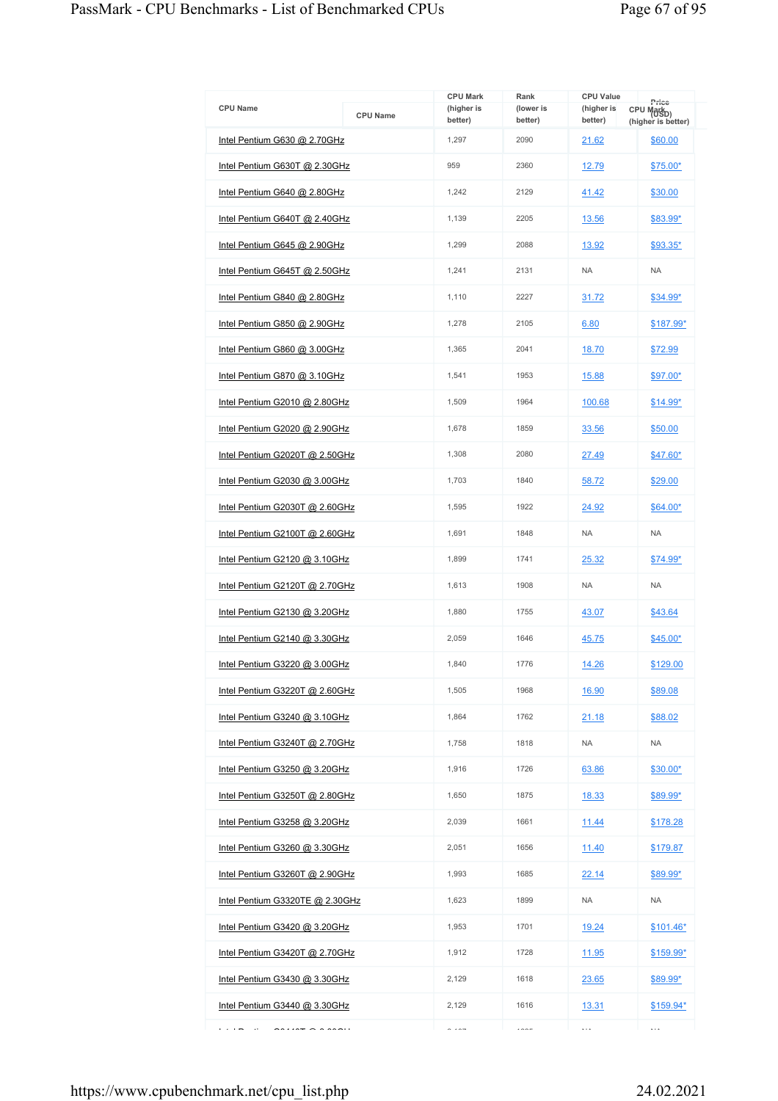|                                                         |                 | <b>CPU Mark</b>       | Rank                 | <b>CPU Value</b>      | Price                                        |
|---------------------------------------------------------|-----------------|-----------------------|----------------------|-----------------------|----------------------------------------------|
| <b>CPU Name</b>                                         | <b>CPU Name</b> | (higher is<br>better) | (lower is<br>better) | (higher is<br>better) | CPU Mark <sub>D)</sub><br>(higher is better) |
| Intel Pentium G630 @ 2.70GHz                            |                 | 1,297                 | 2090                 | 21.62                 | \$60.00                                      |
| Intel Pentium G630T @ 2.30GHz                           |                 | 959                   | 2360                 | 12.79                 | $$75.00*$                                    |
| Intel Pentium G640 @ 2.80GHz                            |                 | 1,242                 | 2129                 | 41.42                 | \$30.00                                      |
| Intel Pentium G640T @ 2.40GHz                           |                 | 1,139                 | 2205                 | 13.56                 | \$83.99*                                     |
| Intel Pentium G645 @ 2.90GHz                            |                 | 1,299                 | 2088                 | 13.92                 | $$93.35*$                                    |
| Intel Pentium G645T @ 2.50GHz                           |                 | 1,241                 | 2131                 | <b>NA</b>             | <b>NA</b>                                    |
| Intel Pentium G840 $@$ 2.80GHz                          |                 | 1,110                 | 2227                 | 31.72                 | $$34.99*$                                    |
| Intel Pentium G850 @ 2.90GHz                            |                 | 1,278                 | 2105                 | 6.80                  | \$187.99*                                    |
| Intel Pentium G860 @ 3.00GHz                            |                 | 1,365                 | 2041                 | 18.70                 | \$72.99                                      |
| Intel Pentium G870 @ 3.10GHz                            |                 | 1,541                 | 1953                 | 15.88                 | \$97.00*                                     |
| Intel Pentium G2010 @ 2.80GHz                           |                 | 1,509                 | 1964                 | 100.68                | $$14.99*$                                    |
| Intel Pentium G2020 @ 2.90GHz                           |                 | 1,678                 | 1859                 | 33.56                 | \$50.00                                      |
| Intel Pentium G2020T @ 2.50GHz                          |                 | 1,308                 | 2080                 | 27.49                 | \$47.60*                                     |
| Intel Pentium G2030 @ 3.00GHz                           |                 | 1,703                 | 1840                 | 58.72                 | \$29.00                                      |
| Intel Pentium G2030T @ 2.60GHz                          |                 | 1,595                 | 1922                 | 24.92                 | \$64.00*                                     |
| Intel Pentium G2100T @ 2.60GHz                          |                 | 1,691                 | 1848                 | <b>NA</b>             | <b>NA</b>                                    |
| Intel Pentium G2120 $@3.10 \text{GHz}$                  |                 | 1,899                 | 1741                 | 25.32                 | \$74.99*                                     |
| Intel Pentium G2120T @ 2.70GHz                          |                 | 1,613                 | 1908                 | <b>NA</b>             | <b>NA</b>                                    |
| Intel Pentium G2130 @ 3.20GHz                           |                 | 1,880                 | 1755                 | 43.07                 | \$43.64                                      |
| Intel Pentium G2140 @ 3.30GHz                           |                 | 2,059                 | 1646                 | 45.75                 | \$45.00*                                     |
| Intel Pentium G3220 @ 3.00GHz                           |                 | 1.840                 | 1776                 | 14.26                 | \$129.00                                     |
| Intel Pentium G3220T @ 2.60GHz                          |                 | 1,505                 | 1968                 | 16.90                 | \$89.08                                      |
| Intel Pentium G3240 @ 3.10GHz                           |                 | 1,864                 | 1762                 | <u>21.18</u>          | \$88.02                                      |
| Intel Pentium G3240T @ 2.70GHz                          |                 | 1,758                 | 1818                 | <b>NA</b>             | <b>NA</b>                                    |
| Intel Pentium G3250 @ 3.20GHz                           |                 | 1,916                 | 1726                 | 63.86                 | $$30.00*$                                    |
| Intel Pentium G3250T @ 2.80GHz                          |                 | 1,650                 | 1875                 | 18.33                 | <u>\$89.99*</u>                              |
| Intel Pentium G3258 @ 3.20GHz                           |                 | 2,039                 | 1661                 | 11.44                 | \$178.28                                     |
| Intel Pentium G3260 @ 3.30GHz                           |                 | 2,051                 | 1656                 | 11.40                 | \$179.87                                     |
| Intel Pentium G3260T @ 2.90GHz                          |                 | 1,993                 | 1685                 | 22.14                 | $$89.99^{\star}$                             |
| Intel Pentium G3320TE @ 2.30GHz                         |                 | 1,623                 | 1899                 | <b>NA</b>             | <b>NA</b>                                    |
| Intel Pentium G3420 @ 3.20GHz                           |                 | 1,953                 | 1701                 | 19.24                 | $$101.46*$                                   |
| Intel Pentium G3420T @ 2.70GHz                          |                 | 1,912                 | 1728                 | 11.95                 | \$159.99*                                    |
| Intel Pentium G3430 @ 3.30GHz                           |                 | 2,129                 | 1618                 | 23.65                 | \$89.99*                                     |
| Intel Pentium G3440 @ 3.30GHz                           |                 | 2,129                 | 1616                 | 13.31                 | \$159.94*                                    |
| $\sim$ $\sim$ $\sim$ $\sim$ $\sim$ $\sim$ $\sim$ $\sim$ |                 | $\sim$ $\sim$ $\sim$  | $100 - 100$          | $\ldots$              | $\ldots$                                     |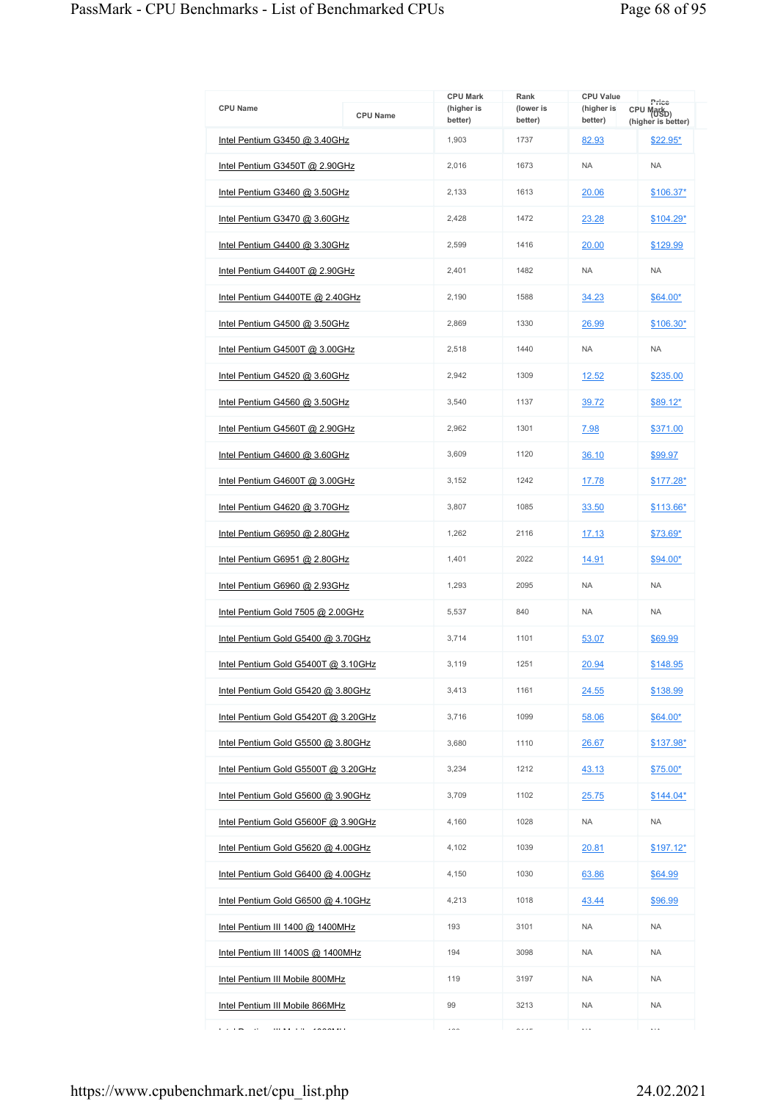| <b>CPU Name</b>                     | <b>CPU Name</b> | <b>CPU Mark</b><br>(higher is<br>better) | Rank<br>(lower is<br>better) | <b>CPU Value</b><br>(higher is<br>better) | Price<br>CPU Mark <sub>D)</sub><br>(higher is better) |
|-------------------------------------|-----------------|------------------------------------------|------------------------------|-------------------------------------------|-------------------------------------------------------|
| Intel Pentium G3450 @ 3.40GHz       |                 | 1,903                                    | 1737                         | 82.93                                     | \$22.95*                                              |
| Intel Pentium G3450T @ 2.90GHz      |                 | 2,016                                    | 1673                         | <b>NA</b>                                 | <b>NA</b>                                             |
| Intel Pentium G3460 @ 3.50GHz       |                 | 2,133                                    | 1613                         | 20.06                                     | \$106.37*                                             |
| Intel Pentium G3470 @ 3.60GHz       |                 | 2,428                                    | 1472                         | 23.28                                     | <u>\$104.29*</u>                                      |
| Intel Pentium G4400 @ 3.30GHz       |                 | 2,599                                    | 1416                         | 20.00                                     | \$129.99                                              |
| Intel Pentium G4400T @ 2.90GHz      |                 | 2.401                                    | 1482                         | <b>NA</b>                                 | <b>NA</b>                                             |
| Intel Pentium G4400TE @ 2.40GHz     |                 | 2,190                                    | 1588                         | 34.23                                     | \$64.00*                                              |
| Intel Pentium G4500 @ 3.50GHz       |                 | 2,869                                    | 1330                         | 26.99                                     | <u>\$106.30*</u>                                      |
| Intel Pentium G4500T @ 3.00GHz      |                 | 2,518                                    | 1440                         | <b>NA</b>                                 | <b>NA</b>                                             |
| Intel Pentium G4520 @ 3.60GHz       |                 | 2,942                                    | 1309                         | 12.52                                     | \$235.00                                              |
| Intel Pentium G4560 @ 3.50GHz       |                 | 3,540                                    | 1137                         | 39.72                                     | \$89.12*                                              |
| Intel Pentium G4560T @ 2.90GHz      |                 | 2,962                                    | 1301                         | 7.98                                      | \$371.00                                              |
| Intel Pentium G4600 @ 3.60GHz       |                 | 3,609                                    | 1120                         | 36.10                                     | \$99.97                                               |
| Intel Pentium G4600T @ 3.00GHz      |                 | 3,152                                    | 1242                         | 17.78                                     | $$177.28*$                                            |
| Intel Pentium G4620 @ 3.70GHz       |                 | 3,807                                    | 1085                         | 33.50                                     | \$113.66*                                             |
| Intel Pentium G6950 @ 2.80GHz       |                 | 1,262                                    | 2116                         | 17.13                                     | <u>\$73.69*</u>                                       |
| Intel Pentium G6951 @ 2.80GHz       |                 | 1,401                                    | 2022                         | 14.91                                     | \$94.00*                                              |
| Intel Pentium G6960 @ 2.93GHz       |                 | 1,293                                    | 2095                         | <b>NA</b>                                 | <b>NA</b>                                             |
| Intel Pentium Gold 7505 @ 2.00GHz   |                 | 5,537                                    | 840                          | <b>NA</b>                                 | <b>NA</b>                                             |
| Intel Pentium Gold G5400 @ 3.70GHz  |                 | 3,714                                    | 1101                         | 53.07                                     | \$69.99                                               |
| Intel Pentium Gold G5400T @ 3.10GHz |                 | 3,119                                    | 1251                         | 20.94                                     | \$148.95                                              |
| Intel Pentium Gold G5420 @ 3.80GHz  |                 | 3,413                                    | 1161                         | 24.55                                     | \$138.99                                              |
| Intel Pentium Gold G5420T @ 3.20GHz |                 | 3,716                                    | 1099                         | 58.06                                     | \$64.00*                                              |
| Intel Pentium Gold G5500 @ 3.80GHz  |                 | 3,680                                    | 1110                         | 26.67                                     | <u>\$137.98*</u>                                      |
| Intel Pentium Gold G5500T @ 3.20GHz |                 | 3,234                                    | 1212                         | 43.13                                     | <u>\$75.00*</u>                                       |
| Intel Pentium Gold G5600 @ 3.90GHz  |                 | 3,709                                    | 1102                         | 25.75                                     | $$144.04*$                                            |
| Intel Pentium Gold G5600F @ 3.90GHz |                 | 4,160                                    | 1028                         | <b>NA</b>                                 | NA                                                    |
| Intel Pentium Gold G5620 @ 4.00GHz  |                 | 4,102                                    | 1039                         | 20.81                                     | <u>\$197.12*</u>                                      |
| Intel Pentium Gold G6400 @ 4.00GHz  |                 | 4,150                                    | 1030                         | 63.86                                     | <u>\$64.99</u>                                        |
| Intel Pentium Gold G6500 @ 4.10GHz  |                 | 4,213                                    | 1018                         | 43.44                                     | \$96.99                                               |
| Intel Pentium III 1400 @ 1400MHz    |                 | 193                                      | 3101                         | <b>NA</b>                                 | <b>NA</b>                                             |
| Intel Pentium III 1400S @ 1400MHz   |                 | 194                                      | 3098                         | <b>NA</b>                                 | NA                                                    |
| Intel Pentium III Mobile 800MHz     |                 | 119                                      | 3197                         | <b>NA</b>                                 | <b>NA</b>                                             |
| Intel Pentium III Mobile 866MHz     |                 | 99                                       | 3213                         | <b>NA</b>                                 | <b>NA</b>                                             |
| .                                   |                 | $\cdots$                                 | $\sim$ $\sim$ $\sim$         | $\ddotsc$                                 | $\cdots$                                              |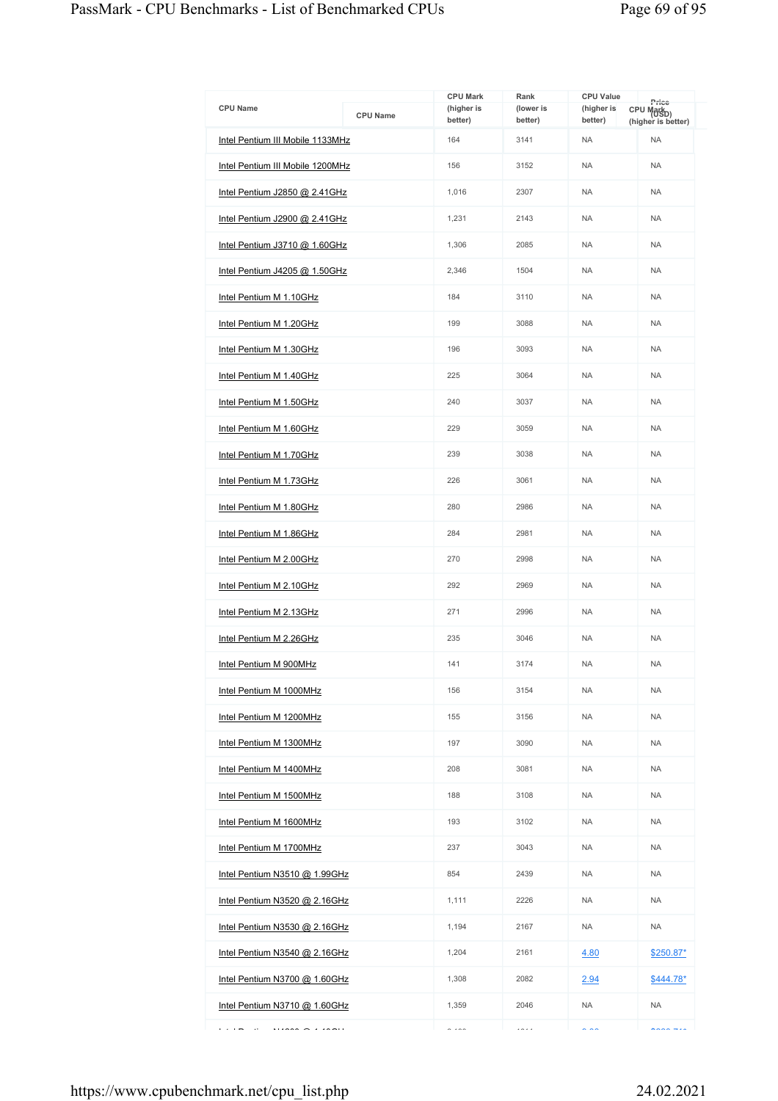| <b>CPU Name</b>                  | <b>CPU Name</b> | <b>CPU Mark</b><br>(higher is<br>better) | Rank<br>(lower is<br>better) | <b>CPU Value</b><br>(higher is<br>better) | Price<br>CPU Mark <sub>D)</sub><br>(higher is better) |
|----------------------------------|-----------------|------------------------------------------|------------------------------|-------------------------------------------|-------------------------------------------------------|
| Intel Pentium III Mobile 1133MHz |                 | 164                                      | 3141                         | <b>NA</b>                                 | <b>NA</b>                                             |
| Intel Pentium III Mobile 1200MHz |                 | 156                                      | 3152                         | <b>NA</b>                                 | <b>NA</b>                                             |
| Intel Pentium J2850 @ 2.41GHz    |                 | 1,016                                    | 2307                         | <b>NA</b>                                 | <b>NA</b>                                             |
| Intel Pentium J2900 @ 2.41GHz    |                 | 1,231                                    | 2143                         | <b>NA</b>                                 | <b>NA</b>                                             |
| Intel Pentium J3710 @ 1.60GHz    |                 | 1,306                                    | 2085                         | <b>NA</b>                                 | <b>NA</b>                                             |
| Intel Pentium J4205 @ 1.50GHz    |                 | 2,346                                    | 1504                         | <b>NA</b>                                 | <b>NA</b>                                             |
| Intel Pentium M 1.10GHz          |                 | 184                                      | 3110                         | <b>NA</b>                                 | <b>NA</b>                                             |
| Intel Pentium M 1.20GHz          |                 | 199                                      | 3088                         | <b>NA</b>                                 | <b>NA</b>                                             |
| Intel Pentium M 1.30GHz          |                 | 196                                      | 3093                         | <b>NA</b>                                 | <b>NA</b>                                             |
| Intel Pentium M 1.40GHz          |                 | 225                                      | 3064                         | <b>NA</b>                                 | <b>NA</b>                                             |
| Intel Pentium M 1.50GHz          |                 | 240                                      | 3037                         | <b>NA</b>                                 | <b>NA</b>                                             |
| Intel Pentium M 1.60GHz          |                 | 229                                      | 3059                         | <b>NA</b>                                 | <b>NA</b>                                             |
| Intel Pentium M 1.70GHz          |                 | 239                                      | 3038                         | <b>NA</b>                                 | <b>NA</b>                                             |
| Intel Pentium M 1.73GHz          |                 | 226                                      | 3061                         | <b>NA</b>                                 | <b>NA</b>                                             |
| Intel Pentium M 1.80GHz          |                 | 280                                      | 2986                         | <b>NA</b>                                 | <b>NA</b>                                             |
| Intel Pentium M 1.86GHz          |                 | 284                                      | 2981                         | <b>NA</b>                                 | <b>NA</b>                                             |
| Intel Pentium M 2.00GHz          |                 | 270                                      | 2998                         | <b>NA</b>                                 | <b>NA</b>                                             |
| Intel Pentium M 2.10GHz          |                 | 292                                      | 2969                         | <b>NA</b>                                 | NA                                                    |
| Intel Pentium M 2.13GHz          |                 | 271                                      | 2996                         | <b>NA</b>                                 | <b>NA</b>                                             |
| Intel Pentium M 2.26GHz          |                 | 235                                      | 3046                         | <b>NA</b>                                 | <b>NA</b>                                             |
| Intel Pentium M 900MHz           |                 | 141                                      | 3174                         | <b>NA</b>                                 | <b>NA</b>                                             |
| Intel Pentium M 1000MHz          |                 | 156                                      | 3154                         | <b>NA</b>                                 | <b>NA</b>                                             |
| Intel Pentium M 1200MHz          |                 | 155                                      | 3156                         | <b>NA</b>                                 | <b>NA</b>                                             |
| Intel Pentium M 1300MHz          |                 | 197                                      | 3090                         | <b>NA</b>                                 | NA                                                    |
| Intel Pentium M 1400MHz          |                 | 208                                      | 3081                         | <b>NA</b>                                 | <b>NA</b>                                             |
| Intel Pentium M 1500MHz          |                 | 188                                      | 3108                         | <b>NA</b>                                 | <b>NA</b>                                             |
| Intel Pentium M 1600MHz          |                 | 193                                      | 3102                         | <b>NA</b>                                 | <b>NA</b>                                             |
| Intel Pentium M 1700MHz          |                 | 237                                      | 3043                         | <b>NA</b>                                 | <b>NA</b>                                             |
| Intel Pentium N3510 @ 1.99GHz    |                 | 854                                      | 2439                         | <b>NA</b>                                 | NA                                                    |
| Intel Pentium N3520 @ 2.16GHz    |                 | 1,111                                    | 2226                         | <b>NA</b>                                 | <b>NA</b>                                             |
| Intel Pentium N3530 @ 2.16GHz    |                 | 1,194                                    | 2167                         | <b>NA</b>                                 | <b>NA</b>                                             |
| Intel Pentium N3540 @ 2.16GHz    |                 | 1,204                                    | 2161                         | 4.80                                      | \$250.87*                                             |
| Intel Pentium N3700 @ 1.60GHz    |                 | 1,308                                    | 2082                         | 2.94                                      | $$444.78*$                                            |
| Intel Pentium N3710 @ 1.60GHz    |                 | 1,359                                    | 2046                         | <b>NA</b>                                 | <b>NA</b>                                             |
| <b>College</b><br>$\cdots$       |                 | $\sim$ . $\sim$                          | $\cdots$                     | $\sim$ $\sim$                             | $n \cdot n \cdot n$                                   |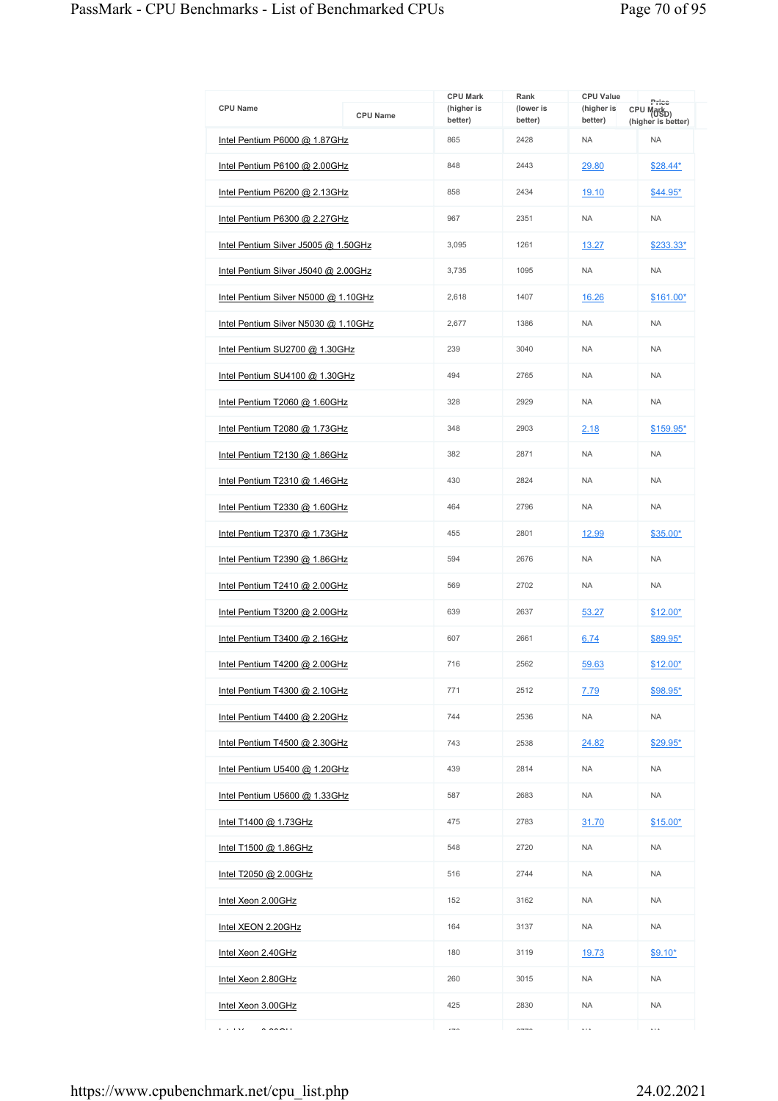| <b>CPU Name</b>                      | <b>CPU Name</b> | <b>CPU Mark</b><br>(higher is<br>better) | Rank<br>(lower is<br>better) | <b>CPU Value</b><br>(higher is<br>better) | Price<br>CPU Markp)<br>(higher is better) |
|--------------------------------------|-----------------|------------------------------------------|------------------------------|-------------------------------------------|-------------------------------------------|
| Intel Pentium P6000 @ 1.87GHz        |                 | 865                                      | 2428                         | <b>NA</b>                                 | <b>NA</b>                                 |
| Intel Pentium P6100 @ 2.00GHz        |                 | 848                                      | 2443                         | 29.80                                     | $$28.44*$                                 |
| Intel Pentium P6200 @ 2.13GHz        |                 | 858                                      | 2434                         | 19.10                                     | \$44.95*                                  |
| Intel Pentium P6300 @ 2.27GHz        |                 | 967                                      | 2351                         | <b>NA</b>                                 | <b>NA</b>                                 |
| Intel Pentium Silver J5005 @ 1.50GHz |                 | 3,095                                    | 1261                         | 13.27                                     | \$233.33*                                 |
| Intel Pentium Silver J5040 @ 2.00GHz |                 | 3,735                                    | 1095                         | <b>NA</b>                                 | <b>NA</b>                                 |
| Intel Pentium Silver N5000 @ 1.10GHz |                 | 2,618                                    | 1407                         | 16.26                                     | $$161.00*$                                |
| Intel Pentium Silver N5030 @ 1.10GHz |                 | 2,677                                    | 1386                         | <b>NA</b>                                 | <b>NA</b>                                 |
| Intel Pentium SU2700 @ 1.30GHz       |                 | 239                                      | 3040                         | <b>NA</b>                                 | <b>NA</b>                                 |
| Intel Pentium SU4100 @ 1.30GHz       |                 | 494                                      | 2765                         | <b>NA</b>                                 | <b>NA</b>                                 |
| Intel Pentium T2060 @ 1.60GHz        |                 | 328                                      | 2929                         | <b>NA</b>                                 | <b>NA</b>                                 |
| Intel Pentium T2080 @ 1.73GHz        |                 | 348                                      | 2903                         | 2.18                                      | $$159.95*$                                |
| Intel Pentium T2130 $@$ 1.86GHz      |                 | 382                                      | 2871                         | <b>NA</b>                                 | <b>NA</b>                                 |
| Intel Pentium T2310 @ 1.46GHz        |                 | 430                                      | 2824                         | <b>NA</b>                                 | <b>NA</b>                                 |
| Intel Pentium T2330 @ 1.60GHz        |                 | 464                                      | 2796                         | <b>NA</b>                                 | <b>NA</b>                                 |
| Intel Pentium T2370 @ 1.73GHz        |                 | 455                                      | 2801                         | 12.99                                     | \$35.00*                                  |
| Intel Pentium T2390 @ 1.86GHz        |                 | 594                                      | 2676                         | <b>NA</b>                                 | <b>NA</b>                                 |
| Intel Pentium T2410 @ 2.00GHz        |                 | 569                                      | 2702                         | <b>NA</b>                                 | <b>NA</b>                                 |
| Intel Pentium T3200 @ 2.00GHz        |                 | 639                                      | 2637                         | 53.27                                     | $$12.00*$                                 |
| Intel Pentium T3400 @ 2.16GHz        |                 | 607                                      | 2661                         | 6.74                                      | \$89.95*                                  |
| Intel Pentium T4200 @ 2.00GHz        |                 | 716                                      | 2562                         | 59.63                                     | $$12.00*$                                 |
| Intel Pentium T4300 @ 2.10GHz        |                 | 771                                      | 2512                         | 7.79                                      | \$98.95*                                  |
| Intel Pentium T4400 @ 2.20GHz        |                 | 744                                      | 2536                         | <b>NA</b>                                 | <b>NA</b>                                 |
| Intel Pentium T4500 @ 2.30GHz        |                 | 743                                      | 2538                         | 24.82                                     | $$29.95*$                                 |
| Intel Pentium U5400 @ 1.20GHz        |                 | 439                                      | 2814                         | <b>NA</b>                                 | <b>NA</b>                                 |
| Intel Pentium U5600 @ 1.33GHz        |                 | 587                                      | 2683                         | <b>NA</b>                                 | <b>NA</b>                                 |
| Intel T1400 @ 1.73GHz                |                 | 475                                      | 2783                         | 31.70                                     | $$15.00*$                                 |
| Intel T1500 @ 1.86GHz                |                 | 548                                      | 2720                         | <b>NA</b>                                 | <b>NA</b>                                 |
| Intel T2050 @ 2.00GHz                |                 | 516                                      | 2744                         | <b>NA</b>                                 | <b>NA</b>                                 |
| Intel Xeon 2.00GHz                   |                 | 152                                      | 3162                         | <b>NA</b>                                 | <b>NA</b>                                 |
| Intel XEON 2.20GHz                   |                 | 164                                      | 3137                         | <b>NA</b>                                 | <b>NA</b>                                 |
| Intel Xeon 2.40GHz                   |                 | 180                                      | 3119                         | 19.73                                     | $$9.10*$                                  |
| Intel Xeon 2.80GHz                   |                 | 260                                      | 3015                         | <b>NA</b>                                 | <b>NA</b>                                 |
| Intel Xeon 3.00GHz                   |                 | 425                                      | 2830                         | <b>NA</b>                                 | <b>NA</b>                                 |
| e a riva<br>0.0001                   |                 | $-1$                                     | $\sim$ $\sim$ $\sim$         | $\cdots$                                  | $\ldots$                                  |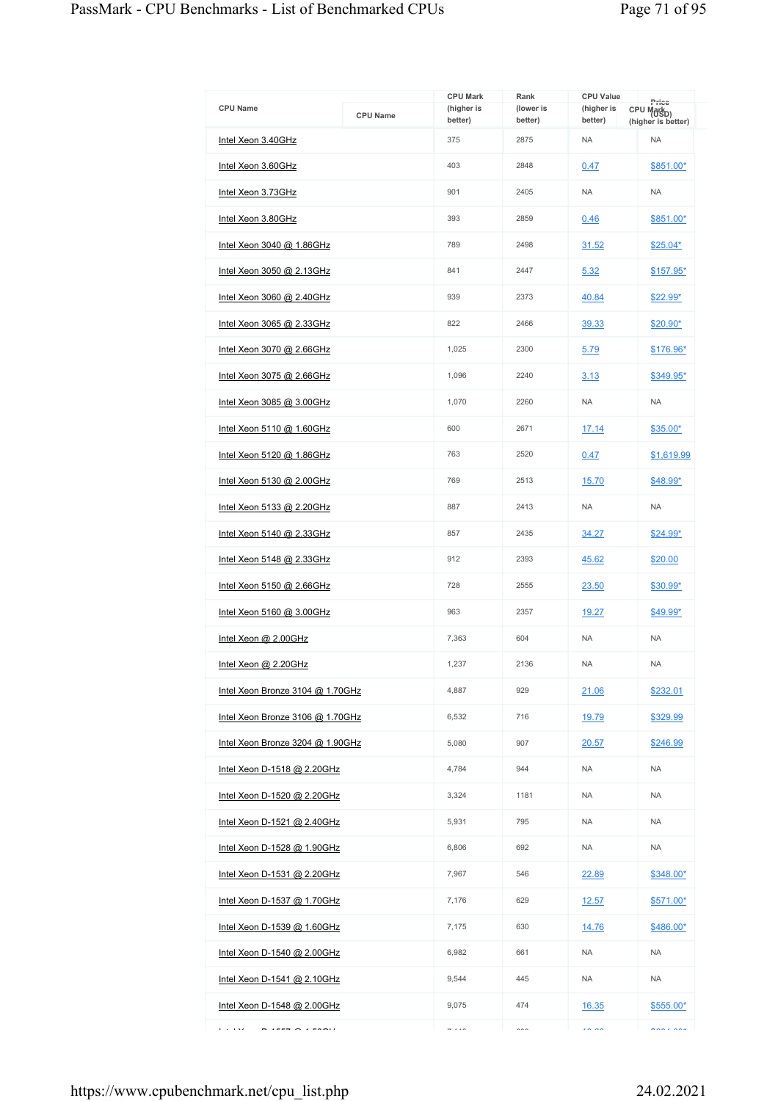| <b>CPU Name</b>                    | <b>CPU Name</b> | <b>CPU Mark</b><br>(higher is<br>better) | Rank<br>(lower is<br>better) | <b>CPU Value</b><br>(higher is<br>better) | Price<br>CPU Mark <sub>D)</sub><br>(higher is better) |
|------------------------------------|-----------------|------------------------------------------|------------------------------|-------------------------------------------|-------------------------------------------------------|
| Intel Xeon 3.40GHz                 |                 | 375                                      | 2875                         | <b>NA</b>                                 | <b>NA</b>                                             |
| Intel Xeon 3.60GHz                 |                 | 403                                      | 2848                         | 0.47                                      | \$851.00*                                             |
| Intel Xeon 3.73GHz                 |                 | 901                                      | 2405                         | <b>NA</b>                                 | <b>NA</b>                                             |
| Intel Xeon 3.80GHz                 |                 |                                          | 2859                         | 0.46                                      | \$851.00*                                             |
| Intel Xeon 3040 @ 1.86GHz          |                 | 789                                      | 2498                         | 31.52                                     | \$25.04*                                              |
| Intel Xeon 3050 @ 2.13GHz          |                 | 841                                      | 2447                         | 5.32                                      | \$157.95*                                             |
| Intel Xeon 3060 @ 2.40GHz          |                 | 939                                      | 2373                         | 40.84                                     | $$22.99*$                                             |
| Intel Xeon 3065 @ 2.33GHz          |                 | 822                                      | 2466                         | 39.33                                     | \$20.90*                                              |
| Intel Xeon 3070 @ 2.66GHz          |                 | 1.025                                    | 2300                         | 5.79                                      | \$176.96*                                             |
| Intel Xeon 3075 @ 2.66GHz          |                 | 1,096                                    | 2240                         | 3.13                                      | \$349.95*                                             |
| Intel Xeon 3085 @ 3.00GHz          |                 | 1,070                                    | 2260                         | <b>NA</b>                                 | <b>NA</b>                                             |
| Intel Xeon 5110 @ 1.60GHz          |                 | 600                                      | 2671                         | 17.14                                     | \$35.00*                                              |
| Intel Xeon 5120 @ 1.86GHz          |                 | 763                                      | 2520                         | 0.47                                      | \$1,619.99                                            |
| <u>Intel Xeon 5130 @ 2.00GHz</u>   |                 | 769                                      | 2513                         | 15.70                                     | \$48.99*                                              |
| Intel Xeon 5133 @ 2.20GHz          |                 | 887                                      | 2413                         | <b>NA</b>                                 | <b>NA</b>                                             |
| Intel Xeon 5140 @ 2.33GHz          |                 | 857                                      | 2435                         | 34.27                                     | \$24.99*                                              |
| Intel Xeon 5148 @ 2.33GHz          |                 | 912                                      | 2393                         | 45.62                                     | \$20.00                                               |
| Intel Xeon 5150 @ 2.66GHz          |                 | 728                                      | 2555                         | 23.50                                     | $$30.99*$                                             |
| Intel Xeon 5160 @ 3.00GHz          |                 | 963                                      | 2357                         | 19.27                                     | $$49.99^{\star}$                                      |
| Intel Xeon @ 2.00GHz               |                 | 7,363                                    | 604                          | <b>NA</b>                                 | <b>NA</b>                                             |
| Intel Xeon @ 2.20GHz               |                 | 1,237                                    | 2136                         | <b>NA</b>                                 | <b>NA</b>                                             |
| Intel Xeon Bronze 3104 @ 1.70GHz   |                 | 4.887                                    | 929                          | 21.06                                     | \$232.01                                              |
| Intel Xeon Bronze 3106 @ 1.70GHz   |                 | 6,532                                    | 716                          | 19.79                                     | \$329.99                                              |
| Intel Xeon Bronze 3204 @ 1.90GHz   |                 | 5,080                                    | 907                          | 20.57                                     | \$246.99                                              |
| Intel Xeon D-1518 @ 2.20GHz        |                 | 4,784                                    | 944                          | <b>NA</b>                                 | <b>NA</b>                                             |
| Intel Xeon D-1520 @ 2.20GHz        |                 | 3,324                                    | 1181                         | <b>NA</b>                                 | <b>NA</b>                                             |
| Intel Xeon D-1521 @ 2.40GHz        |                 | 5,931                                    | 795                          | <b>NA</b>                                 | <b>NA</b>                                             |
| Intel Xeon D-1528 @ 1.90GHz        |                 | 6,806                                    | 692                          | <b>NA</b>                                 | <b>NA</b>                                             |
| <u>Intel Xeon D-1531 @ 2.20GHz</u> |                 | 7,967                                    | 546                          | 22.89                                     | \$348.00*                                             |
| <u>Intel Xeon D-1537 @ 1.70GHz</u> |                 | 7,176                                    | 629                          | <u>12.57</u>                              | \$571.00*                                             |
| Intel Xeon D-1539 @ 1.60GHz        |                 | 7,175                                    | 630                          | 14.76                                     | \$486.00*                                             |
| Intel Xeon D-1540 @ 2.00GHz        |                 | 6,982                                    | 661                          | <b>NA</b>                                 | <b>NA</b>                                             |
| Intel Xeon D-1541 @ 2.10GHz        |                 | 9,544                                    | 445                          | <b>NA</b>                                 | <b>NA</b>                                             |
| Intel Xeon D-1548 @ 2.00GHz        |                 | 9,075                                    | 474                          | 16.35                                     | \$555.00*                                             |
| .                                  |                 | $-11$                                    | $\sim$                       | $\sim$ $\sim$                             | $\lambda$                                             |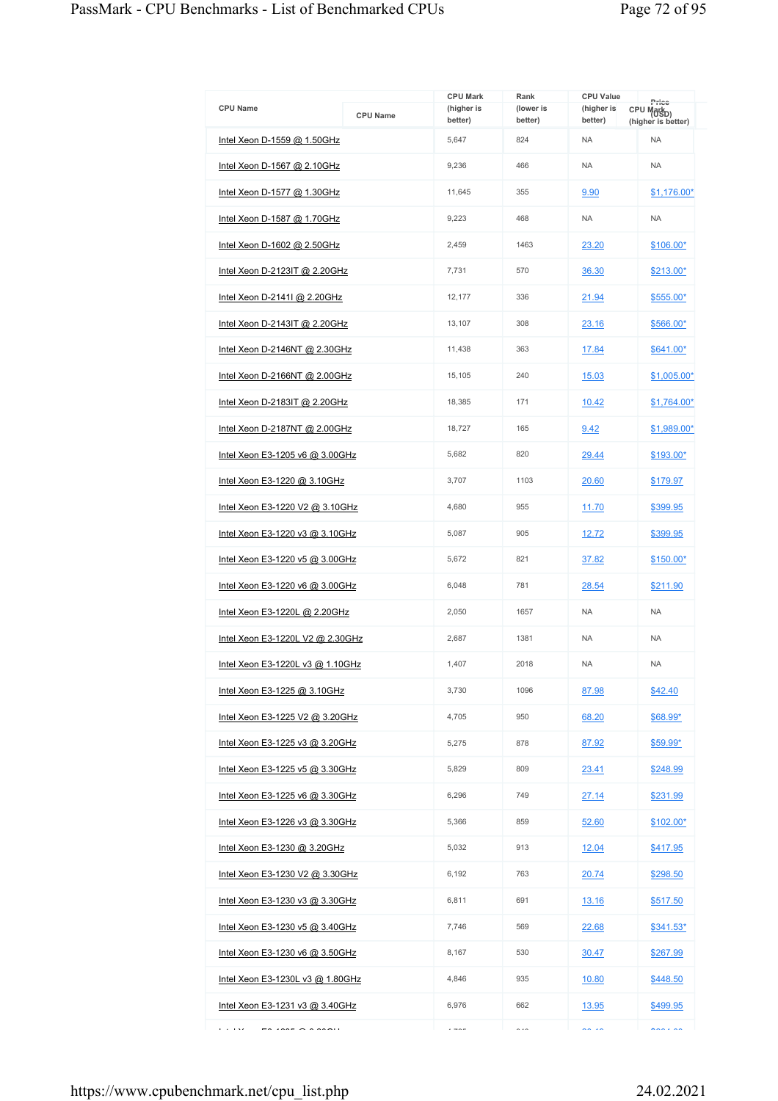| <b>CPU Name</b>                                                                                                   | <b>CPU Name</b>                 | <b>CPU Mark</b><br>(higher is<br>better) | Rank<br>(lower is<br>better) | <b>CPU Value</b><br>(higher is<br>better) | Price<br>CPU Mark <sub>D)</sub><br>(higher is better) |
|-------------------------------------------------------------------------------------------------------------------|---------------------------------|------------------------------------------|------------------------------|-------------------------------------------|-------------------------------------------------------|
| Intel Xeon D-1559 @ 1.50GHz                                                                                       |                                 | 5,647                                    | 824                          | <b>NA</b>                                 | <b>NA</b>                                             |
| Intel Xeon D-1567 @ 2.10GHz                                                                                       |                                 | 9.236                                    | 466                          | <b>NA</b>                                 | <b>NA</b>                                             |
| Intel Xeon D-1577 @ 1.30GHz                                                                                       |                                 | 11,645                                   | 355                          | 9.90                                      | $$1,176.00*$                                          |
| Intel Xeon D-1587 @ 1.70GHz                                                                                       |                                 | 9,223                                    | 468                          | <b>NA</b>                                 | <b>NA</b>                                             |
| Intel Xeon D-1602 @ 2.50GHz                                                                                       |                                 | 2,459                                    | 1463                         | 23.20                                     | \$106.00*                                             |
| Intel Xeon D-2123IT @ 2.20GHz                                                                                     |                                 | 7,731                                    | 570                          | 36.30                                     | \$213.00*                                             |
| Intel Xeon D-21411 @ 2.20GHz                                                                                      |                                 | 12,177                                   | 336                          | 21.94                                     | \$555.00*                                             |
| Intel Xeon D-2143IT @ 2.20GHz                                                                                     |                                 | 13,107                                   | 308                          | 23.16                                     | \$566.00*                                             |
| Intel Xeon D-2146NT @ 2.30GHz                                                                                     |                                 | 11,438                                   | 363                          | 17.84                                     | \$641.00*                                             |
| Intel Xeon D-2166NT @ 2.00GHz                                                                                     |                                 | 15,105                                   | 240                          | 15.03                                     | \$1,005.00*                                           |
| Intel Xeon D-2183IT @ 2.20GHz                                                                                     |                                 | 18,385                                   | 171                          | 10.42                                     | $$1,764.00*$                                          |
| Intel Xeon D-2187NT @ 2.00GHz                                                                                     |                                 | 18.727                                   | 165                          | 9.42                                      | \$1,989.00*                                           |
| Intel Xeon E3-1205 v6 @ 3.00GHz                                                                                   |                                 | 5,682                                    | 820                          | 29.44                                     | \$193.00*                                             |
| <u>Intel Xeon E3-1220 @ 3.10GHz</u>                                                                               |                                 | 3,707                                    | 1103                         | 20.60                                     | \$179.97                                              |
| Intel Xeon E3-1220 V2 @ 3.10GHz                                                                                   |                                 | 4,680                                    | 955                          | 11.70                                     | \$399.95                                              |
| Intel Xeon E3-1220 v3 @ 3.10GHz                                                                                   |                                 | 5,087                                    | 905                          | 12.72                                     | \$399.95                                              |
|                                                                                                                   | Intel Xeon E3-1220 v5 @ 3.00GHz |                                          | 821                          | 37.82                                     | $$150.00*$                                            |
| Intel Xeon E3-1220 v6 @ 3.00GHz                                                                                   |                                 | 6,048                                    | 781                          | 28.54                                     | \$211.90                                              |
| Intel Xeon E3-1220L @ 2.20GHz                                                                                     |                                 | 2,050                                    | 1657                         | <b>NA</b>                                 | <b>NA</b>                                             |
| Intel Xeon E3-1220L V2 @ 2.30GHz                                                                                  |                                 | 2,687                                    | 1381                         | <b>NA</b>                                 | <b>NA</b>                                             |
| Intel Xeon E3-1220L v3 @ 1.10GHz                                                                                  |                                 | 1.407                                    | 2018                         | <b>NA</b>                                 | <b>NA</b>                                             |
| Intel Xeon E3-1225 @ 3.10GHz                                                                                      |                                 | 3,730                                    | 1096                         | 87.98                                     | \$42.40                                               |
| Intel Xeon E3-1225 V2 @ 3.20GHz                                                                                   |                                 | 4,705                                    | 950                          | 68.20                                     | \$68.99*                                              |
| Intel Xeon E3-1225 v3 @ 3.20GHz                                                                                   |                                 | 5,275                                    | 878                          | 87.92                                     | $$59.99*$                                             |
| Intel Xeon E3-1225 v5 @ 3.30GHz                                                                                   |                                 | 5,829                                    | 809                          | 23.41                                     | \$248.99                                              |
| Intel Xeon E3-1225 v6 @ 3.30GHz                                                                                   |                                 | 6,296                                    | 749                          | 27.14                                     | \$231.99                                              |
| Intel Xeon E3-1226 v3 @ 3.30GHz                                                                                   |                                 | 5,366                                    | 859                          | 52.60                                     | $$102.00*$                                            |
| Intel Xeon E3-1230 @ 3.20GHz                                                                                      |                                 | 5,032                                    | 913                          | 12.04                                     | \$417.95                                              |
| Intel Xeon E3-1230 V2 @ 3.30GHz                                                                                   |                                 | 6,192                                    | 763                          | 20.74                                     | \$298.50                                              |
| Intel Xeon E3-1230 v3 @ 3.30GHz                                                                                   |                                 | 6,811                                    | 691                          | 13.16                                     | \$517.50                                              |
| Intel Xeon E3-1230 v5 @ 3.40GHz                                                                                   |                                 | 7,746                                    | 569                          | 22.68                                     | $$341.53*$                                            |
| Intel Xeon E3-1230 v6 @ 3.50GHz                                                                                   |                                 | 8,167                                    | 530                          | <u>30.47</u>                              | \$267.99                                              |
| Intel Xeon E3-1230L v3 @ 1.80GHz                                                                                  |                                 | 4,846                                    | 935                          | 10.80                                     | \$448.50                                              |
| Intel Xeon E3-1231 v3 @ 3.40GHz                                                                                   |                                 | 6,976                                    | 662                          | 13.95                                     | \$499.95                                              |
| e a less<br>$\begin{array}{c} \bullet & \bullet \bullet \bullet \\ \bullet & \bullet \bullet \bullet \end{array}$ |                                 | $- - -$                                  | $\sim$ $\sim$                | $\sim$ $\sim$                             | $\cdots$                                              |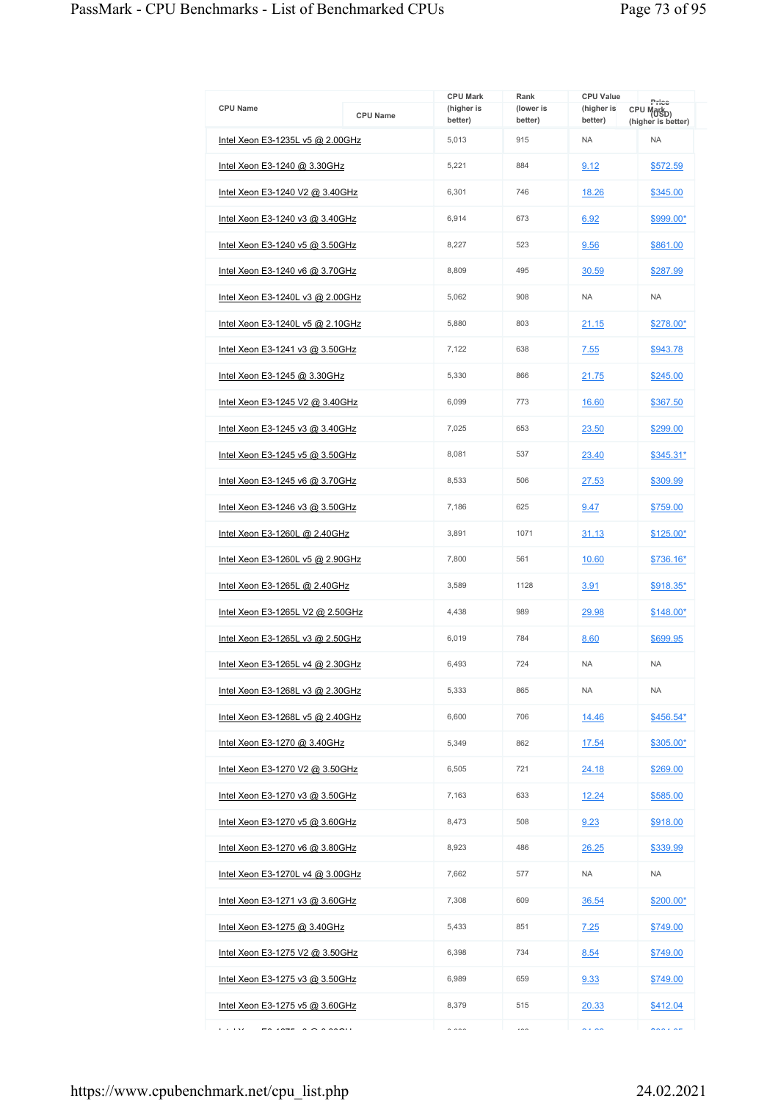| <b>CPU Name</b>                     | <b>CPU Name</b> | <b>CPU Mark</b><br>(higher is | Rank<br>(lower is | <b>CPU Value</b><br>(higher is | Price<br>CPU Mark <sub>D)</sub> |
|-------------------------------------|-----------------|-------------------------------|-------------------|--------------------------------|---------------------------------|
| Intel Xeon E3-1235L v5 @ 2.00GHz    |                 | better)<br>5,013              | better)<br>915    | better)<br><b>NA</b>           | (higher is better)<br><b>NA</b> |
|                                     |                 | 5,221                         | 884               |                                |                                 |
| Intel Xeon E3-1240 @ 3.30GHz        |                 |                               |                   | 9.12                           | \$572.59                        |
| Intel Xeon E3-1240 V2 @ 3.40GHz     |                 | 6,301                         | 746               | 18.26                          | \$345.00                        |
| Intel Xeon E3-1240 v3 @ 3.40GHz     |                 | 6,914                         | 673               | 6.92                           | \$999.00*                       |
| Intel Xeon E3-1240 v5 @ 3.50GHz     |                 | 8,227                         | 523               | 9.56                           | \$861.00                        |
| Intel Xeon E3-1240 v6 @ 3.70GHz     |                 | 8,809                         | 495               | 30.59                          | \$287.99                        |
| Intel Xeon E3-1240L v3 @ 2.00GHz    |                 | 5,062                         | 908               | <b>NA</b>                      | <b>NA</b>                       |
| Intel Xeon E3-1240L v5 @ 2.10GHz    |                 | 5,880                         | 803               | 21.15                          | \$278.00*                       |
| Intel Xeon E3-1241 v3 @ 3.50GHz     |                 | 7.122                         | 638               | 7.55                           | \$943.78                        |
| Intel Xeon E3-1245 @ 3.30GHz        |                 | 5,330                         | 866               | 21.75                          | \$245.00                        |
| Intel Xeon E3-1245 V2 @ 3.40GHz     |                 | 6,099                         | 773               | 16.60                          | \$367.50                        |
| Intel Xeon E3-1245 v3 @ 3.40GHz     |                 | 7.025                         | 653               | 23.50                          | \$299.00                        |
| Intel Xeon E3-1245 v5 @ 3.50GHz     |                 | 8,081                         | 537               | 23.40                          | \$345.31*                       |
| Intel Xeon E3-1245 v6 @ 3.70GHz     |                 | 8,533                         | 506               | 27.53                          | \$309.99                        |
| Intel Xeon E3-1246 v3 @ 3.50GHz     |                 | 7,186                         | 625               | 9.47                           | \$759.00                        |
| Intel Xeon E3-1260L @ 2.40GHz       |                 | 3,891                         | 1071              | 31.13                          | \$125.00*                       |
| Intel Xeon E3-1260L v5 @ 2.90GHz    |                 | 7,800                         | 561               | 10.60                          | \$736.16*                       |
| Intel Xeon E3-1265L @ 2.40GHz       |                 | 3,589                         | 1128              | 3.91                           | \$918.35*                       |
| Intel Xeon E3-1265L V2 @ 2.50GHz    |                 | 4,438                         | 989               | 29.98                          | \$148.00*                       |
| Intel Xeon E3-1265L v3 @ 2.50GHz    |                 | 6,019                         | 784               | 8.60                           | \$699.95                        |
| Intel Xeon E3-1265L v4 @ 2.30GHz    |                 | 6.493                         | 724               | <b>NA</b>                      | <b>NA</b>                       |
| Intel Xeon E3-1268L v3 @ 2.30GHz    |                 | 5.333                         | 865               | <b>NA</b>                      | <b>NA</b>                       |
| Intel Xeon E3-1268L v5 @ 2.40GHz    |                 | 6,600                         | 706               | 14.46                          | $$456.54*$                      |
| <u>Intel Xeon E3-1270 @ 3.40GHz</u> |                 | 5,349                         | 862               | 17.54                          | \$305.00*                       |
| Intel Xeon E3-1270 V2 @ 3.50GHz     |                 | 6.505                         | 721               | 24.18                          | \$269.00                        |
| Intel Xeon E3-1270 v3 @ 3.50GHz     |                 | 7,163                         | 633               | 12.24                          | \$585.00                        |
| Intel Xeon E3-1270 v5 @ 3.60GHz     |                 | 8.473                         | 508               | 9.23                           | \$918.00                        |
| Intel Xeon E3-1270 v6 @ 3.80GHz     |                 | 8,923                         | 486               | 26.25                          | \$339.99                        |
| Intel Xeon E3-1270L v4 @ 3.00GHz    |                 | 7,662                         | 577               | <b>NA</b>                      | <b>NA</b>                       |
| Intel Xeon E3-1271 v3 @ 3.60GHz     |                 | 7,308                         | 609               | 36.54                          | \$200.00*                       |
| Intel Xeon E3-1275 @ 3.40GHz        |                 | 5,433                         | 851               | 7.25                           | \$749.00                        |
| Intel Xeon E3-1275 V2 @ 3.50GHz     |                 | 6,398                         | 734               | 8.54                           | \$749.00                        |
| Intel Xeon E3-1275 v3 @ 3.50GHz     |                 | 6,989                         | 659               | 9.33                           | \$749.00                        |
| Intel Xeon E3-1275 v5 @ 3.60GHz     |                 | 8,379                         | 515               | 20.33                          | \$412.04                        |
| e a less<br>$1077 - 0.000001$       |                 | $\sim$ 000                    | $\sim$            | $\sim$ $\sim$                  | $\cdots$                        |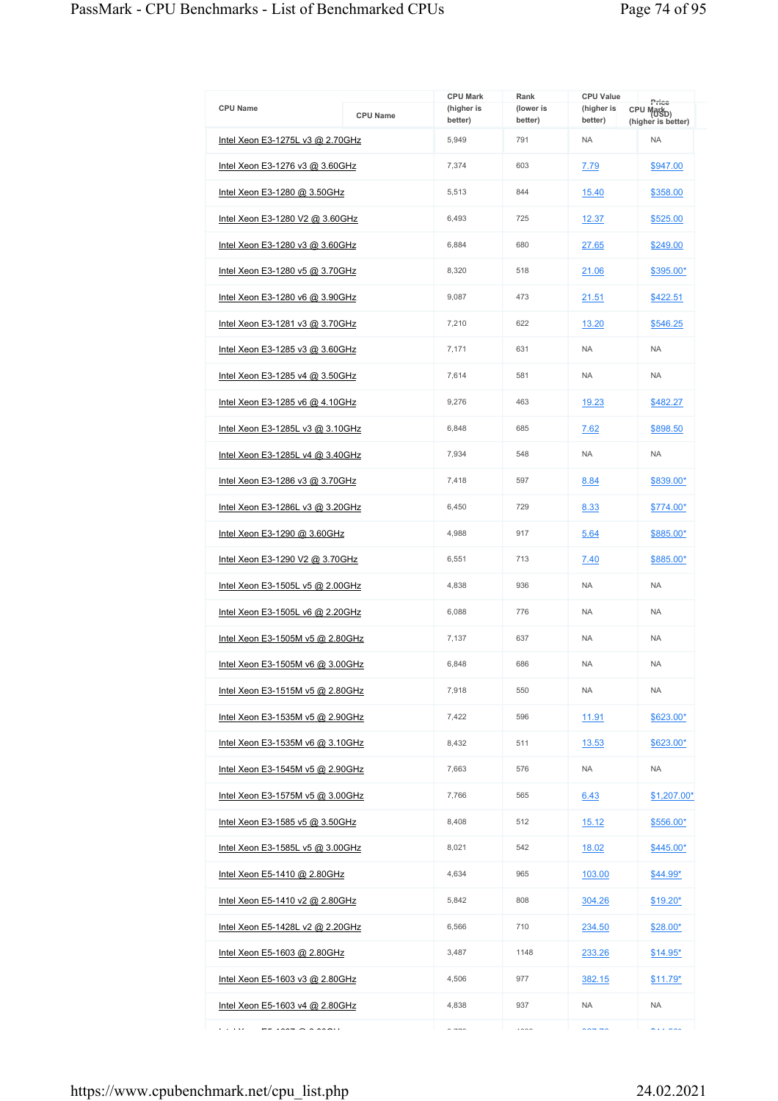|                                  |                 | <b>CPU Mark</b>             | Rank                 | <b>CPU Value</b>      | Price                                         |
|----------------------------------|-----------------|-----------------------------|----------------------|-----------------------|-----------------------------------------------|
| CPU Name                         | <b>CPU Name</b> | (higher is<br>better)       | (lower is<br>better) | (higher is<br>better) | CPU Mark <sub>D</sub> )<br>(higher is better) |
| Intel Xeon E3-1275L v3 @ 2.70GHz |                 | 5,949                       | 791                  | <b>NA</b>             | <b>NA</b>                                     |
| Intel Xeon E3-1276 v3 @ 3.60GHz  |                 | 7,374                       | 603                  | 7.79                  | \$947.00                                      |
| Intel Xeon E3-1280 @ 3.50GHz     |                 | 5,513                       | 844                  | 15.40                 | \$358.00                                      |
| Intel Xeon E3-1280 V2 @ 3.60GHz  |                 | 6,493                       | 725                  | 12.37                 | \$525.00                                      |
| Intel Xeon E3-1280 v3 @ 3.60GHz  |                 | 6,884                       | 680                  | 27.65                 | \$249.00                                      |
| Intel Xeon E3-1280 v5 @ 3.70GHz  |                 | 8.320                       | 518                  | 21.06                 | \$395.00*                                     |
| Intel Xeon E3-1280 v6 @ 3.90GHz  |                 | 9,087                       | 473                  | 21.51                 | \$422.51                                      |
| Intel Xeon E3-1281 v3 @ 3.70GHz  |                 | 7.210                       | 622                  | 13.20                 | \$546.25                                      |
| Intel Xeon E3-1285 v3 @ 3.60GHz  |                 | 7,171                       | 631                  | <b>NA</b>             | <b>NA</b>                                     |
| Intel Xeon E3-1285 v4 @ 3.50GHz  |                 | 7,614                       | 581                  | <b>NA</b>             | <b>NA</b>                                     |
| Intel Xeon E3-1285 v6 @ 4.10GHz  |                 | 9,276                       | 463                  | 19.23                 | \$482.27                                      |
| Intel Xeon E3-1285L v3 @ 3.10GHz |                 | 6,848                       | 685                  | 7.62                  | \$898.50                                      |
| Intel Xeon E3-1285L v4 @ 3.40GHz |                 | 7,934                       | 548                  | <b>NA</b>             | <b>NA</b>                                     |
| Intel Xeon E3-1286 v3 @ 3.70GHz  |                 | 7,418                       | 597                  | 8.84                  | \$839.00*                                     |
| Intel Xeon E3-1286L v3 @ 3.20GHz |                 | 6,450                       | 729                  | 8.33                  | \$774.00*                                     |
| Intel Xeon E3-1290 @ 3.60GHz     |                 | 4,988                       | 917                  | 5.64                  | \$885.00*                                     |
| Intel Xeon E3-1290 V2 @ 3.70GHz  |                 | 6,551                       | 713                  | 7.40                  | \$885.00*                                     |
| Intel Xeon E3-1505L v5 @ 2.00GHz |                 | 4,838                       | 936                  | <b>NA</b>             | <b>NA</b>                                     |
| Intel Xeon E3-1505L v6 @ 2.20GHz |                 | 6,088                       | 776                  | <b>NA</b>             | <b>NA</b>                                     |
| Intel Xeon E3-1505M v5 @ 2.80GHz |                 | 7,137                       | 637                  | <b>NA</b>             | <b>NA</b>                                     |
| Intel Xeon E3-1505M v6 @ 3.00GHz |                 | 6,848                       | 686                  | <b>NA</b>             | <b>NA</b>                                     |
| Intel Xeon E3-1515M v5 @ 2.80GHz |                 | 7,918                       | 550                  | <b>NA</b>             | <b>NA</b>                                     |
| Intel Xeon E3-1535M v5 @ 2.90GHz |                 | 7,422                       | 596                  | 11.91                 | \$623.00*                                     |
| Intel Xeon E3-1535M v6 @ 3.10GHz |                 | 8,432                       | 511                  | 13.53                 | \$623.00*                                     |
| Intel Xeon E3-1545M v5 @ 2.90GHz |                 | 7,663                       | 576                  | <b>NA</b>             | <b>NA</b>                                     |
| Intel Xeon E3-1575M v5 @ 3.00GHz |                 | 7,766                       | 565                  | 6.43                  | \$1,207.00*                                   |
| Intel Xeon E3-1585 v5 @ 3.50GHz  |                 | 8,408                       | 512                  | 15.12                 | \$556.00*                                     |
| Intel Xeon E3-1585L v5 @ 3.00GHz |                 | 8,021                       | 542                  | 18.02                 | $$445.00*$                                    |
| Intel Xeon E5-1410 @ 2.80GHz     |                 | 4,634                       | 965                  | 103.00                | \$44.99*                                      |
| Intel Xeon E5-1410 v2 @ 2.80GHz  |                 | 5,842                       | 808                  | 304.26                | $$19.20*$                                     |
| Intel Xeon E5-1428L v2 @ 2.20GHz |                 | 6,566                       | 710                  | <u>234.50</u>         | \$28.00*                                      |
| Intel Xeon E5-1603 @ 2.80GHz     |                 | 3,487                       | 1148                 | 233.26                | $$14.95*$                                     |
| Intel Xeon E5-1603 v3 @ 2.80GHz  |                 | 4,506                       | 977                  | 382.15                | $$11.79*$                                     |
| Intel Xeon E5-1603 v4 @ 2.80GHz  |                 | 4,838                       | 937                  | NA                    | <b>NA</b>                                     |
| e a resa<br>1007000000000        |                 | $\sim$ $\rightarrow$ $\sim$ | $\cdots$             | $\sim$ $\sim$ $\sim$  | wala mwa                                      |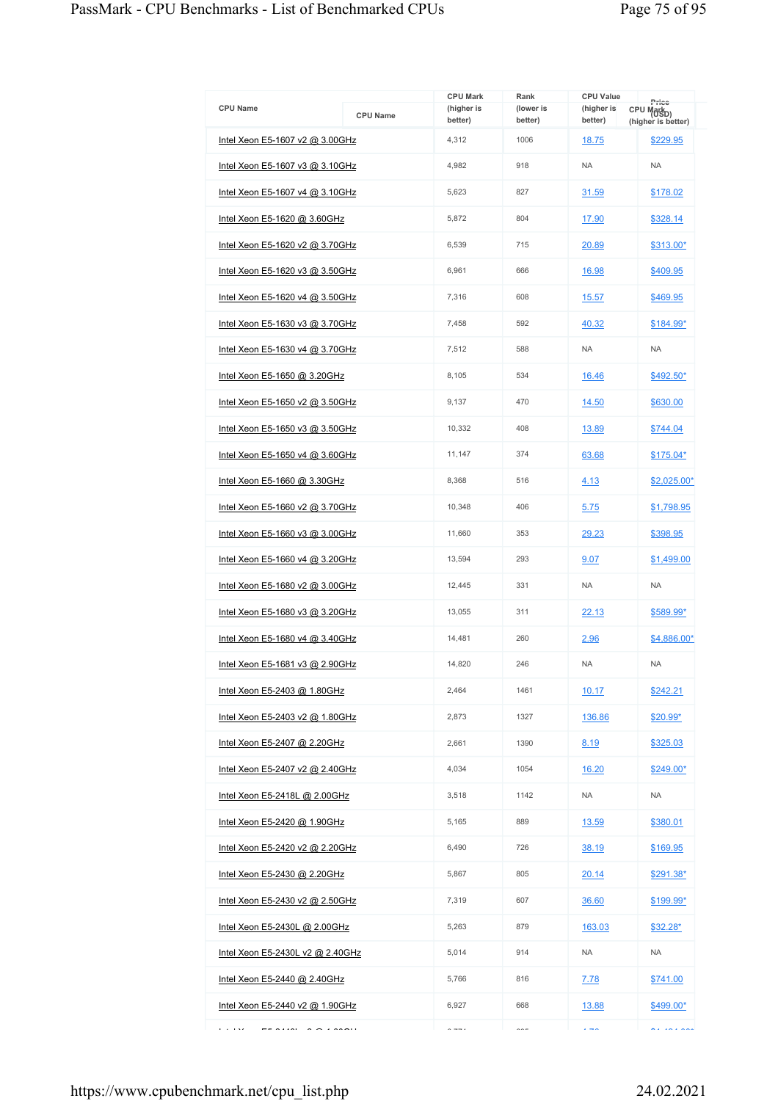| <b>CPU Name</b>                            | <b>CPU Name</b> | <b>CPU Mark</b><br>(higher is<br>better)         | Rank<br>(lower is<br>better) | <b>CPU Value</b><br>(higher is<br>better) | Price<br>CPU Mark <sub>D)</sub><br>(higher is better) |
|--------------------------------------------|-----------------|--------------------------------------------------|------------------------------|-------------------------------------------|-------------------------------------------------------|
| Intel Xeon E5-1607 v2 @ 3.00GHz            |                 | 4,312                                            | 1006                         | 18.75                                     | \$229.95                                              |
| Intel Xeon E5-1607 v3 @ 3.10GHz            |                 | 4,982                                            | 918                          | <b>NA</b>                                 | <b>NA</b>                                             |
| Intel Xeon E5-1607 v4 @ 3.10GHz            |                 | 5,623                                            | 827                          | 31.59                                     | \$178.02                                              |
| Intel Xeon E5-1620 @ 3.60GHz               |                 | 5,872                                            | 804                          | 17.90                                     | \$328.14                                              |
| Intel Xeon E5-1620 v2 @ 3.70GHz            |                 | 6,539                                            | 715                          | 20.89                                     | \$313.00*                                             |
| Intel Xeon E5-1620 v3 @ 3.50GHz            |                 | 6,961                                            | 666                          | 16.98                                     | \$409.95                                              |
| Intel Xeon E5-1620 v4 @ 3.50GHz            |                 | 7,316                                            | 608                          | 15.57                                     | \$469.95                                              |
| Intel Xeon E5-1630 v3 @ 3.70GHz            |                 | 7,458                                            | 592                          | 40.32                                     | <u>\$184.99*</u>                                      |
| Intel Xeon E5-1630 v4 @ 3.70GHz            |                 | 7,512                                            | 588                          | <b>NA</b>                                 | <b>NA</b>                                             |
| Intel Xeon E5-1650 @ 3.20GHz               |                 | 8,105                                            | 534                          | 16.46                                     | \$492.50*                                             |
| Intel Xeon E5-1650 v2 @ 3.50GHz            |                 | 9.137                                            | 470                          | 14.50                                     | \$630.00                                              |
| Intel Xeon E5-1650 v3 @ 3.50GHz            |                 | 10,332                                           | 408                          | 13.89                                     | \$744.04                                              |
| Intel Xeon E5-1650 v4 @ 3.60GHz            |                 | 11,147                                           | 374                          | 63.68                                     | \$175.04*                                             |
| Intel Xeon E5-1660 @ 3.30GHz               |                 | 8,368                                            | 516                          | 4.13                                      | \$2,025.00*                                           |
| Intel Xeon E5-1660 v2 @ 3.70GHz            |                 | 10,348                                           | 406                          | 5.75                                      | \$1,798.95                                            |
| Intel Xeon E5-1660 v3 @ 3.00GHz            |                 | 11,660                                           | 353                          | 29.23                                     | \$398.95                                              |
| Intel Xeon E5-1660 v4 @ 3.20GHz            |                 | 13,594                                           | 293                          | 9.07                                      | \$1,499.00                                            |
| Intel Xeon E5-1680 v2 @ 3.00GHz            |                 | 12,445                                           | 331                          | <b>NA</b>                                 | <b>NA</b>                                             |
| Intel Xeon E5-1680 v3 @ 3.20GHz            |                 | 13,055                                           | 311                          | 22.13                                     | \$589.99*                                             |
| Intel Xeon E5-1680 v4 @ 3.40GHz            |                 | 14,481                                           | 260                          | 2.96                                      | \$4,886.00*                                           |
| Intel Xeon E5-1681 v3 @ 2.90GHz            |                 | 14,820                                           | 246                          | <b>NA</b>                                 | <b>NA</b>                                             |
| Intel Xeon E5-2403 @ 1.80GHz               |                 | 2.464                                            | 1461                         | 10.17                                     | \$242.21                                              |
| Intel Xeon E5-2403 v2 @ 1.80GHz            |                 | 2,873                                            | 1327                         | 136.86                                    | $$20.99*$                                             |
| Intel Xeon E5-2407 @ 2.20GHz               |                 | 2,661                                            | 1390                         | 8.19                                      | \$325.03                                              |
| Intel Xeon E5-2407 v2 @ 2.40GHz            |                 | 4,034                                            | 1054                         | 16.20                                     | \$249.00*                                             |
| <u>Intel Xeon E5-2418L @ 2.00GHz</u>       |                 | 3,518                                            | 1142                         | <b>NA</b>                                 | <b>NA</b>                                             |
| Intel Xeon E5-2420 @ 1.90GHz               |                 | 5,165                                            | 889                          | 13.59                                     | \$380.01                                              |
| Intel Xeon E5-2420 v2 @ 2.20GHz            |                 | 6,490                                            | 726                          | 38.19                                     | \$169.95                                              |
| Intel Xeon E5-2430 @ 2.20GHz               |                 | 5,867                                            | 805                          | 20.14                                     | \$291.38*                                             |
| <u>Intel Xeon E5-2430 v2 @ 2.50GHz</u>     |                 | 7,319                                            | 607                          | 36.60                                     | \$199.99*                                             |
| Intel Xeon E5-2430L @ 2.00GHz              |                 | 5,263                                            | 879                          | 163.03                                    | $$32.28*$                                             |
| Intel Xeon E5-2430L v2 @ 2.40GHz           |                 | 5,014                                            | 914                          | <b>NA</b>                                 | <b>NA</b>                                             |
| Intel Xeon E5-2440 @ 2.40GHz               |                 | 5,766                                            | 816                          | 7.78                                      | \$741.00                                              |
| Intel Xeon E5-2440 v2 @ 1.90GHz            |                 | 6,927                                            | 668                          | 13.88                                     | \$499.00*                                             |
| محاديا<br>$\sum_{n=1}^{\infty}$<br>5.01101 |                 | $\sim$ $\rightarrow$ $\rightarrow$ $\rightarrow$ | $\sim$ $-$                   | $2 - 2$                                   | $\mathbf{A}$                                          |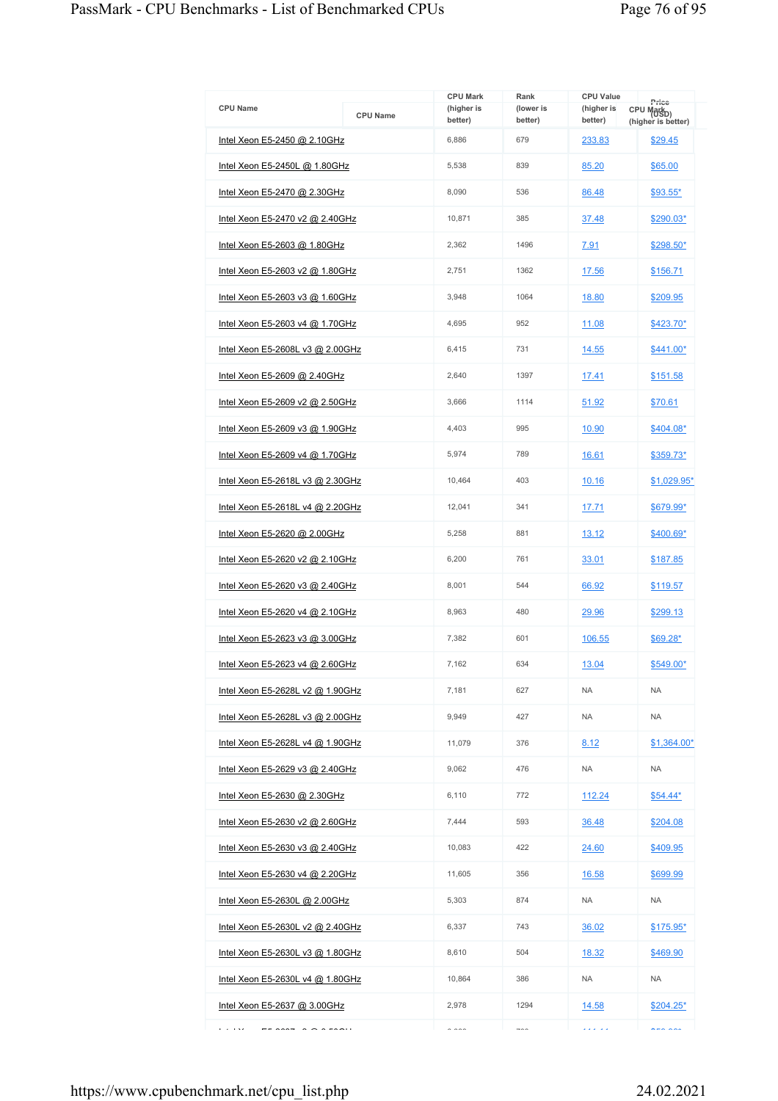| <b>CPU Name</b>                                            | <b>CPU Name</b> | <b>CPU Mark</b><br>(higher is<br>better) | Rank<br>(lower is<br>better) | <b>CPU Value</b><br>(higher is<br>better) | Price<br>CPU Mark <sub>D)</sub><br>(higher is better) |
|------------------------------------------------------------|-----------------|------------------------------------------|------------------------------|-------------------------------------------|-------------------------------------------------------|
| Intel Xeon E5-2450 @ 2.10GHz                               |                 | 6,886                                    | 679                          | 233.83                                    | \$29.45                                               |
| Intel Xeon E5-2450L @ 1.80GHz                              |                 | 5,538                                    | 839                          | 85.20                                     | \$65.00                                               |
| Intel Xeon E5-2470 @ 2.30GHz                               |                 | 8,090                                    | 536                          | 86.48                                     | $$93.55*$                                             |
| Intel Xeon E5-2470 v2 @ 2.40GHz                            |                 | 10,871                                   | 385                          | 37.48                                     | \$290.03*                                             |
| Intel Xeon E5-2603 @ 1.80GHz                               |                 | 2,362                                    | 1496                         | 7.91                                      | \$298.50*                                             |
| Intel Xeon E5-2603 v2 @ 1.80GHz                            |                 | 2,751                                    | 1362                         | 17.56                                     | \$156.71                                              |
| Intel Xeon E5-2603 v3 @ 1.60GHz                            |                 | 3,948                                    | 1064                         | 18.80                                     | \$209.95                                              |
| Intel Xeon E5-2603 v4 @ 1.70GHz                            |                 | 4,695                                    | 952                          | 11.08                                     | \$423.70*                                             |
| Intel Xeon E5-2608L v3 @ 2.00GHz                           |                 | 6.415                                    | 731                          | 14.55                                     | $$441.00*$                                            |
| Intel Xeon E5-2609 @ 2.40GHz                               |                 | 2,640                                    | 1397                         | 17.41                                     | \$151.58                                              |
| Intel Xeon E5-2609 v2 @ 2.50GHz                            |                 | 3,666                                    | 1114                         | 51.92                                     | \$70.61                                               |
| Intel Xeon E5-2609 v3 @ 1.90GHz                            |                 | 4,403                                    | 995                          | 10.90                                     | \$404.08*                                             |
| Intel Xeon E5-2609 v4 @ 1.70GHz                            |                 | 5,974                                    | 789                          | 16.61                                     | \$359.73*                                             |
| Intel Xeon E5-2618L v3 @ 2.30GHz                           |                 | 10,464                                   | 403                          | 10.16                                     | \$1,029.95*                                           |
| Intel Xeon E5-2618L v4 @ 2.20GHz                           |                 | 12,041                                   | 341                          | 17.71                                     | \$679.99*                                             |
| Intel Xeon E5-2620 @ 2.00GHz                               |                 | 5,258                                    | 881                          | 13.12                                     | \$400.69*                                             |
| Intel Xeon E5-2620 v2 @ 2.10GHz                            |                 | 6,200                                    | 761                          | 33.01                                     | \$187.85                                              |
| Intel Xeon E5-2620 v3 @ 2.40GHz                            |                 | 8,001                                    | 544                          | 66.92                                     | \$119.57                                              |
| Intel Xeon E5-2620 v4 @ 2.10GHz                            |                 | 8,963                                    | 480                          | 29.96                                     | \$299.13                                              |
| Intel Xeon E5-2623 v3 @ 3.00GHz                            |                 | 7,382                                    | 601                          | 106.55                                    | $$69.28*$                                             |
| Intel Xeon E5-2623 v4 @ 2.60GHz                            |                 | 7,162                                    | 634                          | 13.04                                     | \$549.00*                                             |
| Intel Xeon E5-2628L v2 @ 1.90GHz                           |                 | 7,181                                    | 627                          | <b>NA</b>                                 | <b>NA</b>                                             |
| Intel Xeon E5-2628L v3 @ 2.00GHz                           |                 | 9,949                                    | 427                          | <b>NA</b>                                 | <b>NA</b>                                             |
| Intel Xeon E5-2628L v4 @ 1.90GHz                           |                 | 11,079                                   | 376                          | 8.12                                      | \$1.364.00*                                           |
| Intel Xeon E5-2629 v3 @ 2.40GHz                            |                 | 9,062                                    | 476                          | <b>NA</b>                                 | <b>NA</b>                                             |
| Intel Xeon E5-2630 @ 2.30GHz                               |                 | 6,110                                    | 772                          | 112.24                                    | $$54.44*$                                             |
| Intel Xeon E5-2630 v2 @ 2.60GHz                            |                 | 7.444                                    | 593                          | 36.48                                     | \$204.08                                              |
| Intel Xeon E5-2630 v3 @ 2.40GHz                            |                 | 10,083                                   | 422                          | 24.60                                     | \$409.95                                              |
| Intel Xeon E5-2630 v4 @ 2.20GHz                            |                 | 11,605                                   | 356                          | 16.58                                     | \$699.99                                              |
| Intel Xeon E5-2630L @ 2.00GHz                              |                 | 5,303                                    | 874                          | <b>NA</b>                                 | <b>NA</b>                                             |
| Intel Xeon E5-2630L v2 @ 2.40GHz                           |                 | 6,337                                    | 743                          | 36.02                                     | \$175.95*                                             |
| Intel Xeon E5-2630L v3 @ 1.80GHz                           |                 | 8,610                                    | 504                          | 18.32                                     | \$469.90                                              |
| Intel Xeon E5-2630L v4 @ 1.80GHz                           |                 | 10,864                                   | 386                          | <b>NA</b>                                 | NA                                                    |
| Intel Xeon E5-2637 @ 3.00GHz                               |                 | 2,978                                    | 1294                         | 14.58                                     | $$204.25*$                                            |
| e a less<br>$\begin{array}{c} \n\text{and} \\ \end{array}$ |                 | $\sim$ $\sim$ $\sim$                     | $\rightarrow$ $\rightarrow$  | لأعاطف                                    | $\lambda$ - $\lambda$ $\lambda$                       |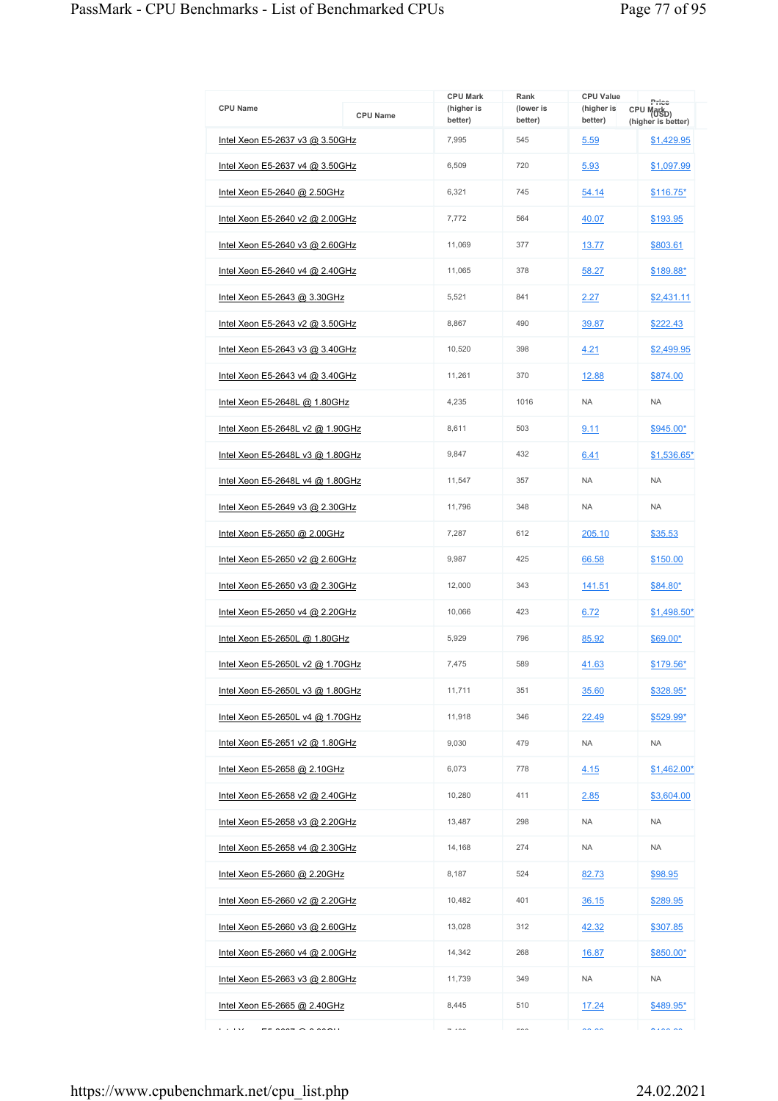| <b>CPU Name</b>                  | <b>CPU Name</b> | <b>CPU Mark</b><br>(higher is<br>better)  | Rank<br>(lower is<br>better) | <b>CPU Value</b><br>(higher is<br>better) | Price<br>CPU Mark <sub>D)</sub><br>(higher is better) |
|----------------------------------|-----------------|-------------------------------------------|------------------------------|-------------------------------------------|-------------------------------------------------------|
| Intel Xeon E5-2637 v3 @ 3.50GHz  |                 | 7,995                                     | 545                          | 5.59                                      | \$1,429.95                                            |
| Intel Xeon E5-2637 v4 @ 3.50GHz  |                 | 6,509                                     | 720                          | 5.93                                      | \$1,097.99                                            |
| Intel Xeon E5-2640 @ 2.50GHz     |                 | 6,321                                     | 745                          | 54.14                                     | $$116.75*$                                            |
| Intel Xeon E5-2640 v2 @ 2.00GHz  |                 | 7,772                                     | 564                          | 40.07                                     | \$193.95                                              |
| Intel Xeon E5-2640 v3 @ 2.60GHz  |                 | 11,069                                    | 377                          | 13.77                                     | \$803.61                                              |
| Intel Xeon E5-2640 v4 @ 2.40GHz  |                 | 11,065                                    | 378                          | 58.27                                     | \$189.88*                                             |
| Intel Xeon E5-2643 @ 3.30GHz     |                 | 5,521                                     | 841                          | 2.27                                      | \$2,431.11                                            |
| Intel Xeon E5-2643 v2 @ 3.50GHz  |                 | 8,867                                     | 490                          | 39.87                                     | \$222.43                                              |
| Intel Xeon E5-2643 v3 @ 3.40GHz  |                 | 10,520                                    | 398                          | 4.21                                      | \$2,499.95                                            |
| Intel Xeon E5-2643 v4 @ 3.40GHz  |                 | 11,261                                    | 370                          | 12.88                                     | \$874.00                                              |
| Intel Xeon E5-2648L @ 1.80GHz    |                 | 4,235                                     | 1016                         | <b>NA</b>                                 | <b>NA</b>                                             |
| Intel Xeon E5-2648L v2 @ 1.90GHz |                 | 8,611                                     | 503                          | 9.11                                      | \$945.00*                                             |
| Intel Xeon E5-2648L v3 @ 1.80GHz |                 | 9,847                                     | 432                          | 6.41                                      | \$1,536.65*                                           |
| Intel Xeon E5-2648L v4 @ 1.80GHz |                 | 11,547                                    | 357                          | <b>NA</b>                                 | <b>NA</b>                                             |
| Intel Xeon E5-2649 v3 @ 2.30GHz  |                 | 11,796                                    | 348                          | <b>NA</b>                                 | <b>NA</b>                                             |
| Intel Xeon E5-2650 @ 2.00GHz     |                 | 7,287                                     | 612                          | 205.10                                    | \$35.53                                               |
| Intel Xeon E5-2650 v2 @ 2.60GHz  |                 | 9,987                                     | 425                          | 66.58                                     | \$150.00                                              |
| Intel Xeon E5-2650 v3 @ 2.30GHz  |                 | 12,000                                    | 343                          | 141.51                                    | \$84.80*                                              |
| Intel Xeon E5-2650 v4 @ 2.20GHz  |                 | 10,066                                    | 423                          | 6.72                                      | \$1,498.50*                                           |
| Intel Xeon E5-2650L @ 1.80GHz    |                 | 5,929                                     | 796                          | 85.92                                     | \$69.00*                                              |
| Intel Xeon E5-2650L v2 @ 1.70GHz |                 | 7,475                                     | 589                          | 41.63                                     | \$179.56*                                             |
| Intel Xeon E5-2650L v3 @ 1.80GHz |                 | 11,711                                    | 351                          | 35.60                                     | \$328.95*                                             |
| Intel Xeon E5-2650L v4 @ 1.70GHz |                 | 11,918                                    | 346                          | 22.49                                     | $$529.99*$                                            |
| Intel Xeon E5-2651 v2 @ 1.80GHz  |                 | 9,030                                     | 479                          | <b>NA</b>                                 | <b>NA</b>                                             |
| Intel Xeon E5-2658 @ 2.10GHz     |                 | 6,073                                     | 778                          | 4.15                                      | $$1,462.00*$                                          |
| Intel Xeon E5-2658 v2 @ 2.40GHz  |                 | 10,280                                    | 411                          | 2.85                                      | \$3,604.00                                            |
| Intel Xeon E5-2658 v3 @ 2.20GHz  |                 | 13,487                                    | 298                          | <b>NA</b>                                 | <b>NA</b>                                             |
| Intel Xeon E5-2658 v4 @ 2.30GHz  |                 | 14,168                                    | 274                          | <b>NA</b>                                 | <b>NA</b>                                             |
| Intel Xeon E5-2660 @ 2.20GHz     |                 | 8,187                                     | 524                          | 82.73                                     | \$98.95                                               |
| Intel Xeon E5-2660 v2 @ 2.20GHz  |                 | 10,482                                    | 401                          | 36.15                                     | \$289.95                                              |
| Intel Xeon E5-2660 v3 @ 2.60GHz  |                 | 13,028                                    | 312                          | 42.32                                     | \$307.85                                              |
| Intel Xeon E5-2660 v4 @ 2.00GHz  |                 | 14,342                                    | 268                          | 16.87                                     | \$850.00*                                             |
| Intel Xeon E5-2663 v3 @ 2.80GHz  |                 | 11,739                                    | 349                          | <b>NA</b>                                 | <b>NA</b>                                             |
| Intel Xeon E5-2665 @ 2.40GHz     |                 | 8,445                                     | 510                          | 17.24                                     | \$489.95*                                             |
| محاديا                           |                 | $\rightarrow$ $\rightarrow$ $\rightarrow$ | $\sim$                       | $\sim$ $\sim$                             | $\ddotsc$                                             |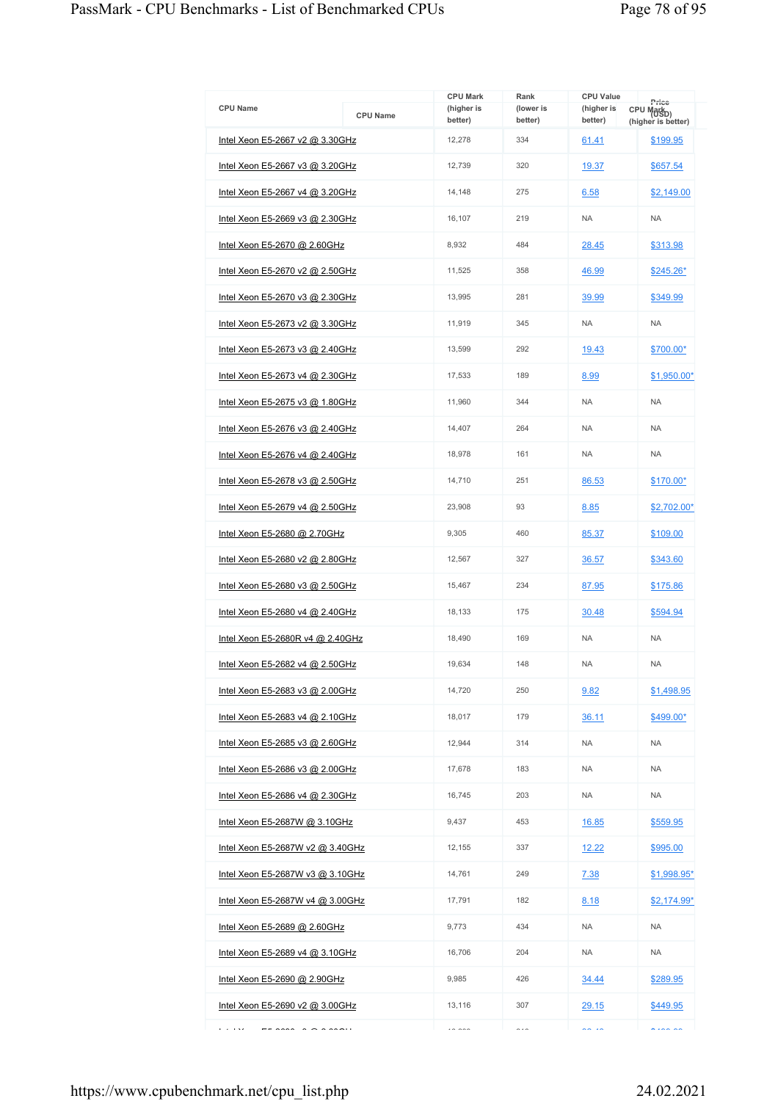|                                  |                 | <b>CPU Mark</b>       | Rank                 | <b>CPU Value</b>      | Price                                        |
|----------------------------------|-----------------|-----------------------|----------------------|-----------------------|----------------------------------------------|
| <b>CPU Name</b>                  | <b>CPU Name</b> | (higher is<br>better) | (lower is<br>better) | (higher is<br>better) | CPU Mark <sub>D)</sub><br>(higher is better) |
| Intel Xeon E5-2667 v2 @ 3.30GHz  |                 | 12,278                | 334                  | 61.41                 | \$199.95                                     |
| Intel Xeon E5-2667 v3 @ 3.20GHz  |                 | 12,739                | 320                  | 19.37                 | \$657.54                                     |
| Intel Xeon E5-2667 v4 @ 3.20GHz  |                 | 14,148                | 275                  | 6.58                  | \$2,149.00                                   |
| Intel Xeon E5-2669 v3 @ 2.30GHz  |                 | 16,107                | 219                  | <b>NA</b>             | <b>NA</b>                                    |
| Intel Xeon E5-2670 @ 2.60GHz     |                 | 8,932                 | 484                  | 28.45                 | \$313.98                                     |
| Intel Xeon E5-2670 v2 @ 2.50GHz  |                 | 11,525                | 358                  | 46.99                 | \$245.26*                                    |
| Intel Xeon E5-2670 v3 @ 2.30GHz  |                 | 13,995                | 281                  | 39.99                 | \$349.99                                     |
| Intel Xeon E5-2673 v2 @ 3.30GHz  |                 | 11,919                | 345                  | <b>NA</b>             | <b>NA</b>                                    |
| Intel Xeon E5-2673 v3 @ 2.40GHz  |                 | 13,599                | 292                  | 19.43                 | \$700.00*                                    |
| Intel Xeon E5-2673 v4 @ 2.30GHz  |                 | 17,533                | 189                  | 8.99                  | $$1,950.00*$                                 |
| Intel Xeon E5-2675 v3 @ 1.80GHz  |                 | 11.960                | 344                  | <b>NA</b>             | <b>NA</b>                                    |
| Intel Xeon E5-2676 v3 @ 2.40GHz  |                 | 14,407                | 264                  | <b>NA</b>             | <b>NA</b>                                    |
| Intel Xeon E5-2676 v4 @ 2.40GHz  |                 | 18,978                | 161                  | <b>NA</b>             | <b>NA</b>                                    |
| Intel Xeon E5-2678 v3 @ 2.50GHz  |                 | 14,710                | 251                  | 86.53                 | \$170.00*                                    |
| Intel Xeon E5-2679 v4 @ 2.50GHz  |                 | 23,908                | 93                   | 8.85                  | \$2,702.00*                                  |
| Intel Xeon E5-2680 @ 2.70GHz     |                 | 9,305                 | 460                  | 85.37                 | \$109.00                                     |
| Intel Xeon E5-2680 v2 @ 2.80GHz  |                 | 12,567                | 327                  | 36.57                 | \$343.60                                     |
| Intel Xeon E5-2680 v3 @ 2.50GHz  |                 | 15,467                | 234                  | 87.95                 | \$175.86                                     |
| Intel Xeon E5-2680 v4 @ 2.40GHz  |                 | 18.133                | 175                  | 30.48                 | \$594.94                                     |
| Intel Xeon E5-2680R v4 @ 2.40GHz |                 | 18.490                | 169                  | <b>NA</b>             | <b>NA</b>                                    |
| Intel Xeon E5-2682 v4 @ 2.50GHz  |                 | 19,634                | 148                  | <b>NA</b>             | <b>NA</b>                                    |
| Intel Xeon E5-2683 v3 @ 2.00GHz  |                 | 14.720                | 250                  | 9.82                  | \$1,498.95                                   |
| Intel Xeon E5-2683 v4 @ 2.10GHz  |                 | 18,017                | 179                  | 36.11                 | \$499.00*                                    |
| Intel Xeon E5-2685 v3 @ 2.60GHz  |                 | 12,944                | 314                  | <b>NA</b>             | <b>NA</b>                                    |
| Intel Xeon E5-2686 v3 @ 2.00GHz  |                 | 17,678                | 183                  | <b>NA</b>             | <b>NA</b>                                    |
| Intel Xeon E5-2686 v4 @ 2.30GHz  |                 | 16,745                | 203                  | <b>NA</b>             | <b>NA</b>                                    |
| Intel Xeon E5-2687W @ 3.10GHz    |                 | 9.437                 | 453                  | <u>16.85</u>          | \$559.95                                     |
| Intel Xeon E5-2687W v2 @ 3.40GHz |                 | 12,155                | 337                  | 12.22                 | \$995.00                                     |
| Intel Xeon E5-2687W v3 @ 3.10GHz |                 | 14,761                | 249                  | 7.38                  | $$1,998.95$ *                                |
| Intel Xeon E5-2687W v4 @ 3.00GHz |                 | 17,791                | 182                  | 8.18                  | \$2,174.99*                                  |
| Intel Xeon E5-2689 @ 2.60GHz     |                 | 9,773                 | 434                  | <b>NA</b>             | <b>NA</b>                                    |
| Intel Xeon E5-2689 v4 @ 3.10GHz  |                 | 16,706                | 204                  | <b>NA</b>             | <b>NA</b>                                    |
| Intel Xeon E5-2690 @ 2.90GHz     |                 | 9,985                 | 426                  | 34.44                 | \$289.95                                     |
| Intel Xeon E5-2690 v2 @ 3.00GHz  |                 | 13,116                | 307                  | 29.15                 | \$449.95                                     |
| e a less                         |                 | $\sim$ $\sim$         | $\sim$ $\sim$        | $\sim$ $\sim$         |                                              |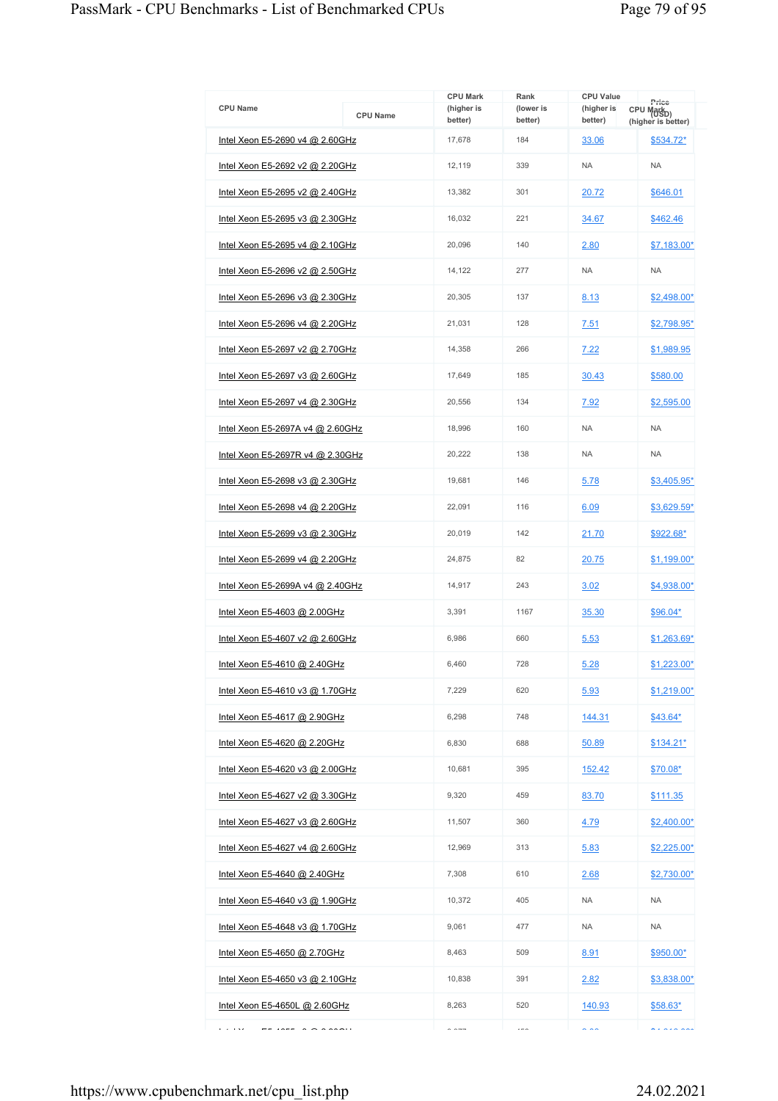| <b>CPU Name</b>                        | <b>CPU Name</b> | <b>CPU Mark</b><br>(higher is<br>better) | Rank<br>(lower is<br>better) | <b>CPU Value</b><br>(higher is<br>better) | Price<br>CPU Mark <sub>D)</sub><br>(higher is better) |
|----------------------------------------|-----------------|------------------------------------------|------------------------------|-------------------------------------------|-------------------------------------------------------|
| Intel Xeon E5-2690 v4 @ 2.60GHz        |                 | 17,678                                   | 184                          | 33.06                                     | \$534.72*                                             |
| <u>Intel Xeon E5-2692 v2 @ 2.20GHz</u> |                 | 12,119                                   | 339                          | <b>NA</b>                                 | <b>NA</b>                                             |
| Intel Xeon E5-2695 v2 @ 2.40GHz        |                 | 13,382                                   | 301                          | 20.72                                     | \$646.01                                              |
| Intel Xeon E5-2695 v3 @ 2.30GHz        |                 | 16,032                                   | 221                          | 34.67                                     | \$462.46                                              |
| Intel Xeon E5-2695 v4 @ 2.10GHz        |                 | 20,096                                   | 140                          | 2.80                                      | \$7,183.00*                                           |
| Intel Xeon E5-2696 v2 @ 2.50GHz        |                 | 14,122                                   | 277                          | <b>NA</b>                                 | <b>NA</b>                                             |
| Intel Xeon E5-2696 v3 @ 2.30GHz        |                 | 20,305                                   | 137                          | 8.13                                      | \$2,498.00*                                           |
| <u>Intel Xeon E5-2696 v4 @ 2.20GHz</u> |                 | 21,031                                   | 128                          | 7.51                                      | \$2,798.95*                                           |
| Intel Xeon E5-2697 v2 @ 2.70GHz        |                 | 14,358                                   | 266                          | 7.22                                      | \$1,989.95                                            |
| Intel Xeon E5-2697 v3 @ 2.60GHz        |                 | 17,649                                   | 185                          | 30.43                                     | \$580.00                                              |
| Intel Xeon E5-2697 v4 @ 2.30GHz        |                 | 20,556                                   | 134                          | 7.92                                      | \$2,595.00                                            |
| Intel Xeon E5-2697A v4 @ 2.60GHz       |                 | 18,996                                   | 160                          | <b>NA</b>                                 | <b>NA</b>                                             |
| Intel Xeon E5-2697R v4 @ 2.30GHz       |                 | 20,222                                   | 138                          | <b>NA</b>                                 | <b>NA</b>                                             |
| Intel Xeon E5-2698 v3 @ 2.30GHz        |                 | 19,681                                   | 146                          | 5.78                                      | \$3,405.95*                                           |
| Intel Xeon E5-2698 v4 @ 2.20GHz        |                 | 22,091                                   | 116                          | 6.09                                      | \$3,629.59*                                           |
| Intel Xeon E5-2699 v3 @ 2.30GHz        |                 | 20,019                                   | 142                          | 21.70                                     | <u>\$922.68*</u>                                      |
| Intel Xeon E5-2699 v4 @ 2.20GHz        |                 | 24,875                                   | 82                           | 20.75                                     | $$1,199.00*$                                          |
| Intel Xeon E5-2699A v4 @ 2.40GHz       |                 | 14,917                                   | 243                          | 3.02                                      | \$4,938.00*                                           |
| Intel Xeon E5-4603 @ 2.00GHz           |                 | 3,391                                    | 1167                         | 35.30                                     | \$96.04*                                              |
| Intel Xeon E5-4607 v2 @ 2.60GHz        |                 | 6,986                                    | 660                          | 5.53                                      | \$1.263.69*                                           |
| Intel Xeon E5-4610 @ 2.40GHz           |                 | 6.460                                    | 728                          | 5.28                                      | \$1,223.00*                                           |
| Intel Xeon E5-4610 v3 @ 1.70GHz        |                 | 7,229                                    | 620                          | 5.93                                      | \$1.219.00*                                           |
| Intel Xeon E5-4617 @ 2.90GHz           |                 | 6,298                                    | 748                          | 144.31                                    | $$43.64*$                                             |
| Intel Xeon E5-4620 @ 2.20GHz           |                 | 6,830                                    | 688                          | 50.89                                     | <u>\$134.21*</u>                                      |
| Intel Xeon E5-4620 v3 @ 2.00GHz        |                 | 10,681                                   | 395                          | 152.42                                    | \$70.08*                                              |
| <u>Intel Xeon E5-4627 v2 @ 3.30GHz</u> |                 | 9,320                                    | 459                          | 83.70                                     | <u>\$111.35</u>                                       |
| Intel Xeon E5-4627 v3 @ 2.60GHz        |                 | 11.507                                   | 360                          | 4.79                                      | \$2,400.00*                                           |
| Intel Xeon E5-4627 v4 @ 2.60GHz        |                 | 12,969                                   | 313                          | 5.83                                      | \$2,225.00*                                           |
| Intel Xeon E5-4640 @ 2.40GHz           |                 | 7,308                                    | 610                          | 2.68                                      | \$2,730.00*                                           |
| <u>Intel Xeon E5-4640 v3 @ 1.90GHz</u> |                 | 10,372                                   | 405                          | <b>NA</b>                                 | <b>NA</b>                                             |
| Intel Xeon E5-4648 v3 @ 1.70GHz        |                 | 9,061                                    | 477                          | <b>NA</b>                                 | <b>NA</b>                                             |
| Intel Xeon E5-4650 @ 2.70GHz           |                 | 8,463                                    | 509                          | 8.91                                      | \$950.00*                                             |
| Intel Xeon E5-4650 v3 @ 2.10GHz        |                 | 10,838                                   | 391                          | 2.82                                      | \$3,838.00*                                           |
| Intel Xeon E5-4650L @ 2.60GHz          |                 | 8,263                                    | 520                          | 140.93                                    | $$58.63*$                                             |
| محاديا<br>$1077 - 22200$               |                 | $\sim$ $\sim$ $\sim$                     | $---$                        | $\sim$ $\sim$                             | $\cdots$                                              |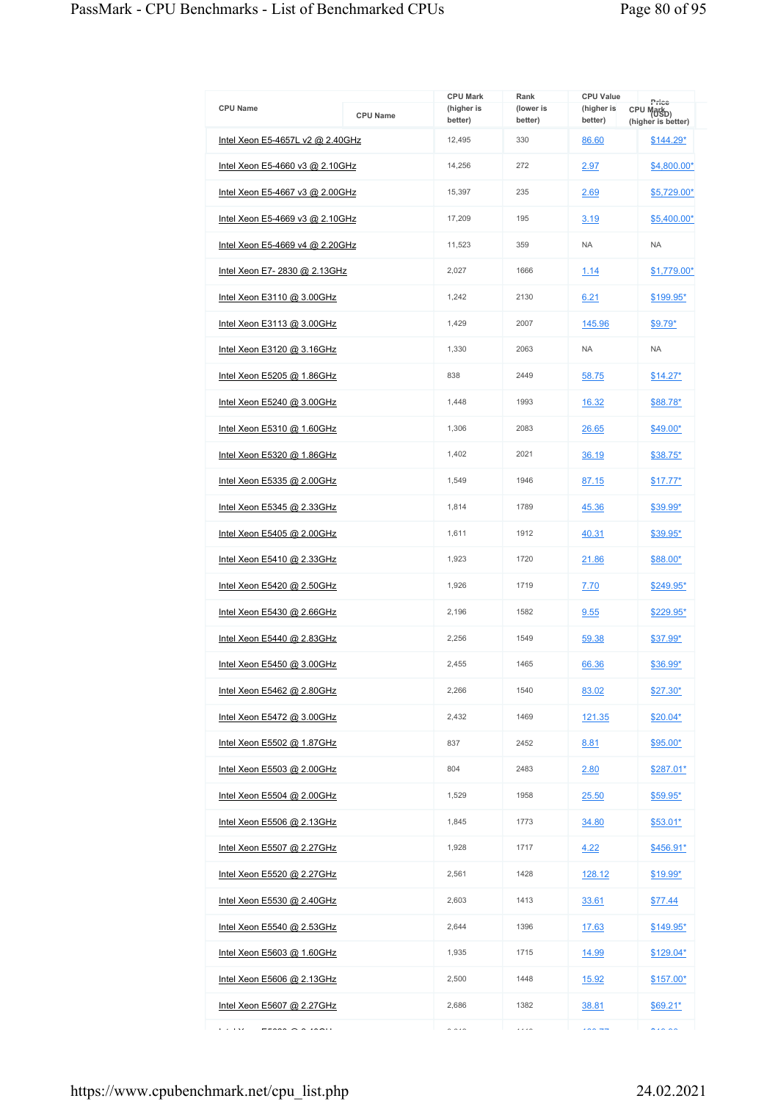| <b>CPU Name</b>                   | <b>CPU Name</b> | <b>CPU Mark</b><br>(higher is<br>better) | Rank<br>(lower is<br>better) | <b>CPU Value</b><br>(higher is<br>better) | Price<br>CPU Mark <sub>D)</sub><br>(higher is better) |
|-----------------------------------|-----------------|------------------------------------------|------------------------------|-------------------------------------------|-------------------------------------------------------|
| Intel Xeon E5-4657L v2 @ 2.40GHz  |                 | 12,495                                   | 330                          | 86.60                                     | $$144.29*$                                            |
| Intel Xeon E5-4660 v3 @ 2.10GHz   |                 | 14.256                                   | 272                          | 2.97                                      | $$4,800.00*$                                          |
| Intel Xeon E5-4667 v3 @ 2.00GHz   |                 | 15,397                                   | 235                          | 2.69                                      | $$5,729.00*$                                          |
| Intel Xeon E5-4669 v3 @ 2.10GHz   |                 | 17,209                                   | 195                          | 3.19                                      | \$5,400.00*                                           |
| Intel Xeon E5-4669 v4 @ 2.20GHz   |                 | 11,523                                   | 359                          | <b>NA</b>                                 | <b>NA</b>                                             |
| Intel Xeon E7- 2830 @ 2.13GHz     |                 | 2.027                                    | 1666                         | 1.14                                      | $$1,779.00*$                                          |
| Intel Xeon E3110 @ 3.00GHz        |                 | 1,242                                    | 2130                         | 6.21                                      | $$199.95*$                                            |
| Intel Xeon E3113 @ 3.00GHz        |                 | 1,429                                    | 2007                         | 145.96                                    | $$9.79*$                                              |
| Intel Xeon E3120 @ 3.16GHz        |                 | 1,330                                    | 2063                         | <b>NA</b>                                 | <b>NA</b>                                             |
| <u>Intel Xeon E5205 @ 1.86GHz</u> |                 | 838                                      | 2449                         | 58.75                                     | $$14.27*$                                             |
| Intel Xeon E5240 @ 3.00GHz        |                 | 1,448                                    | 1993                         | 16.32                                     | \$88.78*                                              |
| <u>Intel Xeon E5310 @ 1.60GHz</u> |                 | 1,306                                    | 2083                         | 26.65                                     | \$49.00*                                              |
| Intel Xeon E5320 @ 1.86GHz        |                 | 1,402                                    | 2021                         | 36.19                                     | $$38.75*$                                             |
| Intel Xeon E5335 @ 2.00GHz        |                 | 1,549                                    | 1946                         | 87.15                                     | $$17.77^*$                                            |
| Intel Xeon E5345 @ 2.33GHz        |                 | 1,814                                    | 1789                         | 45.36                                     | $$39.99^*$                                            |
| Intel Xeon E5405 @ 2.00GHz        |                 | 1,611                                    | 1912                         | 40.31                                     | \$39.95*                                              |
| Intel Xeon E5410 @ 2.33GHz        |                 | 1,923                                    | 1720                         | 21.86                                     | \$88.00*                                              |
| Intel Xeon E5420 @ 2.50GHz        |                 | 1,926                                    | 1719                         | 7.70                                      | \$249.95*                                             |
| Intel Xeon E5430 @ 2.66GHz        |                 | 2,196                                    | 1582                         | 9.55                                      | \$229.95*                                             |
| <u>Intel Xeon E5440 @ 2.83GHz</u> |                 | 2,256                                    | 1549                         | 59.38                                     | $$37.99*$                                             |
| Intel Xeon E5450 @ 3.00GHz        |                 | 2,455                                    | 1465                         | 66.36                                     | \$36.99*                                              |
| Intel Xeon E5462 @ 2.80GHz        |                 | 2,266                                    | 1540                         | 83.02                                     | \$27.30*                                              |
| Intel Xeon E5472 @ 3.00GHz        |                 | 2,432                                    | 1469                         | <u>121.35</u>                             | $$20.04*$                                             |
| <u>Intel Xeon E5502 @ 1.87GHz</u> |                 | 837                                      | 2452                         | 8.81                                      | $$95.00*$                                             |
| Intel Xeon E5503 @ 2.00GHz        |                 | 804                                      | 2483                         | 2.80                                      | \$287.01*                                             |
| Intel Xeon E5504 @ 2.00GHz        |                 | 1,529                                    | 1958                         | 25.50                                     | <u>\$59.95*</u>                                       |
| Intel Xeon E5506 @ 2.13GHz        |                 | 1,845                                    | 1773                         | 34.80                                     | $$53.01*$                                             |
| <u>Intel Xeon E5507 @ 2.27GHz</u> |                 | 1,928                                    | 1717                         | 4.22                                      | \$456.91*                                             |
| Intel Xeon E5520 @ 2.27GHz        |                 | 2,561                                    | 1428                         | 128.12                                    | $$19.99*$                                             |
| Intel Xeon E5530 @ 2.40GHz        |                 | 2,603                                    | 1413                         | 33.61                                     | \$77.44                                               |
| Intel Xeon E5540 @ 2.53GHz        |                 | 2,644                                    | 1396                         | 17.63                                     | \$149.95*                                             |
| Intel Xeon E5603 @ 1.60GHz        |                 | 1,935                                    | 1715                         | 14.99                                     | $$129.04*$                                            |
| Intel Xeon E5606 @ 2.13GHz        |                 | 2,500                                    | 1448                         | 15.92                                     | \$157.00*                                             |
| <u>Intel Xeon E5607 @ 2.27GHz</u> |                 | 2,686                                    | 1382                         | 38.81                                     | $$69.21*$                                             |
| e a less<br>$\blacksquare$        |                 | 0.000                                    | .                            | $\cdots -$                                | $\cdots$                                              |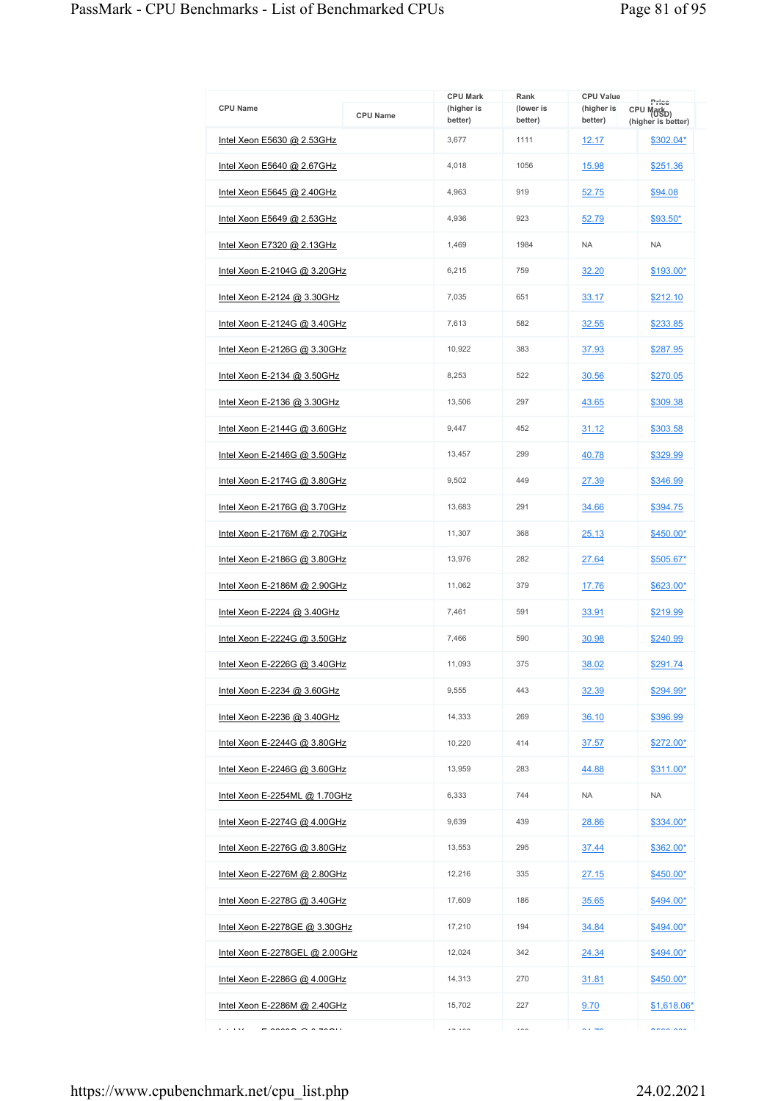|                                                                                                                                                                                                                                                                                                                                                                                                                                                                                                           |                 | <b>CPU Mark</b>       | Rank                     | <b>CPU Value</b>      |                                                       |
|-----------------------------------------------------------------------------------------------------------------------------------------------------------------------------------------------------------------------------------------------------------------------------------------------------------------------------------------------------------------------------------------------------------------------------------------------------------------------------------------------------------|-----------------|-----------------------|--------------------------|-----------------------|-------------------------------------------------------|
| <b>CPU Name</b>                                                                                                                                                                                                                                                                                                                                                                                                                                                                                           | <b>CPU Name</b> | (higher is<br>better) | (lower is<br>better)     | (higher is<br>better) | Price<br>CPU Mark <sub>D)</sub><br>(higher is better) |
| Intel Xeon E5630 @ 2.53GHz                                                                                                                                                                                                                                                                                                                                                                                                                                                                                |                 | 3,677                 | 1111                     | 12.17                 | \$302.04*                                             |
| Intel Xeon E5640 @ 2.67GHz                                                                                                                                                                                                                                                                                                                                                                                                                                                                                |                 | 4.018                 | 1056                     | 15.98                 | \$251.36                                              |
| Intel Xeon E5645 @ 2.40GHz                                                                                                                                                                                                                                                                                                                                                                                                                                                                                |                 | 4,963                 | 919                      | 52.75                 | \$94.08                                               |
| Intel Xeon E5649 @ 2.53GHz                                                                                                                                                                                                                                                                                                                                                                                                                                                                                |                 | 4,936                 | 923                      | 52.79                 | \$93.50*                                              |
| Intel Xeon E7320 @ 2.13GHz                                                                                                                                                                                                                                                                                                                                                                                                                                                                                |                 | 1.469                 | 1984                     | <b>NA</b>             | <b>NA</b>                                             |
| Intel Xeon E-2104G @ 3.20GHz                                                                                                                                                                                                                                                                                                                                                                                                                                                                              |                 | 6,215                 | 759                      | 32.20                 | \$193.00*                                             |
| Intel Xeon E-2124 $@$ 3.30GHz                                                                                                                                                                                                                                                                                                                                                                                                                                                                             |                 | 7,035                 | 651                      | 33.17                 | \$212.10                                              |
| <u>Intel Xeon E-2124G @ 3.40GHz</u>                                                                                                                                                                                                                                                                                                                                                                                                                                                                       |                 | 7,613                 | 582                      | 32.55                 | \$233.85                                              |
| Intel Xeon E-2126G @ 3.30GHz                                                                                                                                                                                                                                                                                                                                                                                                                                                                              |                 | 10,922                | 383                      | 37.93                 | \$287.95                                              |
| Intel Xeon E-2134 @ 3.50GHz                                                                                                                                                                                                                                                                                                                                                                                                                                                                               |                 | 8,253                 | 522                      | 30.56                 | \$270.05                                              |
| Intel Xeon E-2136 @ 3.30GHz                                                                                                                                                                                                                                                                                                                                                                                                                                                                               |                 | 13.506                | 297                      | 43.65                 | \$309.38                                              |
| Intel Xeon E-2144G @ 3.60GHz                                                                                                                                                                                                                                                                                                                                                                                                                                                                              |                 | 9,447                 | 452                      | 31.12                 | \$303.58                                              |
| Intel Xeon E-2146G @ 3.50GHz                                                                                                                                                                                                                                                                                                                                                                                                                                                                              |                 | 13,457                | 299                      | 40.78                 | \$329.99                                              |
| <u>Intel Xeon E-2174G @ 3.80GHz</u>                                                                                                                                                                                                                                                                                                                                                                                                                                                                       |                 | 9,502                 | 449                      | 27.39                 | \$346.99                                              |
| Intel Xeon E-2176G @ 3.70GHz                                                                                                                                                                                                                                                                                                                                                                                                                                                                              |                 | 13,683                | 291                      | 34.66                 | \$394.75                                              |
| <u>Intel Xeon E-2176M @ 2.70GHz</u>                                                                                                                                                                                                                                                                                                                                                                                                                                                                       |                 | 11,307                | 368                      | 25.13                 | \$450.00*                                             |
| Intel Xeon E-2186G @ 3.80GHz                                                                                                                                                                                                                                                                                                                                                                                                                                                                              |                 | 13,976                | 282                      | 27.64                 | \$505.67*                                             |
| Intel Xeon E-2186M @ 2.90GHz                                                                                                                                                                                                                                                                                                                                                                                                                                                                              |                 | 11,062                | 379                      | 17.76                 | \$623.00*                                             |
| Intel Xeon E-2224 @ 3.40GHz                                                                                                                                                                                                                                                                                                                                                                                                                                                                               |                 | 7,461                 | 591                      | 33.91                 | \$219.99                                              |
| Intel Xeon E-2224G @ 3.50GHz                                                                                                                                                                                                                                                                                                                                                                                                                                                                              |                 | 7,466                 | 590                      | 30.98                 | \$240.99                                              |
| Intel Xeon E-2226G @ 3.40GHz                                                                                                                                                                                                                                                                                                                                                                                                                                                                              |                 | 11,093                | 375                      | 38.02                 | \$291.74                                              |
| Intel Xeon E-2234 @ 3.60GHz                                                                                                                                                                                                                                                                                                                                                                                                                                                                               |                 | 9.555                 | 443                      | 32.39                 | \$294.99*                                             |
| Intel Xeon E-2236 @ 3.40GHz                                                                                                                                                                                                                                                                                                                                                                                                                                                                               |                 | 14,333                | 269                      | 36.10                 | \$396.99                                              |
| <u>Intel Xeon E-2244G @ 3.80GHz</u>                                                                                                                                                                                                                                                                                                                                                                                                                                                                       |                 | 10,220                | 414                      | 37.57                 | $$272.00*$                                            |
| Intel Xeon E-2246G @ 3.60GHz                                                                                                                                                                                                                                                                                                                                                                                                                                                                              |                 | 13,959                | 283                      | 44.88                 | $$311.00*$                                            |
| Intel Xeon E-2254ML @ 1.70GHz                                                                                                                                                                                                                                                                                                                                                                                                                                                                             |                 | 6,333                 | 744                      | <b>NA</b>             | <b>NA</b>                                             |
| Intel Xeon E-2274G @ 4.00GHz                                                                                                                                                                                                                                                                                                                                                                                                                                                                              |                 | 9.639                 | 439                      | 28.86                 | \$334.00*                                             |
| Intel Xeon E-2276G @ 3.80GHz                                                                                                                                                                                                                                                                                                                                                                                                                                                                              |                 | 13,553                | 295                      | 37.44                 | \$362.00*                                             |
| Intel Xeon E-2276M @ 2.80GHz                                                                                                                                                                                                                                                                                                                                                                                                                                                                              |                 | 12,216                | 335                      | 27.15                 | \$450.00*                                             |
| <u>Intel Xeon E-2278G @ 3.40GHz</u>                                                                                                                                                                                                                                                                                                                                                                                                                                                                       |                 | 17,609                | 186                      | 35.65                 | \$494.00*                                             |
| Intel Xeon E-2278GE @ 3.30GHz                                                                                                                                                                                                                                                                                                                                                                                                                                                                             |                 | 17,210                | 194                      | 34.84                 | \$494.00*                                             |
| Intel Xeon E-2278GEL @ 2.00GHz                                                                                                                                                                                                                                                                                                                                                                                                                                                                            |                 | 12,024                | 342                      | 24.34                 | \$494.00*                                             |
| Intel Xeon E-2286G $@$ 4.00GHz                                                                                                                                                                                                                                                                                                                                                                                                                                                                            |                 | 14,313                | 270                      | 31.81                 | \$450.00*                                             |
| Intel Xeon E-2286M @ 2.40GHz                                                                                                                                                                                                                                                                                                                                                                                                                                                                              |                 | 15,702                | 227                      | 9.70                  | \$1,618.06*                                           |
| e a less<br>$\mathcal{L}(\mathcal{L}(\mathcal{L}, \mathcal{L}, \mathcal{L}, \mathcal{L}, \mathcal{L}, \mathcal{L}, \mathcal{L}, \mathcal{L}, \mathcal{L}, \mathcal{L}, \mathcal{L}, \mathcal{L}, \mathcal{L}, \mathcal{L}, \mathcal{L}, \mathcal{L}, \mathcal{L}, \mathcal{L}, \mathcal{L}, \mathcal{L}, \mathcal{L}, \mathcal{L}, \mathcal{L}, \mathcal{L}, \mathcal{L}, \mathcal{L}, \mathcal{L}, \mathcal{L}, \mathcal{L}, \mathcal{L}, \mathcal{L}, \mathcal{L}, \mathcal{L}, \mathcal{L}, \mathcal{$ |                 | $-122$                | $\overline{\phantom{a}}$ | $\sim -1$             | $n = 22$                                              |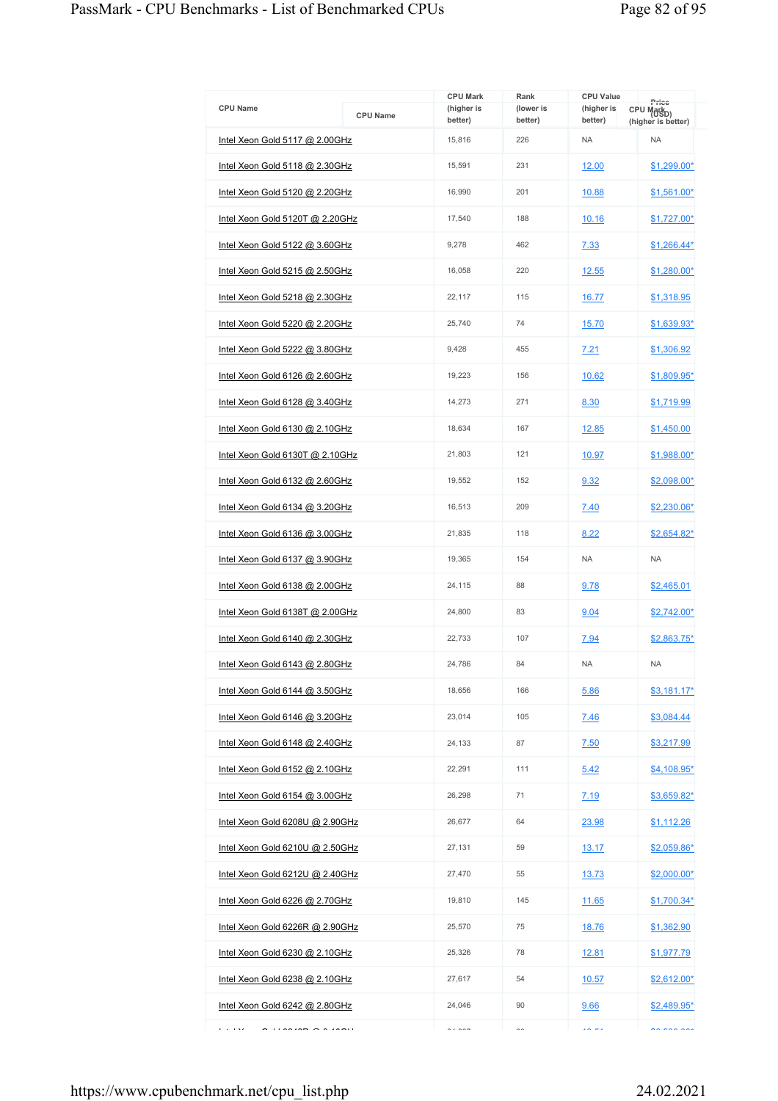| <b>CPU Name</b>                              | <b>CPU Name</b> | <b>CPU Mark</b><br>(higher is<br>better) | Rank<br>(lower is<br>better) | <b>CPU Value</b><br>(higher is<br>better) | Price<br>CPU Mark <sub>D)</sub><br>(higher is better) |
|----------------------------------------------|-----------------|------------------------------------------|------------------------------|-------------------------------------------|-------------------------------------------------------|
| Intel Xeon Gold 5117 @ 2.00GHz               |                 | 15,816                                   | 226                          | <b>NA</b>                                 | <b>NA</b>                                             |
| Intel Xeon Gold $5118$ @ 2.30GHz             |                 | 15,591                                   | 231                          | 12.00                                     | \$1,299.00*                                           |
| Intel Xeon Gold 5120 @ 2.20GHz               |                 | 16,990                                   | 201                          | 10.88                                     | \$1,561.00*                                           |
| Intel Xeon Gold 5120T @ 2.20GHz              |                 | 17,540                                   | 188                          | 10.16                                     | \$1,727.00*                                           |
| Intel Xeon Gold 5122 @ 3.60GHz               |                 | 9,278                                    | 462                          | 7.33                                      | \$1,266.44*                                           |
| Intel Xeon Gold 5215 @ 2.50GHz               |                 | 16,058                                   | 220                          | 12.55                                     | \$1.280.00*                                           |
| Intel Xeon Gold 5218 @ 2.30GHz               |                 | 22,117                                   | 115                          | 16.77                                     | \$1,318.95                                            |
| Intel Xeon Gold 5220 @ 2.20GHz               |                 | 25,740                                   | 74                           | 15.70                                     | <u>\$1,639.93*</u>                                    |
| Intel Xeon Gold 5222 @ 3.80GHz               |                 | 9,428                                    | 455                          | 7.21                                      | \$1,306.92                                            |
| Intel Xeon Gold 6126 @ 2.60GHz               |                 | 19,223                                   | 156                          | 10.62                                     | \$1,809.95*                                           |
| Intel Xeon Gold 6128 @ 3.40GHz               |                 | 14,273                                   | 271                          | 8.30                                      | \$1,719.99                                            |
| Intel Xeon Gold 6130 @ 2.10GHz               |                 | 18,634                                   | 167                          | 12.85                                     | \$1,450.00                                            |
| Intel Xeon Gold 6130T @ 2.10GHz              |                 | 21,803                                   | 121                          | 10.97                                     | \$1,988.00*                                           |
| Intel Xeon Gold 6132 @ 2.60GHz               |                 | 19,552                                   | 152                          | 9.32                                      | \$2,098.00*                                           |
| Intel Xeon Gold 6134 @ 3.20GHz               |                 | 16,513                                   | 209                          | 7.40                                      | \$2,230.06*                                           |
| Intel Xeon Gold 6136 @ 3.00GHz               |                 | 21,835                                   | 118                          | 8.22                                      | <u>\$2,654.82*</u>                                    |
| Intel Xeon Gold 6137 @ 3.90GHz               |                 | 19,365                                   | 154                          | <b>NA</b>                                 | <b>NA</b>                                             |
| Intel Xeon Gold 6138 @ 2.00GHz               |                 | 24,115                                   | 88                           | 9.78                                      | \$2,465.01                                            |
| Intel Xeon Gold 6138T @ 2.00GHz              |                 | 24,800                                   | 83                           | 9.04                                      | $$2,742.00*$                                          |
| Intel Xeon Gold 6140 @ 2.30GHz               |                 | 22,733                                   | 107                          | 7.94                                      | \$2,863.75*                                           |
| Intel Xeon Gold 6143 @ 2.80GHz               |                 | 24,786                                   | 84                           | <b>NA</b>                                 | <b>NA</b>                                             |
| Intel Xeon Gold 6144 @ 3.50GHz               |                 | 18,656                                   | 166                          | 5.86                                      | $$3,181.17*$                                          |
| Intel Xeon Gold 6146 @ 3.20GHz               |                 | 23,014                                   | 105                          | 7.46                                      | \$3,084.44                                            |
| Intel Xeon Gold 6148 @ 2.40GHz               |                 | 24,133                                   | 87                           | 7.50                                      | \$3,217.99                                            |
| Intel Xeon Gold 6152 @ 2.10GHz               |                 | 22,291                                   | 111                          | 5.42                                      | $$4,108.95*$                                          |
| Intel Xeon Gold 6154 @ 3.00GHz               |                 | 26,298                                   | 71                           | 7.19                                      | \$3,659.82*                                           |
| Intel Xeon Gold 6208U @ 2.90GHz              |                 | 26,677                                   | 64                           | 23.98                                     | \$1,112.26                                            |
| Intel Xeon Gold 6210U @ 2.50GHz              |                 | 27,131                                   | 59                           | 13.17                                     | \$2,059.86*                                           |
| Intel Xeon Gold 6212U @ 2.40GHz              |                 | 27,470                                   | 55                           | <u>13.73</u>                              | $$2,000.00*$                                          |
| Intel Xeon Gold 6226 @ 2.70GHz               |                 | 19,810                                   | 145                          | 11.65                                     | $$1,700.34*$                                          |
| Intel Xeon Gold 6226R @ 2.90GHz              |                 | 25,570                                   | 75                           | 18.76                                     | \$1,362.90                                            |
| Intel Xeon Gold 6230 @ 2.10GHz               |                 | 25,326                                   | 78                           | 12.81                                     | \$1,977.79                                            |
| Intel Xeon Gold 6238 @ 2.10GHz               |                 | 27,617                                   | 54                           | 10.57                                     | $$2,612.00*$                                          |
| Intel Xeon Gold 6242 @ 2.80GHz               |                 | 24,046                                   | 90                           | 9.66                                      | \$2,489.95*                                           |
| محاديا<br>$\cdots$ country $\sim$ 6 $\cdots$ |                 | $\sim$ $\sim$ $\sim$ $\sim$              | $\sim$                       | $\overline{a}$                            | $\sim$ can and                                        |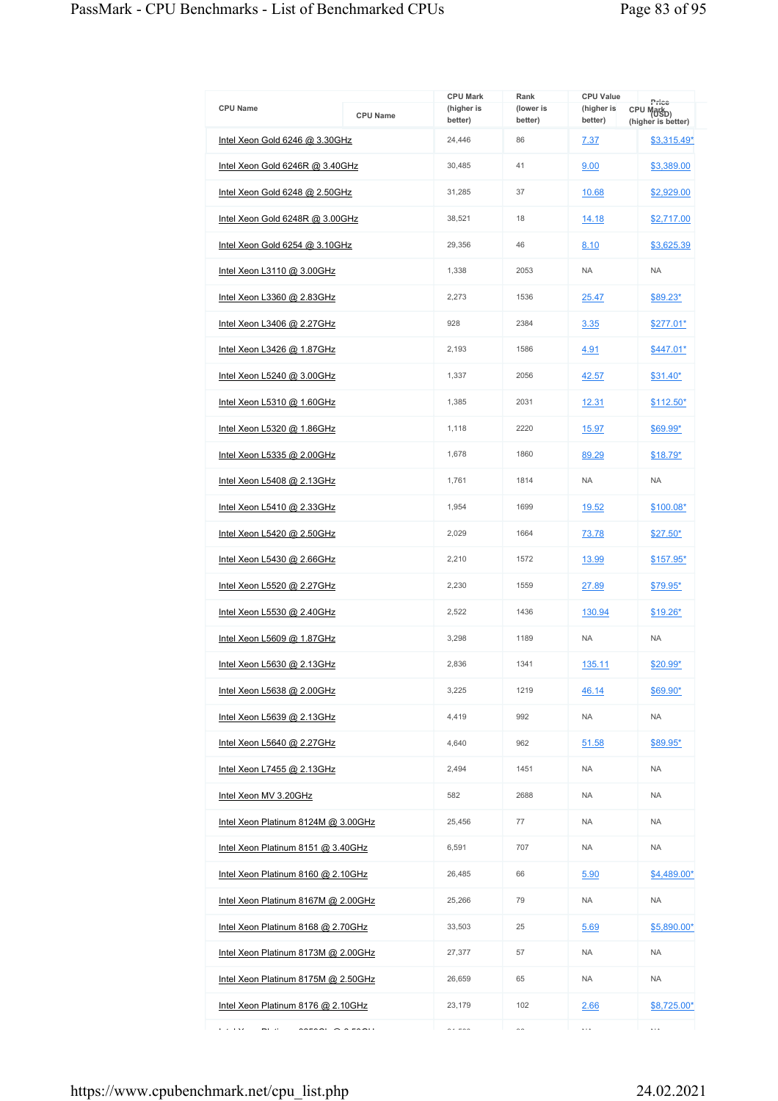| <b>CPU Name</b>                                                                                                                                                                                                                                                                                                                                                                                                                                                                         | <b>CPU Name</b> | <b>CPU Mark</b><br>(higher is<br>better) | Rank<br>(lower is<br>better) | <b>CPU Value</b><br>(higher is<br>better) | Price<br>CPU Mark <sub>D)</sub><br>(higher is better) |
|-----------------------------------------------------------------------------------------------------------------------------------------------------------------------------------------------------------------------------------------------------------------------------------------------------------------------------------------------------------------------------------------------------------------------------------------------------------------------------------------|-----------------|------------------------------------------|------------------------------|-------------------------------------------|-------------------------------------------------------|
| Intel Xeon Gold 6246 @ 3.30GHz                                                                                                                                                                                                                                                                                                                                                                                                                                                          |                 | 24,446                                   | 86                           | 7.37                                      | $$3,315.49*$                                          |
| Intel Xeon Gold 6246R @ 3.40GHz                                                                                                                                                                                                                                                                                                                                                                                                                                                         |                 | 30,485                                   | 41                           | 9.00                                      | \$3,389.00                                            |
| Intel Xeon Gold 6248 @ 2.50GHz                                                                                                                                                                                                                                                                                                                                                                                                                                                          |                 | 31,285                                   | 37                           | 10.68                                     | \$2,929.00                                            |
| Intel Xeon Gold 6248R @ 3.00GHz                                                                                                                                                                                                                                                                                                                                                                                                                                                         |                 | 38,521                                   | 18                           | 14.18                                     | \$2,717.00                                            |
| Intel Xeon Gold 6254 @ 3.10GHz                                                                                                                                                                                                                                                                                                                                                                                                                                                          |                 | 29.356                                   | 46                           | 8.10                                      | \$3,625.39                                            |
| Intel Xeon L3110 @ 3.00GHz                                                                                                                                                                                                                                                                                                                                                                                                                                                              |                 | 1,338                                    | 2053                         | <b>NA</b>                                 | <b>NA</b>                                             |
| Intel Xeon L3360 @ 2.83GHz                                                                                                                                                                                                                                                                                                                                                                                                                                                              |                 | 2,273                                    | 1536                         | 25.47                                     | \$89.23*                                              |
| <u>Intel Xeon L3406 @ 2.27GHz</u>                                                                                                                                                                                                                                                                                                                                                                                                                                                       |                 | 928                                      | 2384                         | 3.35                                      | \$277.01*                                             |
| Intel Xeon L3426 @ 1.87GHz                                                                                                                                                                                                                                                                                                                                                                                                                                                              |                 | 2,193                                    | 1586                         | 4.91                                      | $$447.01*$                                            |
| Intel Xeon L5240 @ 3.00GHz                                                                                                                                                                                                                                                                                                                                                                                                                                                              |                 | 1,337                                    | 2056                         | 42.57                                     | $$31.40*$                                             |
| Intel Xeon L5310 @ 1.60GHz                                                                                                                                                                                                                                                                                                                                                                                                                                                              |                 | 1,385                                    | 2031                         | 12.31                                     | $$112.50*$                                            |
| Intel Xeon L5320 @ 1.86GHz                                                                                                                                                                                                                                                                                                                                                                                                                                                              |                 | 1,118                                    | 2220                         | 15.97                                     | \$69.99*                                              |
| Intel Xeon L5335 @ 2.00GHz                                                                                                                                                                                                                                                                                                                                                                                                                                                              |                 | 1,678                                    | 1860                         | 89.29                                     | $$18.79*$                                             |
| Intel Xeon L5408 @ 2.13GHz                                                                                                                                                                                                                                                                                                                                                                                                                                                              |                 | 1,761                                    | 1814                         | <b>NA</b>                                 | <b>NA</b>                                             |
| Intel Xeon L5410 @ 2.33GHz                                                                                                                                                                                                                                                                                                                                                                                                                                                              |                 | 1,954                                    | 1699                         | 19.52                                     | \$100.08*                                             |
| <u>Intel Xeon L5420 @ 2.50GHz</u>                                                                                                                                                                                                                                                                                                                                                                                                                                                       |                 | 2,029                                    | 1664                         | 73.78                                     | $$27.50*$                                             |
| Intel Xeon L5430 @ 2.66GHz                                                                                                                                                                                                                                                                                                                                                                                                                                                              |                 | 2,210                                    | 1572                         | 13.99                                     | $$157.95*$                                            |
| Intel Xeon L5520 @ 2.27GHz                                                                                                                                                                                                                                                                                                                                                                                                                                                              |                 | 2,230                                    | 1559                         | 27.89                                     | <u>\$79.95*</u>                                       |
| Intel Xeon L5530 @ 2.40GHz                                                                                                                                                                                                                                                                                                                                                                                                                                                              |                 | 2,522                                    | 1436                         | 130.94                                    | $$19.26*$                                             |
| Intel Xeon L5609 @ 1.87GHz                                                                                                                                                                                                                                                                                                                                                                                                                                                              |                 | 3,298                                    | 1189                         | <b>NA</b>                                 | <b>NA</b>                                             |
| Intel Xeon L5630 @ 2.13GHz                                                                                                                                                                                                                                                                                                                                                                                                                                                              |                 | 2,836                                    | 1341                         | 135.11                                    | \$20.99*                                              |
| Intel Xeon L5638 @ 2.00GHz                                                                                                                                                                                                                                                                                                                                                                                                                                                              |                 | 3,225                                    | 1219                         | 46.14                                     | \$69.90*                                              |
| Intel Xeon L5639 @ 2.13GHz                                                                                                                                                                                                                                                                                                                                                                                                                                                              |                 | 4,419                                    | 992                          | <b>NA</b>                                 | <b>NA</b>                                             |
| <u>Intel Xeon L5640 @ 2.27GHz</u>                                                                                                                                                                                                                                                                                                                                                                                                                                                       |                 | 4,640                                    | 962                          | 51.58                                     | \$89.95*                                              |
| Intel Xeon L7455 @ 2.13GHz                                                                                                                                                                                                                                                                                                                                                                                                                                                              |                 | 2,494                                    | 1451                         | <b>NA</b>                                 | <b>NA</b>                                             |
| Intel Xeon MV 3.20GHz                                                                                                                                                                                                                                                                                                                                                                                                                                                                   |                 | 582                                      | 2688                         | <b>NA</b>                                 | <b>NA</b>                                             |
| Intel Xeon Platinum 8124M @ 3.00GHz                                                                                                                                                                                                                                                                                                                                                                                                                                                     |                 | 25,456                                   | 77                           | <b>NA</b>                                 | <b>NA</b>                                             |
| Intel Xeon Platinum 8151 @ 3.40GHz                                                                                                                                                                                                                                                                                                                                                                                                                                                      |                 | 6,591                                    | 707                          | <b>NA</b>                                 | <b>NA</b>                                             |
| Intel Xeon Platinum 8160 @ 2.10GHz                                                                                                                                                                                                                                                                                                                                                                                                                                                      |                 | 26,485                                   | 66                           | 5.90                                      | \$4,489.00*                                           |
| Intel Xeon Platinum 8167M @ 2.00GHz                                                                                                                                                                                                                                                                                                                                                                                                                                                     |                 | 25,266                                   | 79                           | <b>NA</b>                                 | <b>NA</b>                                             |
| Intel Xeon Platinum 8168 @ 2.70GHz                                                                                                                                                                                                                                                                                                                                                                                                                                                      |                 | 33,503                                   | 25                           | 5.69                                      | \$5,890.00*                                           |
| Intel Xeon Platinum 8173M @ 2.00GHz                                                                                                                                                                                                                                                                                                                                                                                                                                                     |                 | 27,377                                   | 57                           | <b>NA</b>                                 | <b>NA</b>                                             |
| Intel Xeon Platinum 8175M @ 2.50GHz                                                                                                                                                                                                                                                                                                                                                                                                                                                     |                 | 26,659                                   | 65                           | <b>NA</b>                                 | <b>NA</b>                                             |
| Intel Xeon Platinum 8176 @ 2.10GHz                                                                                                                                                                                                                                                                                                                                                                                                                                                      |                 | 23,179                                   | 102                          | 2.66                                      | \$8,725.00*                                           |
| محاديا<br>mi e<br>$\begin{array}{c} \n\text{if } \mathbf{a} \in \mathbb{R} \text{ and } \mathbf{a} \in \mathbb{R} \text{ and } \mathbf{a} \in \mathbb{R} \text{ and } \mathbf{a} \in \mathbb{R} \text{ and } \mathbf{a} \in \mathbb{R} \text{ and } \mathbf{a} \in \mathbb{R} \text{ and } \mathbf{a} \in \mathbb{R} \text{ and } \mathbf{a} \in \mathbb{R} \text{ and } \mathbf{a} \in \mathbb{R} \text{ and } \mathbf{a} \in \mathbb{R} \text{ and } \mathbf{a} \in \mathbb{R} \text$ |                 | $\sim$ $\sim$ $\sim$                     | $\sim$                       | $\cdots$                                  | $\cdots$                                              |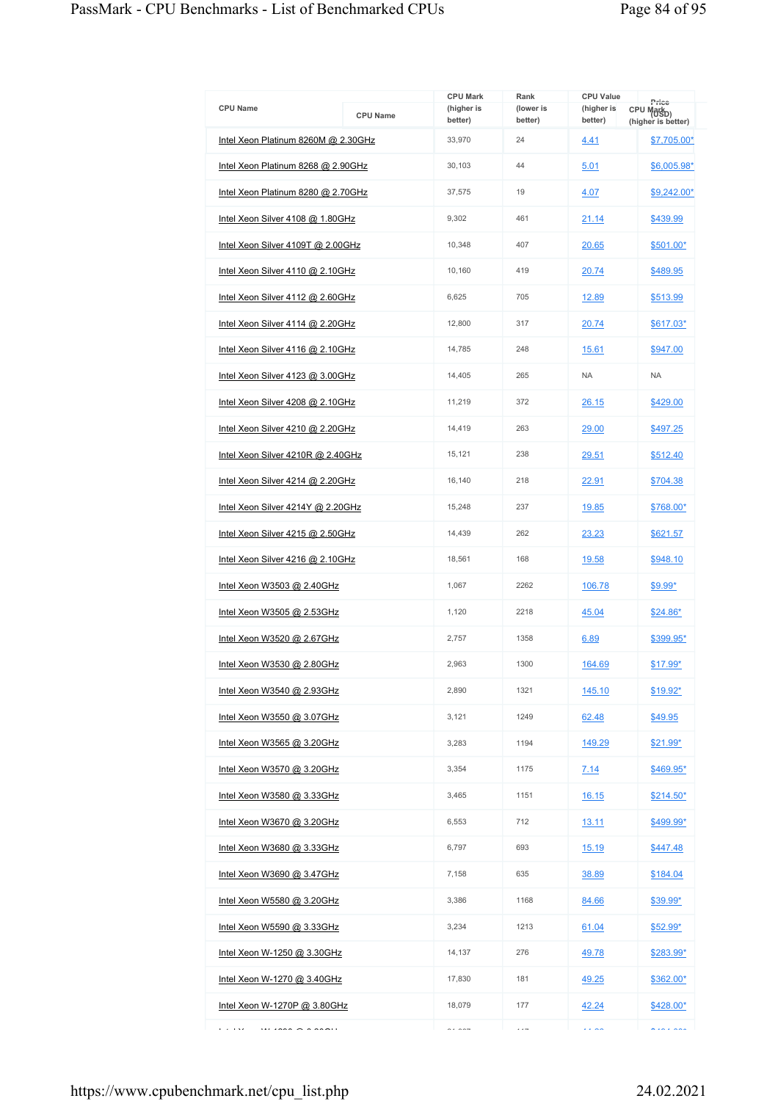| <b>CPU Name</b>                                                  | <b>CPU Name</b> | <b>CPU Mark</b><br>(higher is<br>better) | Rank<br>(lower is<br>better) | <b>CPU Value</b><br>(higher is<br>better) | Price<br>CPU Markp)<br>(higher is better) |
|------------------------------------------------------------------|-----------------|------------------------------------------|------------------------------|-------------------------------------------|-------------------------------------------|
| Intel Xeon Platinum 8260M @ 2.30GHz                              |                 | 33,970                                   | 24                           | 4.41                                      | \$7,705.00*                               |
| Intel Xeon Platinum 8268 @ 2.90GHz                               |                 | 30,103                                   | 44                           | 5.01                                      | \$6,005.98*                               |
| Intel Xeon Platinum 8280 @ 2.70GHz                               |                 | 37,575                                   | 19                           | 4.07                                      | \$9,242.00*                               |
| Intel Xeon Silver 4108 @ 1.80GHz                                 |                 | 9,302                                    | 461                          | 21.14                                     | \$439.99                                  |
| Intel Xeon Silver 4109T @ 2.00GHz                                |                 | 10,348                                   | 407                          | 20.65                                     | \$501.00*                                 |
| Intel Xeon Silver 4110 @ 2.10GHz                                 |                 | 10,160                                   | 419                          | 20.74                                     | \$489.95                                  |
| Intel Xeon Silver 4112 @ 2.60GHz                                 |                 | 6,625                                    | 705                          | 12.89                                     | \$513.99                                  |
| Intel Xeon Silver 4114 @ 2.20GHz                                 |                 | 12,800                                   | 317                          | 20.74                                     | \$617.03*                                 |
| Intel Xeon Silver 4116 @ 2.10GHz                                 |                 | 14,785                                   | 248                          | 15.61                                     | \$947.00                                  |
| Intel Xeon Silver 4123 @ 3.00GHz                                 |                 | 14,405                                   | 265                          | <b>NA</b>                                 | <b>NA</b>                                 |
| Intel Xeon Silver 4208 @ 2.10GHz                                 |                 | 11,219                                   | 372                          | 26.15                                     | \$429.00                                  |
| Intel Xeon Silver 4210 @ 2.20GHz                                 |                 | 14,419                                   | 263                          | 29.00                                     | \$497.25                                  |
| Intel Xeon Silver 4210R @ 2.40GHz                                |                 | 15,121                                   | 238                          | 29.51                                     | \$512.40                                  |
| Intel Xeon Silver 4214 @ 2.20GHz                                 |                 | 16,140                                   | 218                          | 22.91                                     | \$704.38                                  |
| Intel Xeon Silver 4214Y @ 2.20GHz                                |                 | 15,248                                   | 237                          | 19.85                                     | \$768.00*                                 |
| Intel Xeon Silver 4215 @ 2.50GHz                                 |                 | 14,439                                   | 262                          | 23.23                                     | \$621.57                                  |
| Intel Xeon Silver 4216 @ 2.10GHz                                 |                 | 18,561                                   | 168                          | 19.58                                     | \$948.10                                  |
| Intel Xeon W3503 @ 2.40GHz                                       |                 | 1,067                                    | 2262                         | 106.78                                    | $$9.99*$                                  |
| Intel Xeon W3505 @ 2.53GHz                                       |                 | 1,120                                    | 2218                         | 45.04                                     | $$24.86*$                                 |
| <u>Intel Xeon W3520 @ 2.67GHz</u>                                |                 | 2,757                                    | 1358                         | 6.89                                      | \$399.95*                                 |
| Intel Xeon W3530 @ 2.80GHz                                       |                 | 2.963                                    | 1300                         | 164.69                                    | \$17.99*                                  |
| Intel Xeon W3540 @ 2.93GHz                                       |                 | 2,890                                    | 1321                         | 145.10                                    | $$19.92*$                                 |
| Intel Xeon W3550 @ 3.07GHz                                       |                 | 3,121                                    | 1249                         | 62.48                                     | \$49.95                                   |
| <u>Intel Xeon W3565 @ 3.20GHz</u>                                |                 | 3,283                                    | 1194                         | 149.29                                    | \$21.99*                                  |
| Intel Xeon W3570 @ 3.20GHz                                       |                 | 3,354                                    | 1175                         | 7.14                                      | \$469.95*                                 |
| Intel Xeon W3580 @ 3.33GHz                                       |                 | 3,465                                    | 1151                         | 16.15                                     | $$214.50*$                                |
| Intel Xeon W3670 @ 3.20GHz                                       |                 | 6,553                                    | 712                          | 13.11                                     | \$499.99*                                 |
| <u>Intel Xeon W3680 @ 3.33GHz</u>                                |                 | 6,797                                    | 693                          | 15.19                                     | \$447.48                                  |
| Intel Xeon W3690 @ 3.47GHz                                       |                 | 7,158                                    | 635                          | 38.89                                     | \$184.04                                  |
| <u>Intel Xeon W5580 @ 3.20GHz</u>                                |                 | 3,386                                    | 1168                         | 84.66                                     | $$39.99^*$                                |
| Intel Xeon W5590 @ 3.33GHz                                       |                 | 3,234                                    | 1213                         | 61.04                                     | $$52.99*$                                 |
| Intel Xeon W-1250 @ 3.30GHz                                      |                 | 14,137                                   | 276                          | 49.78                                     | \$283.99*                                 |
| <u>Intel Xeon W-1270 @ 3.40GHz</u>                               |                 | 17,830                                   | 181                          | 49.25                                     | \$362.00*                                 |
| Intel Xeon W-1270P @ 3.80GHz                                     |                 | 18,079                                   | 177                          | 42.24                                     | \$428.00*                                 |
| e a less<br>$\cdots$ $\cdots$ $\sim$ $\sim$ $\sim$ $\sim$ $\sim$ |                 | $\sim$ $\sim$ $\sim$                     | $\cdots$                     | $\overline{1}$                            |                                           |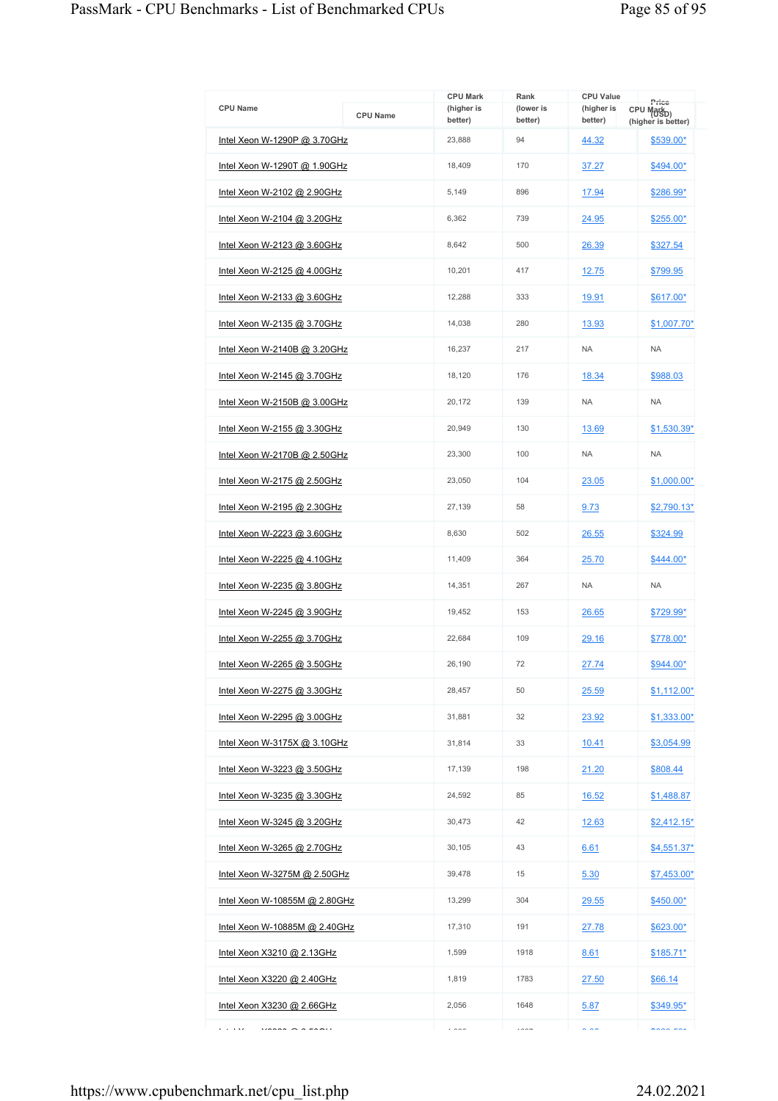|                                     |                 | <b>CPU Mark</b>       | Rank                 | <b>CPU Value</b>      |                                                       |
|-------------------------------------|-----------------|-----------------------|----------------------|-----------------------|-------------------------------------------------------|
| <b>CPU Name</b>                     | <b>CPU Name</b> | (higher is<br>better) | (lower is<br>better) | (higher is<br>better) | Price<br>CPU Mark <sub>D)</sub><br>(higher is better) |
| Intel Xeon W-1290P @ 3.70GHz        |                 | 23,888                | 94                   | 44.32                 | \$539.00*                                             |
| <u>Intel Xeon W-1290T @ 1.90GHz</u> |                 | 18.409                | 170                  | 37.27                 | \$494.00*                                             |
| Intel Xeon W-2102 @ 2.90GHz         |                 | 5,149                 | 896                  | 17.94                 | \$286.99*                                             |
| Intel Xeon W-2104 @ 3.20GHz         |                 | 6,362                 | 739                  | 24.95                 | \$255.00*                                             |
| Intel Xeon W-2123 @ 3.60GHz         |                 | 8,642                 | 500                  | 26.39                 | \$327.54                                              |
| Intel Xeon W-2125 @ 4.00GHz         |                 | 10,201                | 417                  | 12.75                 | \$799.95                                              |
| Intel Xeon W-2133 @ 3.60GHz         |                 | 12,288                | 333                  | 19.91                 | \$617.00*                                             |
| Intel Xeon W-2135 @ 3.70GHz         |                 | 14,038                | 280                  | 13.93                 | \$1,007.70*                                           |
| Intel Xeon W-2140B @ 3.20GHz        |                 | 16,237                | 217                  | <b>NA</b>             | <b>NA</b>                                             |
| Intel Xeon W-2145 @ 3.70GHz         |                 | 18,120                | 176                  | 18.34                 | \$988.03                                              |
| Intel Xeon W-2150B @ 3.00GHz        |                 | 20,172                | 139                  | <b>NA</b>             | <b>NA</b>                                             |
| <u>Intel Xeon W-2155 @ 3.30GHz</u>  |                 | 20,949                | 130                  | 13.69                 | \$1,530.39*                                           |
| Intel Xeon W-2170B @ 2.50GHz        |                 | 23,300                | 100                  | <b>NA</b>             | <b>NA</b>                                             |
| Intel Xeon W-2175 @ 2.50GHz         |                 | 23,050                | 104                  | 23.05                 | \$1,000.00*                                           |
| Intel Xeon W-2195 @ 2.30GHz         |                 | 27,139                | 58                   | 9.73                  | $$2,790.13$ *                                         |
| Intel Xeon W-2223 @ 3.60GHz         |                 | 8,630                 | 502                  | 26.55                 | \$324.99                                              |
| Intel Xeon W-2225 @ 4.10GHz         |                 | 11,409                | 364                  | 25.70                 | \$444.00*                                             |
| Intel Xeon W-2235 @ 3.80GHz         |                 | 14,351                | 267                  | <b>NA</b>             | <b>NA</b>                                             |
| Intel Xeon W-2245 @ 3.90GHz         |                 | 19,452                | 153                  | 26.65                 | \$729.99*                                             |
| Intel Xeon W-2255 @ 3.70GHz         |                 | 22,684                | 109                  | 29.16                 | \$778.00*                                             |
| Intel Xeon W-2265 @ 3.50GHz         |                 | 26,190                | 72                   | 27.74                 | \$944.00*                                             |
| Intel Xeon W-2275 @ 3.30GHz         |                 | 28,457                | 50                   | 25.59                 | \$1,112.00*                                           |
| Intel Xeon W-2295 @ 3.00GHz         |                 | 31,881                | 32                   | 23.92                 | \$1,333.00*                                           |
| <u>Intel Xeon W-3175X @ 3.10GHz</u> |                 | 31,814                | 33                   | 10.41                 | \$3,054.99                                            |
| Intel Xeon W-3223 @ 3.50GHz         |                 | 17,139                | 198                  | 21.20                 | \$808.44                                              |
| Intel Xeon W-3235 @ 3.30GHz         |                 | 24,592                | 85                   | <u>16.52</u>          | \$1,488.87                                            |
| Intel Xeon W-3245 @ 3.20GHz         |                 | 30,473                | 42                   | 12.63                 | $$2,412.15$ <sup>*</sup>                              |
| Intel Xeon W-3265 @ 2.70GHz         |                 | 30,105                | 43                   | 6.61                  | <u>\$4,551.37*</u>                                    |
| Intel Xeon W-3275M @ 2.50GHz        |                 | 39,478                | 15                   | 5.30                  | \$7,453.00*                                           |
| Intel Xeon W-10855M @ 2.80GHz       |                 | 13,299                | 304                  | 29.55                 | $$450.00*$                                            |
| Intel Xeon W-10885M @ 2.40GHz       |                 | 17,310                | 191                  | <u>27.78</u>          | \$623.00*                                             |
| Intel Xeon X3210 @ 2.13GHz          |                 | 1,599                 | 1918                 | 8.61                  | \$185.71*                                             |
| Intel Xeon X3220 @ 2.40GHz          |                 | 1,819                 | 1783                 | 27.50                 | \$66.14                                               |
| <u>Intel Xeon X3230 @ 2.66GHz</u>   |                 | 2,056                 | 1648                 | 5.87                  | \$349.95*                                             |
| <b>CALLAS</b><br>$\frac{1}{2}$      |                 | $\cdots$              | $\cdots$             | $\sim$ $\sim$ $\sim$  | $n \cdot n \cdot n$                                   |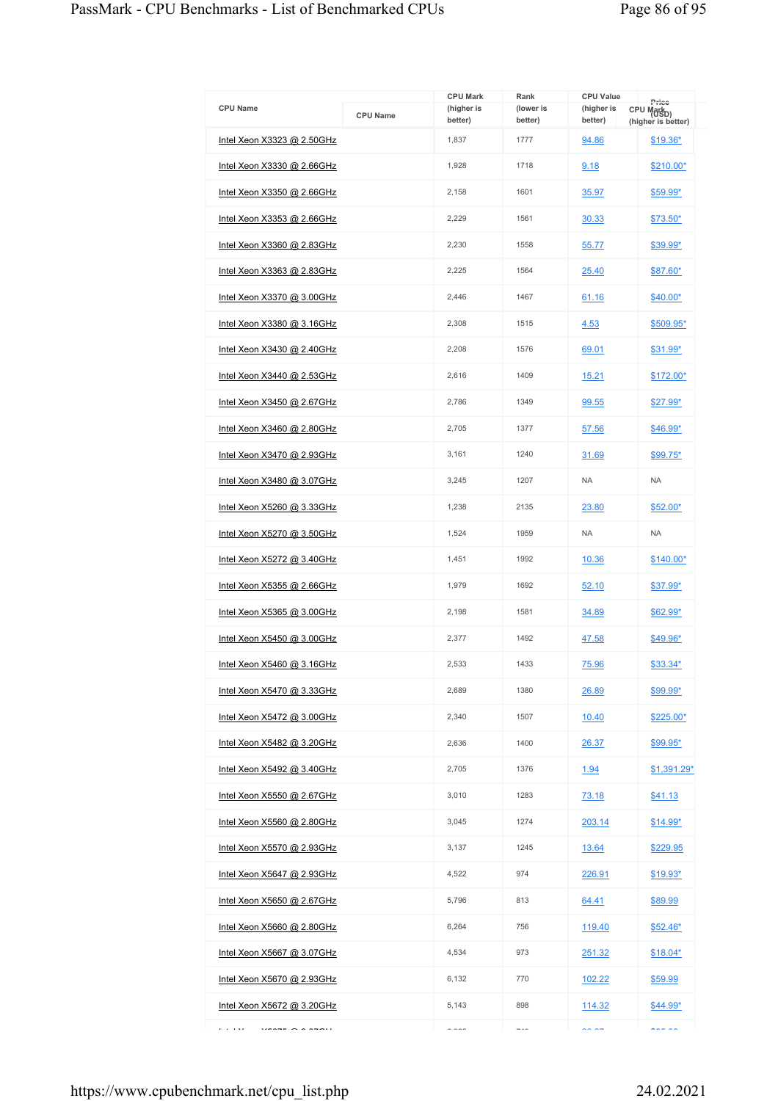|                                       |                 | <b>CPU Mark</b>       | Rank                     | <b>CPU Value</b>      |                                                       |
|---------------------------------------|-----------------|-----------------------|--------------------------|-----------------------|-------------------------------------------------------|
| <b>CPU Name</b>                       | <b>CPU Name</b> | (higher is<br>better) | (lower is<br>better)     | (higher is<br>better) | Price<br>CPU Mark <sub>D)</sub><br>(higher is better) |
| Intel Xeon X3323 @ 2.50GHz            |                 | 1,837                 | 1777                     | 94.86                 | $$19.36*$                                             |
| Intel Xeon X3330 @ 2.66GHz            |                 | 1.928                 | 1718                     | 9.18                  | \$210.00*                                             |
| Intel Xeon X3350 @ 2.66GHz            |                 | 2,158                 | 1601                     | 35.97                 | $$59.99*$                                             |
| <u>Intel Xeon X3353 @ 2.66GHz</u>     |                 | 2.229                 | 1561                     | 30.33                 | \$73.50*                                              |
| Intel Xeon X3360 @ 2.83GHz            |                 | 2,230                 | 1558                     | 55.77                 | \$39.99*                                              |
| <u>Intel Xeon X3363 @ 2.83GHz</u>     |                 | 2.225                 | 1564                     | 25.40                 | \$87.60*                                              |
| Intel Xeon X3370 @ 3.00GHz            |                 | 2,446                 | 1467                     | 61.16                 | $$40.00*$                                             |
| <u>Intel Xeon X3380 @ 3.16GHz</u>     |                 | 2,308                 | 1515                     | 4.53                  | \$509.95*                                             |
| Intel Xeon X3430 @ 2.40GHz            |                 | 2.208                 | 1576                     | 69.01                 | $$31.99*$                                             |
| Intel Xeon X3440 @ 2.53GHz            |                 | 2,616                 | 1409                     | 15.21                 | \$172.00*                                             |
| Intel Xeon X3450 @ 2.67GHz            |                 | 2,786                 | 1349                     | 99.55                 | \$27.99*                                              |
| Intel Xeon X3460 @ 2.80GHz            |                 | 2.705                 | 1377                     | 57.56                 | \$46.99*                                              |
| Intel Xeon X3470 @ 2.93GHz            |                 | 3,161                 | 1240                     | 31.69                 | $$99.75*$                                             |
| <u>Intel Xeon X3480 @ 3.07GHz</u>     |                 | 3,245                 | 1207                     | <b>NA</b>             | <b>NA</b>                                             |
| Intel Xeon X5260 @ 3.33GHz            |                 | 1,238                 | 2135                     | 23.80                 | $$52.00*$                                             |
| <u>Intel Xeon X5270 @ 3.50GHz</u>     |                 | 1,524                 | 1959                     | <b>NA</b>             | <b>NA</b>                                             |
| Intel Xeon X5272 @ 3.40GHz            |                 | 1,451                 | 1992                     | 10.36                 | \$140.00*                                             |
| Intel Xeon X5355 @ 2.66GHz            |                 | 1,979                 | 1692                     | 52.10                 | \$37.99*                                              |
| Intel Xeon X5365 @ 3.00GHz            |                 | 2,198                 | 1581                     | 34.89                 | $$62.99*$                                             |
| <u>Intel Xeon X5450 @ 3.00GHz</u>     |                 | 2,377                 | 1492                     | 47.58                 | \$49.96*                                              |
| Intel Xeon X5460 @ 3.16GHz            |                 | 2,533                 | 1433                     | 75.96                 | \$33.34*                                              |
| <u>Intel Xeon X5470 @ 3.33GHz</u>     |                 | 2,689                 | 1380                     | 26.89                 | \$99.99*                                              |
| Intel Xeon X5472 @ 3.00GHz            |                 | 2,340                 | 1507                     | 10.40                 | \$225.00*                                             |
| <u>Intel Xeon X5482 @ 3.20GHz</u>     |                 | 2,636                 | 1400                     | 26.37                 | \$99.95*                                              |
| Intel Xeon X5492 @ 3.40GHz            |                 | 2,705                 | 1376                     | 1.94                  | \$1,391.29*                                           |
| Intel Xeon X5550 @ 2.67GHz            |                 | 3,010                 | 1283                     | 73.18                 | \$41.13                                               |
| Intel Xeon X5560 @ 2.80GHz            |                 | 3,045                 | 1274                     | 203.14                | $$14.99*$                                             |
| Intel Xeon X5570 @ 2.93GHz            |                 | 3,137                 | 1245                     | 13.64                 | \$229.95                                              |
| Intel Xeon X5647 @ 2.93GHz            |                 | 4,522                 | 974                      | 226.91                | $$19.93*$                                             |
| <u>Intel Xeon X5650 @ 2.67GHz</u>     |                 | 5,796                 | 813                      | 64.41                 | \$89.99                                               |
| Intel Xeon X5660 @ 2.80GHz            |                 | 6,264                 | 756                      | 119.40                | $$52.46*$                                             |
| Intel Xeon X5667 @ 3.07GHz            |                 | 4,534                 | 973                      | 251.32                | $$18.04*$                                             |
| Intel Xeon X5670 @ 2.93GHz            |                 | 6,132                 | 770                      | 102.22                | \$59.99                                               |
| Intel Xeon X5672 @ 3.20GHz            |                 | 5,143                 | 898                      | 114.32                | $$44.99*$                                             |
| e a less<br>$V$ FATE $\bigcap$ A ATAU |                 | 0.000                 | $\overline{\phantom{a}}$ | $\sim$ $\sim$         | $\sim$ $\sim$                                         |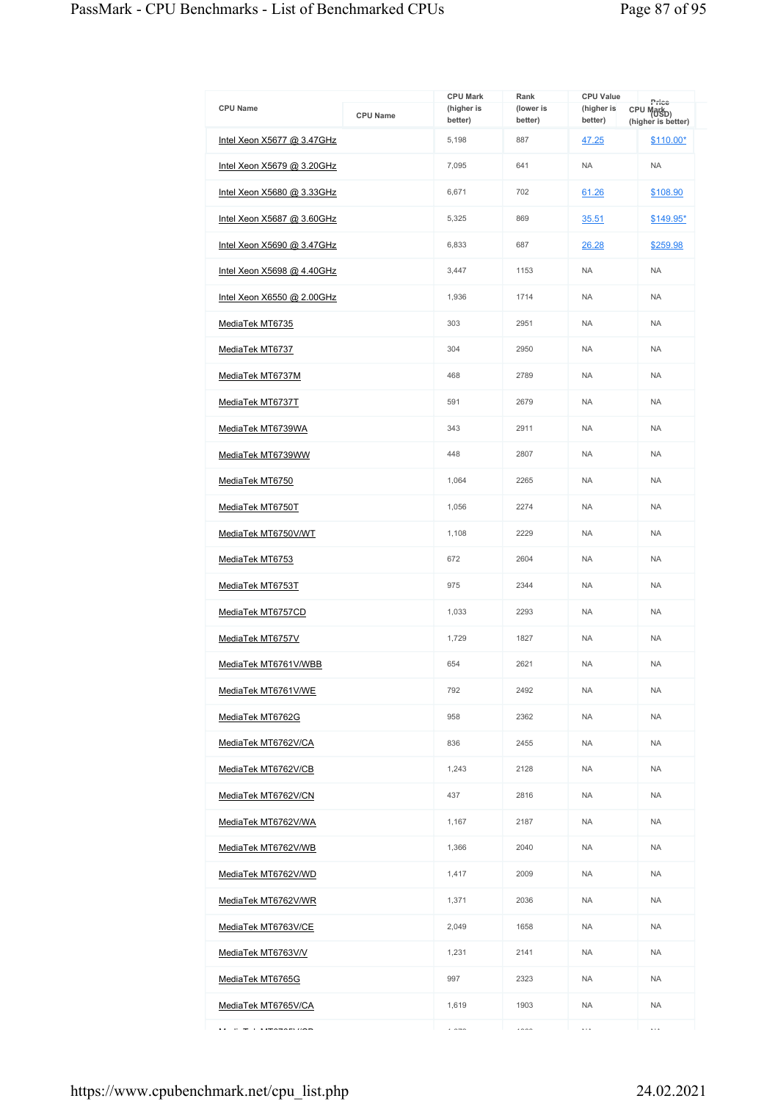|                            |                 | <b>CPU Mark</b>       | Rank                 | <b>CPU Value</b>      |                                                       |
|----------------------------|-----------------|-----------------------|----------------------|-----------------------|-------------------------------------------------------|
| <b>CPU Name</b>            | <b>CPU Name</b> | (higher is<br>better) | (lower is<br>better) | (higher is<br>better) | Price<br>CPU Mark <sub>D)</sub><br>(higher is better) |
| Intel Xeon X5677 @ 3.47GHz |                 | 5,198                 | 887                  | 47.25                 | $$110.00*$                                            |
| Intel Xeon X5679 @ 3.20GHz |                 | 7,095                 | 641                  | <b>NA</b>             | <b>NA</b>                                             |
| Intel Xeon X5680 @ 3.33GHz |                 | 6,671                 | 702                  | 61.26                 | \$108.90                                              |
| Intel Xeon X5687 @ 3.60GHz |                 | 5,325                 | 869                  | 35.51                 | \$149.95*                                             |
| Intel Xeon X5690 @ 3.47GHz |                 | 6,833                 | 687                  | 26.28                 | \$259.98                                              |
| Intel Xeon X5698 @ 4.40GHz |                 | 3.447                 | 1153                 | <b>NA</b>             | <b>NA</b>                                             |
| Intel Xeon X6550 @ 2.00GHz |                 | 1,936                 | 1714                 | <b>NA</b>             | <b>NA</b>                                             |
| MediaTek MT6735            |                 | 303                   | 2951                 | <b>NA</b>             | <b>NA</b>                                             |
| MediaTek MT6737            |                 | 304                   | 2950                 | <b>NA</b>             | <b>NA</b>                                             |
| MediaTek MT6737M           |                 | 468                   | 2789                 | <b>NA</b>             | <b>NA</b>                                             |
| MediaTek MT6737T           |                 | 591                   | 2679                 | <b>NA</b>             | <b>NA</b>                                             |
| MediaTek MT6739WA          |                 | 343                   | 2911                 | <b>NA</b>             | <b>NA</b>                                             |
| MediaTek MT6739WW          |                 | 448                   | 2807                 | <b>NA</b>             | <b>NA</b>                                             |
| MediaTek MT6750            |                 | 1,064                 | 2265                 | <b>NA</b>             | <b>NA</b>                                             |
| MediaTek MT6750T           |                 | 1,056                 | 2274                 | <b>NA</b>             | <b>NA</b>                                             |
| MediaTek MT6750V/WT        |                 | 1,108                 | 2229                 | <b>NA</b>             | <b>NA</b>                                             |
| MediaTek MT6753            |                 | 672                   | 2604                 | <b>NA</b>             | <b>NA</b>                                             |
| MediaTek MT6753T           |                 | 975                   | 2344                 | <b>NA</b>             | <b>NA</b>                                             |
| MediaTek MT6757CD          |                 | 1,033                 | 2293                 | <b>NA</b>             | <b>NA</b>                                             |
| MediaTek MT6757V           |                 | 1,729                 | 1827                 | <b>NA</b>             | <b>NA</b>                                             |
| MediaTek MT6761V/WBB       |                 | 654                   | 2621                 | <b>NA</b>             | <b>NA</b>                                             |
| <u>MediaTek MT6761V/WE</u> |                 | 792                   | 2492                 | <b>NA</b>             | <b>NA</b>                                             |
| MediaTek MT6762G           |                 | 958                   | 2362                 | <b>NA</b>             | <b>NA</b>                                             |
| MediaTek MT6762V/CA        |                 | 836                   | 2455                 | <b>NA</b>             | <b>NA</b>                                             |
| MediaTek MT6762V/CB        |                 | 1,243                 | 2128                 | <b>NA</b>             | <b>NA</b>                                             |
| MediaTek MT6762V/CN        |                 | 437                   | 2816                 | <b>NA</b>             | <b>NA</b>                                             |
| MediaTek MT6762V/WA        |                 | 1,167                 | 2187                 | <b>NA</b>             | <b>NA</b>                                             |
| MediaTek MT6762V/WB        |                 | 1,366                 | 2040                 | <b>NA</b>             | <b>NA</b>                                             |
| MediaTek MT6762V/WD        |                 | 1,417                 | 2009                 | <b>NA</b>             | <b>NA</b>                                             |
| MediaTek MT6762V/WR        |                 | 1,371                 | 2036                 | <b>NA</b>             | <b>NA</b>                                             |
| MediaTek MT6763V/CE        |                 | 2,049                 | 1658                 | <b>NA</b>             | <b>NA</b>                                             |
| MediaTek MT6763V/V         |                 | 1,231                 | 2141                 | <b>NA</b>             | <b>NA</b>                                             |
| MediaTek MT6765G           |                 | 997                   | 2323                 | <b>NA</b>             | <b>NA</b>                                             |
| MediaTek MT6765V/CA        |                 | 1,619                 | 1903                 | <b>NA</b>             | <b>NA</b>                                             |
| $\tau$ . Figurean line     |                 | $\sim$ $\sim$ $\sim$  | $\cdots$             | $\cdots$              | $\cdots$                                              |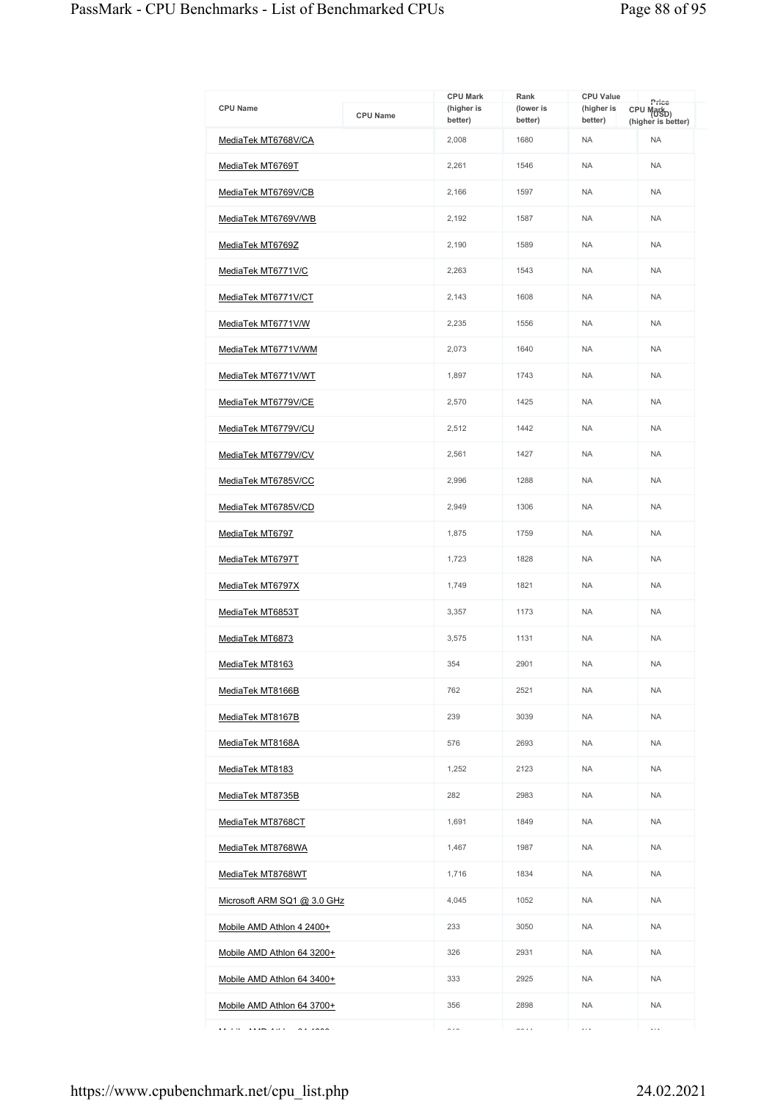| <b>CPU Name</b>                                                       | <b>CPU Name</b> | <b>CPU Mark</b><br>(higher is<br>better) | Rank<br>(lower is<br>better) | <b>CPU Value</b><br>(higher is<br>better) | Price<br>CPU Mark <sub>D)</sub><br>(higher is better) |
|-----------------------------------------------------------------------|-----------------|------------------------------------------|------------------------------|-------------------------------------------|-------------------------------------------------------|
| MediaTek MT6768V/CA                                                   |                 | 2,008                                    | 1680                         | <b>NA</b>                                 | <b>NA</b>                                             |
| MediaTek MT6769T                                                      |                 | 2,261                                    | 1546                         | <b>NA</b>                                 | <b>NA</b>                                             |
| MediaTek MT6769V/CB                                                   |                 | 2,166                                    | 1597                         | <b>NA</b>                                 | <b>NA</b>                                             |
| MediaTek MT6769V/WB                                                   |                 |                                          | 1587                         | <b>NA</b>                                 | <b>NA</b>                                             |
| MediaTek MT6769Z                                                      |                 | 2,190                                    | 1589                         | <b>NA</b>                                 | <b>NA</b>                                             |
| MediaTek MT6771V/C                                                    |                 | 2,263                                    | 1543                         | <b>NA</b>                                 | <b>NA</b>                                             |
| MediaTek MT6771V/CT                                                   |                 | 2,143                                    | 1608                         | <b>NA</b>                                 | <b>NA</b>                                             |
| MediaTek MT6771V/W                                                    |                 | 2,235                                    | 1556                         | <b>NA</b>                                 | <b>NA</b>                                             |
| MediaTek MT6771V/WM                                                   |                 | 2,073                                    | 1640                         | <b>NA</b>                                 | <b>NA</b>                                             |
| MediaTek MT6771V/WT                                                   |                 | 1,897                                    | 1743                         | <b>NA</b>                                 | <b>NA</b>                                             |
| MediaTek MT6779V/CE                                                   |                 | 2,570                                    | 1425                         | <b>NA</b>                                 | <b>NA</b>                                             |
| MediaTek MT6779V/CU                                                   |                 | 2,512                                    | 1442                         | <b>NA</b>                                 | <b>NA</b>                                             |
| MediaTek MT6779V/CV                                                   |                 | 2,561                                    | 1427                         | <b>NA</b>                                 | <b>NA</b>                                             |
| MediaTek MT6785V/CC                                                   |                 | 2,996                                    | 1288                         | <b>NA</b>                                 | <b>NA</b>                                             |
| MediaTek MT6785V/CD                                                   |                 | 2,949                                    | 1306                         | <b>NA</b>                                 | <b>NA</b>                                             |
| MediaTek MT6797                                                       |                 | 1,875                                    | 1759                         | <b>NA</b>                                 | <b>NA</b>                                             |
| MediaTek MT6797T                                                      |                 | 1,723                                    | 1828                         | <b>NA</b>                                 | <b>NA</b>                                             |
| MediaTek MT6797X                                                      |                 | 1,749                                    | 1821                         | <b>NA</b>                                 | <b>NA</b>                                             |
| MediaTek MT6853T                                                      |                 | 3,357                                    | 1173                         | <b>NA</b>                                 | <b>NA</b>                                             |
| MediaTek MT6873                                                       |                 | 3,575                                    | 1131                         | <b>NA</b>                                 | <b>NA</b>                                             |
| MediaTek MT8163                                                       |                 | 354                                      | 2901                         | <b>NA</b>                                 | <b>NA</b>                                             |
| MediaTek MT8166B                                                      |                 | 762                                      | 2521                         | <b>NA</b>                                 | <b>NA</b>                                             |
| MediaTek MT8167B                                                      |                 | 239                                      | 3039                         | <b>NA</b>                                 | <b>NA</b>                                             |
| <u>MediaTek MT8168A</u>                                               |                 | 576                                      | 2693                         | <b>NA</b>                                 | <b>NA</b>                                             |
| MediaTek MT8183                                                       |                 | 1,252                                    | 2123                         | <b>NA</b>                                 | <b>NA</b>                                             |
| MediaTek MT8735B                                                      |                 | 282                                      | 2983                         | <b>NA</b>                                 | <b>NA</b>                                             |
| MediaTek MT8768CT                                                     |                 | 1,691                                    | 1849                         | <b>NA</b>                                 | <b>NA</b>                                             |
| MediaTek MT8768WA                                                     |                 | 1,467                                    | 1987                         | <b>NA</b>                                 | <b>NA</b>                                             |
| MediaTek MT8768WT                                                     |                 | 1,716                                    | 1834                         | <b>NA</b>                                 | <b>NA</b>                                             |
| Microsoft ARM SQ1 @ 3.0 GHz                                           |                 | 4,045                                    | 1052                         | <b>NA</b>                                 | <b>NA</b>                                             |
| Mobile AMD Athlon 4 2400+                                             |                 | 233                                      | 3050                         | <b>NA</b>                                 | <b>NA</b>                                             |
| Mobile AMD Athlon 64 3200+                                            |                 | 326                                      | 2931                         | <b>NA</b>                                 | <b>NA</b>                                             |
| Mobile AMD Athlon 64 3400+                                            |                 | 333                                      | 2925                         | <b>NA</b>                                 | <b>NA</b>                                             |
| Mobile AMD Athlon 64 3700+                                            |                 | 356                                      | 2898                         | <b>NA</b>                                 | <b>NA</b>                                             |
| $\overline{a}$ and $\overline{a}$ and $\overline{a}$<br>.<br>$\cdots$ |                 | $\sim$ $\sim$                            | $\sim\cdot\cdot$             | $\ldots$                                  | $\ddotsc$                                             |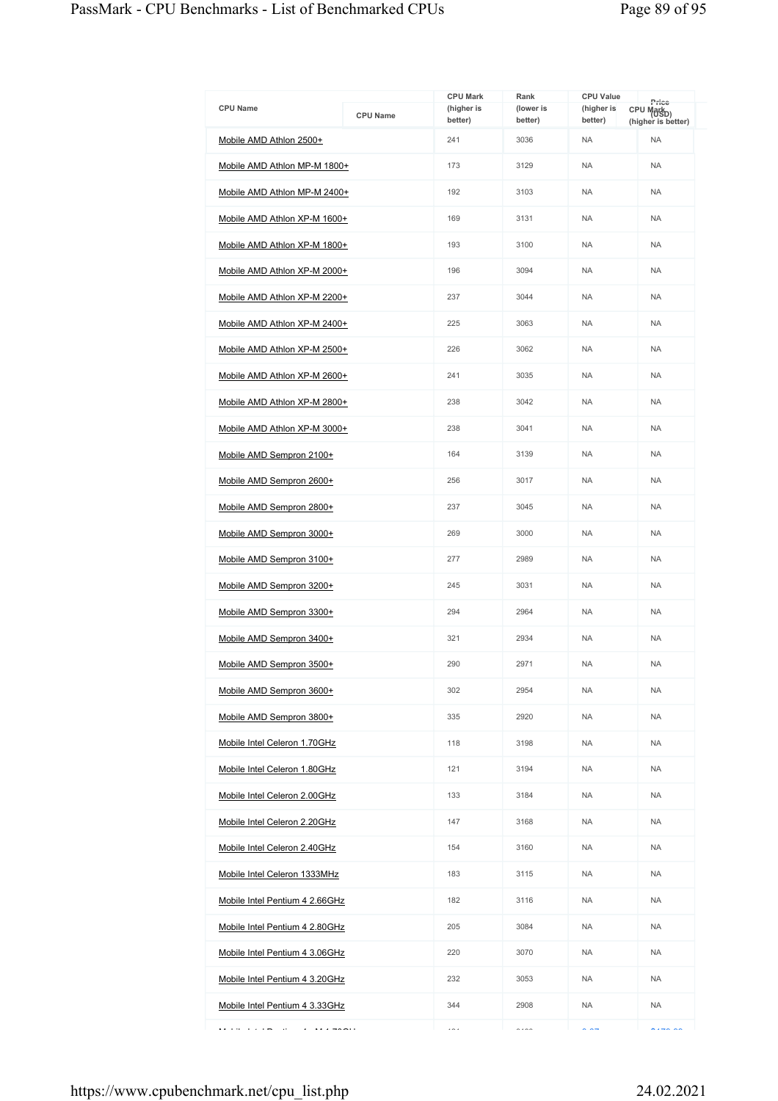|                                                                   |                 | <b>CPU Mark</b>       |                              |                                           |                                 |
|-------------------------------------------------------------------|-----------------|-----------------------|------------------------------|-------------------------------------------|---------------------------------|
| <b>CPU Name</b>                                                   | <b>CPU Name</b> | (higher is<br>better) | Rank<br>(lower is<br>better) | <b>CPU Value</b><br>(higher is<br>better) | Price<br>CPU Mark <sub>D)</sub> |
| Mobile AMD Athlon 2500+                                           |                 | 241                   | 3036                         | <b>NA</b>                                 | (higher is better)<br><b>NA</b> |
| Mobile AMD Athlon MP-M 1800+                                      |                 | 173                   | 3129                         | <b>NA</b>                                 | <b>NA</b>                       |
| Mobile AMD Athlon MP-M 2400+                                      |                 | 192                   | 3103                         | <b>NA</b>                                 | <b>NA</b>                       |
| Mobile AMD Athlon XP-M 1600+                                      |                 | 169                   | 3131                         | <b>NA</b>                                 | <b>NA</b>                       |
| Mobile AMD Athlon XP-M 1800+                                      |                 | 193                   | 3100                         | <b>NA</b>                                 | <b>NA</b>                       |
|                                                                   |                 | 196                   | 3094                         | <b>NA</b>                                 | <b>NA</b>                       |
| Mobile AMD Athlon XP-M 2000+                                      |                 | 237                   | 3044                         | <b>NA</b>                                 | <b>NA</b>                       |
| Mobile AMD Athlon XP-M 2200+                                      |                 |                       | 3063                         | <b>NA</b>                                 | <b>NA</b>                       |
| Mobile AMD Athlon XP-M 2400+                                      |                 | 225                   |                              |                                           |                                 |
| Mobile AMD Athlon XP-M 2500+                                      |                 | 226                   | 3062                         | <b>NA</b>                                 | <b>NA</b>                       |
| Mobile AMD Athlon XP-M 2600+                                      |                 | 241                   | 3035                         | <b>NA</b>                                 | <b>NA</b>                       |
| Mobile AMD Athlon XP-M 2800+                                      |                 | 238                   | 3042                         | <b>NA</b>                                 | <b>NA</b>                       |
| Mobile AMD Athlon XP-M 3000+                                      |                 | 238                   | 3041                         | <b>NA</b>                                 | <b>NA</b>                       |
| Mobile AMD Sempron 2100+                                          |                 | 164                   | 3139                         | <b>NA</b>                                 | <b>NA</b>                       |
| Mobile AMD Sempron 2600+                                          |                 | 256                   | 3017                         | <b>NA</b>                                 | <b>NA</b>                       |
| Mobile AMD Sempron 2800+                                          |                 | 237                   | 3045                         | <b>NA</b>                                 | <b>NA</b>                       |
| Mobile AMD Sempron 3000+                                          |                 | 269                   | 3000                         | <b>NA</b>                                 | <b>NA</b>                       |
| Mobile AMD Sempron 3100+                                          |                 | 277                   | 2989                         | <b>NA</b>                                 | <b>NA</b>                       |
| Mobile AMD Sempron 3200+                                          |                 | 245                   | 3031                         | <b>NA</b>                                 | <b>NA</b>                       |
| Mobile AMD Sempron 3300+                                          |                 | 294                   | 2964                         | <b>NA</b>                                 | <b>NA</b>                       |
| Mobile AMD Sempron 3400+                                          |                 | 321                   | 2934                         | <b>NA</b>                                 | <b>NA</b>                       |
| Mobile AMD Sempron 3500+                                          |                 | 290                   | 2971                         | <b>NA</b>                                 | <b>NA</b>                       |
| Mobile AMD Sempron 3600+                                          |                 | 302                   | 2954                         | <b>NA</b>                                 | <b>NA</b>                       |
| Mobile AMD Sempron 3800+                                          |                 | 335                   | 2920                         | <b>NA</b>                                 | <b>NA</b>                       |
| Mobile Intel Celeron 1.70GHz                                      |                 | 118                   | 3198                         | <b>NA</b>                                 | <b>NA</b>                       |
| Mobile Intel Celeron 1.80GHz                                      |                 | 121                   | 3194                         | <b>NA</b>                                 | <b>NA</b>                       |
| Mobile Intel Celeron 2.00GHz                                      |                 | 133                   | 3184                         | <b>NA</b>                                 | <b>NA</b>                       |
| Mobile Intel Celeron 2.20GHz                                      |                 | 147                   | 3168                         | <b>NA</b>                                 | <b>NA</b>                       |
| Mobile Intel Celeron 2.40GHz                                      |                 | 154                   | 3160                         | <b>NA</b>                                 | <b>NA</b>                       |
| Mobile Intel Celeron 1333MHz                                      |                 | 183                   | 3115                         | <b>NA</b>                                 | <b>NA</b>                       |
| Mobile Intel Pentium 4 2.66GHz                                    |                 | 182                   | 3116                         | <b>NA</b>                                 | <b>NA</b>                       |
| Mobile Intel Pentium 4 2.80GHz                                    |                 | 205                   | 3084                         | <b>NA</b>                                 | <b>NA</b>                       |
| Mobile Intel Pentium 4 3.06GHz                                    |                 | 220                   | 3070                         | <b>NA</b>                                 | <b>NA</b>                       |
| Mobile Intel Pentium 4 3.20GHz                                    |                 | 232                   | 3053                         | <b>NA</b>                                 | <b>NA</b>                       |
| Mobile Intel Pentium 4 3.33GHz                                    |                 | 344                   | 2908                         | <b>NA</b>                                 | <b>NA</b>                       |
| ka in se<br><b>Contractor</b><br>$\sim$<br><b><i>ALL HAND</i></b> |                 | $\cdots$              | $\cdots$                     | $\sim$ $\sim$ $\sim$                      | $\cdots$                        |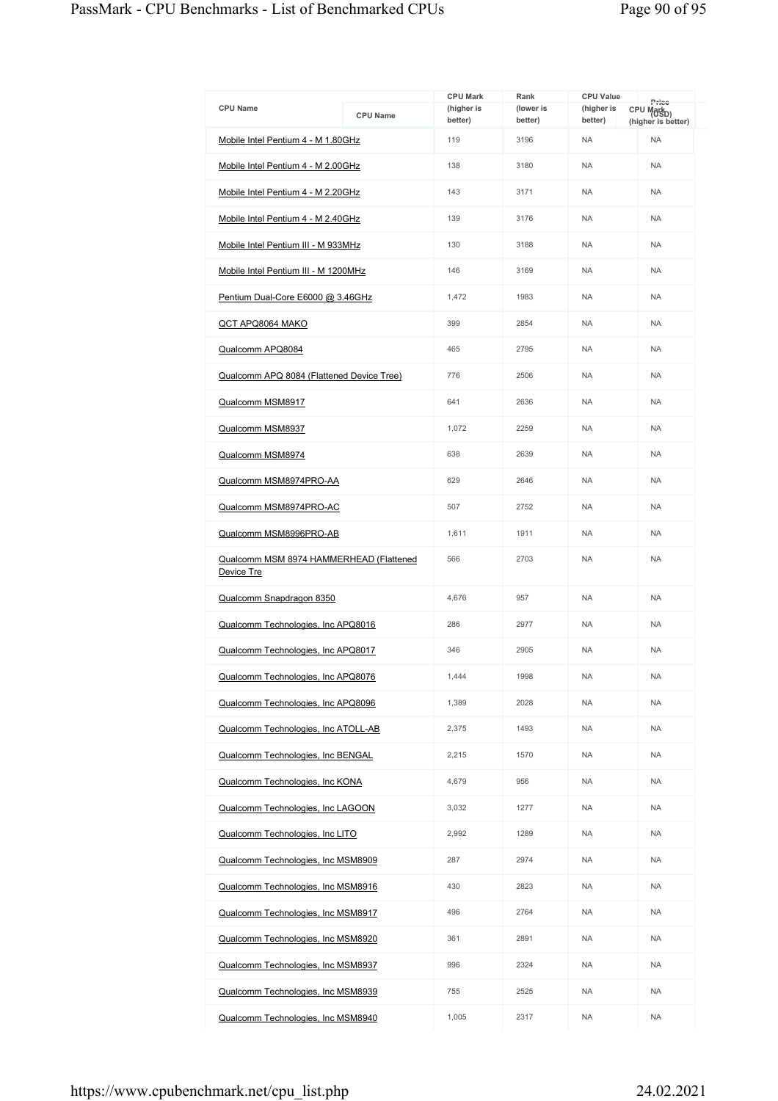| <b>CPU Name</b>                                       | <b>CPU Name</b> | <b>CPU Mark</b><br>(higher is | Rank<br>(lower is | <b>CPU Value</b><br>(higher is | Price<br>CPU Mark <sub>D)</sub> |
|-------------------------------------------------------|-----------------|-------------------------------|-------------------|--------------------------------|---------------------------------|
|                                                       |                 | better)                       | better)           | better)                        | (higher is better)              |
| Mobile Intel Pentium 4 - M 1.80GHz                    |                 | 119                           | 3196              | <b>NA</b>                      | <b>NA</b>                       |
| Mobile Intel Pentium 4 - M 2.00GHz                    |                 | 138                           | 3180              | <b>NA</b>                      | <b>NA</b>                       |
| Mobile Intel Pentium 4 - M 2.20GHz                    |                 | 143                           | 3171              | <b>NA</b>                      | <b>NA</b>                       |
| Mobile Intel Pentium 4 - M 2.40GHz                    |                 | 139                           | 3176              | <b>NA</b>                      | <b>NA</b>                       |
| Mobile Intel Pentium III - M 933MHz                   |                 | 130                           | 3188              | <b>NA</b>                      | <b>NA</b>                       |
| Mobile Intel Pentium III - M 1200MHz                  |                 | 146                           | 3169              | <b>NA</b>                      | <b>NA</b>                       |
| Pentium Dual-Core E6000 @ 3.46GHz                     |                 | 1,472                         | 1983              | <b>NA</b>                      | <b>NA</b>                       |
| QCT APQ8064 MAKO                                      |                 | 399                           | 2854              | <b>NA</b>                      | <b>NA</b>                       |
| Qualcomm APQ8084                                      |                 | 465                           | 2795              | <b>NA</b>                      | <b>NA</b>                       |
| Qualcomm APQ 8084 (Flattened Device Tree)             |                 | 776                           | 2506              | <b>NA</b>                      | <b>NA</b>                       |
| Qualcomm MSM8917                                      |                 | 641                           | 2636              | <b>NA</b>                      | <b>NA</b>                       |
| Qualcomm MSM8937                                      |                 | 1.072                         | 2259              | <b>NA</b>                      | <b>NA</b>                       |
| Qualcomm MSM8974                                      |                 | 638                           | 2639              | <b>NA</b>                      | <b>NA</b>                       |
| Qualcomm MSM8974PRO-AA                                |                 | 629                           | 2646              | <b>NA</b>                      | <b>NA</b>                       |
| Qualcomm MSM8974PRO-AC                                |                 | 507                           | 2752              | <b>NA</b>                      | <b>NA</b>                       |
| Qualcomm MSM8996PRO-AB                                |                 | 1,611                         | 1911              | <b>NA</b>                      | <b>NA</b>                       |
| Qualcomm MSM 8974 HAMMERHEAD (Flattened<br>Device Tre |                 | 566                           | 2703              | <b>NA</b>                      | <b>NA</b>                       |
| Qualcomm Snapdragon 8350                              |                 | 4,676                         | 957               | <b>NA</b>                      | <b>NA</b>                       |
| Qualcomm Technologies, Inc APQ8016                    |                 | 286                           | 2977              | <b>NA</b>                      | <b>NA</b>                       |
| Qualcomm Technologies, Inc APQ8017                    |                 | 346                           | 2905              | <b>NA</b>                      | <b>NA</b>                       |
| Qualcomm Technologies, Inc APQ8076                    |                 | 1,444                         | 1998              | NA                             | <b>NA</b>                       |
| Qualcomm Technologies, Inc APQ8096                    |                 | 1,389                         | 2028              | NA.                            | <b>NA</b>                       |
| Qualcomm Technologies, Inc ATOLL-AB                   |                 | 2,375                         | 1493              | <b>NA</b>                      | <b>NA</b>                       |
| Qualcomm Technologies, Inc BENGAL                     |                 | 2,215                         | 1570              | <b>NA</b>                      | <b>NA</b>                       |
| Qualcomm Technologies, Inc KONA                       |                 | 4,679                         | 956               | <b>NA</b>                      | <b>NA</b>                       |
| Qualcomm Technologies, Inc LAGOON                     |                 | 3,032                         | 1277              | <b>NA</b>                      | <b>NA</b>                       |
| Qualcomm Technologies, Inc LITO                       |                 | 2.992                         | 1289              | <b>NA</b>                      | <b>NA</b>                       |
| Qualcomm Technologies, Inc MSM8909                    |                 | 287                           | 2974              | <b>NA</b>                      | <b>NA</b>                       |
| Qualcomm Technologies, Inc MSM8916                    |                 | 430                           | 2823              | <b>NA</b>                      | <b>NA</b>                       |
| Qualcomm Technologies, Inc MSM8917                    |                 | 496                           | 2764              | <b>NA</b>                      | <b>NA</b>                       |
| Qualcomm Technologies, Inc MSM8920                    |                 | 361                           | 2891              | <b>NA</b>                      | <b>NA</b>                       |
| Qualcomm Technologies, Inc MSM8937                    |                 | 996                           | 2324              | <b>NA</b>                      | <b>NA</b>                       |
| Qualcomm Technologies, Inc MSM8939                    |                 | 755                           | 2525              | <b>NA</b>                      | <b>NA</b>                       |
| Qualcomm Technologies, Inc MSM8940                    |                 | 1,005                         | 2317              | <b>NA</b>                      | <b>NA</b>                       |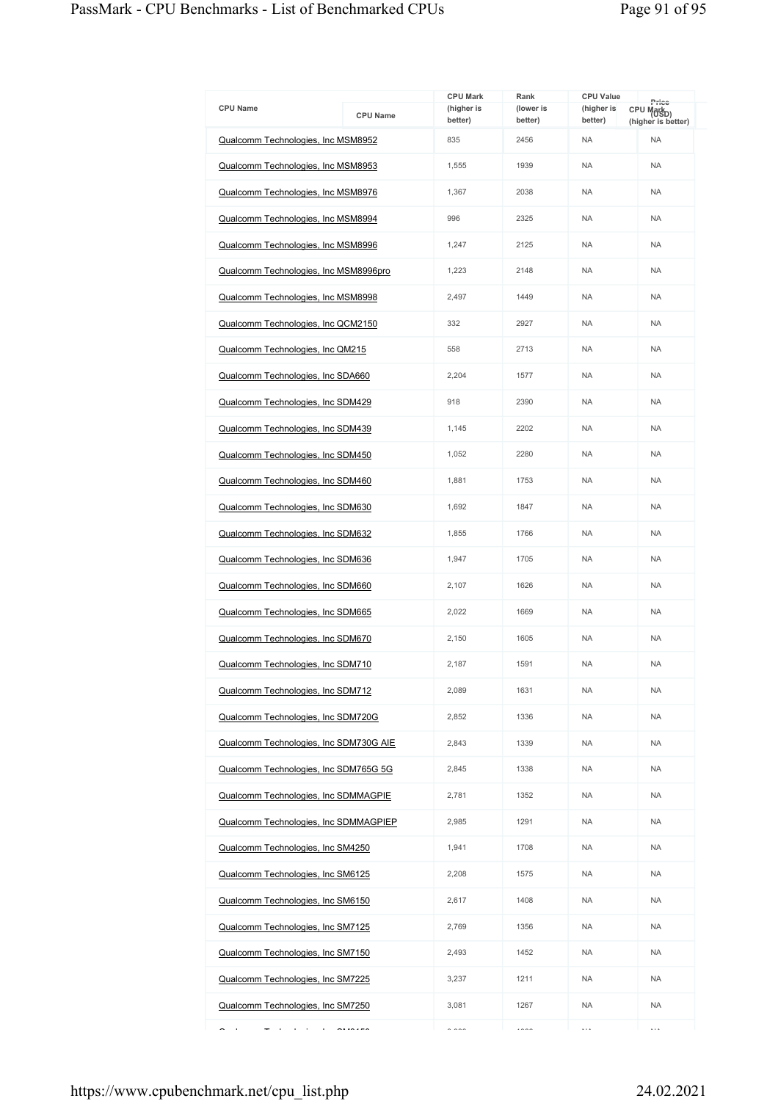| <b>CPU Name</b>                                       | <b>CPU Name</b>             | <b>CPU Mark</b><br>(higher is<br>better) | Rank<br>(lower is<br>better) | <b>CPU Value</b><br>(higher is<br>better) | Price<br>CPU Mark <sub>D)</sub><br>(higher is better) |
|-------------------------------------------------------|-----------------------------|------------------------------------------|------------------------------|-------------------------------------------|-------------------------------------------------------|
| Qualcomm Technologies, Inc MSM8952                    |                             | 835                                      | 2456                         | <b>NA</b>                                 | <b>NA</b>                                             |
| Qualcomm Technologies, Inc MSM8953                    |                             | 1,555                                    | 1939                         | <b>NA</b>                                 | <b>NA</b>                                             |
| Qualcomm Technologies, Inc MSM8976                    |                             | 1,367                                    | 2038                         | <b>NA</b>                                 | <b>NA</b>                                             |
| Qualcomm Technologies, Inc MSM8994                    |                             | 996                                      | 2325                         | <b>NA</b>                                 | <b>NA</b>                                             |
| Qualcomm Technologies, Inc MSM8996                    |                             | 1,247                                    | 2125                         | <b>NA</b>                                 | <b>NA</b>                                             |
| Qualcomm Technologies, Inc MSM8996pro                 |                             | 1,223                                    | 2148                         | <b>NA</b>                                 | <b>NA</b>                                             |
| Qualcomm Technologies, Inc MSM8998                    |                             | 2,497                                    | 1449                         | <b>NA</b>                                 | <b>NA</b>                                             |
| Qualcomm Technologies, Inc QCM2150                    |                             | 332                                      | 2927                         | <b>NA</b>                                 | <b>NA</b>                                             |
| Qualcomm Technologies, Inc QM215                      |                             | 558                                      | 2713                         | <b>NA</b>                                 | <b>NA</b>                                             |
| Qualcomm Technologies, Inc SDA660                     |                             | 2,204                                    | 1577                         | <b>NA</b>                                 | <b>NA</b>                                             |
| Qualcomm Technologies, Inc SDM429                     |                             | 918                                      | 2390                         | <b>NA</b>                                 | <b>NA</b>                                             |
| Qualcomm Technologies, Inc SDM439                     |                             | 1,145                                    | 2202                         | <b>NA</b>                                 | NA                                                    |
| Qualcomm Technologies, Inc SDM450                     |                             | 1,052                                    | 2280                         | <b>NA</b>                                 | <b>NA</b>                                             |
| Qualcomm Technologies, Inc SDM460                     |                             | 1,881                                    | 1753                         | <b>NA</b>                                 | <b>NA</b>                                             |
| Qualcomm Technologies, Inc SDM630                     |                             | 1,692                                    | 1847                         | <b>NA</b>                                 | <b>NA</b>                                             |
| Qualcomm Technologies, Inc SDM632                     |                             | 1,855                                    | 1766                         | <b>NA</b>                                 | <b>NA</b>                                             |
| Qualcomm Technologies, Inc SDM636                     |                             | 1,947                                    | 1705                         | <b>NA</b>                                 | <b>NA</b>                                             |
| Qualcomm Technologies, Inc SDM660                     |                             | 2,107                                    | 1626                         | <b>NA</b>                                 | <b>NA</b>                                             |
| Qualcomm Technologies, Inc SDM665                     |                             | 2,022                                    | 1669                         | <b>NA</b>                                 | <b>NA</b>                                             |
| Qualcomm Technologies, Inc SDM670                     |                             | 2,150                                    | 1605                         | <b>NA</b>                                 | <b>NA</b>                                             |
| Qualcomm Technologies, Inc SDM710                     |                             | 2.187                                    | 1591                         | <b>NA</b>                                 | <b>NA</b>                                             |
| Qualcomm Technologies, Inc SDM712                     |                             | 2,089                                    | 1631                         | <b>NA</b>                                 | <b>NA</b>                                             |
| Qualcomm Technologies, Inc SDM720G                    |                             | 2.852                                    | 1336                         | <b>NA</b>                                 | <b>NA</b>                                             |
| Qualcomm Technologies, Inc SDM730G AIE                |                             | 2,843                                    | 1339                         | <b>NA</b>                                 | <b>NA</b>                                             |
| Qualcomm Technologies, Inc SDM765G 5G                 |                             | 2,845                                    | 1338                         | <b>NA</b>                                 | <b>NA</b>                                             |
| Qualcomm Technologies, Inc SDMMAGPIE                  |                             | 2,781                                    | 1352                         | <b>NA</b>                                 | NA                                                    |
| Qualcomm Technologies, Inc SDMMAGPIEP                 |                             | 2,985                                    | 1291                         | <b>NA</b>                                 | <b>NA</b>                                             |
| Qualcomm Technologies, Inc SM4250                     |                             | 1,941                                    | 1708                         | <b>NA</b>                                 | <b>NA</b>                                             |
| Qualcomm Technologies, Inc SM6125                     |                             | 2,208                                    | 1575                         | <b>NA</b>                                 | <b>NA</b>                                             |
| Qualcomm Technologies, Inc SM6150                     |                             | 2,617                                    | 1408                         | <b>NA</b>                                 | <b>NA</b>                                             |
| Qualcomm Technologies, Inc SM7125                     |                             | 2,769                                    | 1356                         | <b>NA</b>                                 | <b>NA</b>                                             |
| Qualcomm Technologies, Inc SM7150                     |                             | 2,493                                    | 1452                         | <b>NA</b>                                 | <b>NA</b>                                             |
| Qualcomm Technologies, Inc SM7225                     |                             | 3,237                                    | 1211                         | <b>NA</b>                                 | NA                                                    |
| Qualcomm Technologies, Inc SM7250                     |                             | 3,081                                    | 1267                         | <b>NA</b>                                 | <b>NA</b>                                             |
| $\sim 10^{-11}$ $\rm{eV}$<br>$\overline{\phantom{0}}$ | $\sim$ $\sim$ $\sim$ $\sim$ | $\sim$ 000                               | 1000                         | $\cdots$                                  | $\cdots$                                              |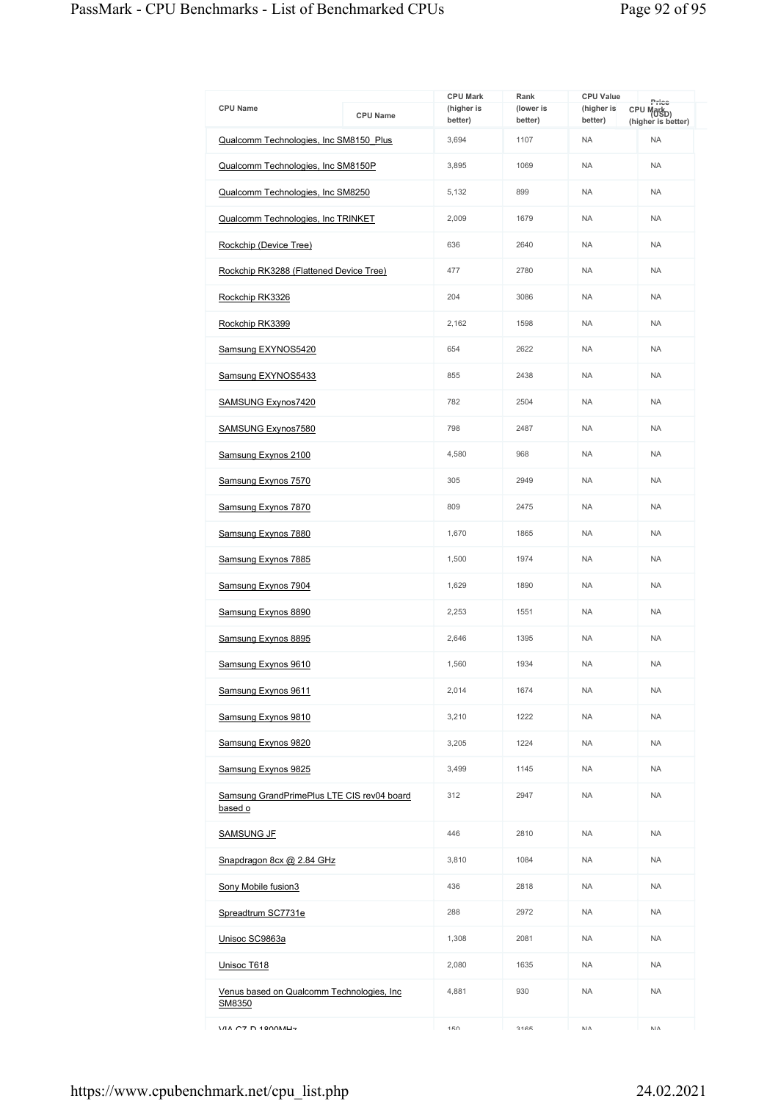| <b>CPU Name</b>                                       | <b>CPU Name</b> | <b>CPU Mark</b><br>(higher is<br>better) | Rank<br>(lower is<br>better) | <b>CPU Value</b><br>(higher is<br>better) | Price<br>CPU Markp)<br>(higher is better) |
|-------------------------------------------------------|-----------------|------------------------------------------|------------------------------|-------------------------------------------|-------------------------------------------|
| Qualcomm Technologies, Inc SM8150 Plus                |                 | 3,694                                    | 1107                         | <b>NA</b>                                 | <b>NA</b>                                 |
| Qualcomm Technologies, Inc SM8150P                    |                 | 3,895                                    | 1069                         | <b>NA</b>                                 | <b>NA</b>                                 |
| Qualcomm Technologies, Inc SM8250                     |                 | 5,132                                    | 899                          | <b>NA</b>                                 | <b>NA</b>                                 |
| Qualcomm Technologies, Inc TRINKET                    |                 | 2,009                                    | 1679                         | <b>NA</b>                                 | <b>NA</b>                                 |
| Rockchip (Device Tree)                                |                 | 636                                      | 2640                         | <b>NA</b>                                 | <b>NA</b>                                 |
| Rockchip RK3288 (Flattened Device Tree)               |                 | 477                                      | 2780                         | <b>NA</b>                                 | <b>NA</b>                                 |
| Rockchip RK3326                                       |                 | 204                                      | 3086                         | <b>NA</b>                                 | <b>NA</b>                                 |
| Rockchip RK3399                                       |                 | 2,162                                    | 1598                         | <b>NA</b>                                 | <b>NA</b>                                 |
| Samsung EXYNOS5420                                    |                 | 654                                      | 2622                         | <b>NA</b>                                 | <b>NA</b>                                 |
| Samsung EXYNOS5433                                    |                 | 855                                      | 2438                         | <b>NA</b>                                 | <b>NA</b>                                 |
| SAMSUNG Exynos7420                                    |                 | 782                                      | 2504                         | <b>NA</b>                                 | <b>NA</b>                                 |
| <b>SAMSUNG Exynos7580</b>                             |                 | 798                                      | 2487                         | <b>NA</b>                                 | <b>NA</b>                                 |
| Samsung Exynos 2100                                   |                 | 4,580                                    | 968                          | <b>NA</b>                                 | <b>NA</b>                                 |
| Samsung Exynos 7570                                   |                 | 305                                      | 2949                         | <b>NA</b>                                 | <b>NA</b>                                 |
| Samsung Exynos 7870                                   |                 | 809                                      | 2475                         | <b>NA</b>                                 | <b>NA</b>                                 |
| Samsung Exynos 7880                                   |                 | 1,670                                    | 1865                         | <b>NA</b>                                 | <b>NA</b>                                 |
| Samsung Exynos 7885                                   |                 | 1,500                                    | 1974                         | <b>NA</b>                                 | <b>NA</b>                                 |
| Samsung Exynos 7904                                   |                 | 1,629                                    | 1890                         | <b>NA</b>                                 | <b>NA</b>                                 |
| Samsung Exynos 8890                                   |                 | 2,253                                    | 1551                         | <b>NA</b>                                 | <b>NA</b>                                 |
| Samsung Exynos 8895                                   |                 | 2,646                                    | 1395                         | <b>NA</b>                                 | <b>NA</b>                                 |
| Samsung Exynos 9610                                   |                 | 1,560                                    | 1934                         | <b>NA</b>                                 | <b>NA</b>                                 |
| Samsung Exynos 9611                                   |                 | 2,014                                    | 1674                         | <b>NA</b>                                 | <b>NA</b>                                 |
| Samsung Exynos 9810                                   |                 | 3,210                                    | 1222                         | <b>NA</b>                                 | <b>NA</b>                                 |
| Samsung Exynos 9820                                   |                 | 3,205                                    | 1224                         | <b>NA</b>                                 | <b>NA</b>                                 |
| Samsung Exynos 9825                                   |                 | 3,499                                    | 1145                         | <b>NA</b>                                 | <b>NA</b>                                 |
| Samsung GrandPrimePlus LTE CIS rev04 board<br>based o |                 | 312                                      | 2947                         | <b>NA</b>                                 | <b>NA</b>                                 |
| <b>SAMSUNG JF</b>                                     |                 | 446                                      | 2810                         | <b>NA</b>                                 | <b>NA</b>                                 |
| Snapdragon 8cx @ 2.84 GHz                             |                 | 3,810                                    | 1084                         | <b>NA</b>                                 | <b>NA</b>                                 |
| Sony Mobile fusion3                                   |                 | 436                                      | 2818                         | <b>NA</b>                                 | <b>NA</b>                                 |
| Spreadtrum SC7731e                                    |                 | 288                                      | 2972                         | <b>NA</b>                                 | <b>NA</b>                                 |
| Unisoc SC9863a                                        |                 | 1,308                                    | 2081                         | <b>NA</b>                                 | <b>NA</b>                                 |
| Unisoc T618                                           |                 | 2,080                                    | 1635                         | <b>NA</b>                                 | <b>NA</b>                                 |
| Venus based on Qualcomm Technologies, Inc.<br>SM8350  |                 | 4,881                                    | 930                          | <b>NA</b>                                 | <b>NA</b>                                 |
| $1/11$ $C7$ $D$ $1000$ $M$ $L7$                       |                 | 150                                      | 2465                         | NΛ                                        | NΛ                                        |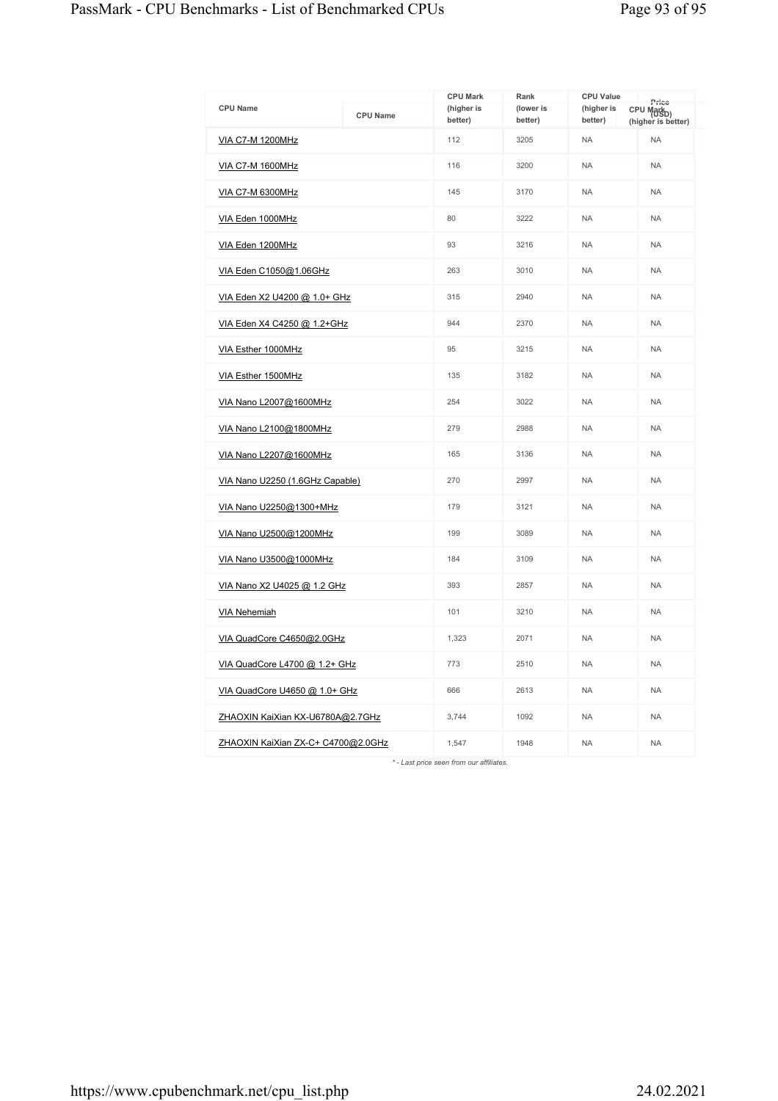| <b>CPU Name</b>                    | <b>CPU Name</b> | <b>CPU Mark</b><br>(higher is<br>better) | Rank<br>(lower is<br>better) | <b>CPU Value</b><br>(higher is<br>better) | Price<br>CPU Markp)<br>(higher is better) |
|------------------------------------|-----------------|------------------------------------------|------------------------------|-------------------------------------------|-------------------------------------------|
| <b>VIA C7-M 1200MHz</b>            |                 | 112                                      | 3205                         | <b>NA</b>                                 | <b>NA</b>                                 |
| <b>VIA C7-M 1600MHz</b>            |                 | 116                                      | 3200                         | <b>NA</b>                                 | <b>NA</b>                                 |
| VIA C7-M 6300MHz                   |                 | 145                                      | 3170                         | <b>NA</b>                                 | <b>NA</b>                                 |
| VIA Eden 1000MHz                   |                 | 80                                       | 3222                         | <b>NA</b>                                 | <b>NA</b>                                 |
| VIA Eden 1200MHz                   |                 | 93                                       | 3216                         | <b>NA</b>                                 | <b>NA</b>                                 |
| VIA Eden C1050@1.06GHz             |                 | 263                                      | 3010                         | <b>NA</b>                                 | <b>NA</b>                                 |
| VIA Eden X2 U4200 @ 1.0+ GHz       |                 | 315                                      | 2940                         | <b>NA</b>                                 | <b>NA</b>                                 |
| VIA Eden X4 C4250 @ 1.2+GHz        |                 | 944                                      | 2370                         | <b>NA</b>                                 | <b>NA</b>                                 |
| VIA Esther 1000MHz                 |                 | 95                                       | 3215                         | <b>NA</b>                                 | <b>NA</b>                                 |
| VIA Esther 1500MHz                 |                 | 135                                      | 3182                         | <b>NA</b>                                 | <b>NA</b>                                 |
| VIA Nano L2007@1600MHz             |                 | 254                                      | 3022                         | <b>NA</b>                                 | <b>NA</b>                                 |
| VIA Nano L2100@1800MHz             |                 | 279                                      | 2988                         | <b>NA</b>                                 | <b>NA</b>                                 |
| VIA Nano L2207@1600MHz             |                 | 165                                      | 3136                         | <b>NA</b>                                 | <b>NA</b>                                 |
| VIA Nano U2250 (1.6GHz Capable)    |                 | 270                                      | 2997                         | <b>NA</b>                                 | <b>NA</b>                                 |
| VIA Nano U2250@1300+MHz            |                 | 179                                      | 3121                         | <b>NA</b>                                 | <b>NA</b>                                 |
| VIA Nano U2500@1200MHz             |                 | 199                                      | 3089                         | <b>NA</b>                                 | <b>NA</b>                                 |
| VIA Nano U3500@1000MHz             |                 | 184                                      | 3109                         | <b>NA</b>                                 | <b>NA</b>                                 |
| VIA Nano X2 U4025 @ 1.2 GHz        |                 | 393                                      | 2857                         | <b>NA</b>                                 | <b>NA</b>                                 |
| <b>VIA Nehemiah</b>                |                 | 101                                      | 3210                         | <b>NA</b>                                 | <b>NA</b>                                 |
| VIA QuadCore C4650@2.0GHz          |                 | 1,323                                    | 2071                         | <b>NA</b>                                 | <b>NA</b>                                 |
| VIA QuadCore L4700 @ 1.2+ GHz      |                 | 773                                      | 2510                         | <b>NA</b>                                 | <b>NA</b>                                 |
| VIA QuadCore U4650 @ 1.0+ GHz      |                 | 666                                      | 2613                         | <b>NA</b>                                 | <b>NA</b>                                 |
| ZHAOXIN KaiXian KX-U6780A@2.7GHz   |                 | 3,744                                    | 1092                         | <b>NA</b>                                 | <b>NA</b>                                 |
| ZHAOXIN KaiXian ZX-C+ C4700@2.0GHz |                 | 1,547                                    | 1948                         | <b>NA</b>                                 | <b>NA</b>                                 |

*\* - Last price seen from our affiliates.*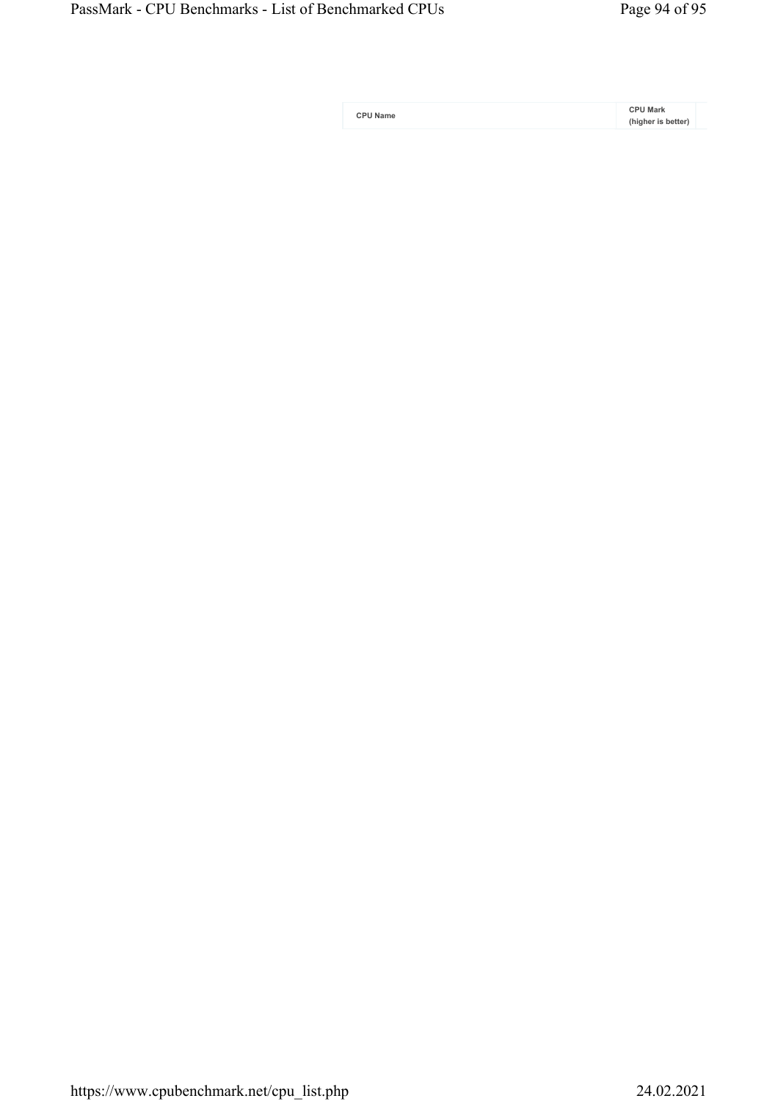| <b>CPU Name</b> |  |
|-----------------|--|
|-----------------|--|